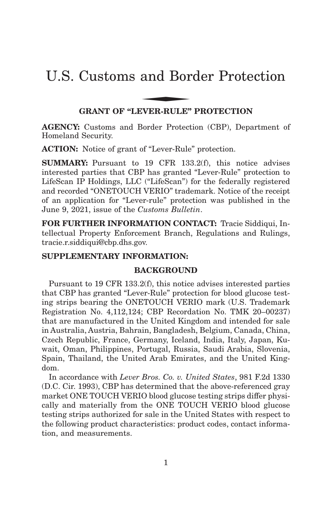# U.S. Customs and Border Protection and Bor

## **GRANT OF "LEVER-RULE" PROTECTION**

**AGENCY:** Customs and Border Protection (CBP), Department of Homeland Security.

**ACTION:** Notice of grant of "Lever-Rule" protection.

**SUMMARY:** Pursuant to 19 CFR 133.2(f), this notice advises interested parties that CBP has granted "Lever-Rule" protection to LifeScan IP Holdings, LLC ("LifeScan") for the federally registered and recorded "ONETOUCH VERIO" trademark. Notice of the receipt of an application for "Lever-rule" protection was published in the June 9, 2021, issue of the *Customs Bulletin*.

**FOR FURTHER INFORMATION CONTACT:** Tracie Siddiqui, Intellectual Property Enforcement Branch, Regulations and Rulings, tracie.r.siddiqui@cbp.dhs.gov.

# **SUPPLEMENTARY INFORMATION:**

## **BACKGROUND**

Pursuant to 19 CFR 133.2(f), this notice advises interested parties that CBP has granted "Lever-Rule" protection for blood glucose testing strips bearing the ONETOUCH VERIO mark (U.S. Trademark Registration No. 4,112,124; CBP Recordation No. TMK 20–00237) that are manufactured in the United Kingdom and intended for sale in Australia, Austria, Bahrain, Bangladesh, Belgium, Canada, China, Czech Republic, France, Germany, Iceland, India, Italy, Japan, Kuwait, Oman, Philippines, Portugal, Russia, Saudi Arabia, Slovenia, Spain, Thailand, the United Arab Emirates, and the United Kingdom.

In accordance with *Lever Bros. Co. v. United States*, 981 F.2d 1330 (D.C. Cir. 1993), CBP has determined that the above-referenced gray market ONE TOUCH VERIO blood glucose testing strips differ physically and materially from the ONE TOUCH VERIO blood glucose testing strips authorized for sale in the United States with respect to the following product characteristics: product codes, contact information, and measurements.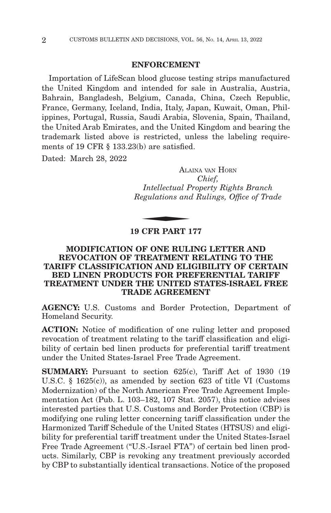#### **ENFORCEMENT**

Importation of LifeScan blood glucose testing strips manufactured the United Kingdom and intended for sale in Australia, Austria, Bahrain, Bangladesh, Belgium, Canada, China, Czech Republic, France, Germany, Iceland, India, Italy, Japan, Kuwait, Oman, Philippines, Portugal, Russia, Saudi Arabia, Slovenia, Spain, Thailand, the United Arab Emirates, and the United Kingdom and bearing the trademark listed above is restricted, unless the labeling requirements of 19 CFR § 133.23(b) are satisfied.

Dated: March 28, 2022

ALAINA VAN HORN *Chief, Intellectual Property Rights Branch Regulations and Rulings, Office of Trade* ALA<br>
Intellectual P<br>
egulations and<br>
CEP PAPT 1

## **19 CFR PART 177**

## **MODIFICATION OF ONE RULING LETTER AND REVOCATION OF TREATMENT RELATING TO THE TARIFF CLASSIFICATION AND ELIGIBILITY OF CERTAIN BED LINEN PRODUCTS FOR PREFERENTIAL TARIFF TREATMENT UNDER THE UNITED STATES-ISRAEL FREE TRADE AGREEMENT**

**AGENCY:** U.S. Customs and Border Protection, Department of Homeland Security.

**ACTION:** Notice of modification of one ruling letter and proposed revocation of treatment relating to the tariff classification and eligibility of certain bed linen products for preferential tariff treatment under the United States-Israel Free Trade Agreement.

**SUMMARY:** Pursuant to section 625(c), Tariff Act of 1930 (19) U.S.C. § 1625(c)), as amended by section 623 of title VI (Customs Modernization) of the North American Free Trade Agreement Implementation Act (Pub. L. 103–182, 107 Stat. 2057), this notice advises interested parties that U.S. Customs and Border Protection (CBP) is modifying one ruling letter concerning tariff classification under the Harmonized Tariff Schedule of the United States (HTSUS) and eligibility for preferential tariff treatment under the United States-Israel Free Trade Agreement ("U.S.-Israel FTA") of certain bed linen products. Similarly, CBP is revoking any treatment previously accorded by CBP to substantially identical transactions. Notice of the proposed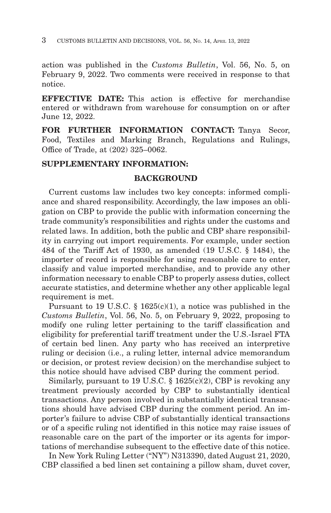action was published in the *Customs Bulletin*, Vol. 56, No. 5, on February 9, 2022. Two comments were received in response to that notice.

**EFFECTIVE DATE:** This action is effective for merchandise entered or withdrawn from warehouse for consumption on or after June 12, 2022.

**FOR FURTHER INFORMATION CONTACT:** Tanya Secor, Food, Textiles and Marking Branch, Regulations and Rulings, Office of Trade, at (202) 325–0062.

## **SUPPLEMENTARY INFORMATION:**

### **BACKGROUND**

Current customs law includes two key concepts: informed compliance and shared responsibility. Accordingly, the law imposes an obligation on CBP to provide the public with information concerning the trade community's responsibilities and rights under the customs and related laws. In addition, both the public and CBP share responsibility in carrying out import requirements. For example, under section 484 of the Tariff Act of 1930, as amended (19 U.S.C. § 1484), the importer of record is responsible for using reasonable care to enter, classify and value imported merchandise, and to provide any other information necessary to enable CBP to properly assess duties, collect accurate statistics, and determine whether any other applicable legal requirement is met.

Pursuant to 19 U.S.C.  $\S$  1625(c)(1), a notice was published in the *Customs Bulletin*, Vol. 56, No. 5, on February 9, 2022, proposing to modify one ruling letter pertaining to the tariff classification and eligibility for preferential tariff treatment under the U.S.-Israel FTA of certain bed linen. Any party who has received an interpretive ruling or decision (i.e., a ruling letter, internal advice memorandum or decision, or protest review decision) on the merchandise subject to this notice should have advised CBP during the comment period.

Similarly, pursuant to 19 U.S.C.  $\S$  1625(c)(2), CBP is revoking any treatment previously accorded by CBP to substantially identical transactions. Any person involved in substantially identical transactions should have advised CBP during the comment period. An importer's failure to advise CBP of substantially identical transactions or of a specific ruling not identified in this notice may raise issues of reasonable care on the part of the importer or its agents for importations of merchandise subsequent to the effective date of this notice.

In New York Ruling Letter ("NY") N313390, dated August 21, 2020, CBP classified a bed linen set containing a pillow sham, duvet cover,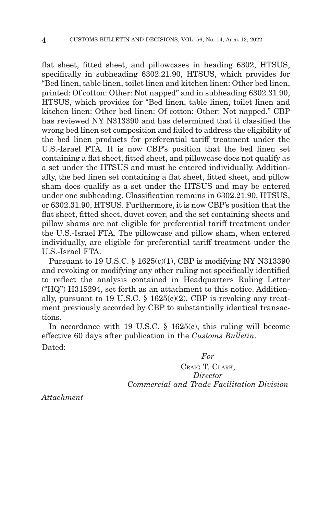flat sheet, fitted sheet, and pillowcases in heading 6302, HTSUS, specifically in subheading 6302.21.90, HTSUS, which provides for "Bed linen, table linen, toilet linen and kitchen linen: Other bed linen, printed: Of cotton: Other: Not napped" and in subheading 6302.31.90, HTSUS, which provides for "Bed linen, table linen, toilet linen and kitchen linen: Other bed linen: Of cotton: Other: Not napped." CBP has reviewed NY N313390 and has determined that it classified the wrong bed linen set composition and failed to address the eligibility of the bed linen products for preferential tariff treatment under the U.S.-Israel FTA. It is now CBP's position that the bed linen set containing a flat sheet, fitted sheet, and pillowcase does not qualify as a set under the HTSUS and must be entered individually. Additionally, the bed linen set containing a flat sheet, fitted sheet, and pillow sham does qualify as a set under the HTSUS and may be entered under one subheading. Classification remains in 6302.21.90, HTSUS, or 6302.31.90, HTSUS. Furthermore, it is now CBP's position that the flat sheet, fitted sheet, duvet cover, and the set containing sheets and pillow shams are not eligible for preferential tariff treatment under the U.S.-Israel FTA. The pillowcase and pillow sham, when entered individually, are eligible for preferential tariff treatment under the U.S.-Israel FTA.

Pursuant to 19 U.S.C. § 1625(c)(1), CBP is modifying NY N313390 and revoking or modifying any other ruling not specifically identified to reflect the analysis contained in Headquarters Ruling Letter ("HQ") H315294, set forth as an attachment to this notice. Additionally, pursuant to 19 U.S.C.  $\S$  1625(c)(2), CBP is revoking any treatment previously accorded by CBP to substantially identical transactions.

In accordance with 19 U.S.C. § 1625(c), this ruling will become effective 60 days after publication in the *Customs Bulletin*. Dated:

*For*

CRAIG T. CLARK, *Director Commercial and Trade Facilitation Division*

*Attachment*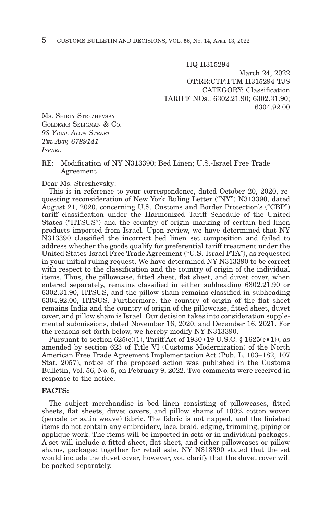HQ H315294

March 24, 2022 OT:RR:CTF:FTM H315294 TJS CATEGORY: Classification TARIFF NOs.: 6302.21.90; 6302.31.90; 6304.92.00

**Ms. SHIRLY STREZHEVSKY** GOLDFARB SELIGMAN & CO. *98 YIGAL ALON STREET TEL AVIV, 6789141 ISRAEL*

#### RE: Modification of NY N313390; Bed Linen; U.S.-Israel Free Trade Agreement

Dear Ms. Strezhevsky:

This is in reference to your correspondence, dated October 20, 2020, requesting reconsideration of New York Ruling Letter ("NY") N313390, dated August 21, 2020, concerning U.S. Customs and Border Protection's ("CBP") tariff classification under the Harmonized Tariff Schedule of the United States ("HTSUS") and the country of origin marking of certain bed linen products imported from Israel. Upon review, we have determined that NY N313390 classified the incorrect bed linen set composition and failed to address whether the goods qualify for preferential tariff treatment under the United States-Israel Free Trade Agreement ("U.S.-Israel FTA"), as requested in your initial ruling request. We have determined NY N313390 to be correct with respect to the classification and the country of origin of the individual items. Thus, the pillowcase, fitted sheet, flat sheet, and duvet cover, when entered separately, remains classified in either subheading 6302.21.90 or 6302.31.90, HTSUS, and the pillow sham remains classified in subheading 6304.92.00, HTSUS. Furthermore, the country of origin of the flat sheet remains India and the country of origin of the pillowcase, fitted sheet, duvet cover, and pillow sham is Israel. Our decision takes into consideration supplemental submissions, dated November 16, 2020, and December 16, 2021. For the reasons set forth below, we hereby modify NY N313390.

Pursuant to section  $625(c)(1)$ , Tariff Act of 1930 (19 U.S.C. § 1625(c)(1)), as amended by section 623 of Title VI (Customs Modernization) of the North American Free Trade Agreement Implementation Act (Pub. L. 103–182, 107 Stat. 2057), notice of the proposed action was published in the Customs Bulletin, Vol. 56, No. 5, on February 9, 2022. Two comments were received in response to the notice.

#### **FACTS:**

The subject merchandise is bed linen consisting of pillowcases, fitted sheets, flat sheets, duvet covers, and pillow shams of 100% cotton woven (percale or satin weave) fabric. The fabric is not napped, and the finished items do not contain any embroidery, lace, braid, edging, trimming, piping or applique work. The items will be imported in sets or in individual packages. A set will include a fitted sheet, flat sheet, and either pillowcases or pillow shams, packaged together for retail sale. NY N313390 stated that the set would include the duvet cover, however, you clarify that the duvet cover will be packed separately.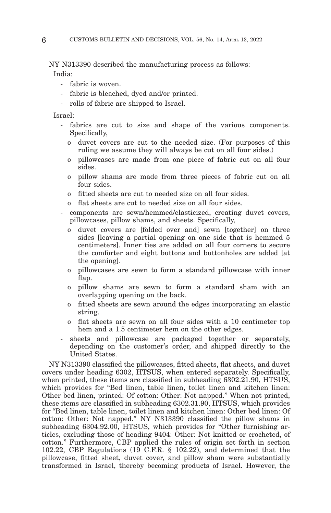NY N313390 described the manufacturing process as follows: India:

- fabric is woven.
- fabric is bleached, dyed and/or printed.
- rolls of fabric are shipped to Israel.

Israel:

- fabrics are cut to size and shape of the various components. Specifically,
	- o duvet covers are cut to the needed size. (For purposes of this ruling we assume they will always be cut on all four sides.)
	- o pillowcases are made from one piece of fabric cut on all four sides.
	- o pillow shams are made from three pieces of fabric cut on all four sides.
	- o fitted sheets are cut to needed size on all four sides.
	- o flat sheets are cut to needed size on all four sides.
- components are sewn/hemmed/elasticized, creating duvet covers, pillowcases, pillow shams, and sheets. Specifically,
	- o duvet covers are [folded over and] sewn [together] on three sides [leaving a partial opening on one side that is hemmed 5 centimeters]. Inner ties are added on all four corners to secure the comforter and eight buttons and buttonholes are added [at the opening].
	- o pillowcases are sewn to form a standard pillowcase with inner flap.
	- o pillow shams are sewn to form a standard sham with an overlapping opening on the back.
	- o fitted sheets are sewn around the edges incorporating an elastic string.
	- o flat sheets are sewn on all four sides with a 10 centimeter top hem and a 1.5 centimeter hem on the other edges.
- sheets and pillowcase are packaged together or separately, depending on the customer's order, and shipped directly to the United States.

NY N313390 classified the pillowcases, fitted sheets, flat sheets, and duvet covers under heading 6302, HTSUS, when entered separately. Specifically, when printed, these items are classified in subheading 6302.21.90, HTSUS, which provides for "Bed linen, table linen, toilet linen and kitchen linen: Other bed linen, printed: Of cotton: Other: Not napped." When not printed, these items are classified in subheading 6302.31.90, HTSUS, which provides for "Bed linen, table linen, toilet linen and kitchen linen: Other bed linen: Of cotton: Other: Not napped." NY N313390 classified the pillow shams in subheading 6304.92.00, HTSUS, which provides for "Other furnishing articles, excluding those of heading 9404: Other: Not knitted or crocheted, of cotton." Furthermore, CBP applied the rules of origin set forth in section 102.22, CBP Regulations (19 C.F.R. § 102.22), and determined that the pillowcase, fitted sheet, duvet cover, and pillow sham were substantially transformed in Israel, thereby becoming products of Israel. However, the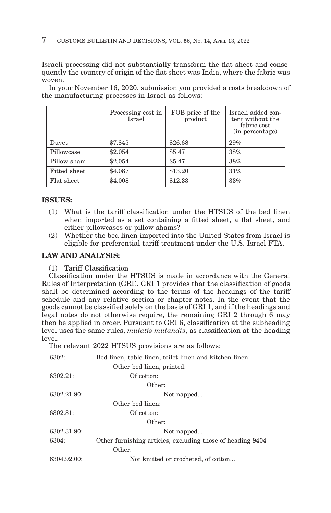#### 7 CUSTOMS BULLETIN AND DECISIONS, VOL. 56, NO. 14, APRIL 13, 2022

Israeli processing did not substantially transform the flat sheet and consequently the country of origin of the flat sheet was India, where the fabric was woven.

In your November 16, 2020, submission you provided a costs breakdown of the manufacturing processes in Israel as follows:

|                     | Processing cost in<br>Israel | FOB price of the<br>product | Israeli added con-<br>tent without the<br>fabric cost<br>(in percentage) |
|---------------------|------------------------------|-----------------------------|--------------------------------------------------------------------------|
| Duvet               | \$7.845                      | \$26.68                     | 29%                                                                      |
| Pillowcase          | \$2.054                      | \$5.47                      | 38%                                                                      |
| Pillow sham         | \$2.054                      | \$5.47                      | 38%                                                                      |
| <b>Fitted sheet</b> | \$4.087                      | \$13.20                     | 31%                                                                      |
| Flat sheet          | \$4.008                      | \$12.33                     | 33%                                                                      |

### **ISSUES:**

- (1) What is the tariff classification under the HTSUS of the bed linen when imported as a set containing a fitted sheet, a flat sheet, and either pillowcases or pillow shams?
- (2) Whether the bed linen imported into the United States from Israel is eligible for preferential tariff treatment under the U.S.-Israel FTA.

#### **LAW AND ANALYSIS:**

(1) Tariff Classification

Classification under the HTSUS is made in accordance with the General Rules of Interpretation (GRI). GRI 1 provides that the classification of goods shall be determined according to the terms of the headings of the tariff schedule and any relative section or chapter notes. In the event that the goods cannot be classified solely on the basis of GRI 1, and if the headings and legal notes do not otherwise require, the remaining GRI 2 through  $\bar{6}$  may then be applied in order. Pursuant to GRI 6, classification at the subheading level uses the same rules, *mutatis mutandis*, as classification at the heading level.

The relevant 2022 HTSUS provisions are as follows:

| 6302:       | Bed linen, table linen, toilet linen and kitchen linen:    |  |  |  |
|-------------|------------------------------------------------------------|--|--|--|
|             | Other bed linen, printed:                                  |  |  |  |
| 6302.21:    | Of cotton:                                                 |  |  |  |
|             | Other:                                                     |  |  |  |
| 6302.21.90: | Not napped                                                 |  |  |  |
|             | Other bed linen:                                           |  |  |  |
| 6302.31:    | Of cotton:                                                 |  |  |  |
|             | Other:                                                     |  |  |  |
| 6302.31.90: | Not napped                                                 |  |  |  |
| 6304:       | Other furnishing articles, excluding those of heading 9404 |  |  |  |
|             | Other:                                                     |  |  |  |
| 6304.92.00: | Not knitted or crocheted, of cotton                        |  |  |  |
|             |                                                            |  |  |  |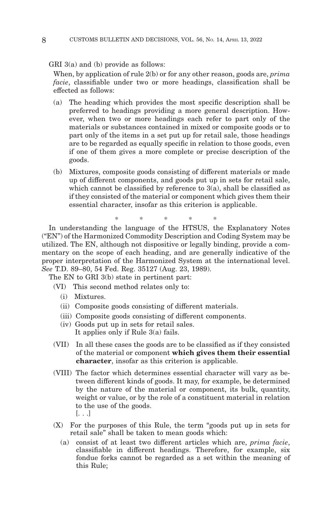GRI 3(a) and (b) provide as follows:

When, by application of rule 2(b) or for any other reason, goods are, *prima facie*, classifiable under two or more headings, classification shall be effected as follows:

- (a) The heading which provides the most specific description shall be preferred to headings providing a more general description. However, when two or more headings each refer to part only of the materials or substances contained in mixed or composite goods or to part only of the items in a set put up for retail sale, those headings are to be regarded as equally specific in relation to those goods, even if one of them gives a more complete or precise description of the goods.
- (b) Mixtures, composite goods consisting of different materials or made up of different components, and goods put up in sets for retail sale, which cannot be classified by reference to  $3(a)$ , shall be classified as if they consisted of the material or component which gives them their essential character, insofar as this criterion is applicable.

\* \* \* \* \*

In understanding the language of the HTSUS, the Explanatory Notes ("EN") of the Harmonized Commodity Description and Coding System may be utilized. The EN, although not dispositive or legally binding, provide a commentary on the scope of each heading, and are generally indicative of the proper interpretation of the Harmonized System at the international level. *See* T.D. 89–80, 54 Fed. Reg. 35127 (Aug. 23, 1989).

The EN to GRI 3(b) state in pertinent part:

(VI) This second method relates only to:

- (i) Mixtures.
- (ii) Composite goods consisting of different materials.
- (iii) Composite goods consisting of different components.
- (iv) Goods put up in sets for retail sales. It applies only if Rule 3(a) fails.
- (VII) In all these cases the goods are to be classified as if they consisted of the material or component **which gives them their essential character**, insofar as this criterion is applicable.
- (VIII) The factor which determines essential character will vary as between different kinds of goods. It may, for example, be determined by the nature of the material or component, its bulk, quantity, weight or value, or by the role of a constituent material in relation to the use of the goods. [. . .]
- (X) For the purposes of this Rule, the term "goods put up in sets for retail sale" shall be taken to mean goods which:
	- consist of at least two different articles which are, *prima facie*, classifiable in different headings. Therefore, for example, six fondue forks cannot be regarded as a set within the meaning of this Rule;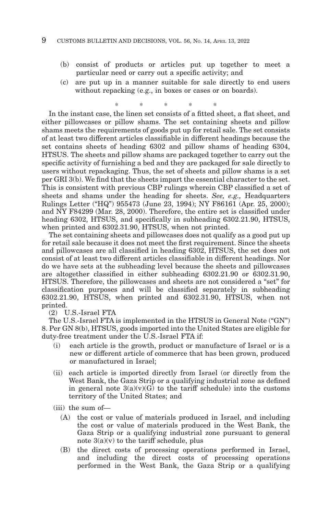- (b) consist of products or articles put up together to meet a particular need or carry out a specific activity; and
- (c) are put up in a manner suitable for sale directly to end users without repacking (e.g., in boxes or cases or on boards).

\* \* \* \* \* In the instant case, the linen set consists of a fitted sheet, a flat sheet, and

either pillowcases or pillow shams. The set containing sheets and pillow shams meets the requirements of goods put up for retail sale. The set consists of at least two different articles classifiable in different headings because the set contains sheets of heading 6302 and pillow shams of heading 6304, HTSUS. The sheets and pillow shams are packaged together to carry out the specific activity of furnishing a bed and they are packaged for sale directly to users without repackaging. Thus, the set of sheets and pillow shams is a set per GRI 3(b). We find that the sheets impart the essential character to the set. This is consistent with previous CBP rulings wherein CBP classified a set of sheets and shams under the heading for sheets. *See, e.g.,* Headquarters Rulings Letter ("HQ") 955473 (June 23, 1994); NY F86161 (Apr. 25, 2000); and NY F84299 (Mar. 28, 2000). Therefore, the entire set is classified under heading 6302, HTSUS, and specifically in subheading 6302.21.90, HTSUS, when printed and 6302.31.90, HTSUS, when not printed.

The set containing sheets and pillowcases does not qualify as a good put up for retail sale because it does not meet the first requirement. Since the sheets and pillowcases are all classified in heading 6302, HTSUS, the set does not consist of at least two different articles classifiable in different headings. Nor do we have sets at the subheading level because the sheets and pillowcases are altogether classified in either subheading 6302.21.90 or 6302.31.90, HTSUS. Therefore, the pillowcases and sheets are not considered a "set" for classification purposes and will be classified separately in subheading 6302.21.90, HTSUS, when printed and 6302.31.90, HTSUS, when not printed.

(2) U.S.-Israel FTA

The U.S.-Israel FTA is implemented in the HTSUS in General Note ("GN") 8. Per GN 8(b), HTSUS, goods imported into the United States are eligible for duty-free treatment under the U.S.-Israel FTA if:

- (i) each article is the growth, product or manufacture of Israel or is a new or different article of commerce that has been grown, produced or manufactured in Israel;
- (ii) each article is imported directly from Israel (or directly from the West Bank, the Gaza Strip or a qualifying industrial zone as defined in general note  $3(a)(v)(G)$  to the tariff schedule) into the customs territory of the United States; and
- (iii) the sum of—
	- (A) the cost or value of materials produced in Israel, and including the cost or value of materials produced in the West Bank, the Gaza Strip or a qualifying industrial zone pursuant to general note 3(a)(v) to the tariff schedule, plus
	- (B) the direct costs of processing operations performed in Israel, and including the direct costs of processing operations performed in the West Bank, the Gaza Strip or a qualifying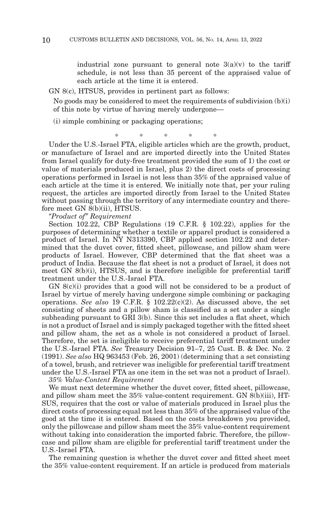industrial zone pursuant to general note  $3(a)(v)$  to the tariff schedule, is not less than 35 percent of the appraised value of each article at the time it is entered.

GN 8(c), HTSUS, provides in pertinent part as follows:

No goods may be considered to meet the requirements of subdivision (b)(i) of this note by virtue of having merely undergone—

(i) simple combining or packaging operations;

\*\*\*\* \*

Under the U.S.-Israel FTA, eligible articles which are the growth, product, or manufacture of Israel and are imported directly into the United States from Israel qualify for duty-free treatment provided the sum of 1) the cost or value of materials produced in Israel, plus 2) the direct costs of processing operations performed in Israel is not less than 35% of the appraised value of each article at the time it is entered. We initially note that, per your ruling request, the articles are imported directly from Israel to the United States without passing through the territory of any intermediate country and therefore meet GN 8(b)(ii), HTSUS.

*"Product of" Requirement*

Section 102.22, CBP Regulations (19 C.F.R. § 102.22), applies for the purposes of determining whether a textile or apparel product is considered a product of Israel. In NY N313390, CBP applied section 102.22 and determined that the duvet cover, fitted sheet, pillowcase, and pillow sham were products of Israel. However, CBP determined that the flat sheet was a product of India. Because the flat sheet is not a product of Israel, it does not meet GN 8(b)(i), HTSUS, and is therefore ineligible for preferential tariff treatment under the U.S.-Israel FTA.

GN 8(c)(i) provides that a good will not be considered to be a product of Israel by virtue of merely having undergone simple combining or packaging operations. *See also* 19 C.F.R. § 102.22(c)(2). As discussed above, the set consisting of sheets and a pillow sham is classified as a set under a single subheading pursuant to GRI 3(b). Since this set includes a flat sheet, which is not a product of Israel and is simply packaged together with the fitted sheet and pillow sham, the set as a whole is not considered a product of Israel. Therefore, the set is ineligible to receive preferential tariff treatment under the U.S.-Israel FTA. *See* Treasury Decision 91–7, 25 Cust. B. & Dec. No. 2 (1991). *See also* HQ 963453 (Feb. 26, 2001) (determining that a set consisting of a towel, brush, and retriever was ineligible for preferential tariff treatment under the U.S.-Israel FTA as one item in the set was not a product of Israel).

*35% Value-Content Requirement*

We must next determine whether the duvet cover, fitted sheet, pillowcase, and pillow sham meet the 35% value-content requirement. GN 8(b)(iii), HT-SUS, requires that the cost or value of materials produced in Israel plus the direct costs of processing equal not less than 35% of the appraised value of the good at the time it is entered. Based on the costs breakdown you provided, only the pillowcase and pillow sham meet the 35% value-content requirement without taking into consideration the imported fabric. Therefore, the pillowcase and pillow sham are eligible for preferential tariff treatment under the U.S.-Israel FTA.

The remaining question is whether the duvet cover and fitted sheet meet the 35% value-content requirement. If an article is produced from materials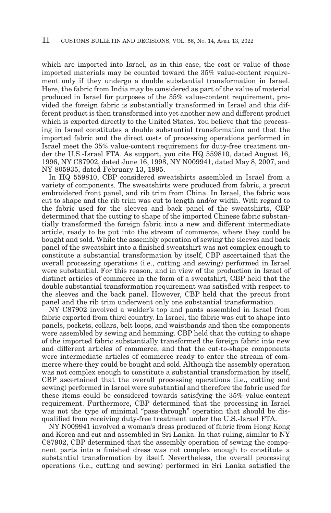which are imported into Israel, as in this case, the cost or value of those imported materials may be counted toward the 35% value-content requirement only if they undergo a double substantial transformation in Israel. Here, the fabric from India may be considered as part of the value of material produced in Israel for purposes of the 35% value-content requirement, provided the foreign fabric is substantially transformed in Israel and this different product is then transformed into yet another new and different product which is exported directly to the United States. You believe that the processing in Israel constitutes a double substantial transformation and that the imported fabric and the direct costs of processing operations performed in Israel meet the 35% value-content requirement for duty-free treatment under the U.S.-Israel FTA. As support, you cite HQ 559810, dated August 16, 1996, NY C87902, dated June 16, 1998, NY N009941, dated May 8, 2007, and NY 805935, dated February 13, 1995.

In HQ 559810, CBP considered sweatshirts assembled in Israel from a variety of components. The sweatshirts were produced from fabric, a precut embroidered front panel, and rib trim from China. In Israel, the fabric was cut to shape and the rib trim was cut to length and/or width. With regard to the fabric used for the sleeves and back panel of the sweatshirts, CBP determined that the cutting to shape of the imported Chinese fabric substantially transformed the foreign fabric into a new and different intermediate article, ready to be put into the stream of commerce, where they could be bought and sold. While the assembly operation of sewing the sleeves and back panel of the sweatshirt into a finished sweatshirt was not complex enough to constitute a substantial transformation by itself, CBP ascertained that the overall processing operations (i.e., cutting and sewing) performed in Israel were substantial. For this reason, and in view of the production in Israel of distinct articles of commerce in the form of a sweatshirt, CBP held that the double substantial transformation requirement was satisfied with respect to the sleeves and the back panel. However, CBP held that the precut front panel and the rib trim underwent only one substantial transformation.

NY C87902 involved a welder's top and pants assembled in Israel from fabric exported from third country. In Israel, the fabric was cut to shape into panels, pockets, collars, belt loops, and waistbands and then the components were assembled by sewing and hemming. CBP held that the cutting to shape of the imported fabric substantially transformed the foreign fabric into new and different articles of commerce, and that the cut-to-shape components were intermediate articles of commerce ready to enter the stream of commerce where they could be bought and sold. Although the assembly operation was not complex enough to constitute a substantial transformation by itself, CBP ascertained that the overall processing operations (i.e., cutting and sewing) performed in Israel were substantial and therefore the fabric used for these items could be considered towards satisfying the 35% value-content requirement. Furthermore, CBP determined that the processing in Israel was not the type of minimal "pass-through" operation that should be disqualified from receiving duty-free treatment under the U.S.-Israel FTA.

NY N009941 involved a woman's dress produced of fabric from Hong Kong and Korea and cut and assembled in Sri Lanka. In that ruling, similar to NY C87902, CBP determined that the assembly operation of sewing the component parts into a finished dress was not complex enough to constitute a substantial transformation by itself. Nevertheless, the overall processing operations (i.e., cutting and sewing) performed in Sri Lanka satisfied the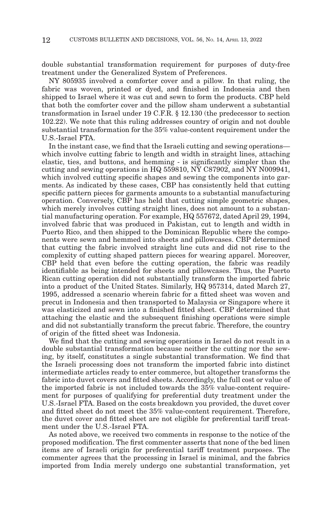double substantial transformation requirement for purposes of duty-free treatment under the Generalized System of Preferences.

NY 805935 involved a comforter cover and a pillow. In that ruling, the fabric was woven, printed or dyed, and finished in Indonesia and then shipped to Israel where it was cut and sewn to form the products. CBP held that both the comforter cover and the pillow sham underwent a substantial transformation in Israel under 19 C.F.R. § 12.130 (the predecessor to section 102.22). We note that this ruling addresses country of origin and not double substantial transformation for the 35% value-content requirement under the U.S.-Israel FTA.

In the instant case, we find that the Israeli cutting and sewing operations which involve cutting fabric to length and width in straight lines, attaching elastic, ties, and buttons, and hemming - is significantly simpler than the cutting and sewing operations in HQ 559810, NY C87902, and NY N009941, which involved cutting specific shapes and sewing the components into garments. As indicated by these cases, CBP has consistently held that cutting specific pattern pieces for garments amounts to a substantial manufacturing operation. Conversely, CBP has held that cutting simple geometric shapes, which merely involves cutting straight lines, does not amount to a substantial manufacturing operation. For example, HQ 557672, dated April 29, 1994, involved fabric that was produced in Pakistan, cut to length and width in Puerto Rico, and then shipped to the Dominican Republic where the components were sewn and hemmed into sheets and pillowcases. CBP determined that cutting the fabric involved straight line cuts and did not rise to the complexity of cutting shaped pattern pieces for wearing apparel. Moreover, CBP held that even before the cutting operation, the fabric was readily identifiable as being intended for sheets and pillowcases. Thus, the Puerto Rican cutting operation did not substantially transform the imported fabric into a product of the United States. Similarly, HQ 957314, dated March 27, 1995, addressed a scenario wherein fabric for a fitted sheet was woven and precut in Indonesia and then transported to Malaysia or Singapore where it was elasticized and sewn into a finished fitted sheet. CBP determined that attaching the elastic and the subsequent finishing operations were simple and did not substantially transform the precut fabric. Therefore, the country of origin of the fitted sheet was Indonesia.

We find that the cutting and sewing operations in Israel do not result in a double substantial transformation because neither the cutting nor the sewing, by itself, constitutes a single substantial transformation. We find that the Israeli processing does not transform the imported fabric into distinct intermediate articles ready to enter commerce, but altogether transforms the fabric into duvet covers and fitted sheets. Accordingly, the full cost or value of the imported fabric is not included towards the 35% value-content requirement for purposes of qualifying for preferential duty treatment under the U.S.-Israel FTA. Based on the costs breakdown you provided, the duvet cover and fitted sheet do not meet the 35% value-content requirement. Therefore, the duvet cover and fitted sheet are not eligible for preferential tariff treatment under the U.S.-Israel FTA.

As noted above, we received two comments in response to the notice of the proposed modification. The first commenter asserts that none of the bed linen items are of Israeli origin for preferential tariff treatment purposes. The commenter agrees that the processing in Israel is minimal, and the fabrics imported from India merely undergo one substantial transformation, yet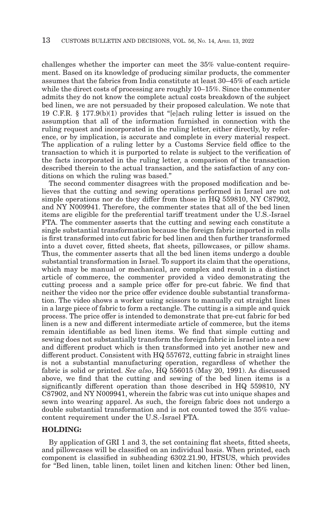challenges whether the importer can meet the 35% value-content requirement. Based on its knowledge of producing similar products, the commenter assumes that the fabrics from India constitute at least 30–45% of each article while the direct costs of processing are roughly 10–15%. Since the commenter admits they do not know the complete actual costs breakdown of the subject bed linen, we are not persuaded by their proposed calculation. We note that 19 C.F.R. § 177.9(b)(1) provides that "[e]ach ruling letter is issued on the assumption that all of the information furnished in connection with the ruling request and incorporated in the ruling letter, either directly, by reference, or by implication, is accurate and complete in every material respect. The application of a ruling letter by a Customs Service field office to the transaction to which it is purported to relate is subject to the verification of the facts incorporated in the ruling letter, a comparison of the transaction described therein to the actual transaction, and the satisfaction of any conditions on which the ruling was based."

The second commenter disagrees with the proposed modification and believes that the cutting and sewing operations performed in Israel are not simple operations nor do they differ from those in HQ 559810, NY C87902, and NY N009941. Therefore, the commenter states that all of the bed linen items are eligible for the preferential tariff treatment under the U.S.-Israel FTA. The commenter asserts that the cutting and sewing each constitute a single substantial transformation because the foreign fabric imported in rolls is first transformed into cut fabric for bed linen and then further transformed into a duvet cover, fitted sheets, flat sheets, pillowcases, or pillow shams. Thus, the commenter asserts that all the bed linen items undergo a double substantial transformation in Israel. To support its claim that the operations, which may be manual or mechanical, are complex and result in a distinct article of commerce, the commenter provided a video demonstrating the cutting process and a sample price offer for pre-cut fabric. We find that neither the video nor the price offer evidence double substantial transformation. The video shows a worker using scissors to manually cut straight lines in a large piece of fabric to form a rectangle. The cutting is a simple and quick process. The price offer is intended to demonstrate that pre-cut fabric for bed linen is a new and different intermediate article of commerce, but the items remain identifiable as bed linen items. We find that simple cutting and sewing does not substantially transform the foreign fabric in Israel into a new and different product which is then transformed into yet another new and different product. Consistent with HQ 557672, cutting fabric in straight lines is not a substantial manufacturing operation, regardless of whether the fabric is solid or printed. *See also*, HQ 556015 (May 20, 1991). As discussed above, we find that the cutting and sewing of the bed linen items is a significantly different operation than those described in HQ 559810, NY C87902, and NY N009941, wherein the fabric was cut into unique shapes and sewn into wearing apparel. As such, the foreign fabric does not undergo a double substantial transformation and is not counted towed the 35% valuecontent requirement under the U.S.-Israel FTA.

#### **HOLDING:**

By application of GRI 1 and 3, the set containing flat sheets, fitted sheets, and pillowcases will be classified on an individual basis. When printed, each component is classified in subheading 6302.21.90, HTSUS, which provides for "Bed linen, table linen, toilet linen and kitchen linen: Other bed linen,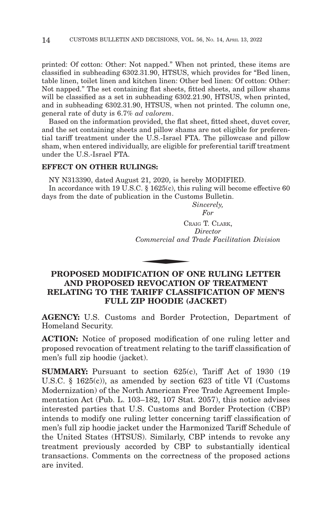printed: Of cotton: Other: Not napped." When not printed, these items are classified in subheading 6302.31.90, HTSUS, which provides for "Bed linen, table linen, toilet linen and kitchen linen: Other bed linen: Of cotton: Other: Not napped." The set containing flat sheets, fitted sheets, and pillow shams will be classified as a set in subheading 6302.21.90, HTSUS, when printed, and in subheading 6302.31.90, HTSUS, when not printed. The column one, general rate of duty is 6.7% *ad valorem*.

Based on the information provided, the flat sheet, fitted sheet, duvet cover, and the set containing sheets and pillow shams are not eligible for preferential tariff treatment under the U.S.-Israel FTA. The pillowcase and pillow sham, when entered individually, are eligible for preferential tariff treatment under the U.S.-Israel FTA.

#### **EFFECT ON OTHER RULINGS:**

NY N313390, dated August 21, 2020, is hereby MODIFIED.

In accordance with 19 U.S.C. § 1625(c), this ruling will become effective 60 days from the date of publication in the Customs Bulletin.

> *Sincerely, For*

CRAIG T. CLARK, *Director Commercial and Trade Facilitation Division* CR<br>
Commercial and<br>
CATION OF O

# **PROPOSED MODIFICATION OF ONE RULING LETTER AND PROPOSED REVOCATION OF TREATMENT RELATING TO THE TARIFF CLASSIFICATION OF MEN'S FULL ZIP HOODIE (JACKET)**

**AGENCY:** U.S. Customs and Border Protection, Department of Homeland Security.

**ACTION:** Notice of proposed modification of one ruling letter and proposed revocation of treatment relating to the tariff classification of men's full zip hoodie (jacket).

**SUMMARY:** Pursuant to section 625(c), Tariff Act of 1930 (19) U.S.C. § 1625(c)), as amended by section 623 of title VI (Customs Modernization) of the North American Free Trade Agreement Implementation Act (Pub. L. 103–182, 107 Stat. 2057), this notice advises interested parties that U.S. Customs and Border Protection (CBP) intends to modify one ruling letter concerning tariff classification of men's full zip hoodie jacket under the Harmonized Tariff Schedule of the United States (HTSUS). Similarly, CBP intends to revoke any treatment previously accorded by CBP to substantially identical transactions. Comments on the correctness of the proposed actions are invited.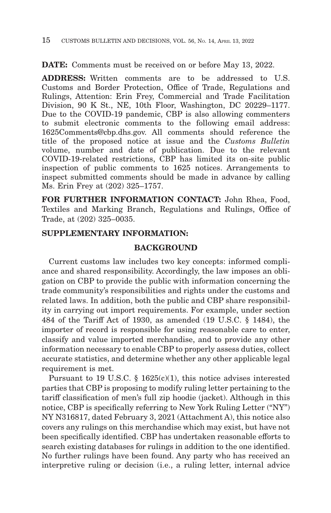**DATE:** Comments must be received on or before May 13, 2022.

**ADDRESS:** Written comments are to be addressed to U.S. Customs and Border Protection, Office of Trade, Regulations and Rulings, Attention: Erin Frey, Commercial and Trade Facilitation Division, 90 K St., NE, 10th Floor, Washington, DC 20229–1177. Due to the COVID-19 pandemic, CBP is also allowing commenters to submit electronic comments to the following email address: 1625Comments@cbp.dhs.gov. All comments should reference the title of the proposed notice at issue and the *Customs Bulletin* volume, number and date of publication. Due to the relevant COVID-19-related restrictions, CBP has limited its on-site public inspection of public comments to 1625 notices. Arrangements to inspect submitted comments should be made in advance by calling Ms. Erin Frey at (202) 325–1757.

**FOR FURTHER INFORMATION CONTACT:** John Rhea, Food, Textiles and Marking Branch, Regulations and Rulings, Office of Trade, at (202) 325–0035.

# **SUPPLEMENTARY INFORMATION:**

## **BACKGROUND**

Current customs law includes two key concepts: informed compliance and shared responsibility. Accordingly, the law imposes an obligation on CBP to provide the public with information concerning the trade community's responsibilities and rights under the customs and related laws. In addition, both the public and CBP share responsibility in carrying out import requirements. For example, under section 484 of the Tariff Act of 1930, as amended (19 U.S.C. § 1484), the importer of record is responsible for using reasonable care to enter, classify and value imported merchandise, and to provide any other information necessary to enable CBP to properly assess duties, collect accurate statistics, and determine whether any other applicable legal requirement is met.

Pursuant to 19 U.S.C. § 1625(c)(1), this notice advises interested parties that CBP is proposing to modify ruling letter pertaining to the tariff classification of men's full zip hoodie (jacket). Although in this notice, CBP is specifically referring to New York Ruling Letter ("NY") NY N316817, dated February 3, 2021 (Attachment A), this notice also covers any rulings on this merchandise which may exist, but have not been specifically identified. CBP has undertaken reasonable efforts to search existing databases for rulings in addition to the one identified. No further rulings have been found. Any party who has received an interpretive ruling or decision (i.e., a ruling letter, internal advice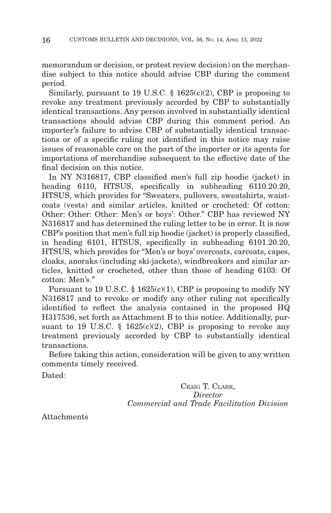memorandum or decision, or protest review decision) on the merchandise subject to this notice should advise CBP during the comment period.

Similarly, pursuant to 19 U.S.C.  $\S$  1625(c)(2), CBP is proposing to revoke any treatment previously accorded by CBP to substantially identical transactions. Any person involved in substantially identical transactions should advise CBP during this comment period. An importer's failure to advise CBP of substantially identical transactions or of a specific ruling not identified in this notice may raise issues of reasonable care on the part of the importer or its agents for importations of merchandise subsequent to the effective date of the final decision on this notice.

In NY N316817, CBP classified men's full zip hoodie (jacket) in heading 6110, HTSUS, specifically in subheading 6110.20.20, HTSUS, which provides for "Sweaters, pullovers, sweatshirts, waistcoats (vests) and similar articles, knitted or crocheted: Of cotton: Other: Other: Other: Men's or boys': Other." CBP has reviewed NY N316817 and has determined the ruling letter to be in error. It is now CBP's position that men's full zip hoodie (jacket) is properly classified, in heading 6101, HTSUS, specifically in subheading 6101.20.20, HTSUS, which provides for "Men's or boys' overcoats, carcoats, capes, cloaks, anoraks (including ski-jackets), windbreakers and similar articles, knitted or crocheted, other than those of heading 6103: Of cotton: Men's."

Pursuant to 19 U.S.C.  $\S 1625(c)(1)$ , CBP is proposing to modify NY N316817 and to revoke or modify any other ruling not specifically identified to reflect the analysis contained in the proposed HQ H317536, set forth as Attachment B to this notice. Additionally, pursuant to 19 U.S.C.  $\S$  1625(c)(2), CBP is proposing to revoke any treatment previously accorded by CBP to substantially identical transactions.

Before taking this action, consideration will be given to any written comments timely received.

Dated:

CRAIG T. CLARK, *Director Commercial and Trade Facilitation Division*

Attachments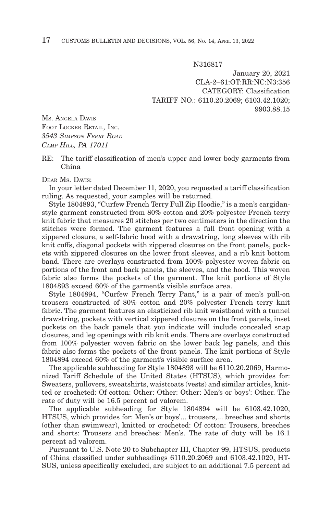N316817

January 20, 2021 CLA-2–61:OT:RR:NC:N3:356 CATEGORY: Classification TARIFF NO.: 6110.20.2069; 6103.42.1020; 9903.88.15

MS. ANGELA DAVIS FOOT LOCKER RETAIL, INC. *3543 SIMPSON FERRY ROAD CAMP HILL, PA 17011*

RE: The tariff classification of men's upper and lower body garments from China

#### DEAR Ms DAVIS'

In your letter dated December 11, 2020, you requested a tariff classification ruling. As requested, your samples will be returned.

Style 1804893, "Curfew French Terry Full Zip Hoodie," is a men's cargidanstyle garment constructed from 80% cotton and 20% polyester French terry knit fabric that measures 20 stitches per two centimeters in the direction the stitches were formed. The garment features a full front opening with a zippered closure, a self-fabric hood with a drawstring, long sleeves with rib knit cuffs, diagonal pockets with zippered closures on the front panels, pockets with zippered closures on the lower front sleeves, and a rib knit bottom band. There are overlays constructed from 100% polyester woven fabric on portions of the front and back panels, the sleeves, and the hood. This woven fabric also forms the pockets of the garment. The knit portions of Style 1804893 exceed 60% of the garment's visible surface area.

Style 1804894, "Curfew French Terry Pant," is a pair of men's pull-on trousers constructed of 80% cotton and 20% polyester French terry knit fabric. The garment features an elasticized rib knit waistband with a tunnel drawstring, pockets with vertical zippered closures on the front panels, inset pockets on the back panels that you indicate will include concealed snap closures, and leg openings with rib knit ends. There are overlays constructed from 100% polyester woven fabric on the lower back leg panels, and this fabric also forms the pockets of the front panels. The knit portions of Style 1804894 exceed 60% of the garment's visible surface area.

The applicable subheading for Style 1804893 will be 6110.20.2069, Harmonized Tariff Schedule of the United States (HTSUS), which provides for: Sweaters, pullovers, sweatshirts, waistcoats (vests) and similar articles, knitted or crocheted: Of cotton: Other: Other: Other: Men's or boys': Other. The rate of duty will be 16.5 percent ad valorem.

The applicable subheading for Style 1804894 will be 6103.42.1020, HTSUS, which provides for: Men's or boys'... trousers,... breeches and shorts (other than swimwear), knitted or crocheted: Of cotton: Trousers, breeches and shorts: Trousers and breeches: Men's. The rate of duty will be 16.1 percent ad valorem.

Pursuant to U.S. Note 20 to Subchapter III, Chapter 99, HTSUS, products of China classified under subheadings 6110.20.2069 and 6103.42.1020, HT-SUS, unless specifically excluded, are subject to an additional 7.5 percent ad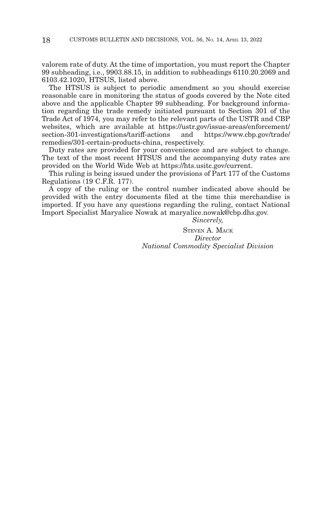valorem rate of duty. At the time of importation, you must report the Chapter 99 subheading, i.e., 9903.88.15, in addition to subheadings 6110.20.2069 and 6103.42.1020, HTSUS, listed above.

The HTSUS is subject to periodic amendment so you should exercise reasonable care in monitoring the status of goods covered by the Note cited above and the applicable Chapter 99 subheading. For background information regarding the trade remedy initiated pursuant to Section 301 of the Trade Act of 1974, you may refer to the relevant parts of the USTR and CBP websites, which are available at https://ustr.gov/issue-areas/enforcement/<br>section-301-investigations/tariff-actions and https://www.cbp.gov/trade/  $section-301$ -investigations/tariff-actions remedies/301-certain-products-china, respectively.

Duty rates are provided for your convenience and are subject to change. The text of the most recent HTSUS and the accompanying duty rates are provided on the World Wide Web at https://hts.usitc.gov/current.

This ruling is being issued under the provisions of Part 177 of the Customs Regulations (19 C.F.R. 177).

A copy of the ruling or the control number indicated above should be provided with the entry documents filed at the time this merchandise is imported. If you have any questions regarding the ruling, contact National Import Specialist Maryalice Nowak at maryalice.nowak@cbp.dhs.gov.

*Sincerely,*

STEVEN A. MACK *Director National Commodity Specialist Division*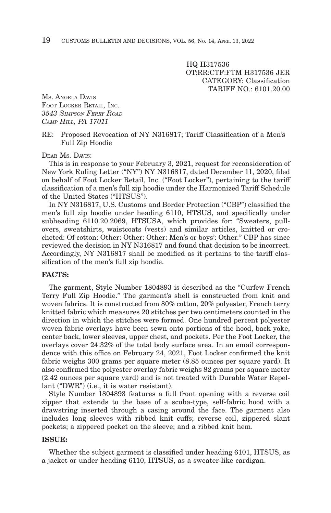HQ H317536 OT:RR:CTF:FTM H317536 JER CATEGORY: Classification TARIFF NO.: 6101.20.00

MS. ANGELA DAVIS FOOT LOCKER RETAIL, INC. *3543 SIMPSON FERRY ROAD CAMP HILL, PA 17011*

RE: Proposed Revocation of NY N316817; Tariff Classification of a Men's Full Zip Hoodie

DEAR MS. DAVIS:

This is in response to your February 3, 2021, request for reconsideration of New York Ruling Letter ("NY") NY N316817, dated December 11, 2020, filed on behalf of Foot Locker Retail, Inc. ("Foot Locker"), pertaining to the tariff classification of a men's full zip hoodie under the Harmonized Tariff Schedule of the United States ("HTSUS").

In NY N316817, U.S. Customs and Border Protection ("CBP") classified the men's full zip hoodie under heading 6110, HTSUS, and specifically under subheading 6110.20.2069, HTSUSA, which provides for: "Sweaters, pullovers, sweatshirts, waistcoats (vests) and similar articles, knitted or crocheted: Of cotton: Other: Other: Other: Men's or boys': Other." CBP has since reviewed the decision in NY N316817 and found that decision to be incorrect. Accordingly, NY N316817 shall be modified as it pertains to the tariff classification of the men's full zip hoodie.

#### **FACTS:**

The garment, Style Number 1804893 is described as the "Curfew French Terry Full Zip Hoodie." The garment's shell is constructed from knit and woven fabrics. It is constructed from 80% cotton, 20% polyester, French terry knitted fabric which measures 20 stitches per two centimeters counted in the direction in which the stitches were formed. One hundred percent polyester woven fabric overlays have been sewn onto portions of the hood, back yoke, center back, lower sleeves, upper chest, and pockets. Per the Foot Locker, the overlays cover 24.32% of the total body surface area. In an email correspondence with this office on February 24, 2021, Foot Locker confirmed the knit fabric weighs 300 grams per square meter (8.85 ounces per square yard). It also confirmed the polyester overlay fabric weighs 82 grams per square meter (2.42 ounces per square yard) and is not treated with Durable Water Repellant ("DWR") (i.e., it is water resistant).

Style Number 1804893 features a full front opening with a reverse coil zipper that extends to the base of a scuba-type, self-fabric hood with a drawstring inserted through a casing around the face. The garment also includes long sleeves with ribbed knit cuffs; reverse coil, zippered slant pockets; a zippered pocket on the sleeve; and a ribbed knit hem.

#### **ISSUE:**

Whether the subject garment is classified under heading 6101, HTSUS, as a jacket or under heading 6110, HTSUS, as a sweater-like cardigan.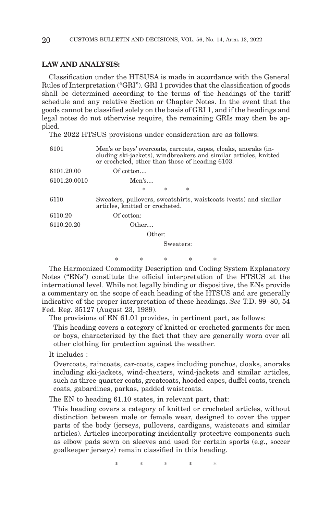### **LAW AND ANALYSIS:**

Classification under the HTSUSA is made in accordance with the General Rules of Interpretation ("GRI"). GRI 1 provides that the classification of goods shall be determined according to the terms of the headings of the tariff schedule and any relative Section or Chapter Notes. In the event that the goods cannot be classified solely on the basis of GRI 1, and if the headings and legal notes do not otherwise require, the remaining GRIs may then be applied.

The 2022 HTSUS provisions under consideration are as follows:

| 6101         | or crocheted, other than those of heading 6103. |           |   | Men's or boys' overcoats, carcoats, capes, cloaks, anoraks (in-<br>cluding ski-jackets), windbreakers and similar articles, knitted |
|--------------|-------------------------------------------------|-----------|---|-------------------------------------------------------------------------------------------------------------------------------------|
| 6101.20.00   | Of cotton                                       |           |   |                                                                                                                                     |
| 6101.20.0010 | Men's                                           |           |   |                                                                                                                                     |
|              | 冰                                               | 欢         | 冰 |                                                                                                                                     |
| 6110         | articles, knitted or crocheted.                 |           |   | Sweaters, pullovers, sweatshirts, waistcoats (vests) and similar                                                                    |
| 6110.20      | Of cotton:                                      |           |   |                                                                                                                                     |
| 6110.20.20   | Other                                           |           |   |                                                                                                                                     |
|              | Other:                                          |           |   |                                                                                                                                     |
|              |                                                 | Sweaters: |   |                                                                                                                                     |
|              |                                                 |           |   |                                                                                                                                     |

\* \* \* \* \* The Harmonized Commodity Description and Coding System Explanatory Notes ("ENs") constitute the official interpretation of the HTSUS at the international level. While not legally binding or dispositive, the ENs provide a commentary on the scope of each heading of the HTSUS and are generally indicative of the proper interpretation of these headings. *See* T.D. 89–80, 54 Fed. Reg. 35127 (August 23, 1989).

The provisions of EN 61.01 provides, in pertinent part, as follows:

This heading covers a category of knitted or crocheted garments for men or boys, characterized by the fact that they are generally worn over all other clothing for protection against the weather.

It includes :

Overcoats, raincoats, car-coats, capes including ponchos, cloaks, anoraks including ski-jackets, wind-cheaters, wind-jackets and similar articles, such as three-quarter coats, greatcoats, hooded capes, duffel coats, trench coats, gabardines, parkas, padded waistcoats.

The EN to heading 61.10 states, in relevant part, that:

This heading covers a category of knitted or crocheted articles, without distinction between male or female wear, designed to cover the upper parts of the body (jerseys, pullovers, cardigans, waistcoats and similar articles). Articles incorporating incidentally protective components such as elbow pads sewn on sleeves and used for certain sports (e.g., soccer goalkeeper jerseys) remain classified in this heading.

\*\*\*\* \*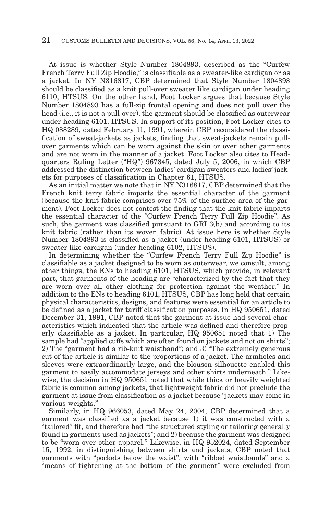At issue is whether Style Number 1804893, described as the "Curfew French Terry Full Zip Hoodie," is classifiable as a sweater-like cardigan or as a jacket. In NY N316817, CBP determined that Style Number 1804893 should be classified as a knit pull-over sweater like cardigan under heading 6110, HTSUS. On the other hand, Foot Locker argues that because Style Number 1804893 has a full-zip frontal opening and does not pull over the head (i.e., it is not a pull-over), the garment should be classified as outerwear under heading 6101, HTSUS. In support of its position, Foot Locker cites to HQ 088289, dated February 11, 1991, wherein CBP reconsidered the classification of sweat-jackets as jackets, finding that sweat-jackets remain pullover garments which can be worn against the skin or over other garments and are not worn in the manner of a jacket. Foot Locker also cites to Headquarters Ruling Letter ("HQ") 967845, dated July 5, 2006, in which CBP addressed the distinction between ladies' cardigan sweaters and ladies' jackets for purposes of classification in Chapter 61, HTSUS.

As an initial matter we note that in NY N316817, CBP determined that the French knit terry fabric imparts the essential character of the garment (because the knit fabric comprises over 75% of the surface area of the garment). Foot Locker does not contest the finding that the knit fabric imparts the essential character of the "Curfew French Terry Full Zip Hoodie". As such, the garment was classified pursuant to GRI 3(b) and according to its knit fabric (rather than its woven fabric). At issue here is whether Style Number 1804893 is classified as a jacket (under heading 6101, HTSUS) or sweater-like cardigan (under heading 6102, HTSUS).

In determining whether the "Curfew French Terry Full Zip Hoodie" is classifiable as a jacket designed to be worn as outerwear, we consult, among other things, the ENs to heading 6101, HTSUS, which provide, in relevant part, that garments of the heading are "characterized by the fact that they are worn over all other clothing for protection against the weather." In addition to the ENs to heading 6101, HTSUS, CBP has long held that certain physical characteristics, designs, and features were essential for an article to be defined as a jacket for tariff classification purposes. In HQ 950651, dated December 31, 1991, CBP noted that the garment at issue had several characteristics which indicated that the article was defined and therefore properly classifiable as a jacket. In particular, HQ 950651 noted that 1) The sample had "applied cuffs which are often found on jackets and not on shirts"; 2) The "garment had a rib-knit waistband"; and 3) "The extremely generous cut of the article is similar to the proportions of a jacket. The armholes and sleeves were extraordinarily large, and the blouson silhouette enabled this garment to easily accommodate jerseys and other shirts underneath." Likewise, the decision in HQ 950651 noted that while thick or heavily weighted fabric is common among jackets, that lightweight fabric did not preclude the garment at issue from classification as a jacket because "jackets may come in various weights."

Similarly, in HQ 966053, dated May 24, 2004, CBP determined that a garment was classified as a jacket because 1) it was constructed with a "tailored" fit, and therefore had "the structured styling or tailoring generally found in garments used as jackets"; and 2) because the garment was designed to be "worn over other apparel." Likewise, in HQ 952024, dated September 15, 1992, in distinguishing between shirts and jackets, CBP noted that garments with "pockets below the waist", with "ribbed waistbands" and a "means of tightening at the bottom of the garment" were excluded from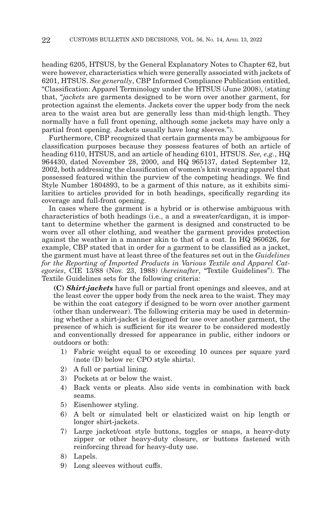heading 6205, HTSUS, by the General Explanatory Notes to Chapter 62, but were however, characteristics which were generally associated with jackets of 6201, HTSUS. *See generally*, CBP Informed Compliance Publication entitled, "Classification: Apparel Terminology under the HTSUS (June 2008), (stating that, "*jackets* are garments designed to be worn over another garment, for protection against the elements. Jackets cover the upper body from the neck area to the waist area but are generally less than mid-thigh length. They normally have a full front opening, although some jackets may have only a partial front opening. Jackets usually have long sleeves.").

Furthermore, CBP recognized that certain garments may be ambiguous for classification purposes because they possess features of both an article of heading 6110, HTSUS, and an article of heading 6101, HTSUS. *See, e.g.*, HQ 964430, dated November 28, 2000, and HQ 965137, dated September 12, 2002, both addressing the classification of women's knit wearing apparel that possessed featured within the purview of the competing headings. We find Style Number 1804893, to be a garment of this nature, as it exhibits similarities to articles provided for in both headings, specifically regarding its coverage and full-front opening.

In cases where the garment is a hybrid or is otherwise ambiguous with characteristics of both headings (i.e., a and a sweater/cardigan, it is important to determine whether the garment is designed and constructed to be worn over all other clothing, and weather the garment provides protection against the weather in a manner akin to that of a coat. In HQ 960626, for example, CBP stated that in order for a garment to be classified as a jacket, the garment must have at least three of the features set out in the *Guidelines for the Reporting of Imported Products in Various Textile and Apparel Categories*, CIE 13/88 (Nov. 23, 1988) (*hereinafter*, "Textile Guidelines"). The Textile Guidelines sets for the following criteria:

**(C)** *Shirt-jackets* have full or partial front openings and sleeves, and at the least cover the upper body from the neck area to the waist. They may be within the coat category if designed to be worn over another garment (other than underwear). The following criteria may be used in determining whether a shirt-jacket is designed for use over another garment, the presence of which is sufficient for its wearer to be considered modestly and conventionally dressed for appearance in public, either indoors or outdoors or both:

- 1) Fabric weight equal to or exceeding 10 ounces per square yard (note (D) below re: CPO style shirts).
- 2) A full or partial lining.
- 3) Pockets at or below the waist.
- 4) Back vents or pleats. Also side vents in combination with back seams.
- 5) Eisenhower styling.
- 6) A belt or simulated belt or elasticized waist on hip length or longer shirt-jackets.
- 7) Large jacket/coat style buttons, toggles or snaps, a heavy-duty zipper or other heavy-duty closure, or buttons fastened with reinforcing thread for heavy-duty use.
- 8) Lapels.
- 9) Long sleeves without cuffs.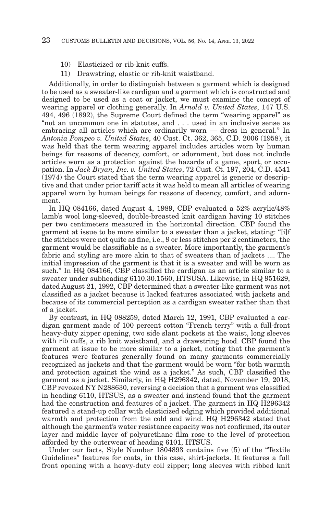- 10) Elasticized or rib-knit cuffs.
- 11) Drawstring, elastic or rib-knit waistband.

Additionally, in order to distinguish between a garment which is designed to be used as a sweater-like cardigan and a garment which is constructed and designed to be used as a coat or jacket, we must examine the concept of wearing apparel or clothing generally. In *Arnold v. United States*, 147 U.S. 494, 496 (1892), the Supreme Court defined the term "wearing apparel" as "not an uncommon one in statutes, and . . . used in an inclusive sense as embracing all articles which are ordinarily worn — dress in general." In *Antonia Pompeo v. United States*, 40 Cust. Ct. 362, 365, C.D. 2006 (1958), it was held that the term wearing apparel includes articles worn by human beings for reasons of decency, comfort, or adornment, but does not include articles worn as a protection against the hazards of a game, sport, or occupation. In *Jack Bryan, Inc. v. United States*, 72 Cust. Ct. 197, 204, C.D. 4541 (1974) the Court stated that the term wearing apparel is generic or descriptive and that under prior tariff acts it was held to mean all articles of wearing apparel worn by human beings for reasons of decency, comfort, and adornment.

In HQ 084166, dated August 4, 1989, CBP evaluated a 52% acrylic/48% lamb's wool long-sleeved, double-breasted knit cardigan having 10 stitches per two centimeters measured in the horizontal direction. CBP found the garment at issue to be more similar to a sweater than a jacket, stating: "[i]f the stitches were not quite as fine, i.e., 9 or less stitches per 2 centimeters, the garment would be classifiable as a sweater. More importantly, the garment's fabric and styling are more akin to that of sweaters than of jackets .... The initial impression of the garment is that it is a sweater and will be worn as such." In HQ 084166, CBP classified the cardigan as an article similar to a sweater under subheading 6110.30.1560, HTSUSA. Likewise, in HQ 951629, dated August 21, 1992, CBP determined that a sweater-like garment was not classified as a jacket because it lacked features associated with jackets and because of its commercial perception as a cardigan sweater rather than that of a jacket.

By contrast, in HQ 088259, dated March 12, 1991, CBP evaluated a cardigan garment made of 100 percent cotton "French terry" with a full-front heavy-duty zipper opening, two side slant pockets at the waist, long sleeves with rib cuffs, a rib knit waistband, and a drawstring hood. CBP found the garment at issue to be more similar to a jacket, noting that the garment's features were features generally found on many garments commercially recognized as jackets and that the garment would be worn "for both warmth and protection against the wind as a jacket." As such, CBP classified the garment as a jacket. Similarly, in HQ H296342, dated, November 19, 2018, CBP revoked NY N288630, reversing a decision that a garment was classified in heading 6110, HTSUS, as a sweater and instead found that the garment had the construction and features of a jacket. The garment in HQ H296342 featured a stand-up collar with elasticized edging which provided additional warmth and protection from the cold and wind. HQ H296342 stated that although the garment's water resistance capacity was not confirmed, its outer layer and middle layer of polyurethane film rose to the level of protection afforded by the outerwear of heading 6101, HTSUS.

Under our facts, Style Number 1804893 contains five (5) of the "Textile Guidelines" features for coats, in this case, shirt-jackets. It features a full front opening with a heavy-duty coil zipper; long sleeves with ribbed knit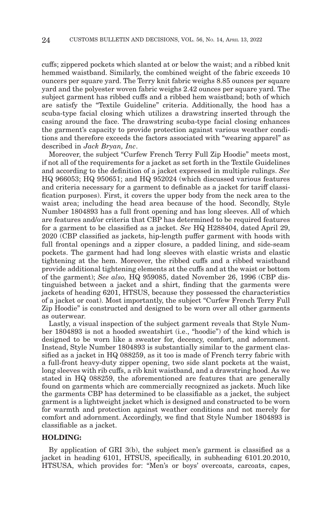cuffs; zippered pockets which slanted at or below the waist; and a ribbed knit hemmed waistband. Similarly, the combined weight of the fabric exceeds 10 ouncers per square yard. The Terry knit fabric weighs 8.85 ounces per square yard and the polyester woven fabric weighs 2.42 ounces per square yard. The subject garment has ribbed cuffs and a ribbed hem waistband; both of which are satisfy the "Textile Guideline" criteria. Additionally, the hood has a scuba-type facial closing which utilizes a drawstring inserted through the casing around the face. The drawstring scuba-type facial closing enhances the garment's capacity to provide protection against various weather conditions and therefore exceeds the factors associated with "wearing apparel" as described in *Jack Bryan, Inc*.

Moreover, the subject "Curfew French Terry Full Zip Hoodie" meets most, if not all of the requirements for a jacket as set forth in the Textile Guidelines and according to the definition of a jacket expressed in multiple rulings. *See* HQ 966053; HQ 950651; and HQ 952024 (which discussed various features and criteria necessary for a garment to definable as a jacket for tariff classification purposes). First, it covers the upper body from the neck area to the waist area; including the head area because of the hood. Secondly, Style Number 1804893 has a full front opening and has long sleeves. All of which are features and/or criteria that CBP has determined to be required features for a garment to be classified as a jacket. *See* HQ H288404, dated April 29, 2020 (CBP classified as jackets, hip-length puffer garment with hoods with full frontal openings and a zipper closure, a padded lining, and side-seam pockets. The garment had had long sleeves with elastic wrists and elastic tightening at the hem. Moreover, the ribbed cuffs and a ribbed waistband provide additional tightening elements at the cuffs and at the waist or bottom of the garment); *See also,* HQ 959085, dated November 26, 1996 (CBP distinguished between a jacket and a shirt, finding that the garments were jackets of heading 6201, HTSUS, because they possessed the characteristics of a jacket or coat). Most importantly, the subject "Curfew French Terry Full Zip Hoodie" is constructed and designed to be worn over all other garments as outerwear.

Lastly, a visual inspection of the subject garment reveals that Style Number 1804893 is not a hooded sweatshirt (i.e., "hoodie") of the kind which is designed to be worn like a sweater for, decency, comfort, and adornment. Instead, Style Number 1804893 is substantially similar to the garment classified as a jacket in HQ 088259, as it too is made of French terry fabric with a full-front heavy-duty zipper opening, two side slant pockets at the waist, long sleeves with rib cuffs, a rib knit waistband, and a drawstring hood. As we stated in HQ 088259, the aforementioned are features that are generally found on garments which are commercially recognized as jackets. Much like the garments CBP has determined to be classifiable as a jacket, the subject garment is a lightweight jacket which is designed and constructed to be worn for warmth and protection against weather conditions and not merely for comfort and adornment. Accordingly, we find that Style Number 1804893 is classifiable as a jacket.

#### **HOLDING:**

By application of GRI 3(b), the subject men's garment is classified as a jacket in heading 6101, HTSUS, specifically, in subheading 6101.20.2010, HTSUSA, which provides for: "Men's or boys' overcoats, carcoats, capes,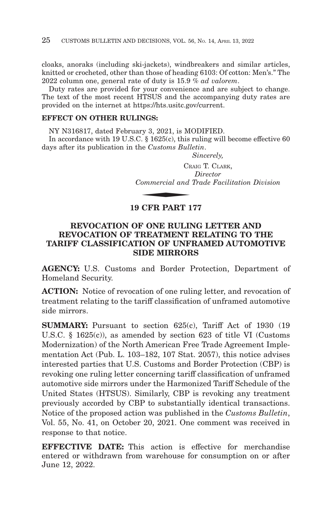cloaks, anoraks (including ski-jackets), windbreakers and similar articles, knitted or crocheted, other than those of heading 6103: Of cotton: Men's." The 2022 column one, general rate of duty is 15.9 % *ad valorem*.

Duty rates are provided for your convenience and are subject to change. The text of the most recent HTSUS and the accompanying duty rates are provided on the internet at https://hts.usitc.gov/current.

### **EFFECT ON OTHER RULINGS:**

NY N316817, dated February 3, 2021, is MODIFIED.

In accordance with 19 U.S.C. § 1625(c), this ruling will become effective 60 m accordance while 15 0.5.0.1 § 1020(c), this Full days after its publication in the *Customs Bulletin.*<br>
Sinc<br>
CRAIG <sup>1</sup><br> *Dir*<br> *Commercial and Trad*<br>
10 CEP PAPT 157

*Sincerely,*

CRAIG T. CLARK, *Director Commercial and Trade Facilitation Division*

# **19 CFR PART 177**

# **REVOCATION OF ONE RULING LETTER AND REVOCATION OF TREATMENT RELATING TO THE TARIFF CLASSIFICATION OF UNFRAMED AUTOMOTIVE SIDE MIRRORS**

**AGENCY:** U.S. Customs and Border Protection, Department of Homeland Security.

ACTION: Notice of revocation of one ruling letter, and revocation of treatment relating to the tariff classification of unframed automotive side mirrors.

**SUMMARY:** Pursuant to section 625(c), Tariff Act of 1930 (19 U.S.C. § 1625(c)), as amended by section 623 of title VI (Customs Modernization) of the North American Free Trade Agreement Implementation Act (Pub. L. 103–182, 107 Stat. 2057), this notice advises interested parties that U.S. Customs and Border Protection (CBP) is revoking one ruling letter concerning tariff classification of unframed automotive side mirrors under the Harmonized Tariff Schedule of the United States (HTSUS). Similarly, CBP is revoking any treatment previously accorded by CBP to substantially identical transactions. Notice of the proposed action was published in the *Customs Bulletin*, Vol. 55, No. 41, on October 20, 2021. One comment was received in response to that notice.

**EFFECTIVE DATE:** This action is effective for merchandise entered or withdrawn from warehouse for consumption on or after June 12, 2022.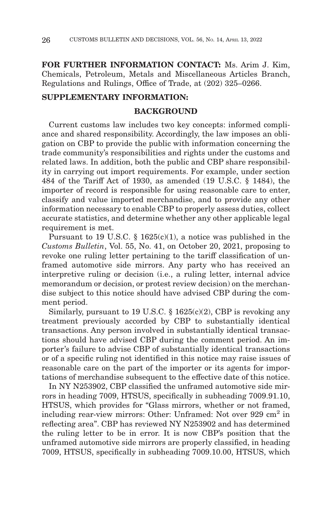**FOR FURTHER INFORMATION CONTACT:** Ms. Arim J. Kim, Chemicals, Petroleum, Metals and Miscellaneous Articles Branch, Regulations and Rulings, Office of Trade, at (202) 325–0266.

## **SUPPLEMENTARY INFORMATION:**

## **BACKGROUND**

Current customs law includes two key concepts: informed compliance and shared responsibility. Accordingly, the law imposes an obligation on CBP to provide the public with information concerning the trade community's responsibilities and rights under the customs and related laws. In addition, both the public and CBP share responsibility in carrying out import requirements. For example, under section 484 of the Tariff Act of 1930, as amended (19 U.S.C. § 1484), the importer of record is responsible for using reasonable care to enter, classify and value imported merchandise, and to provide any other information necessary to enable CBP to properly assess duties, collect accurate statistics, and determine whether any other applicable legal requirement is met.

Pursuant to 19 U.S.C. § 1625(c)(1), a notice was published in the *Customs Bulletin*, Vol. 55, No. 41, on October 20, 2021, proposing to revoke one ruling letter pertaining to the tariff classification of unframed automotive side mirrors. Any party who has received an interpretive ruling or decision (i.e., a ruling letter, internal advice memorandum or decision, or protest review decision) on the merchandise subject to this notice should have advised CBP during the comment period.

Similarly, pursuant to 19 U.S.C.  $\S$  1625(c)(2), CBP is revoking any treatment previously accorded by CBP to substantially identical transactions. Any person involved in substantially identical transactions should have advised CBP during the comment period. An importer's failure to advise CBP of substantially identical transactions or of a specific ruling not identified in this notice may raise issues of reasonable care on the part of the importer or its agents for importations of merchandise subsequent to the effective date of this notice.

In NY N253902, CBP classified the unframed automotive side mirrors in heading 7009, HTSUS, specifically in subheading 7009.91.10, HTSUS, which provides for "Glass mirrors, whether or not framed, including rear-view mirrors: Other: Unframed: Not over  $929 \text{ cm}^2$  in reflecting area". CBP has reviewed NY N253902 and has determined the ruling letter to be in error. It is now CBP's position that the unframed automotive side mirrors are properly classified, in heading 7009, HTSUS, specifically in subheading 7009.10.00, HTSUS, which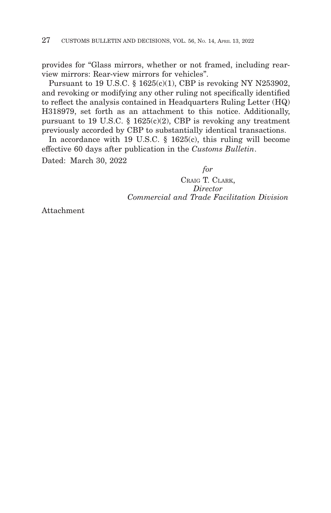provides for "Glass mirrors, whether or not framed, including rearview mirrors: Rear-view mirrors for vehicles".

Pursuant to 19 U.S.C. § 1625(c)(1), CBP is revoking NY N253902, and revoking or modifying any other ruling not specifically identified to reflect the analysis contained in Headquarters Ruling Letter (HQ) H318979, set forth as an attachment to this notice. Additionally, pursuant to 19 U.S.C. § 1625(c)(2), CBP is revoking any treatment previously accorded by CBP to substantially identical transactions.

In accordance with 19 U.S.C. § 1625(c), this ruling will become effective 60 days after publication in the *Customs Bulletin*. Dated: March 30, 2022

*for*

CRAIG T. CLARK, *Director Commercial and Trade Facilitation Division*

Attachment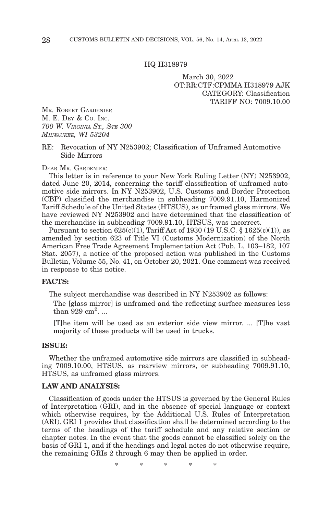#### HQ H318979

March 30, 2022 OT:RR:CTF:CPMMA H318979 AJK CATEGORY: Classification TARIFF NO: 7009.10.00

MR. ROBERT GARDENIER M. E. DEY & Co. INC. *700 W. VIRGINIA ST., STE 300 MILWAUKEE, WI 53204*

#### RE: Revocation of NY N253902; Classification of Unframed Automotive Side Mirrors

DEAR MR. GARDENIER:

This letter is in reference to your New York Ruling Letter (NY) N253902, dated June 20, 2014, concerning the tariff classification of unframed automotive side mirrors. In NY N253902, U.S. Customs and Border Protection (CBP) classified the merchandise in subheading 7009.91.10, Harmonized Tariff Schedule of the United States (HTSUS), as unframed glass mirrors. We have reviewed NY N253902 and have determined that the classification of the merchandise in subheading 7009.91.10, HTSUS, was incorrect.

Pursuant to section  $625(c)(1)$ , Tariff Act of 1930 (19 U.S.C. § 1625(c)(1)), as amended by section 623 of Title VI (Customs Modernization) of the North American Free Trade Agreement Implementation Act (Pub. L. 103–182, 107 Stat. 2057), a notice of the proposed action was published in the Customs Bulletin, Volume 55, No. 41, on October 20, 2021. One comment was received in response to this notice.

#### **FACTS:**

The subject merchandise was described in NY N253902 as follows:

The [glass mirror] is unframed and the reflecting surface measures less than  $929 \text{ cm}^2$ ...

[T]he item will be used as an exterior side view mirror. ... [T]he vast majority of these products will be used in trucks.

#### **ISSUE:**

Whether the unframed automotive side mirrors are classified in subheading 7009.10.00, HTSUS, as rearview mirrors, or subheading 7009.91.10, HTSUS, as unframed glass mirrors.

#### **LAW AND ANALYSIS:**

Classification of goods under the HTSUS is governed by the General Rules of Interpretation (GRI), and in the absence of special language or context which otherwise requires, by the Additional U.S. Rules of Interpretation (ARI). GRI 1 provides that classification shall be determined according to the terms of the headings of the tariff schedule and any relative section or chapter notes. In the event that the goods cannot be classified solely on the basis of GRI 1, and if the headings and legal notes do not otherwise require, the remaining GRIs 2 through 6 may then be applied in order.

\*\*\*\* \*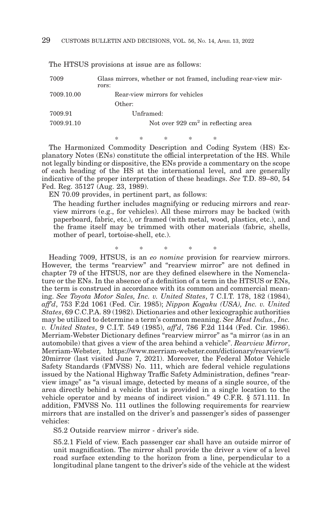| 7009       | Glass mirrors, whether or not framed, including rear-view mir-<br>rors: |
|------------|-------------------------------------------------------------------------|
| 7009.10.00 | Rear-view mirrors for vehicles                                          |
|            | Other:                                                                  |
| 7009.91    | Unframed:                                                               |
| 7009.91.10 | Not over $929 \text{ cm}^2$ in reflecting area                          |
|            |                                                                         |

The HTSUS provisions at issue are as follows:

\*\*\*\* \* The Harmonized Commodity Description and Coding System (HS) Explanatory Notes (ENs) constitute the official interpretation of the HS. While not legally binding or dispositive, the ENs provide a commentary on the scope of each heading of the HS at the international level, and are generally indicative of the proper interpretation of these headings. *See* T.D. 89–80, 54 Fed. Reg. 35127 (Aug. 23, 1989).

EN 70.09 provides, in pertinent part, as follows:

The heading further includes magnifying or reducing mirrors and rearview mirrors (e.g., for vehicles). All these mirrors may be backed (with paperboard, fabric, etc.), or framed (with metal, wood, plastics, etc.), and the frame itself may be trimmed with other materials (fabric, shells, mother of pearl, tortoise-shell, etc.).

\*\*\*\* \*

Heading 7009, HTSUS, is an *eo nomine* provision for rearview mirrors. However, the terms "rearview" and "rearview mirror" are not defined in chapter 79 of the HTSUS, nor are they defined elsewhere in the Nomenclature or the ENs. In the absence of a definition of a term in the HTSUS or ENs, the term is construed in accordance with its common and commercial meaning. *See Toyota Motor Sales, Inc. v. United States*, 7 C.I.T. 178, 182 (1984), *aff'd*, 753 F.2d 1061 (Fed. Cir. 1985); *Nippon Kogaku (USA), Inc. v. United States*, 69 C.C.P.A. 89 (1982). Dictionaries and other lexicographic authorities may be utilized to determine a term's common meaning. *See Mast Indus., Inc. v. United States*, 9 C.I.T. 549 (1985), *aff'd*, 786 F.2d 1144 (Fed. Cir. 1986). Merriam-Webster Dictionary defines "rearview mirror" as "a mirror (as in an automobile) that gives a view of the area behind a vehicle". *Rearview Mirror*, Merriam-Webster, https://www.merriam-webster.com/dictionary/rearview% 20mirror (last visited June 7, 2021). Moreover, the Federal Motor Vehicle Safety Standards (FMVSS) No. 111, which are federal vehicle regulations issued by the National Highway Traffic Safety Administration, defines "rearview image" as "a visual image, detected by means of a single source, of the area directly behind a vehicle that is provided in a single location to the vehicle operator and by means of indirect vision." 49 C.F.R. § 571.111. In addition, FMVSS No. 111 outlines the following requirements for rearview mirrors that are installed on the driver's and passenger's sides of passenger vehicles:

S5.2 Outside rearview mirror - driver's side.

S5.2.1 Field of view. Each passenger car shall have an outside mirror of unit magnification. The mirror shall provide the driver a view of a level road surface extending to the horizon from a line, perpendicular to a longitudinal plane tangent to the driver's side of the vehicle at the widest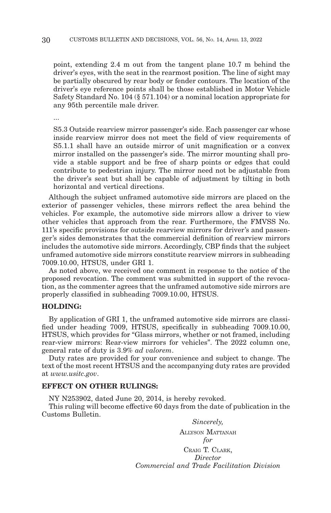point, extending 2.4 m out from the tangent plane 10.7 m behind the driver's eyes, with the seat in the rearmost position. The line of sight may be partially obscured by rear body or fender contours. The location of the driver's eye reference points shall be those established in Motor Vehicle Safety Standard No. 104 (§ 571.104) or a nominal location appropriate for any 95th percentile male driver.

...

S5.3 Outside rearview mirror passenger's side. Each passenger car whose inside rearview mirror does not meet the field of view requirements of S5.1.1 shall have an outside mirror of unit magnification or a convex mirror installed on the passenger's side. The mirror mounting shall provide a stable support and be free of sharp points or edges that could contribute to pedestrian injury. The mirror need not be adjustable from the driver's seat but shall be capable of adjustment by tilting in both horizontal and vertical directions.

Although the subject unframed automotive side mirrors are placed on the exterior of passenger vehicles, these mirrors reflect the area behind the vehicles. For example, the automotive side mirrors allow a driver to view other vehicles that approach from the rear. Furthermore, the FMVSS No. 111's specific provisions for outside rearview mirrors for driver's and passenger's sides demonstrates that the commercial definition of rearview mirrors includes the automotive side mirrors. Accordingly, CBP finds that the subject unframed automotive side mirrors constitute rearview mirrors in subheading 7009.10.00, HTSUS, under GRI 1.

As noted above, we received one comment in response to the notice of the proposed revocation. The comment was submitted in support of the revocation, as the commenter agrees that the unframed automotive side mirrors are properly classified in subheading 7009.10.00, HTSUS.

#### **HOLDING:**

By application of GRI 1, the unframed automotive side mirrors are classified under heading 7009, HTSUS, specifically in subheading 7009.10.00, HTSUS, which provides for "Glass mirrors, whether or not framed, including rear-view mirrors: Rear-view mirrors for vehicles". The 2022 column one, general rate of duty is 3.9% *ad valorem*.

Duty rates are provided for your convenience and subject to change. The text of the most recent HTSUS and the accompanying duty rates are provided at *www.usitc.gov*.

### **EFFECT ON OTHER RULINGS:**

NY N253902, dated June 20, 2014, is hereby revoked.

This ruling will become effective 60 days from the date of publication in the Customs Bulletin.

> *Sincerely,* ALLYSON MATTANAH *for* CRAIG T. CLARK, *Director Commercial and Trade Facilitation Division*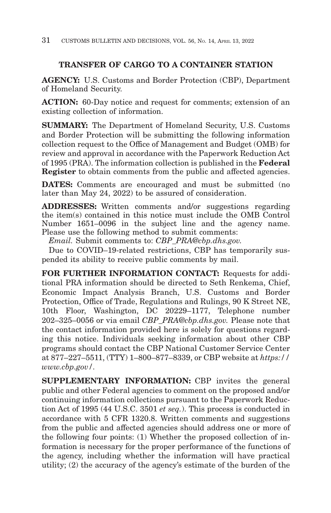# **TRANSFER OF CARGO TO A CONTAINER STATION**

**AGENCY:** U.S. Customs and Border Protection (CBP), Department of Homeland Security.

**ACTION:** 60-Day notice and request for comments; extension of an existing collection of information.

**SUMMARY:** The Department of Homeland Security, U.S. Customs and Border Protection will be submitting the following information collection request to the Office of Management and Budget (OMB) for review and approval in accordance with the Paperwork Reduction Act of 1995 (PRA). The information collection is published in the **Federal Register** to obtain comments from the public and affected agencies.

**DATES:** Comments are encouraged and must be submitted (no later than May 24, 2022) to be assured of consideration.

**ADDRESSES:** Written comments and/or suggestions regarding the item(s) contained in this notice must include the OMB Control Number 1651–0096 in the subject line and the agency name. Please use the following method to submit comments:

*Email.* Submit comments to: *CBP\_PRA@cbp.dhs.gov.*

Due to COVID–19-related restrictions, CBP has temporarily suspended its ability to receive public comments by mail.

**FOR FURTHER INFORMATION CONTACT:** Requests for additional PRA information should be directed to Seth Renkema, Chief, Economic Impact Analysis Branch, U.S. Customs and Border Protection, Office of Trade, Regulations and Rulings, 90 K Street NE, 10th Floor, Washington, DC 20229–1177, Telephone number 202–325–0056 or via email *CBP\_PRA@cbp.dhs.gov.* Please note that the contact information provided here is solely for questions regarding this notice. Individuals seeking information about other CBP programs should contact the CBP National Customer Service Center at 877–227–5511, (TTY) 1–800–877–8339, or CBP website at *https:// www.cbp.gov/.*

**SUPPLEMENTARY INFORMATION:** CBP invites the general public and other Federal agencies to comment on the proposed and/or continuing information collections pursuant to the Paperwork Reduction Act of 1995 (44 U.S.C. 3501 *et seq.*). This process is conducted in accordance with 5 CFR 1320.8. Written comments and suggestions from the public and affected agencies should address one or more of the following four points: (1) Whether the proposed collection of information is necessary for the proper performance of the functions of the agency, including whether the information will have practical utility; (2) the accuracy of the agency's estimate of the burden of the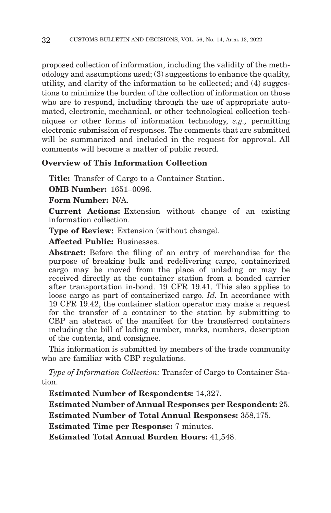proposed collection of information, including the validity of the methodology and assumptions used; (3) suggestions to enhance the quality, utility, and clarity of the information to be collected; and (4) suggestions to minimize the burden of the collection of information on those who are to respond, including through the use of appropriate automated, electronic, mechanical, or other technological collection techniques or other forms of information technology, *e.g.,* permitting electronic submission of responses. The comments that are submitted will be summarized and included in the request for approval. All comments will become a matter of public record.

# **Overview of This Information Collection**

**Title:** Transfer of Cargo to a Container Station.

**OMB Number:** 1651–0096.

**Form Number:** N/A.

**Current Actions:** Extension without change of an existing information collection.

**Type of Review:** Extension (without change).

**Affected Public:** Businesses.

**Abstract:** Before the filing of an entry of merchandise for the purpose of breaking bulk and redelivering cargo, containerized cargo may be moved from the place of unlading or may be received directly at the container station from a bonded carrier after transportation in-bond. 19 CFR 19.41. This also applies to loose cargo as part of containerized cargo. *Id.* In accordance with 19 CFR 19.42, the container station operator may make a request for the transfer of a container to the station by submitting to CBP an abstract of the manifest for the transferred containers including the bill of lading number, marks, numbers, description of the contents, and consignee.

This information is submitted by members of the trade community who are familiar with CBP regulations.

*Type of Information Collection:* Transfer of Cargo to Container Station.

**Estimated Number of Respondents:** 14,327.

**Estimated Number of Annual Responses per Respondent:** 25.

**Estimated Number of Total Annual Responses:** 358,175.

**Estimated Time per Response:** 7 minutes.

**Estimated Total Annual Burden Hours:** 41,548.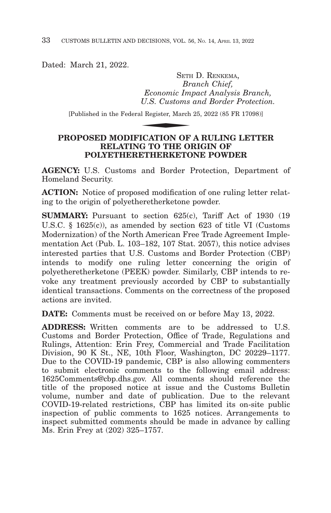Dated: March 21, 2022.

SETH D. RENKEMA, *Branch Chief, Economic Impact Analysis Branch, U.S. Customs and Border Protection.* SETE<br>Br<br>Economic Im<sub>,</sub><br>U.S. Customs<br>al Register, March<br>**ICATION OF** 

[Published in the Federal Register, March 25, 2022 (85 FR 17098)]

# **PROPOSED MODIFICATION OF A RULING LETTER RELATING TO THE ORIGIN OF POLYETHERETHERKETONE POWDER**

**AGENCY:** U.S. Customs and Border Protection, Department of Homeland Security.

**ACTION:** Notice of proposed modification of one ruling letter relating to the origin of polyetheretherketone powder.

**SUMMARY:** Pursuant to section 625(c), Tariff Act of 1930 (19) U.S.C. § 1625(c)), as amended by section 623 of title VI (Customs Modernization) of the North American Free Trade Agreement Implementation Act (Pub. L. 103–182, 107 Stat. 2057), this notice advises interested parties that U.S. Customs and Border Protection (CBP) intends to modify one ruling letter concerning the origin of polyetheretherketone (PEEK) powder. Similarly, CBP intends to revoke any treatment previously accorded by CBP to substantially identical transactions. Comments on the correctness of the proposed actions are invited.

**DATE:** Comments must be received on or before May 13, 2022.

**ADDRESS:** Written comments are to be addressed to U.S. Customs and Border Protection, Office of Trade, Regulations and Rulings, Attention: Erin Frey, Commercial and Trade Facilitation Division, 90 K St., NE, 10th Floor, Washington, DC 20229–1177. Due to the COVID-19 pandemic, CBP is also allowing commenters to submit electronic comments to the following email address: 1625Comments@cbp.dhs.gov. All comments should reference the title of the proposed notice at issue and the Customs Bulletin volume, number and date of publication. Due to the relevant COVID-19-related restrictions, CBP has limited its on-site public inspection of public comments to 1625 notices. Arrangements to inspect submitted comments should be made in advance by calling Ms. Erin Frey at (202) 325–1757.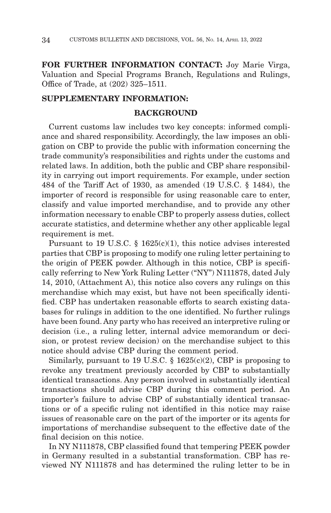**FOR FURTHER INFORMATION CONTACT:** Joy Marie Virga, Valuation and Special Programs Branch, Regulations and Rulings, Office of Trade, at (202) 325–1511.

## **SUPPLEMENTARY INFORMATION:**

## **BACKGROUND**

Current customs law includes two key concepts: informed compliance and shared responsibility. Accordingly, the law imposes an obligation on CBP to provide the public with information concerning the trade community's responsibilities and rights under the customs and related laws. In addition, both the public and CBP share responsibility in carrying out import requirements. For example, under section 484 of the Tariff Act of 1930, as amended (19 U.S.C. § 1484), the importer of record is responsible for using reasonable care to enter, classify and value imported merchandise, and to provide any other information necessary to enable CBP to properly assess duties, collect accurate statistics, and determine whether any other applicable legal requirement is met.

Pursuant to 19 U.S.C. § 1625(c)(1), this notice advises interested parties that CBP is proposing to modify one ruling letter pertaining to the origin of PEEK powder. Although in this notice, CBP is specifically referring to New York Ruling Letter ("NY") N111878, dated July 14, 2010, (Attachment A), this notice also covers any rulings on this merchandise which may exist, but have not been specifically identified. CBP has undertaken reasonable efforts to search existing databases for rulings in addition to the one identified. No further rulings have been found. Any party who has received an interpretive ruling or decision (i.e., a ruling letter, internal advice memorandum or decision, or protest review decision) on the merchandise subject to this notice should advise CBP during the comment period.

Similarly, pursuant to 19 U.S.C.  $\S$  1625(c)(2), CBP is proposing to revoke any treatment previously accorded by CBP to substantially identical transactions. Any person involved in substantially identical transactions should advise CBP during this comment period. An importer's failure to advise CBP of substantially identical transactions or of a specific ruling not identified in this notice may raise issues of reasonable care on the part of the importer or its agents for importations of merchandise subsequent to the effective date of the final decision on this notice.

In NY N111878, CBP classified found that tempering PEEK powder in Germany resulted in a substantial transformation. CBP has reviewed NY N111878 and has determined the ruling letter to be in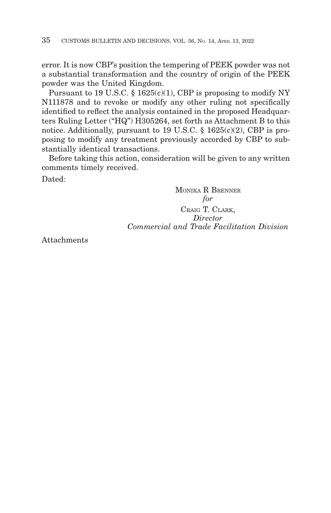error. It is now CBP's position the tempering of PEEK powder was not a substantial transformation and the country of origin of the PEEK powder was the United Kingdom.

Pursuant to 19 U.S.C.  $\S$  1625(c)(1), CBP is proposing to modify NY N111878 and to revoke or modify any other ruling not specifically identified to reflect the analysis contained in the proposed Headquarters Ruling Letter ("HQ") H305264, set forth as Attachment B to this notice. Additionally, pursuant to 19 U.S.C. § 1625(c)(2), CBP is proposing to modify any treatment previously accorded by CBP to substantially identical transactions.

Before taking this action, consideration will be given to any written comments timely received.

Dated:

MONIKA R BRENNER *for* CRAIG T. CLARK, *Director Commercial and Trade Facilitation Division*

Attachments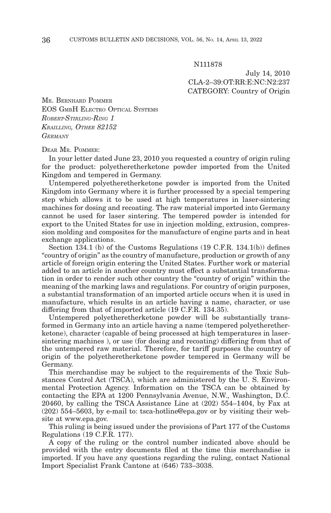N111878

July 14, 2010 CLA-2–39:OT:RR:E:NC:N2:237 CATEGORY: Country of Origin

MR. BERNHARD POMMER EOS GMBH ELECTRO OPTICAL SYSTEMS *ROBERT-STIRLING-RING 1 KRAILLING, OTHER 82152 GERMANY*

DEAR MR. POMMER:

In your letter dated June 23, 2010 you requested a country of origin ruling for the product: polyetheretherketone powder imported from the United Kingdom and tempered in Germany.

Untempered polyetheretherketone powder is imported from the United Kingdom into Germany where it is further processed by a special tempering step which allows it to be used at high temperatures in laser-sintering machines for dosing and recoating. The raw material imported into Germany cannot be used for laser sintering. The tempered powder is intended for export to the United States for use in injection molding, extrusion, compression molding and composites for the manufacture of engine parts and in heat exchange applications.

Section 134.1 (b) of the Customs Regulations (19 C.F.R. 134.1(b)) defines "country of origin" as the country of manufacture, production or growth of any article of foreign origin entering the United States. Further work or material added to an article in another country must effect a substantial transformation in order to render such other country the "country of origin" within the meaning of the marking laws and regulations. For country of origin purposes, a substantial transformation of an imported article occurs when it is used in manufacture, which results in an article having a name, character, or use differing from that of imported article (19 C.F.R. 134.35).

Untempered polyetheretherketone powder will be substantially transformed in Germany into an article having a name (tempered polyetheretherketone), character (capable of being processed at high temperatures in lasersintering machines ), or use (for dosing and recoating) differing from that of the untempered raw material. Therefore, for tariff purposes the country of origin of the polyetheretherketone powder tempered in Germany will be Germany.

This merchandise may be subject to the requirements of the Toxic Substances Control Act (TSCA), which are administered by the U. S. Environmental Protection Agency. Information on the TSCA can be obtained by contacting the EPA at 1200 Pennsylvania Avenue, N.W., Washington, D.C. 20460, by calling the TSCA Assistance Line at (202) 554–1404, by Fax at (202) 554–5603, by e-mail to: tsca-hotline@epa.gov or by visiting their website at www.epa.gov.

This ruling is being issued under the provisions of Part 177 of the Customs Regulations (19 C.F.R. 177).

A copy of the ruling or the control number indicated above should be provided with the entry documents filed at the time this merchandise is imported. If you have any questions regarding the ruling, contact National Import Specialist Frank Cantone at (646) 733–3038.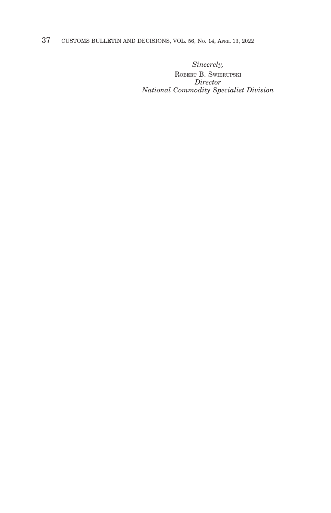37 CUSTOMS BULLETIN AND DECISIONS, VOL. 56, NO. 14, APRIL 13, 2022

*Sincerely,*

ROBERT B. SWIERUPSKI *Director National Commodity Specialist Division*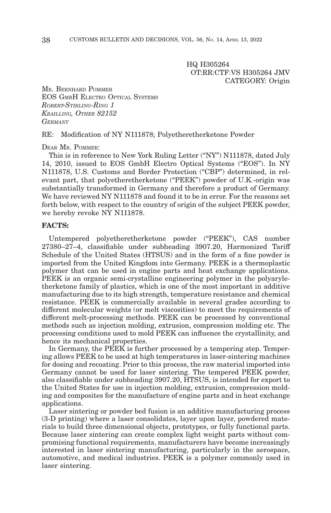HQ H305264 OT:RR:CTF:VS H305264 JMV CATEGORY: Origin

MR. BERNHARD POMMER EOS GMBH ELECTRO OPTICAL SYSTEMS *ROBERT-STIRLING-RING 1 KRAILLING, OTHER 82152 GERMANY*

RE: Modification of NY N111878; Polyetheretherketone Powder

DEAR MR. POMMER:

This is in reference to New York Ruling Letter ("NY") N111878, dated July 14, 2010, issued to EOS GmbH Electro Optical Systems ("EOS"). In NY N111878, U.S. Customs and Border Protection ("CBP") determined, in relevant part, that polyetheretherketone ("PEEK") powder of U.K.-origin was substantially transformed in Germany and therefore a product of Germany. We have reviewed NY N111878 and found it to be in error. For the reasons set forth below, with respect to the country of origin of the subject PEEK powder, we hereby revoke NY N111878.

## **FACTS:**

Untempered polyetheretherketone powder ("PEEK"), CAS number 27380–27–4, classifiable under subheading 3907.20, Harmonized Tariff Schedule of the United States (HTSUS) and in the form of a fine powder is imported from the United Kingdom into Germany. PEEK is a thermoplastic polymer that can be used in engine parts and heat exchange applications. PEEK is an organic semi-crystalline engineering polymer in the polyaryletherketone family of plastics, which is one of the most important in additive manufacturing due to its high strength, temperature resistance and chemical resistance. PEEK is commercially available in several grades according to different molecular weights (or melt viscosities) to meet the requirements of different melt-processing methods. PEEK can be processed by conventional methods such as injection molding, extrusion, compression molding etc. The processing conditions used to mold PEEK can influence the crystallinity, and hence its mechanical properties.

In Germany, the PEEK is further processed by a tempering step. Tempering allows PEEK to be used at high temperatures in laser-sintering machines for dosing and recoating. Prior to this process, the raw material imported into Germany cannot be used for laser sintering. The tempered PEEK powder, also classifiable under subheading 3907.20, HTSUS, is intended for export to the United States for use in injection molding, extrusion, compression molding and composites for the manufacture of engine parts and in heat exchange applications.

Laser sintering or powder bed fusion is an additive manufacturing process (3-D printing) where a laser consolidates, layer upon layer, powdered materials to build three dimensional objects, prototypes, or fully functional parts. Because laser sintering can create complex light weight parts without compromising functional requirements, manufacturers have become increasingly interested in laser sintering manufacturing, particularly in the aerospace, automotive, and medical industries. PEEK is a polymer commonly used in laser sintering.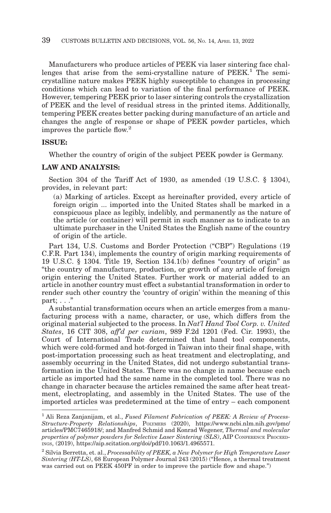Manufacturers who produce articles of PEEK via laser sintering face challenges that arise from the semi-crystalline nature of  $PEEK<sup>1</sup>$ . The semicrystalline nature makes PEEK highly susceptible to changes in processing conditions which can lead to variation of the final performance of PEEK. However, tempering PEEK prior to laser sintering controls the crystallization of PEEK and the level of residual stress in the printed items. Additionally, tempering PEEK creates better packing during manufacture of an article and changes the angle of response or shape of PEEK powder particles, which improves the particle flow.<sup>2</sup>

## **ISSUE:**

Whether the country of origin of the subject PEEK powder is Germany.

#### **LAW AND ANALYSIS:**

Section 304 of the Tariff Act of 1930, as amended (19 U.S.C. § 1304), provides, in relevant part:

(a) Marking of articles. Except as hereinafter provided, every article of foreign origin ... imported into the United States shall be marked in a conspicuous place as legibly, indelibly, and permanently as the nature of the article (or container) will permit in such manner as to indicate to an ultimate purchaser in the United States the English name of the country of origin of the article.

Part 134, U.S. Customs and Border Protection ("CBP") Regulations (19 C.F.R. Part 134), implements the country of origin marking requirements of 19 U.S.C. § 1304. Title 19, Section 134.1(b) defines "country of origin" as "the country of manufacture, production, or growth of any article of foreign origin entering the United States. Further work or material added to an article in another country must effect a substantial transformation in order to render such other country the 'country of origin' within the meaning of this part;  $\ldots$ "

A substantial transformation occurs when an article emerges from a manufacturing process with a name, character, or use, which differs from the original material subjected to the process. In *Nat'l Hand Tool Corp. v. United States*, 16 CIT 308, *aff'd per curiam*, 989 F.2d 1201 (Fed. Cir. 1993), the Court of International Trade determined that hand tool components, which were cold-formed and hot-forged in Taiwan into their final shape, with post-importation processing such as heat treatment and electroplating, and assembly occurring in the United States, did not undergo substantial transformation in the United States. There was no change in name because each article as imported had the same name in the completed tool. There was no change in character because the articles remained the same after heat treatment, electroplating, and assembly in the United States. The use of the imported articles was predetermined at the time of entry – each component

<sup>1</sup> Ali Reza Zanjanijam, et al., *Fused Filament Fabrication of PEEK: A Review of Process-Structure-Property Relationships*, POLYMERS (2020), https://www.ncbi.nlm.nih.gov/pmc/ articles/PMC7465918/; and Manfred Schmid and Konrad Wegener, *Thermal and molecular properties of polymer powders for Selective Laser Sintering (SLS)*, AIP CONFERENCE PROCEED-INGS, (2019), https://aip.scitation.org/doi/pdf/10.1063/1.4965571.

<sup>2</sup> Silvia Berretta, et. al., *Processability of PEEK, a New Polymer for High Temperature Laser Sintering (HT-LS)*, 68 European Polymer Journal 243 (2015) ("Hence, a thermal treatment was carried out on PEEK 450PF in order to improve the particle flow and shape.")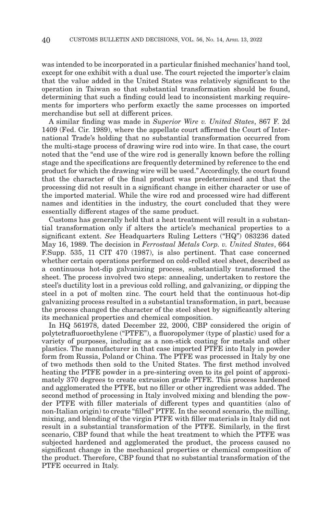was intended to be incorporated in a particular finished mechanics' hand tool, except for one exhibit with a dual use. The court rejected the importer's claim that the value added in the United States was relatively significant to the operation in Taiwan so that substantial transformation should be found, determining that such a finding could lead to inconsistent marking requirements for importers who perform exactly the same processes on imported merchandise but sell at different prices.

A similar finding was made in *Superior Wire v. United States*, 867 F. 2d 1409 (Fed. Cir. 1989), where the appellate court affirmed the Court of International Trade's holding that no substantial transformation occurred from the multi-stage process of drawing wire rod into wire. In that case, the court noted that the "end use of the wire rod is generally known before the rolling stage and the specifications are frequently determined by reference to the end product for which the drawing wire will be used." Accordingly, the court found that the character of the final product was predetermined and that the processing did not result in a significant change in either character or use of the imported material. While the wire rod and processed wire had different names and identities in the industry, the court concluded that they were essentially different stages of the same product.

Customs has generally held that a heat treatment will result in a substantial transformation only if alters the article's mechanical properties to a significant extent. *See* Headquarters Ruling Letters ("HQ") 083236 dated May 16, 1989. The decision in *Ferrostaal Metals Corp. v. United States*, 664 F.Supp. 535, 11 CIT 470 (1987), is also pertinent. That case concerned whether certain operations performed on cold-rolled steel sheet, described as a continuous hot-dip galvanizing process, substantially transformed the sheet. The process involved two steps: annealing, undertaken to restore the steel's ductility lost in a previous cold rolling, and galvanizing, or dipping the steel in a pot of molten zinc. The court held that the continuous hot-dip galvanizing process resulted in a substantial transformation, in part, because the process changed the character of the steel sheet by significantly altering its mechanical properties and chemical composition.

In HQ 561978, dated December 22, 2000, CBP considered the origin of polytetrafluoroethylene ("PTFE"), a fluoropolymer (type of plastic) used for a variety of purposes, including as a non-stick coating for metals and other plastics. The manufacturer in that case imported PTFE into Italy in powder form from Russia, Poland or China. The PTFE was processed in Italy by one of two methods then sold to the United States. The first method involved heating the PTFE powder in a pre-sintering oven to its gel point of approximately 370 degrees to create extrusion grade PTFE. This process hardened and agglomerated the PTFE, but no filler or other ingredient was added. The second method of processing in Italy involved mixing and blending the powder PTFE with filler materials of different types and quantities (also of non-Italian origin) to create "filled" PTFE. In the second scenario, the milling, mixing, and blending of the virgin PTFE with filler materials in Italy did not result in a substantial transformation of the PTFE. Similarly, in the first scenario, CBP found that while the heat treatment to which the PTFE was subjected hardened and agglomerated the product, the process caused no significant change in the mechanical properties or chemical composition of the product. Therefore, CBP found that no substantial transformation of the PTFE occurred in Italy.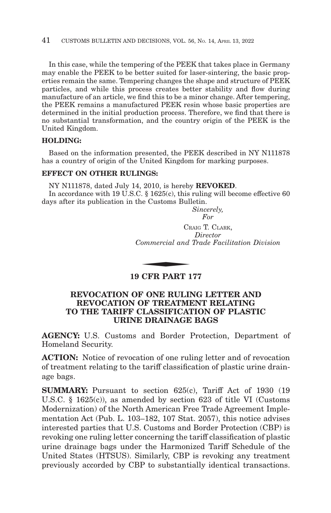In this case, while the tempering of the PEEK that takes place in Germany may enable the PEEK to be better suited for laser-sintering, the basic properties remain the same. Tempering changes the shape and structure of PEEK particles, and while this process creates better stability and flow during manufacture of an article, we find this to be a minor change. After tempering, the PEEK remains a manufactured PEEK resin whose basic properties are determined in the initial production process. Therefore, we find that there is no substantial transformation, and the country origin of the PEEK is the United Kingdom.

## **HOLDING:**

Based on the information presented, the PEEK described in NY N111878 has a country of origin of the United Kingdom for marking purposes.

## **EFFECT ON OTHER RULINGS:**

NY N111878, dated July 14, 2010, is hereby **REVOKED**.

In accordance with 19 U.S.C. § 1625(c), this ruling will become effective 60 days after its publication in the Customs Bulletin.

*Sincerely, For*

CRAIG T. CLARK, *Director Commercial and Trade Facilitation Division*  $C_R$ <br>  $\frac{1}{2}$ <br>  $\frac{1}{2}$ <br>  $\frac{1}{2}$ <br>  $\frac{1}{2}$ <br>  $\frac{1}{2}$ <br>  $\frac{1}{2}$ <br>  $\frac{1}{2}$ <br>  $\frac{1}{2}$ <br>  $\frac{1}{2}$ <br>  $\frac{1}{2}$ <br>  $\frac{1}{2}$ <br>  $\frac{1}{2}$ <br>  $\frac{1}{2}$ <br>  $\frac{1}{2}$ <br>  $\frac{1}{2}$ <br>  $\frac{1}{2}$ <br>  $\frac{1}{2}$ <br>  $\frac{1}{2}$ <br>  $\frac{1}{2}$ <br>  $\frac{1}{$ 

# **19 CFR PART 177**

# **REVOCATION OF ONE RULING LETTER AND REVOCATION OF TREATMENT RELATING TO THE TARIFF CLASSIFICATION OF PLASTIC URINE DRAINAGE BAGS**

**AGENCY:** U.S. Customs and Border Protection, Department of Homeland Security.

**ACTION:** Notice of revocation of one ruling letter and of revocation of treatment relating to the tariff classification of plastic urine drainage bags.

**SUMMARY:** Pursuant to section 625(c), Tariff Act of 1930 (19 U.S.C. § 1625(c)), as amended by section 623 of title VI (Customs Modernization) of the North American Free Trade Agreement Implementation Act (Pub. L. 103–182, 107 Stat. 2057), this notice advises interested parties that U.S. Customs and Border Protection (CBP) is revoking one ruling letter concerning the tariff classification of plastic urine drainage bags under the Harmonized Tariff Schedule of the United States (HTSUS). Similarly, CBP is revoking any treatment previously accorded by CBP to substantially identical transactions.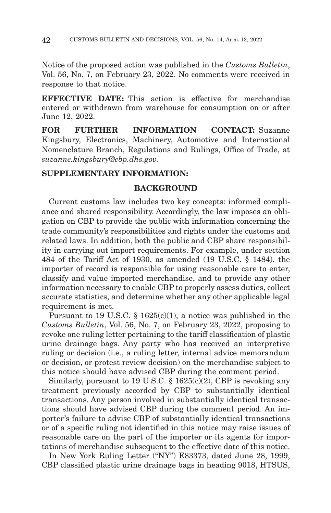Notice of the proposed action was published in the *Customs Bulletin*, Vol. 56, No. 7, on February 23, 2022. No comments were received in response to that notice.

**EFFECTIVE DATE:** This action is effective for merchandise entered or withdrawn from warehouse for consumption on or after June 12, 2022.

**FOR FURTHER INFORMATION CONTACT:** Suzanne Kingsbury, Electronics, Machinery, Automotive and International Nomenclature Branch, Regulations and Rulings, Office of Trade, at *suzanne.kingsbury@cbp.dhs.gov*.

# **SUPPLEMENTARY INFORMATION:**

## **BACKGROUND**

Current customs law includes two key concepts: informed compliance and shared responsibility. Accordingly, the law imposes an obligation on CBP to provide the public with information concerning the trade community's responsibilities and rights under the customs and related laws. In addition, both the public and CBP share responsibility in carrying out import requirements. For example, under section 484 of the Tariff Act of 1930, as amended (19 U.S.C. § 1484), the importer of record is responsible for using reasonable care to enter, classify and value imported merchandise, and to provide any other information necessary to enable CBP to properly assess duties, collect accurate statistics, and determine whether any other applicable legal requirement is met.

Pursuant to 19 U.S.C. § 1625(c)(1), a notice was published in the *Customs Bulletin*, Vol. 56, No. 7, on February 23, 2022, proposing to revoke one ruling letter pertaining to the tariff classification of plastic urine drainage bags. Any party who has received an interpretive ruling or decision (i.e., a ruling letter, internal advice memorandum or decision, or protest review decision) on the merchandise subject to this notice should have advised CBP during the comment period.

Similarly, pursuant to 19 U.S.C.  $\S$  1625(c)(2), CBP is revoking any treatment previously accorded by CBP to substantially identical transactions. Any person involved in substantially identical transactions should have advised CBP during the comment period. An importer's failure to advise CBP of substantially identical transactions or of a specific ruling not identified in this notice may raise issues of reasonable care on the part of the importer or its agents for importations of merchandise subsequent to the effective date of this notice.

In New York Ruling Letter ("NY") E83373, dated June 28, 1999, CBP classified plastic urine drainage bags in heading 9018, HTSUS,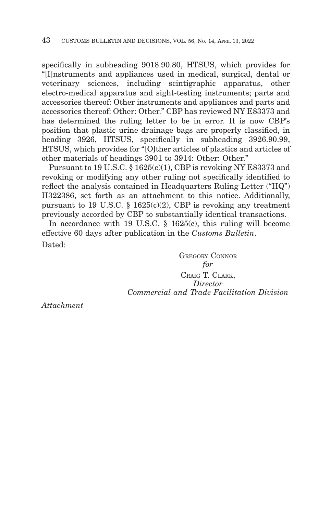specifically in subheading 9018.90.80, HTSUS, which provides for "[I]nstruments and appliances used in medical, surgical, dental or veterinary sciences, including scintigraphic apparatus, other electro-medical apparatus and sight-testing instruments; parts and accessories thereof: Other instruments and appliances and parts and accessories thereof: Other: Other." CBP has reviewed NY E83373 and has determined the ruling letter to be in error. It is now CBP's position that plastic urine drainage bags are properly classified, in heading 3926, HTSUS, specifically in subheading 3926.90.99, HTSUS, which provides for "[O]ther articles of plastics and articles of other materials of headings 3901 to 3914: Other: Other."

Pursuant to 19 U.S.C. § 1625(c)(1), CBP is revoking NY E83373 and revoking or modifying any other ruling not specifically identified to reflect the analysis contained in Headquarters Ruling Letter ("HQ") H322386, set forth as an attachment to this notice. Additionally, pursuant to 19 U.S.C. § 1625(c)(2), CBP is revoking any treatment previously accorded by CBP to substantially identical transactions.

In accordance with 19 U.S.C. § 1625(c), this ruling will become effective 60 days after publication in the *Customs Bulletin*. Dated:

> GREGORY CONNOR *for* CRAIG T. CLARK, *Director Commercial and Trade Facilitation Division*

*Attachment*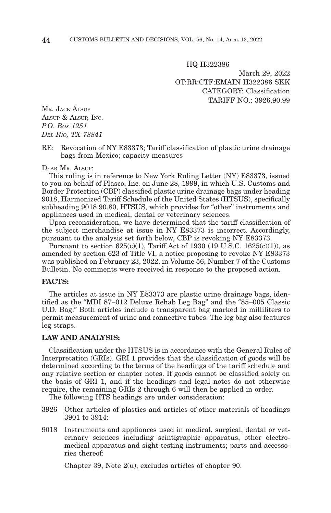HQ H322386

March 29, 2022 OT:RR:CTF:EMAIN H322386 SKK CATEGORY: Classification TARIFF NO.: 3926.90.99

MR. JACK ALSUP ALSUP & ALSUP, INC. *P.O. BOX 1251 DEL RIO, TX 78841*

#### RE: Revocation of NY E83373; Tariff classification of plastic urine drainage bags from Mexico; capacity measures

DEAR MR. ALSUP:

This ruling is in reference to New York Ruling Letter (NY) E83373, issued to you on behalf of Plasco, Inc. on June 28, 1999, in which U.S. Customs and Border Protection (CBP) classified plastic urine drainage bags under heading 9018, Harmonized Tariff Schedule of the United States (HTSUS), specifically subheading 9018.90.80, HTSUS, which provides for "other" instruments and appliances used in medical, dental or veterinary sciences.

Upon reconsideration, we have determined that the tariff classification of the subject merchandise at issue in NY E83373 is incorrect. Accordingly, pursuant to the analysis set forth below, CBP is revoking NY E83373.

Pursuant to section 625(c)(1), Tariff Act of 1930 (19 U.S.C. 1625(c)(1)), as amended by section 623 of Title VI, a notice proposing to revoke NY E83373 was published on February 23, 2022, in Volume 56, Number 7 of the Customs Bulletin. No comments were received in response to the proposed action.

#### **FACTS:**

The articles at issue in NY E83373 are plastic urine drainage bags, identified as the "MDI 87–012 Deluxe Rehab Leg Bag" and the "85–005 Classic U.D. Bag." Both articles include a transparent bag marked in milliliters to permit measurement of urine and connective tubes. The leg bag also features leg straps.

## **LAW AND ANALYSIS:**

Classification under the HTSUS is in accordance with the General Rules of Interpretation (GRIs). GRI 1 provides that the classification of goods will be determined according to the terms of the headings of the tariff schedule and any relative section or chapter notes. If goods cannot be classified solely on the basis of GRI 1, and if the headings and legal notes do not otherwise require, the remaining GRIs 2 through 6 will then be applied in order.

The following HTS headings are under consideration:

- 3926 Other articles of plastics and articles of other materials of headings 3901 to 3914:
- 9018 Instruments and appliances used in medical, surgical, dental or veterinary sciences including scintigraphic apparatus, other electromedical apparatus and sight-testing instruments; parts and accessories thereof:

Chapter 39, Note 2(u), excludes articles of chapter 90.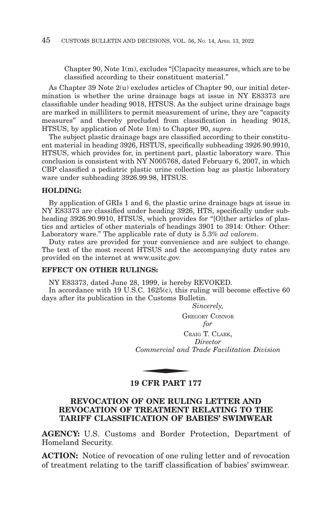Chapter 90, Note 1(m), excludes "[C]apacity measures, which are to be classified according to their constituent material."

As Chapter 39 Note 2(u) excludes articles of Chapter 90, our initial determination is whether the urine drainage bags at issue in NY E83373 are classifiable under heading 9018, HTSUS. As the subject urine drainage bags are marked in milliliters to permit measurement of urine, they are "capacity measures" and thereby precluded from classification in heading 9018, HTSUS, by application of Note 1(m) to Chapter 90, *supra*.

The subject plastic drainage bags are classified according to their constituent material in heading 3926, HSTUS, specifically subheading 3926.90.9910, HTSUS, which provides for, in pertinent part, plastic laboratory ware. This conclusion is consistent with NY N005768, dated February 6, 2007, in which CBP classified a pediatric plastic urine collection bag as plastic laboratory ware under subheading 3926.99.98, HTSUS.

#### **HOLDING:**

By application of GRIs 1 and 6, the plastic urine drainage bags at issue in NY E83373 are classified under heading 3926, HTS, specifically under subheading 3926.90.9910, HTSUS, which provides for "[O]ther articles of plastics and articles of other materials of headings 3901 to 3914: Other: Other: Laboratory ware." The applicable rate of duty is 5.3% *ad valorem*.

Duty rates are provided for your convenience and are subject to change. The text of the most recent HTSUS and the accompanying duty rates are provided on the internet at www.usitc.gov.

#### **EFFECT ON OTHER RULINGS:**

NY E83373, dated June 28, 1999, is hereby REVOKED.

In accordance with 19 U.S.C. 1625(c), this ruling will become effective 60 days after its publication in the Customs Bulletin.

*Sincerely,*

GREGORY CONNOR *for*

CRAIG T. CLARK, *Director Commercial and Trade Facilitation Division* CR<br>CR<br>COMMERCIAL CONDING

# **19 CFR PART 177**

# **REVOCATION OF ONE RULING LETTER AND REVOCATION OF TREATMENT RELATING TO THE TARIFF CLASSIFICATION OF BABIES' SWIMWEAR**

**AGENCY:** U.S. Customs and Border Protection, Department of Homeland Security.

**ACTION:** Notice of revocation of one ruling letter and of revocation of treatment relating to the tariff classification of babies' swimwear.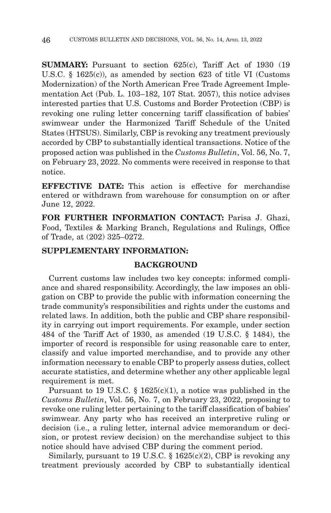**SUMMARY:** Pursuant to section 625(c), Tariff Act of 1930 (19) U.S.C. § 1625(c)), as amended by section 623 of title VI (Customs Modernization) of the North American Free Trade Agreement Implementation Act (Pub. L. 103–182, 107 Stat. 2057), this notice advises interested parties that U.S. Customs and Border Protection (CBP) is revoking one ruling letter concerning tariff classification of babies' swimwear under the Harmonized Tariff Schedule of the United States (HTSUS). Similarly, CBP is revoking any treatment previously accorded by CBP to substantially identical transactions. Notice of the proposed action was published in the *Customs Bulletin*, Vol. 56, No. 7, on February 23, 2022. No comments were received in response to that notice.

**EFFECTIVE DATE:** This action is effective for merchandise entered or withdrawn from warehouse for consumption on or after June 12, 2022.

**FOR FURTHER INFORMATION CONTACT:** Parisa J. Ghazi, Food, Textiles & Marking Branch, Regulations and Rulings, Office of Trade, at (202) 325–0272.

# **SUPPLEMENTARY INFORMATION:**

## **BACKGROUND**

Current customs law includes two key concepts: informed compliance and shared responsibility. Accordingly, the law imposes an obligation on CBP to provide the public with information concerning the trade community's responsibilities and rights under the customs and related laws. In addition, both the public and CBP share responsibility in carrying out import requirements. For example, under section 484 of the Tariff Act of 1930, as amended (19 U.S.C. § 1484), the importer of record is responsible for using reasonable care to enter, classify and value imported merchandise, and to provide any other information necessary to enable CBP to properly assess duties, collect accurate statistics, and determine whether any other applicable legal requirement is met.

Pursuant to 19 U.S.C.  $\S$  1625(c)(1), a notice was published in the *Customs Bulletin*, Vol. 56, No. 7, on February 23, 2022, proposing to revoke one ruling letter pertaining to the tariff classification of babies' swimwear. Any party who has received an interpretive ruling or decision (i.e., a ruling letter, internal advice memorandum or decision, or protest review decision) on the merchandise subject to this notice should have advised CBP during the comment period.

Similarly, pursuant to 19 U.S.C.  $\S$  1625(c)(2), CBP is revoking any treatment previously accorded by CBP to substantially identical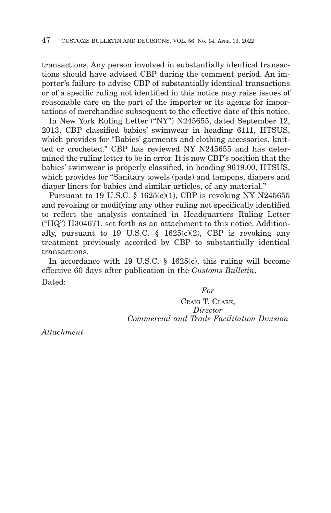transactions. Any person involved in substantially identical transactions should have advised CBP during the comment period. An importer's failure to advise CBP of substantially identical transactions or of a specific ruling not identified in this notice may raise issues of reasonable care on the part of the importer or its agents for importations of merchandise subsequent to the effective date of this notice.

In New York Ruling Letter ("NY") N245655, dated September 12, 2013, CBP classified babies' swimwear in heading 6111, HTSUS, which provides for "Babies' garments and clothing accessories, knitted or crocheted." CBP has reviewed NY N245655 and has determined the ruling letter to be in error. It is now CBP's position that the babies' swimwear is properly classified, in heading 9619.00, HTSUS, which provides for "Sanitary towels (pads) and tampons, diapers and diaper liners for babies and similar articles, of any material."

Pursuant to 19 U.S.C.  $\S$  1625(c)(1), CBP is revoking NY N245655 and revoking or modifying any other ruling not specifically identified to reflect the analysis contained in Headquarters Ruling Letter ("HQ") H304671, set forth as an attachment to this notice. Additionally, pursuant to 19 U.S.C.  $\S$  1625(c)(2), CBP is revoking any treatment previously accorded by CBP to substantially identical transactions.

In accordance with 19 U.S.C. § 1625(c), this ruling will become effective 60 days after publication in the *Customs Bulletin*. Dated:

*For*

CRAIG T. CLARK, *Director Commercial and Trade Facilitation Division*

*Attachment*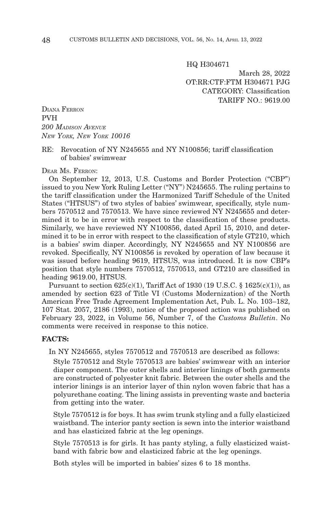HQ H304671

March 28, 2022 OT:RR:CTF:FTM H304671 PJG CATEGORY: Classification TARIFF NO.: 9619.00

DIANA FERRON PVH *200 MADISON AVENUE NEW YORK, NEW YORK 10016*

#### RE: Revocation of NY N245655 and NY N100856; tariff classification of babies' swimwear

DEAR MS. FERRON:

On September 12, 2013, U.S. Customs and Border Protection ("CBP") issued to you New York Ruling Letter ("NY") N245655. The ruling pertains to the tariff classification under the Harmonized Tariff Schedule of the United States ("HTSUS") of two styles of babies' swimwear, specifically, style numbers 7570512 and 7570513. We have since reviewed NY N245655 and determined it to be in error with respect to the classification of these products. Similarly, we have reviewed NY N100856, dated April 15, 2010, and determined it to be in error with respect to the classification of style GT210, which is a babies' swim diaper. Accordingly, NY N245655 and NY N100856 are revoked. Specifically, NY N100856 is revoked by operation of law because it was issued before heading 9619, HTSUS, was introduced. It is now CBP's position that style numbers 7570512, 7570513, and GT210 are classified in heading 9619.00, HTSUS.

Pursuant to section  $625(c)(1)$ , Tariff Act of 1930 (19 U.S.C. § 1625 $(c)(1)$ ), as amended by section 623 of Title VI (Customs Modernization) of the North American Free Trade Agreement Implementation Act, Pub. L. No. 103–182, 107 Stat. 2057, 2186 (1993), notice of the proposed action was published on February 23, 2022, in Volume 56, Number 7, of the *Customs Bulletin*. No comments were received in response to this notice.

#### **FACTS:**

In NY N245655, styles 7570512 and 7570513 are described as follows:

Style 7570512 and Style 7570513 are babies' swimwear with an interior diaper component. The outer shells and interior linings of both garments are constructed of polyester knit fabric. Between the outer shells and the interior linings is an interior layer of thin nylon woven fabric that has a polyurethane coating. The lining assists in preventing waste and bacteria from getting into the water.

Style 7570512 is for boys. It has swim trunk styling and a fully elasticized waistband. The interior panty section is sewn into the interior waistband and has elasticized fabric at the leg openings.

Style 7570513 is for girls. It has panty styling, a fully elasticized waistband with fabric bow and elasticized fabric at the leg openings.

Both styles will be imported in babies' sizes 6 to 18 months.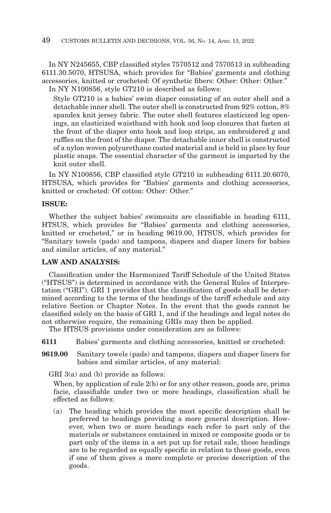In NY N245655, CBP classified styles 7570512 and 7570513 in subheading 6111.30.5070, HTSUSA, which provides for "Babies' garments and clothing accessories, knitted or crocheted: Of synthetic fibers: Other: Other: Other." In NY N100856, style GT210 is described as follows:

Style GT210 is a babies' swim diaper consisting of an outer shell and a detachable inner shell. The outer shell is constructed from 92% cotton, 8% spandex knit jersey fabric. The outer shell features elasticized leg openings, an elasticized waistband with hook and loop closures that fasten at the front of the diaper onto hook and loop strips, an embroidered g and ruffles on the front of the diaper. The detachable inner shell is constructed of a nylon woven polyurethane coated material and is held in place by four plastic snaps. The essential character of the garment is imparted by the knit outer shell.

In NY N100856, CBP classified style GT210 in subheading 6111.20.6070, HTSUSA, which provides for "Babies' garments and clothing accessories, knitted or crocheted: Of cotton: Other: Other."

## **ISSUE:**

Whether the subject babies' swimsuits are classifiable in heading 6111, HTSUS, which provides for "Babies' garments and clothing accessories, knitted or crocheted," or in heading 9619.00, HTSUS, which provides for "Sanitary towels (pads) and tampons, diapers and diaper liners for babies and similar articles, of any material."

## **LAW AND ANALYSIS:**

Classification under the Harmonized Tariff Schedule of the United States ("HTSUS") is determined in accordance with the General Rules of Interpretation ("GRI"). GRI 1 provides that the classification of goods shall be determined according to the terms of the headings of the tariff schedule and any relative Section or Chapter Notes. In the event that the goods cannot be classified solely on the basis of GRI 1, and if the headings and legal notes do not otherwise require, the remaining GRIs may then be applied.

The HTSUS provisions under consideration are as follows:

- **6111** Babies' garments and clothing accessories, knitted or crocheted:
- **9619.00** Sanitary towels (pads) and tampons, diapers and diaper liners for babies and similar articles, of any material:

GRI 3(a) and (b) provide as follows:

When, by application of rule 2(b) or for any other reason, goods are, prima facie, classifiable under two or more headings, classification shall be effected as follows:

(a) The heading which provides the most specific description shall be preferred to headings providing a more general description. However, when two or more headings each refer to part only of the materials or substances contained in mixed or composite goods or to part only of the items in a set put up for retail sale, those headings are to be regarded as equally specific in relation to those goods, even if one of them gives a more complete or precise description of the goods.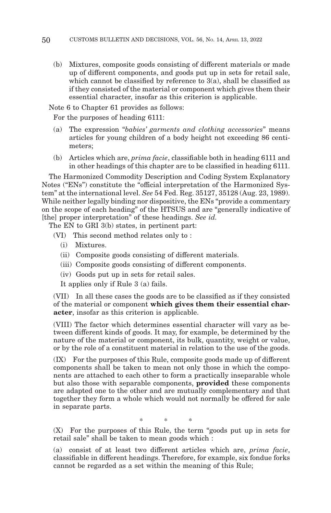(b) Mixtures, composite goods consisting of different materials or made up of different components, and goods put up in sets for retail sale, which cannot be classified by reference to  $3(a)$ , shall be classified as if they consisted of the material or component which gives them their essential character, insofar as this criterion is applicable.

Note 6 to Chapter 61 provides as follows:

For the purposes of heading 6111:

- (a) The expression "*babies' garments and clothing accessories*" means articles for young children of a body height not exceeding 86 centimeters;
- (b) Articles which are, *prima facie*, classifiable both in heading 6111 and in other headings of this chapter are to be classified in heading 6111.

The Harmonized Commodity Description and Coding System Explanatory Notes ("ENs") constitute the "official interpretation of the Harmonized System" at the international level. *See* 54 Fed. Reg. 35127, 35128 (Aug. 23, 1989). While neither legally binding nor dispositive, the ENs "provide a commentary on the scope of each heading" of the HTSUS and are "generally indicative of [the] proper interpretation" of these headings. *See id.*

The EN to GRI 3(b) states, in pertinent part:

- (VI) This second method relates only to :
	- (i) Mixtures.
	- (ii) Composite goods consisting of different materials.
	- (iii) Composite goods consisting of different components.
	- (iv) Goods put up in sets for retail sales.

It applies only if Rule 3 (a) fails.

(VII) In all these cases the goods are to be classified as if they consisted of the material or component **which gives them their essential character**, insofar as this criterion is applicable.

(VIII) The factor which determines essential character will vary as between different kinds of goods. It may, for example, be determined by the nature of the material or component, its bulk, quantity, weight or value, or by the role of a constituent material in relation to the use of the goods.

(IX) For the purposes of this Rule, composite goods made up of different components shall be taken to mean not only those in which the components are attached to each other to form a practically inseparable whole but also those with separable components, **provided** these components are adapted one to the other and are mutually complementary and that together they form a whole which would not normally be offered for sale in separate parts.

\*\* \*

(X) For the purposes of this Rule, the term "goods put up in sets for retail sale" shall be taken to mean goods which :

(a) consist of at least two different articles which are, *prima facie*, classifiable in different headings. Therefore, for example, six fondue forks cannot be regarded as a set within the meaning of this Rule;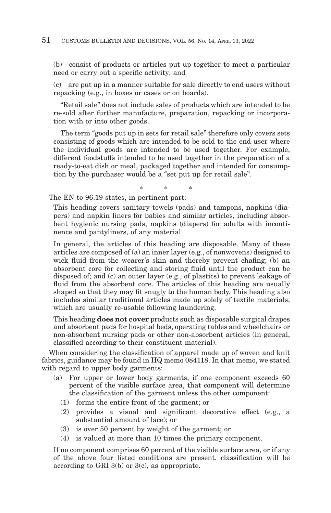(b) consist of products or articles put up together to meet a particular need or carry out a specific activity; and

(c) are put up in a manner suitable for sale directly to end users without repacking (e.g., in boxes or cases or on boards).

"Retail sale" does not include sales of products which are intended to be re-sold after further manufacture, preparation, repacking or incorporation with or into other goods.

The term "goods put up in sets for retail sale" therefore only covers sets consisting of goods which are intended to be sold to the end user where the individual goods are intended to be used together. For example, different foodstuffs intended to be used together in the preparation of a ready-to-eat dish or meal, packaged together and intended for consumption by the purchaser would be a "set put up for retail sale".

\*\* \*

The EN to 96.19 states, in pertinent part:

This heading covers sanitary towels (pads) and tampons, napkins (diapers) and napkin liners for babies and similar articles, including absorbent hygienic nursing pads, napkins (diapers) for adults with incontinence and pantyliners, of any material.

In general, the articles of this heading are disposable. Many of these articles are composed of (a) an inner layer (e.g., of nonwovens) designed to wick fluid from the wearer's skin and thereby prevent chafing; (b) an absorbent core for collecting and storing fluid until the product can be disposed of; and (c) an outer layer (e.g., of plastics) to prevent leakage of fluid from the absorbent core. The articles of this heading are usually shaped so that they may fit snugly to the human body. This heading also includes similar traditional articles made up solely of textile materials, which are usually re-usable following laundering.

This heading **does not cover** products such as disposable surgical drapes and absorbent pads for hospital beds, operating tables and wheelchairs or non-absorbent nursing pads or other non-absorbent articles (in general, classified according to their constituent material).

When considering the classification of apparel made up of woven and knit fabrics, guidance may be found in HQ memo 084118. In that memo, we stated with regard to upper body garments:

- (a) For upper or lower body garments, if one component exceeds 60 percent of the visible surface area, that component will determine the classification of the garment unless the other component:
	- (1) forms the entire front of the garment; or
	- (2) provides a visual and significant decorative effect (e.g., a substantial amount of lace); or
	- (3) is over 50 percent by weight of the garment; or
	- (4) is valued at more than 10 times the primary component.

If no component comprises 60 percent of the visible surface area, or if any of the above four listed conditions are present, classification will be according to GRI 3(b) or 3(c), as appropriate.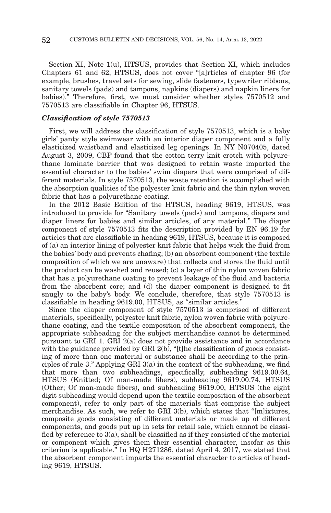Section XI, Note 1(u), HTSUS, provides that Section XI, which includes Chapters 61 and 62, HTSUS, does not cover "[a]rticles of chapter 96 (for example, brushes, travel sets for sewing, slide fasteners, typewriter ribbons, sanitary towels (pads) and tampons, napkins (diapers) and napkin liners for babies)." Therefore, first, we must consider whether styles 7570512 and 7570513 are classifiable in Chapter 96, HTSUS.

#### *Classification of style 7570513*

First, we will address the classification of style 7570513, which is a baby girls' panty style swimwear with an interior diaper component and a fully elasticized waistband and elasticized leg openings. In NY N070405, dated August 3, 2009, CBP found that the cotton terry knit crotch with polyurethane laminate barrier that was designed to retain waste imparted the essential character to the babies' swim diapers that were comprised of different materials. In style 7570513, the waste retention is accomplished with the absorption qualities of the polyester knit fabric and the thin nylon woven fabric that has a polyurethane coating.

In the 2012 Basic Edition of the HTSUS, heading 9619, HTSUS, was introduced to provide for "Sanitary towels (pads) and tampons, diapers and diaper liners for babies and similar articles, of any material." The diaper component of style 7570513 fits the description provided by EN 96.19 for articles that are classifiable in heading 9619, HTSUS, because it is composed of (a) an interior lining of polyester knit fabric that helps wick the fluid from the babies' body and prevents chafing; (b) an absorbent component (the textile composition of which we are unaware) that collects and stores the fluid until the product can be washed and reused; (c) a layer of thin nylon woven fabric that has a polyurethane coating to prevent leakage of the fluid and bacteria from the absorbent core; and (d) the diaper component is designed to fit snugly to the baby's body. We conclude, therefore, that style 7570513 is classifiable in heading 9619.00, HTSUS, as "similar articles."

Since the diaper component of style 7570513 is comprised of different materials, specifically, polyester knit fabric, nylon woven fabric with polyurethane coating, and the textile composition of the absorbent component, the appropriate subheading for the subject merchandise cannot be determined pursuant to GRI 1. GRI 2(a) does not provide assistance and in accordance with the guidance provided by GRI  $2(b)$ , "[t]he classification of goods consisting of more than one material or substance shall be according to the principles of rule 3." Applying GRI 3(a) in the context of the subheading, we find that more than two subheadings, specifically, subheading 9619.00.64, HTSUS (Knitted; Of man-made fibers), subheading 9619.00.74, HTSUS (Other; Of man-made fibers), and subheading 9619.00, HTSUS (the eight digit subheading would depend upon the textile composition of the absorbent component), refer to only part of the materials that comprise the subject merchandise. As such, we refer to GRI 3(b), which states that "[m]ixtures, composite goods consisting of different materials or made up of different components, and goods put up in sets for retail sale, which cannot be classified by reference to  $3(a)$ , shall be classified as if they consisted of the material or component which gives them their essential character, insofar as this criterion is applicable." In HQ H271286, dated April 4, 2017, we stated that the absorbent component imparts the essential character to articles of heading 9619, HTSUS.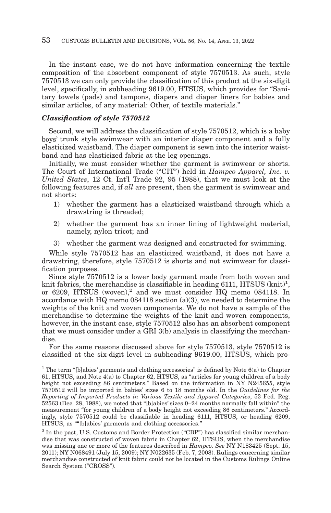In the instant case, we do not have information concerning the textile composition of the absorbent component of style 7570513. As such, style 7570513 we can only provide the classification of this product at the six-digit level, specifically, in subheading 9619.00, HTSUS, which provides for "Sanitary towels (pads) and tampons, diapers and diaper liners for babies and similar articles, of any material: Other, of textile materials."

#### *Classification of style 7570512*

Second, we will address the classification of style 7570512, which is a baby boys' trunk style swimwear with an interior diaper component and a fully elasticized waistband. The diaper component is sewn into the interior waistband and has elasticized fabric at the leg openings.

Initially, we must consider whether the garment is swimwear or shorts. The Court of International Trade ("CIT") held in *Hampco Apparel, Inc. v. United States*, 12 Ct. Int'l Trade 92, 95 (1988), that we must look at the following features and, if *all* are present, then the garment is swimwear and not shorts:

- 1) whether the garment has a elasticized waistband through which a drawstring is threaded;
- 2) whether the garment has an inner lining of lightweight material, namely, nylon tricot; and
- 3) whether the garment was designed and constructed for swimming.

While style 7570512 has an elasticized waistband, it does not have a drawstring, therefore, style 7570512 is shorts and not swimwear for classification purposes.

Since style 7570512 is a lower body garment made from both woven and knit fabrics, the merchandise is classifiable in heading 6111, HTSUS  $(knit)^1$ , or 6209, HTSUS  $(work)$ <sup>2</sup> and we must consider HQ memo 084118. In accordance with HQ memo 084118 section (a)(3), we needed to determine the weights of the knit and woven components. We do not have a sample of the merchandise to determine the weights of the knit and woven components, however, in the instant case, style 7570512 also has an absorbent component that we must consider under a GRI 3(b) analysis in classifying the merchandise.

For the same reasons discussed above for style 7570513, style 7570512 is classified at the six-digit level in subheading 9619.00, HTSUS, which pro-

<sup>&</sup>lt;sup>1</sup> The term "[b]abies' garments and clothing accessories" is defined by Note  $6(a)$  to Chapter 61, HTSUS, and Note 4(a) to Chapter 62, HTSUS, as "articles for young children of a body height not exceeding 86 centimeters." Based on the information in NY N245655, style 7570512 will be imported in babies' sizes 6 to 18 months old. In the *Guidelines for the Reporting of Imported Products in Various Textile and Apparel Categories*, 53 Fed. Reg. 52563 (Dec. 28, 1988), we noted that "[b]abies' sizes 0–24 months normally fall within" the measurement "for young children of a body height not exceeding 86 centimeters." Accordingly, style 7570512 could be classifiable in heading 6111, HTSUS, or heading 6209, HTSUS, as ""[b]abies' garments and clothing accessories."

 $2$  In the past, U.S. Customs and Border Protection ("CBP") has classified similar merchandise that was constructed of woven fabric in Chapter 62, HTSUS, when the merchandise was missing one or more of the features described in *Hampco*. *See* NY N183425 (Sept. 15, 2011); NY N068491 (July 15, 2009); NY N022635 (Feb. 7, 2008). Rulings concerning similar merchandise constructed of knit fabric could not be located in the Customs Rulings Online Search System ("CROSS").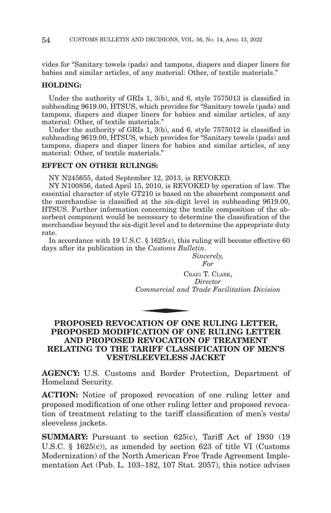vides for "Sanitary towels (pads) and tampons, diapers and diaper liners for babies and similar articles, of any material: Other, of textile materials."

## **HOLDING:**

Under the authority of GRIs 1, 3(b), and 6, style 7575013 is classified in subheading 9619.00, HTSUS, which provides for "Sanitary towels (pads) and tampons, diapers and diaper liners for babies and similar articles, of any material: Other, of textile materials."

Under the authority of GRIs 1, 3(b), and 6, style 7575012 is classified in subheading 9619.00, HTSUS, which provides for "Sanitary towels (pads) and tampons, diapers and diaper liners for babies and similar articles, of any material: Other, of textile materials."

#### **EFFECT ON OTHER RULINGS:**

NY N245655, dated September 12, 2013, is REVOKED.

NY N100856, dated April 15, 2010, is REVOKED by operation of law. The essential character of style GT210 is based on the absorbent component and the merchandise is classified at the six-digit level in subheading 9619.00, HTSUS. Further information concerning the textile composition of the absorbent component would be necessary to determine the classification of the merchandise beyond the six-digit level and to determine the appropriate duty rate.

In accordance with 19 U.S.C. § 1625(c), this ruling will become effective 60 days after its publication in the *Customs Bulletin*.

*Sincerely, For*

CRAIG T. CLARK, *Director Commercial and Trade Facilitation Division* CR<sub>ommercial</sub> and

# **PROPOSED REVOCATION OF ONE RULING LETTER, PROPOSED MODIFICATION OF ONE RULING LETTER AND PROPOSED REVOCATION OF TREATMENT RELATING TO THE TARIFF CLASSIFICATION OF MEN'S VEST/SLEEVELESS JACKET**

**AGENCY:** U.S. Customs and Border Protection, Department of Homeland Security.

**ACTION:** Notice of proposed revocation of one ruling letter and proposed modification of one other ruling letter and proposed revocation of treatment relating to the tariff classification of men's vests/ sleeveless jackets.

**SUMMARY:** Pursuant to section 625(c), Tariff Act of 1930 (19 U.S.C. § 1625(c)), as amended by section 623 of title VI (Customs Modernization) of the North American Free Trade Agreement Implementation Act (Pub. L. 103–182, 107 Stat. 2057), this notice advises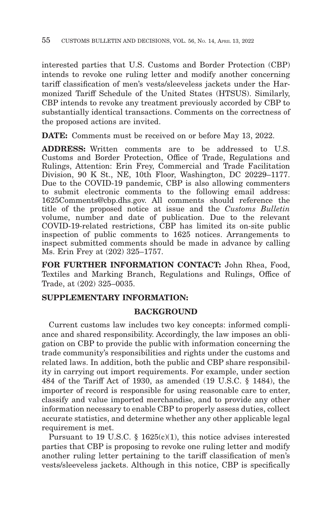interested parties that U.S. Customs and Border Protection (CBP) intends to revoke one ruling letter and modify another concerning tariff classification of men's vests/sleeveless jackets under the Harmonized Tariff Schedule of the United States (HTSUS). Similarly, CBP intends to revoke any treatment previously accorded by CBP to substantially identical transactions. Comments on the correctness of the proposed actions are invited.

**DATE:** Comments must be received on or before May 13, 2022.

**ADDRESS:** Written comments are to be addressed to U.S. Customs and Border Protection, Office of Trade, Regulations and Rulings, Attention: Erin Frey, Commercial and Trade Facilitation Division, 90 K St., NE, 10th Floor, Washington, DC 20229–1177. Due to the COVID-19 pandemic, CBP is also allowing commenters to submit electronic comments to the following email address: 1625Comments@cbp.dhs.gov. All comments should reference the title of the proposed notice at issue and the *Customs Bulletin* volume, number and date of publication. Due to the relevant COVID-19-related restrictions, CBP has limited its on-site public inspection of public comments to 1625 notices. Arrangements to inspect submitted comments should be made in advance by calling Ms. Erin Frey at (202) 325–1757.

**FOR FURTHER INFORMATION CONTACT:** John Rhea, Food, Textiles and Marking Branch, Regulations and Rulings, Office of Trade, at (202) 325–0035.

# **SUPPLEMENTARY INFORMATION:**

# **BACKGROUND**

Current customs law includes two key concepts: informed compliance and shared responsibility. Accordingly, the law imposes an obligation on CBP to provide the public with information concerning the trade community's responsibilities and rights under the customs and related laws. In addition, both the public and CBP share responsibility in carrying out import requirements. For example, under section 484 of the Tariff Act of 1930, as amended (19 U.S.C. § 1484), the importer of record is responsible for using reasonable care to enter, classify and value imported merchandise, and to provide any other information necessary to enable CBP to properly assess duties, collect accurate statistics, and determine whether any other applicable legal requirement is met.

Pursuant to 19 U.S.C.  $\S$  1625(c)(1), this notice advises interested parties that CBP is proposing to revoke one ruling letter and modify another ruling letter pertaining to the tariff classification of men's vests/sleeveless jackets. Although in this notice, CBP is specifically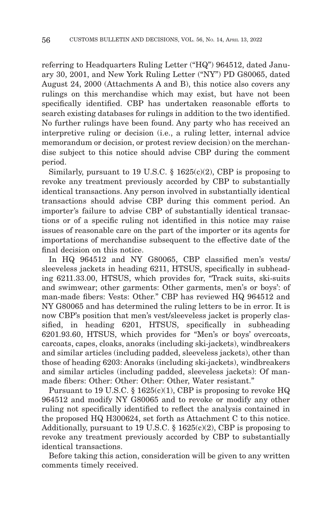referring to Headquarters Ruling Letter ("HQ") 964512, dated January 30, 2001, and New York Ruling Letter ("NY") PD G80065, dated August 24, 2000 (Attachments A and B), this notice also covers any rulings on this merchandise which may exist, but have not been specifically identified. CBP has undertaken reasonable efforts to search existing databases for rulings in addition to the two identified. No further rulings have been found. Any party who has received an interpretive ruling or decision (i.e., a ruling letter, internal advice memorandum or decision, or protest review decision) on the merchandise subject to this notice should advise CBP during the comment period.

Similarly, pursuant to 19 U.S.C.  $\S$  1625(c)(2), CBP is proposing to revoke any treatment previously accorded by CBP to substantially identical transactions. Any person involved in substantially identical transactions should advise CBP during this comment period. An importer's failure to advise CBP of substantially identical transactions or of a specific ruling not identified in this notice may raise issues of reasonable care on the part of the importer or its agents for importations of merchandise subsequent to the effective date of the final decision on this notice.

In HQ 964512 and NY G80065, CBP classified men's vests/ sleeveless jackets in heading 6211, HTSUS, specifically in subheading 6211.33.00, HTSUS, which provides for, "Track suits, ski-suits and swimwear; other garments: Other garments, men's or boys': of man-made fibers: Vests: Other." CBP has reviewed HQ 964512 and NY G80065 and has determined the ruling letters to be in error. It is now CBP's position that men's vest/sleeveless jacket is properly classified, in heading 6201, HTSUS, specifically in subheading 6201.93.60, HTSUS, which provides for "Men's or boys' overcoats, carcoats, capes, cloaks, anoraks (including ski-jackets), windbreakers and similar articles (including padded, sleeveless jackets), other than those of heading 6203: Anoraks (including ski-jackets), windbreakers and similar articles (including padded, sleeveless jackets): Of manmade fibers: Other: Other: Other: Other, Water resistant."

Pursuant to 19 U.S.C. § 1625(c)(1), CBP is proposing to revoke HQ 964512 and modify NY G80065 and to revoke or modify any other ruling not specifically identified to reflect the analysis contained in the proposed HQ H300624, set forth as Attachment C to this notice. Additionally, pursuant to 19 U.S.C.  $\S$  1625(c)(2), CBP is proposing to revoke any treatment previously accorded by CBP to substantially identical transactions.

Before taking this action, consideration will be given to any written comments timely received.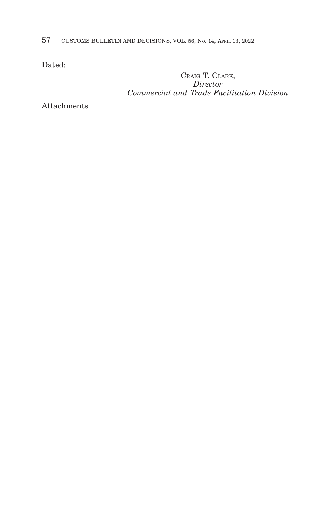57 CUSTOMS BULLETIN AND DECISIONS, VOL. 56, NO. 14, APRIL 13, 2022

Dated:

CRAIG T. CLARK, *Director Commercial and Trade Facilitation Division*

Attachments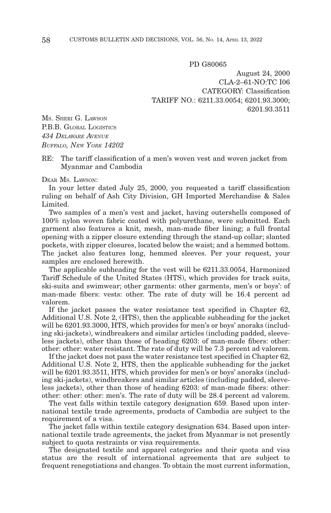PD G80065

August 24, 2000 CLA-2–61-NO:TC I06 CATEGORY: Classification TARIFF NO.: 6211.33.0054; 6201.93.3000; 6201.93.3511

MS. SHERI G. LAWSON P.B.B. GLOBAL LOGISTICS *434 DELAWARE AVENUE BUFFALO, NEW YORK 14202*

RE: The tariff classification of a men's woven vest and woven jacket from Myanmar and Cambodia

#### DEAR Ms. LAWSON:

In your letter dated July 25, 2000, you requested a tariff classification ruling on behalf of Ash City Division, GH Imported Merchandise & Sales **Limited** 

Two samples of a men's vest and jacket, having outershells composed of 100% nylon woven fabric coated with polyurethane, were submitted. Each garment also features a knit, mesh, man-made fiber lining; a full frontal opening with a zipper closure extending through the stand-up collar; slanted pockets, with zipper closures, located below the waist; and a hemmed bottom. The jacket also features long, hemmed sleeves. Per your request, your samples are enclosed herewith.

The applicable subheading for the vest will be 6211.33.0054, Harmonized Tariff Schedule of the United States (HTS), which provides for track suits, ski-suits and swimwear; other garments: other garments, men's or boys': of man-made fibers: vests: other. The rate of duty will be 16.4 percent ad valorem.

If the jacket passes the water resistance test specified in Chapter 62, Additional U.S. Note 2, (HTS), then the applicable subheading for the jacket will be 6201.93.3000, HTS, which provides for men's or boys' anoraks (including ski-jackets), windbreakers and similar articles (including padded, sleeveless jackets), other than those of heading 6203: of man-made fibers: other: other: other: water resistant. The rate of duty will be 7.3 percent ad valorem.

If the jacket does not pass the water resistance test specified in Chapter 62, Additional U.S. Note 2, HTS, then the applicable subheading for the jacket will be 6201.93.3511, HTS, which provides for men's or boys' anoraks (including ski-jackets), windbreakers and similar articles (including padded, sleeveless jackets), other than those of heading 6203: of man-made fibers: other: other: other: other: men's. The rate of duty will be 28.4 percent ad valorem.

The vest falls within textile category designation 659. Based upon international textile trade agreements, products of Cambodia are subject to the requirement of a visa.

The jacket falls within textile category designation 634. Based upon international textile trade agreements, the jacket from Myanmar is not presently subject to quota restraints or visa requirements.

The designated textile and apparel categories and their quota and visa status are the result of international agreements that are subject to frequent renegotiations and changes. To obtain the most current information,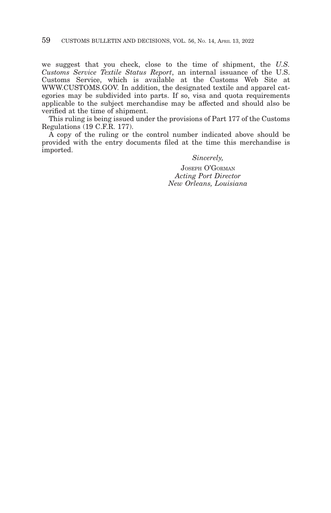we suggest that you check, close to the time of shipment, the *U.S. Customs Service Textile Status Report*, an internal issuance of the U.S. Customs Service, which is available at the Customs Web Site at WWW.CUSTOMS.GOV. In addition, the designated textile and apparel categories may be subdivided into parts. If so, visa and quota requirements applicable to the subject merchandise may be affected and should also be verified at the time of shipment.

This ruling is being issued under the provisions of Part 177 of the Customs Regulations (19 C.F.R. 177).

A copy of the ruling or the control number indicated above should be provided with the entry documents filed at the time this merchandise is imported.

> *Sincerely,* JOSEPH O'GORMAN *Acting Port Director New Orleans, Louisiana*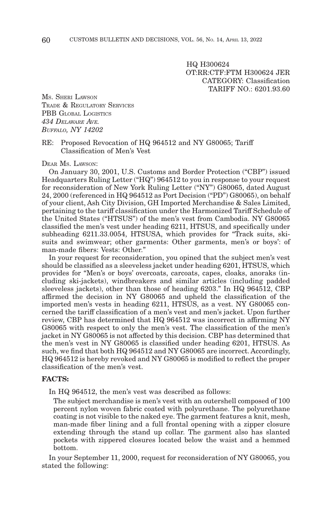HQ H300624 OT:RR:CTF:FTM H300624 JER CATEGORY: Classification TARIFF NO.: 6201.93.60

MS. SHERI LAWSON TRADE & REGULATORY SERVICES PBB GLOBAL LOGISTICS *434 DELAWARE AVE. BUFFALO, NY 14202*

## RE: Proposed Revocation of HQ 964512 and NY G80065; Tariff Classification of Men's Vest

DEAR MS. LAWSON:

On January 30, 2001, U.S. Customs and Border Protection ("CBP") issued Headquarters Ruling Letter ("HQ") 964512 to you in response to your request for reconsideration of New York Ruling Letter ("NY") G80065, dated August 24, 2000 (referenced in HQ 964512 as Port Decision ("PD") G80065), on behalf of your client, Ash City Division, GH Imported Merchandise & Sales Limited, pertaining to the tariff classification under the Harmonized Tariff Schedule of the United States ("HTSUS") of the men's vest from Cambodia. NY G80065 classified the men's vest under heading 6211, HTSUS, and specifically under subheading 6211.33.0054, HTSUSA, which provides for "Track suits, skisuits and swimwear; other garments: Other garments, men's or boys': of man-made fibers: Vests: Other."

In your request for reconsideration, you opined that the subject men's vest should be classified as a sleeveless jacket under heading 6201, HTSUS, which provides for "Men's or boys' overcoats, carcoats, capes, cloaks, anoraks (including ski-jackets), windbreakers and similar articles (including padded sleeveless jackets), other than those of heading 6203." In HQ 964512, CBP affirmed the decision in NY G80065 and upheld the classification of the imported men's vests in heading 6211, HTSUS, as a vest. NY G80065 concerned the tariff classification of a men's vest and men's jacket. Upon further review, CBP has determined that HQ 964512 was incorrect in affirming NY G80065 with respect to only the men's vest. The classification of the men's jacket in NY G80065 is not affected by this decision. CBP has determined that the men's vest in NY G80065 is classified under heading 6201, HTSUS. As such, we find that both HQ 964512 and NY G80065 are incorrect. Accordingly, HQ 964512 is hereby revoked and NY G80065 is modified to reflect the proper classification of the men's vest.

#### **FACTS:**

In HQ 964512, the men's vest was described as follows:

The subject merchandise is men's vest with an outershell composed of 100 percent nylon woven fabric coated with polyurethane. The polyurethane coating is not visible to the naked eye. The garment features a knit, mesh, man-made fiber lining and a full frontal opening with a zipper closure extending through the stand up collar. The garment also has slanted pockets with zippered closures located below the waist and a hemmed bottom.

In your September 11, 2000, request for reconsideration of NY G80065, you stated the following: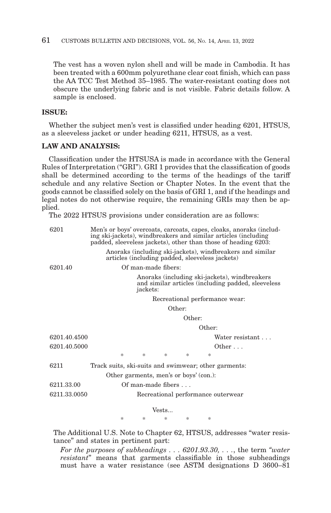The vest has a woven nylon shell and will be made in Cambodia. It has been treated with a 600mm polyurethane clear coat finish, which can pass the AA TCC Test Method 35–1985. The water-resistant coating does not obscure the underlying fabric and is not visible. Fabric details follow. A sample is enclosed.

#### **ISSUE:**

Whether the subject men's vest is classified under heading 6201, HTSUS, as a sleeveless jacket or under heading 6211, HTSUS, as a vest.

#### **LAW AND ANALYSIS:**

Classification under the HTSUSA is made in accordance with the General Rules of Interpretation ("GRI"). GRI 1 provides that the classification of goods shall be determined according to the terms of the headings of the tariff schedule and any relative Section or Chapter Notes. In the event that the goods cannot be classified solely on the basis of GRI 1, and if the headings and legal notes do not otherwise require, the remaining GRIs may then be applied.

The 2022 HTSUS provisions under consideration are as follows:

| 6201         | Men's or boys' overcoats, carcoats, capes, cloaks, anoraks (includ-<br>ing ski-jackets), windbreakers and similar articles (including<br>padded, sleeveless jackets), other than those of heading 6203: |
|--------------|---------------------------------------------------------------------------------------------------------------------------------------------------------------------------------------------------------|
|              | Anoraks (including ski-jackets), windbreakers and similar<br>articles (including padded, sleeveless jackets)                                                                                            |
| 6201.40      | Of man-made fibers:                                                                                                                                                                                     |
|              | Anoraks (including ski-jackets), windbreakers<br>and similar articles (including padded, sleeveless<br>jackets:                                                                                         |
|              | Recreational performance wear:                                                                                                                                                                          |
|              | Other:                                                                                                                                                                                                  |
|              | Other:                                                                                                                                                                                                  |
|              | Other:                                                                                                                                                                                                  |
| 6201.40.4500 | Water resistant                                                                                                                                                                                         |
| 6201.40.5000 | Other                                                                                                                                                                                                   |
|              | $\ast$<br>*<br>*<br>*<br>*                                                                                                                                                                              |
| 6211         | Track suits, ski-suits and swimwear; other garments:                                                                                                                                                    |
|              | Other garments, men's or boys' (con.):                                                                                                                                                                  |
| 6211.33.00   | Of man-made fibers                                                                                                                                                                                      |
| 6211.33.0050 | Recreational performance outerwear                                                                                                                                                                      |
|              | Vests                                                                                                                                                                                                   |
|              | *<br>* *<br>-le<br>sk.                                                                                                                                                                                  |

The Additional U.S. Note to Chapter 62, HTSUS, addresses "water resistance" and states in pertinent part:

*For the purposes of subheadings . . . 6201.93.30, . . .*, the term *"water resistant*" means that garments classifiable in those subheadings must have a water resistance (see ASTM designations D 3600–81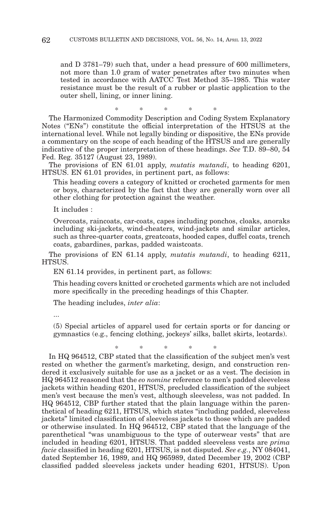and D 3781–79) such that, under a head pressure of 600 millimeters, not more than 1.0 gram of water penetrates after two minutes when tested in accordance with AATCC Test Method 35–1985. This water resistance must be the result of a rubber or plastic application to the outer shell, lining, or inner lining.

\* \* \* \* \* The Harmonized Commodity Description and Coding System Explanatory Notes ("ENs") constitute the official interpretation of the HTSUS at the international level. While not legally binding or dispositive, the ENs provide a commentary on the scope of each heading of the HTSUS and are generally indicative of the proper interpretation of these headings. *See* T.D. 89–80, 54 Fed. Reg. 35127 (August 23, 1989).

The provisions of EN 61.01 apply, *mutatis mutandi*, to heading 6201, HTSUS. EN 61.01 provides, in pertinent part, as follows:

This heading covers a category of knitted or crocheted garments for men or boys, characterized by the fact that they are generally worn over all other clothing for protection against the weather.

It includes :

Overcoats, raincoats, car-coats, capes including ponchos, cloaks, anoraks including ski-jackets, wind-cheaters, wind-jackets and similar articles, such as three-quarter coats, greatcoats, hooded capes, duffel coats, trench coats, gabardines, parkas, padded waistcoats.

The provisions of EN 61.14 apply, *mutatis mutandi*, to heading 6211, **HTSUS** 

EN 61.14 provides, in pertinent part, as follows:

This heading covers knitted or crocheted garments which are not included more specifically in the preceding headings of this Chapter.

The heading includes, *inter alia*:

...

(5) Special articles of apparel used for certain sports or for dancing or gymnastics (e.g., fencing clothing, jockeys' silks, ballet skirts, leotards).

\*\*\*\* \*

In HQ 964512, CBP stated that the classification of the subject men's vest rested on whether the garment's marketing, design, and construction rendered it exclusively suitable for use as a jacket or as a vest. The decision in HQ 964512 reasoned that the *eo nomine* reference to men's padded sleeveless jackets within heading 6201, HTSUS, precluded classification of the subject men's vest because the men's vest, although sleeveless, was not padded. In HQ 964512, CBP further stated that the plain language within the parenthetical of heading 6211, HTSUS, which states "including padded, sleeveless jackets" limited classification of sleeveless jackets to those which are padded or otherwise insulated. In HQ 964512, CBP stated that the language of the parenthetical "was unambiguous to the type of outerwear vests" that are included in heading 6201, HTSUS. That padded sleeveless vests are *prima facie* classified in heading 6201, HTSUS, is not disputed. *See e.g.*, NY 084041, dated September 16, 1989, and HQ 965989, dated December 19, 2002 (CBP classified padded sleeveless jackets under heading 6201, HTSUS). Upon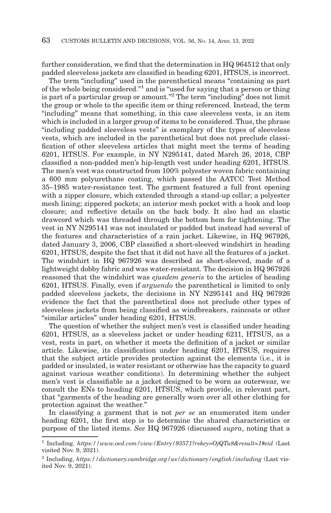further consideration, we find that the determination in HQ 964512 that only padded sleeveless jackets are classified in heading 6201, HTSUS, is incorrect.

The term "including" used in the parenthetical means "containing as part of the whole being considered."1 and is "used for saying that a person or thing is part of a particular group or amount."2 The term "including" does not limit the group or whole to the specific item or thing referenced. Instead, the term "including" means that something, in this case sleeveless vests, is an item which is included in a larger group of items to be considered. Thus, the phrase "including padded sleeveless vests" is exemplary of the types of sleeveless vests, which are included in the parenthetical but does not preclude classification of other sleeveless articles that might meet the terms of heading 6201, HTSUS. For example, in NY N295141, dated March 26, 2018, CBP classified a non-padded men's hip-length vest under heading 6201, HTSUS. The men's vest was constructed from 100% polyester woven fabric containing a 600 mm polyurethane coating, which passed the AATCC Test Method 35–1985 water-resistance test. The garment featured a full front opening with a zipper closure, which extended through a stand-up collar; a polyester mesh lining; zippered pockets; an interior mesh pocket with a hook and loop closure; and reflective details on the back body. It also had an elastic drawcord which was threaded through the bottom hem for tightening. The vest in NY N295141 was not insulated or padded but instead had several of the features and characteristics of a rain jacket. Likewise, in HQ 967926, dated January 3, 2006, CBP classified a short-sleeved windshirt in heading 6201, HTSUS, despite the fact that it did not have all the features of a jacket. The windshirt in HQ 967926 was described as short-sleeved, made of a lightweight dobby fabric and was water-resistant. The decision in HQ 967926 reasoned that the windshirt was *ejusdem generis* to the articles of heading 6201, HTSUS. Finally, even if *arguendo* the parenthetical is limited to only padded sleeveless jackets, the decisions in NY N295141 and HQ 967926 evidence the fact that the parenthetical does not preclude other types of sleeveless jackets from being classified as windbreakers, raincoats or other "similar articles" under heading 6201, HTSUS.

The question of whether the subject men's vest is classified under heading 6201, HTSUS, as a sleeveless jacket or under heading 6211, HTSUS, as a vest, rests in part, on whether it meets the definition of a jacket or similar article. Likewise, its classification under heading 6201, HTSUS, requires that the subject article provides protection against the elements (i.e., it is padded or insulated, is water resistant or otherwise has the capacity to guard against various weather conditions). In determining whether the subject men's vest is classifiable as a jacket designed to be worn as outerwear, we consult the ENs to heading 6201, HTSUS, which provide, in relevant part, that "garments of the heading are generally worn over all other clothing for protection against the weather."

In classifying a garment that is not *per se* an enumerated item under heading 6201, the first step is to determine the shared characteristics or purpose of the listed items. *See* HQ 967926 (discussed *supra*, noting that a

<sup>1</sup> Including. *https://www.oed.com/view/Entry/93571?rskey=OjQTu8&result=1#eid* (Last visited Nov. 9, 2021).

<sup>2</sup> Including, *https://dictionary.cambridge.org/us/dictionary/english/including* (Last visited Nov. 9, 2021).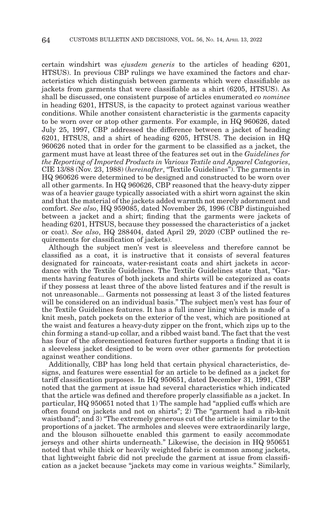certain windshirt was *ejusdem generis* to the articles of heading 6201, HTSUS). In previous CBP rulings we have examined the factors and characteristics which distinguish between garments which were classifiable as jackets from garments that were classifiable as a shirt (6205, HTSUS). As shall be discussed, one consistent purpose of articles enumerated *eo nominee* in heading 6201, HTSUS, is the capacity to protect against various weather conditions. While another consistent characteristic is the garments capacity to be worn over or atop other garments. For example, in HQ 960626, dated July 25, 1997, CBP addressed the difference between a jacket of heading 6201, HTSUS, and a shirt of heading 6205, HTSUS. The decision in HQ 960626 noted that in order for the garment to be classified as a jacket, the garment must have at least three of the features set out in the *Guidelines for the Reporting of Imported Products in Various Textile and Apparel Categories*, CIE 13/88 (Nov. 23, 1988) (*hereinafter*, "Textile Guidelines"). The garments in HQ 960626 were determined to be designed and constructed to be worn over all other garments. In HQ 960626, CBP reasoned that the heavy-duty zipper was of a heavier gauge typically associated with a shirt worn against the skin and that the material of the jackets added warmth not merely adornment and comfort. *See also*, HQ 959085, dated November 26, 1996 (CBP distinguished between a jacket and a shirt; finding that the garments were jackets of heading 6201, HTSUS, because they possessed the characteristics of a jacket or coat). *See also*, HQ 288404, dated April 29, 2020 (CBP outlined the requirements for classification of jackets).

Although the subject men's vest is sleeveless and therefore cannot be classified as a coat, it is instructive that it consists of several features designated for raincoats, water-resistant coats and shirt jackets in accordance with the Textile Guidelines. The Textile Guidelines state that, "Garments having features of both jackets and shirts will be categorized as coats if they possess at least three of the above listed features and if the result is not unreasonable... Garments not possessing at least 3 of the listed features will be considered on an individual basis." The subject men's vest has four of the Textile Guidelines features. It has a full inner lining which is made of a knit mesh, patch pockets on the exterior of the vest, which are positioned at the waist and features a heavy-duty zipper on the front, which zips up to the chin forming a stand-up collar, and a ribbed waist band. The fact that the vest has four of the aforementioned features further supports a finding that it is a sleeveless jacket designed to be worn over other garments for protection against weather conditions.

Additionally, CBP has long held that certain physical characteristics, designs, and features were essential for an article to be defined as a jacket for tariff classification purposes. In HQ 950651, dated December 31, 1991, CBP noted that the garment at issue had several characteristics which indicated that the article was defined and therefore properly classifiable as a jacket. In particular, HQ 950651 noted that 1) The sample had "applied cuffs which are often found on jackets and not on shirts"; 2) The "garment had a rib-knit waistband"; and 3) "The extremely generous cut of the article is similar to the proportions of a jacket. The armholes and sleeves were extraordinarily large, and the blouson silhouette enabled this garment to easily accommodate jerseys and other shirts underneath." Likewise, the decision in HQ 950651 noted that while thick or heavily weighted fabric is common among jackets, that lightweight fabric did not preclude the garment at issue from classification as a jacket because "jackets may come in various weights." Similarly,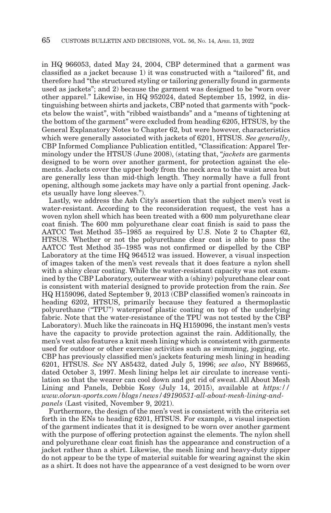in HQ 966053, dated May 24, 2004, CBP determined that a garment was classified as a jacket because 1) it was constructed with a "tailored" fit, and therefore had "the structured styling or tailoring generally found in garments used as jackets"; and 2) because the garment was designed to be "worn over other apparel." Likewise, in HQ 952024, dated September 15, 1992, in distinguishing between shirts and jackets, CBP noted that garments with "pockets below the waist", with "ribbed waistbands" and a "means of tightening at the bottom of the garment" were excluded from heading 6205, HTSUS, by the General Explanatory Notes to Chapter 62, but were however, characteristics which were generally associated with jackets of 6201, HTSUS. *See generally*, CBP Informed Compliance Publication entitled, "Classification: Apparel Terminology under the HTSUS (June 2008), (stating that, "*jackets* are garments designed to be worn over another garment, for protection against the elements. Jackets cover the upper body from the neck area to the waist area but are generally less than mid-thigh length. They normally have a full front opening, although some jackets may have only a partial front opening. Jackets usually have long sleeves.").

Lastly, we address the Ash City's assertion that the subject men's vest is water-resistant. According to the reconsideration request, the vest has a woven nylon shell which has been treated with a 600 mm polyurethane clear coat finish. The 600 mm polyurethane clear coat finish is said to pass the AATCC Test Method 35–1985 as required by U.S. Note 2 to Chapter 62, HTSUS. Whether or not the polyurethane clear coat is able to pass the AATCC Test Method 35–1985 was not confirmed or dispelled by the CBP Laboratory at the time HQ 964512 was issued. However, a visual inspection of images taken of the men's vest reveals that it does feature a nylon shell with a shiny clear coating. While the water-resistant capacity was not examined by the CBP Laboratory, outerwear with a (shiny) polyurethane clear coat is consistent with material designed to provide protection from the rain. *See* HQ H159096, dated September 9, 2013 (CBP classified women's raincoats in heading 6202, HTSUS, primarily because they featured a thermoplastic polyurethane ("TPU") waterproof plastic coating on top of the underlying fabric. Note that the water-resistance of the TPU was not tested by the CBP Laboratory). Much like the raincoats in HQ H159096, the instant men's vests have the capacity to provide protection against the rain. Additionally, the men's vest also features a knit mesh lining which is consistent with garments used for outdoor or other exercise activities such as swimming, jogging, etc. CBP has previously classified men's jackets featuring mesh lining in heading 6201, HTSUS. *See* NY A85432, dated July 5, 1996; *see also*, NY B89665, dated October 3, 1997. Mesh lining helps let air circulate to increase ventilation so that the wearer can cool down and get rid of sweat. All About Mesh Lining and Panels, Debbie Kosy (July 14, 2015), available at *https:// www.olorun-sports.com/blogs/news/49190531-all-about-mesh-lining-andpanels* (Last visited, November 9, 2021).

Furthermore, the design of the men's vest is consistent with the criteria set forth in the ENs to heading 6201, HTSUS. For example, a visual inspection of the garment indicates that it is designed to be worn over another garment with the purpose of offering protection against the elements. The nylon shell and polyurethane clear coat finish has the appearance and construction of a jacket rather than a shirt. Likewise, the mesh lining and heavy-duty zipper do not appear to be the type of material suitable for wearing against the skin as a shirt. It does not have the appearance of a vest designed to be worn over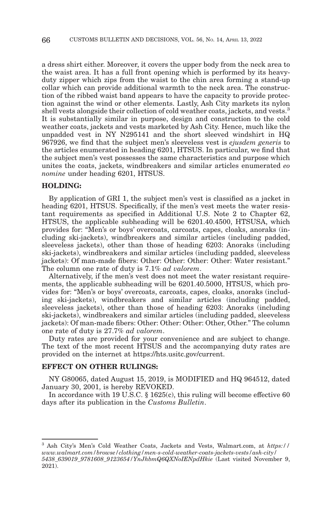a dress shirt either. Moreover, it covers the upper body from the neck area to the waist area. It has a full front opening which is performed by its heavyduty zipper which zips from the waist to the chin area forming a stand-up collar which can provide additional warmth to the neck area. The construction of the ribbed waist band appears to have the capacity to provide protection against the wind or other elements. Lastly, Ash City markets its nylon shell vests alongside their collection of cold weather coats, jackets, and vests.3 It is substantially similar in purpose, design and construction to the cold weather coats, jackets and vests marketed by Ash City. Hence, much like the unpadded vest in NY N295141 and the short sleeved windshirt in HQ 967926, we find that the subject men's sleeveless vest is *ejusdem generis* to the articles enumerated in heading 6201, HTSUS. In particular, we find that the subject men's vest possesses the same characteristics and purpose which unites the coats, jackets, windbreakers and similar articles enumerated *eo nomine* under heading 6201, HTSUS.

## **HOLDING:**

By application of GRI 1, the subject men's vest is classified as a jacket in heading 6201, HTSUS. Specifically, if the men's vest meets the water resistant requirements as specified in Additional U.S. Note 2 to Chapter 62, HTSUS, the applicable subheading will be 6201.40.4500, HTSUSA, which provides for: "Men's or boys' overcoats, carcoats, capes, cloaks, anoraks (including ski-jackets), windbreakers and similar articles (including padded, sleeveless jackets), other than those of heading 6203: Anoraks (including ski-jackets), windbreakers and similar articles (including padded, sleeveless jackets): Of man-made fibers: Other: Other: Other: Other: Water resistant." The column one rate of duty is 7.1% *ad valorem*.

Alternatively, if the men's vest does not meet the water resistant requirements, the applicable subheading will be 6201.40.5000, HTSUS, which provides for: "Men's or boys' overcoats, carcoats, capes, cloaks, anoraks (including ski-jackets), windbreakers and similar articles (including padded, sleeveless jackets), other than those of heading 6203: Anoraks (including ski-jackets), windbreakers and similar articles (including padded, sleeveless jackets): Of man-made fibers: Other: Other: Other: Other, Other." The column one rate of duty is 27.7% *ad valorem*.

Duty rates are provided for your convenience and are subject to change. The text of the most recent HTSUS and the accompanying duty rates are provided on the internet at https://hts.usitc.gov/current.

## **EFFECT ON OTHER RULINGS:**

NY G80065, dated August 15, 2019, is MODIFIED and HQ 964512, dated January 30, 2001, is hereby REVOKED.

In accordance with 19 U.S.C. § 1625(c), this ruling will become effective 60 days after its publication in the *Customs Bulletin*.

<sup>3</sup> Ash City's Men's Cold Weather Coats, Jackets and Vests, Walmart.com, at *https:// www.walmart.com/browse/clothing/men-s-cold-weather-coats-jackets-vests/ash-city/ 5438\_639019\_9781608\_9123654/YnJhbmQ6QXNoIENpdHkie* (Last visited November 9, 2021).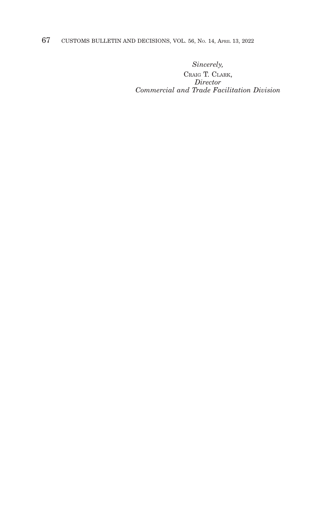67 CUSTOMS BULLETIN AND DECISIONS, VOL. 56, NO. 14, APRIL 13, 2022

*Sincerely,*

CRAIG T. CLARK, *Director Commercial and Trade Facilitation Division*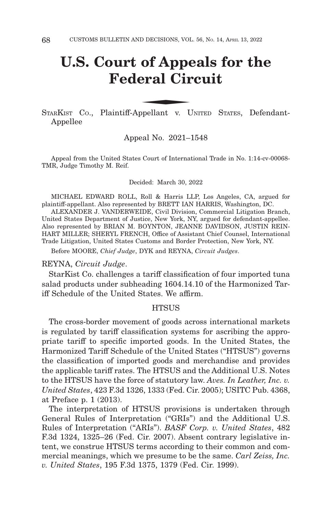# **U.S. Court of Appeals for the Federal Circuit** of Appenderal Circums

STARKIST Co., Plaintiff-Appellant v. UNITED STATES, Defendant-Appellee

Appeal No. 2021–1548

Appeal from the United States Court of International Trade in No. 1:14-cv-00068- TMR, Judge Timothy M. Reif.

Decided: March 30, 2022

MICHAEL EDWARD ROLL, Roll & Harris LLP, Los Angeles, CA, argued for plaintiff-appellant. Also represented by BRETT IAN HARRIS, Washington, DC.

ALEXANDER J. VANDERWEIDE, Civil Division, Commercial Litigation Branch, United States Department of Justice, New York, NY, argued for defendant-appellee. Also represented by BRIAN M. BOYNTON, JEANNE DAVIDSON, JUSTIN REIN-HART MILLER; SHERYL FRENCH, Office of Assistant Chief Counsel, International Trade Litigation, United States Customs and Border Protection, New York, NY.

Before MOORE, *Chief Judge*, DYK and REYNA, *Circuit Judges*.

## REYNA, *Circuit Judge*.

StarKist Co. challenges a tariff classification of four imported tuna salad products under subheading 1604.14.10 of the Harmonized Tariff Schedule of the United States. We affirm.

#### **HTSUS**

The cross-border movement of goods across international markets is regulated by tariff classification systems for ascribing the appropriate tariff to specific imported goods. In the United States, the Harmonized Tariff Schedule of the United States ("HTSUS") governs the classification of imported goods and merchandise and provides the applicable tariff rates. The HTSUS and the Additional U.S. Notes to the HTSUS have the force of statutory law. *Aves. In Leather, Inc. v. United States*, 423 F.3d 1326, 1333 (Fed. Cir. 2005); USITC Pub. 4368, at Preface p. 1 (2013).

The interpretation of HTSUS provisions is undertaken through General Rules of Interpretation ("GRIs") and the Additional U.S. Rules of Interpretation ("ARIs"). *BASF Corp. v. United States*, 482 F.3d 1324, 1325–26 (Fed. Cir. 2007). Absent contrary legislative intent, we construe HTSUS terms according to their common and commercial meanings, which we presume to be the same. *Carl Zeiss, Inc. v. United States*, 195 F.3d 1375, 1379 (Fed. Cir. 1999).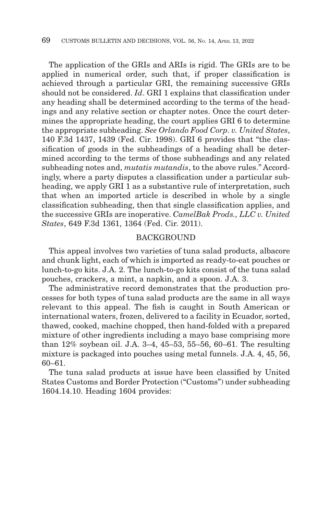The application of the GRIs and ARIs is rigid. The GRIs are to be applied in numerical order, such that, if proper classification is achieved through a particular GRI, the remaining successive GRIs should not be considered. *Id*. GRI 1 explains that classification under any heading shall be determined according to the terms of the headings and any relative section or chapter notes. Once the court determines the appropriate heading, the court applies GRI 6 to determine the appropriate subheading. *See Orlando Food Corp. v. United States*, 140 F.3d 1437, 1439 (Fed. Cir. 1998). GRI 6 provides that "the classification of goods in the subheadings of a heading shall be determined according to the terms of those subheadings and any related subheading notes and, *mutatis mutandis*, to the above rules." Accordingly, where a party disputes a classification under a particular subheading, we apply GRI 1 as a substantive rule of interpretation, such that when an imported article is described in whole by a single classification subheading, then that single classification applies, and the successive GRIs are inoperative. *CamelBak Prods., LLC v. United States*, 649 F.3d 1361, 1364 (Fed. Cir. 2011).

## BACKGROUND

This appeal involves two varieties of tuna salad products, albacore and chunk light, each of which is imported as ready-to-eat pouches or lunch-to-go kits. J.A. 2. The lunch-to-go kits consist of the tuna salad pouches, crackers, a mint, a napkin, and a spoon. J.A. 3.

The administrative record demonstrates that the production processes for both types of tuna salad products are the same in all ways relevant to this appeal. The fish is caught in South American or international waters, frozen, delivered to a facility in Ecuador, sorted, thawed, cooked, machine chopped, then hand-folded with a prepared mixture of other ingredients including a mayo base comprising more than 12% soybean oil. J.A. 3–4, 45–53, 55–56, 60–61. The resulting mixture is packaged into pouches using metal funnels. J.A. 4, 45, 56, 60–61.

The tuna salad products at issue have been classified by United States Customs and Border Protection ("Customs") under subheading 1604.14.10. Heading 1604 provides: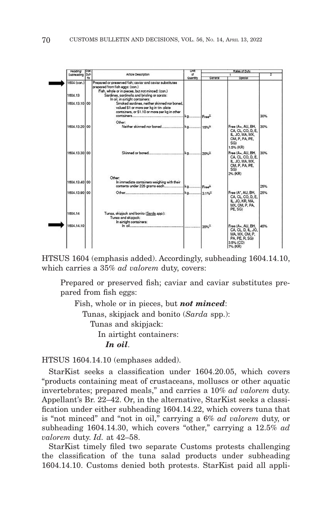

HTSUS 1604 (emphasis added). Accordingly, subheading 1604.14.10, which carries a 35% *ad valorem* duty, covers:

Prepared or preserved fish; caviar and caviar substitutes prepared from fish eggs:

Fish, whole or in pieces, but *not minced*: Tunas, skipjack and bonito (*Sarda* spp.): Tunas and skipjack: In airtight containers: *In oil*.

HTSUS 1604.14.10 (emphases added).

StarKist seeks a classification under 1604.20.05, which covers "products containing meat of crustaceans, molluscs or other aquatic invertebrates; prepared meals," and carries a 10% *ad valorem* duty. Appellant's Br. 22–42. Or, in the alternative, StarKist seeks a classification under either subheading 1604.14.22, which covers tuna that is "not minced" and "not in oil," carrying a 6% *ad valorem* duty, or subheading 1604.14.30, which covers "other," carrying a 12.5% *ad valorem* duty. *Id.* at 42–58.

StarKist timely filed two separate Customs protests challenging the classification of the tuna salad products under subheading 1604.14.10. Customs denied both protests. StarKist paid all appli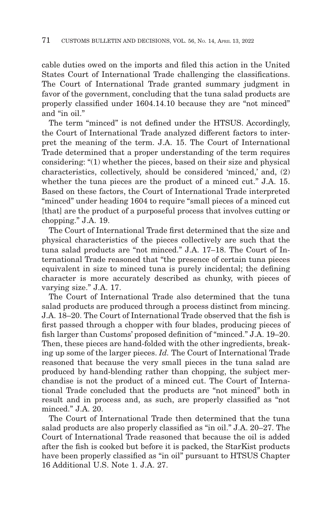cable duties owed on the imports and filed this action in the United States Court of International Trade challenging the classifications. The Court of International Trade granted summary judgment in favor of the government, concluding that the tuna salad products are properly classified under 1604.14.10 because they are "not minced" and "in oil"

The term "minced" is not defined under the HTSUS. Accordingly, the Court of International Trade analyzed different factors to interpret the meaning of the term. J.A. 15. The Court of International Trade determined that a proper understanding of the term requires considering: "(1) whether the pieces, based on their size and physical characteristics, collectively, should be considered 'minced,' and, (2) whether the tuna pieces are the product of a minced cut." J.A. 15. Based on these factors, the Court of International Trade interpreted "minced" under heading 1604 to require "small pieces of a minced cut [that] are the product of a purposeful process that involves cutting or chopping." J.A. 19.

The Court of International Trade first determined that the size and physical characteristics of the pieces collectively are such that the tuna salad products are "not minced." J.A. 17–18. The Court of International Trade reasoned that "the presence of certain tuna pieces equivalent in size to minced tuna is purely incidental; the defining character is more accurately described as chunky, with pieces of varying size." J.A. 17.

The Court of International Trade also determined that the tuna salad products are produced through a process distinct from mincing. J.A. 18–20. The Court of International Trade observed that the fish is first passed through a chopper with four blades, producing pieces of fish larger than Customs' proposed definition of "minced." J.A. 19–20. Then, these pieces are hand-folded with the other ingredients, breaking up some of the larger pieces. *Id.* The Court of International Trade reasoned that because the very small pieces in the tuna salad are produced by hand-blending rather than chopping, the subject merchandise is not the product of a minced cut. The Court of International Trade concluded that the products are "not minced" both in result and in process and, as such, are properly classified as "not minced." J.A. 20.

The Court of International Trade then determined that the tuna salad products are also properly classified as "in oil." J.A. 20–27. The Court of International Trade reasoned that because the oil is added after the fish is cooked but before it is packed, the StarKist products have been properly classified as "in oil" pursuant to HTSUS Chapter 16 Additional U.S. Note 1. J.A. 27.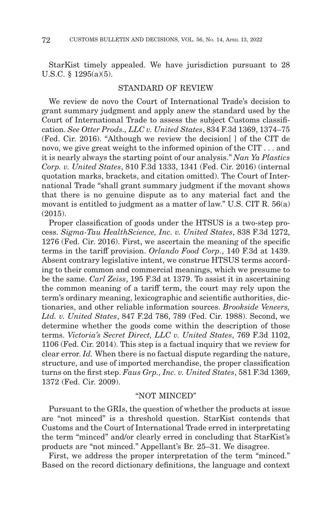StarKist timely appealed. We have jurisdiction pursuant to 28 U.S.C. § 1295(a)(5).

## STANDARD OF REVIEW

We review de novo the Court of International Trade's decision to grant summary judgment and apply anew the standard used by the Court of International Trade to assess the subject Customs classification. *See Otter Prods., LLC v. United States*, 834 F.3d 1369, 1374–75 (Fed. Cir. 2016). "Although we review the decision[ ] of the CIT de novo, we give great weight to the informed opinion of the CIT . . . and it is nearly always the starting point of our analysis." *Nan Ya Plastics Corp. v. United States*, 810 F.3d 1333, 1341 (Fed. Cir. 2016) (internal quotation marks, brackets, and citation omitted). The Court of International Trade "shall grant summary judgment if the movant shows that there is no genuine dispute as to any material fact and the movant is entitled to judgment as a matter of law." U.S. CIT R. 56(a) (2015).

Proper classification of goods under the HTSUS is a two-step process. *Sigma-Tau HealthScience, Inc. v. United States*, 838 F.3d 1272, 1276 (Fed. Cir. 2016). First, we ascertain the meaning of the specific terms in the tariff provision. *Orlando Food Corp.*, 140 F.3d at 1439. Absent contrary legislative intent, we construe HTSUS terms according to their common and commercial meanings, which we presume to be the same. *Carl Zeiss*, 195 F.3d at 1379. To assist it in ascertaining the common meaning of a tariff term, the court may rely upon the term's ordinary meaning, lexicographic and scientific authorities, dictionaries, and other reliable information sources. *Brookside Veneers, Ltd. v. United States*, 847 F.2d 786, 789 (Fed. Cir. 1988). Second, we determine whether the goods come within the description of those terms. *Victoria's Secret Direct, LLC v. United States*, 769 F.3d 1102, 1106 (Fed. Cir. 2014). This step is a factual inquiry that we review for clear error. *Id.* When there is no factual dispute regarding the nature, structure, and use of imported merchandise, the proper classification turns on the first step. *Faus Grp., Inc. v. United States*, 581 F.3d 1369, 1372 (Fed. Cir. 2009).

# "NOT MINCED"

Pursuant to the GRIs, the question of whether the products at issue are "not minced" is a threshold question. StarKist contends that Customs and the Court of International Trade erred in interpretating the term "minced" and/or clearly erred in concluding that StarKist's products are "not minced." Appellant's Br. 25–31. We disagree.

First, we address the proper interpretation of the term "minced." Based on the record dictionary definitions, the language and context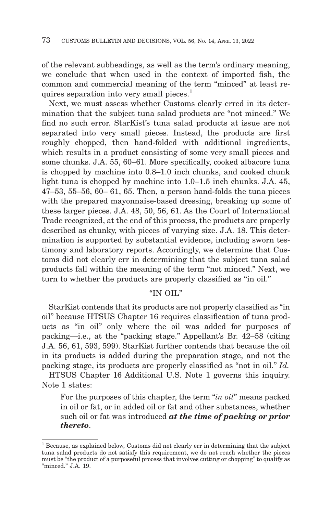of the relevant subheadings, as well as the term's ordinary meaning, we conclude that when used in the context of imported fish, the common and commercial meaning of the term "minced" at least requires separation into very small pieces. $<sup>1</sup>$ </sup>

Next, we must assess whether Customs clearly erred in its determination that the subject tuna salad products are "not minced." We find no such error. StarKist's tuna salad products at issue are not separated into very small pieces. Instead, the products are first roughly chopped, then hand-folded with additional ingredients, which results in a product consisting of some very small pieces and some chunks. J.A. 55, 60–61. More specifically, cooked albacore tuna is chopped by machine into 0.8–1.0 inch chunks, and cooked chunk light tuna is chopped by machine into 1.0–1.5 inch chunks. J.A. 45, 47–53, 55–56, 60– 61, 65. Then, a person hand-folds the tuna pieces with the prepared mayonnaise-based dressing, breaking up some of these larger pieces. J.A. 48, 50, 56, 61. As the Court of International Trade recognized, at the end of this process, the products are properly described as chunky, with pieces of varying size. J.A. 18. This determination is supported by substantial evidence, including sworn testimony and laboratory reports. Accordingly, we determine that Customs did not clearly err in determining that the subject tuna salad products fall within the meaning of the term "not minced." Next, we turn to whether the products are properly classified as "in oil."

## "IN OIL"

StarKist contends that its products are not properly classified as "in oil" because HTSUS Chapter 16 requires classification of tuna products as "in oil" only where the oil was added for purposes of packing—i.e., at the "packing stage." Appellant's Br. 42–58 (citing J.A. 56, 61, 593, 599). StarKist further contends that because the oil in its products is added during the preparation stage, and not the packing stage, its products are properly classified as "not in oil." *Id.*

HTSUS Chapter 16 Additional U.S. Note 1 governs this inquiry. Note 1 states:

For the purposes of this chapter, the term "*in oil*" means packed in oil or fat, or in added oil or fat and other substances, whether such oil or fat was introduced *at the time of packing or prior thereto*.

<sup>&</sup>lt;sup>1</sup> Because, as explained below, Customs did not clearly err in determining that the subject tuna salad products do not satisfy this requirement, we do not reach whether the pieces must be "the product of a purposeful process that involves cutting or chopping" to qualify as "minced." J.A. 19.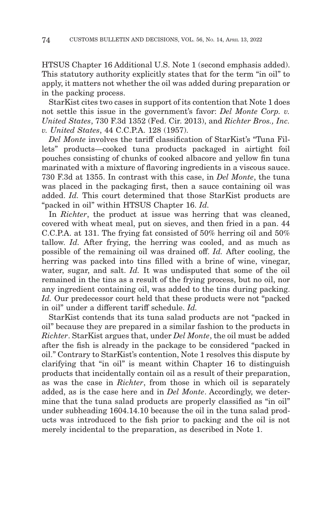HTSUS Chapter 16 Additional U.S. Note 1 (second emphasis added). This statutory authority explicitly states that for the term "in oil" to apply, it matters not whether the oil was added during preparation or in the packing process.

StarKist cites two cases in support of its contention that Note 1 does not settle this issue in the government's favor: *Del Monte Corp. v. United States*, 730 F.3d 1352 (Fed. Cir. 2013), and *Richter Bros., Inc. v. United States*, 44 C.C.P.A. 128 (1957).

*Del Monte* involves the tariff classification of StarKist's "Tuna Fillets" products—cooked tuna products packaged in airtight foil pouches consisting of chunks of cooked albacore and yellow fin tuna marinated with a mixture of flavoring ingredients in a viscous sauce. 730 F.3d at 1355. In contrast with this case, in *Del Monte*, the tuna was placed in the packaging first, then a sauce containing oil was added. *Id.* This court determined that those StarKist products are "packed in oil" within HTSUS Chapter 16. *Id.*

In *Richter*, the product at issue was herring that was cleaned, covered with wheat meal, put on sieves, and then fried in a pan. 44 C.C.P.A. at 131. The frying fat consisted of 50% herring oil and 50% tallow. *Id.* After frying, the herring was cooled, and as much as possible of the remaining oil was drained off. *Id.* After cooling, the herring was packed into tins filled with a brine of wine, vinegar, water, sugar, and salt. *Id.* It was undisputed that some of the oil remained in the tins as a result of the frying process, but no oil, nor any ingredient containing oil, was added to the tins during packing. *Id.* Our predecessor court held that these products were not "packed in oil" under a different tariff schedule. *Id.*

StarKist contends that its tuna salad products are not "packed in oil" because they are prepared in a similar fashion to the products in *Richter*. StarKist argues that, under *Del Monte*, the oil must be added after the fish is already in the package to be considered "packed in oil." Contrary to StarKist's contention, Note 1 resolves this dispute by clarifying that "in oil" is meant within Chapter 16 to distinguish products that incidentally contain oil as a result of their preparation, as was the case in *Richter*, from those in which oil is separately added, as is the case here and in *Del Monte*. Accordingly, we determine that the tuna salad products are properly classified as "in oil" under subheading 1604.14.10 because the oil in the tuna salad products was introduced to the fish prior to packing and the oil is not merely incidental to the preparation, as described in Note 1.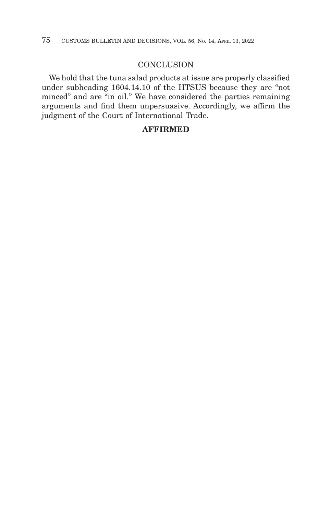## **CONCLUSION**

We hold that the tuna salad products at issue are properly classified under subheading 1604.14.10 of the HTSUS because they are "not minced" and are "in oil." We have considered the parties remaining arguments and find them unpersuasive. Accordingly, we affirm the judgment of the Court of International Trade.

# **AFFIRMED**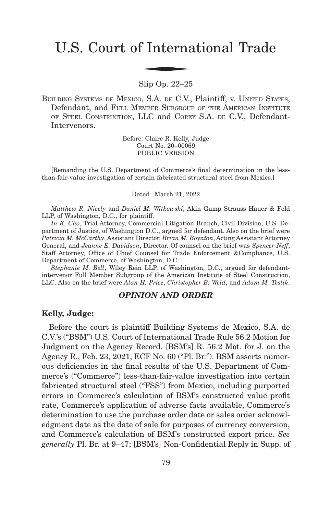# U.S. Court of International Trade f Interna

Slip Op. 22–25

BUILDING SYSTEMS DE MEXICO, S.A. DE C.V., Plaintiff, v. UNITED STATES, Defendant, and FULL MEMBER SUBGROUP OF THE AMERICAN INSTITUTE OF STEEL CONSTRUCTION, LLC and COREY S.A. DE C.V., Defendant-Intervenors.

> Before: Claire R. Kelly, Judge Court No. 20–00069 PUBLIC VERSION

[Remanding the U.S. Department of Commerce's final determination in the lessthan-fair-value investigation of certain fabricated structural steel from Mexico.]

Dated: March 21, 2022

*Matthew R. Nicely* and *Daniel M. Witkowski*, Akin Gump Strauss Hauer & Feld LLP, of Washington, D.C., for plaintiff.

*In K. Cho*, Trial Attorney, Commercial Litigation Branch, Civil Division, U.S. Department of Justice, of Washington D.C., argued for defendant. Also on the brief were *Patricia M. McCarthy*, Assistant Director, *Brian M. Boynton*, Acting Assistant Attorney General, and *Jeanne E. Davidson*, Director. Of counsel on the brief was *Spencer Neff*, Staff Attorney, Office of Chief Counsel for Trade Enforcement &Compliance, U.S. Department of Commerce, of Washington, D.C.

*Stephanie M. Bell*, Wiley Rein LLP, of Washington, D.C., argued for defendantintervenor Full Member Subgroup of the American Institute of Steel Construction, LLC. Also on the brief were *Alan H. Price*, *Christopher B. Weld*, and *Adam M. Teslik*.

## *OPINION AND ORDER*

## **Kelly, Judge:**

Before the court is plaintiff Building Systems de Mexico, S.A. de C.V.'s ("BSM") U.S. Court of International Trade Rule 56.2 Motion for Judgment on the Agency Record. [BSM's] R. 56.2 Mot. for J. on the Agency R., Feb. 23, 2021, ECF No. 60 ("Pl. Br."). BSM asserts numerous deficiencies in the final results of the U.S. Department of Commerce's ("Commerce") less-than-fair-value investigation into certain fabricated structural steel ("FSS") from Mexico, including purported errors in Commerce's calculation of BSM's constructed value profit rate, Commerce's application of adverse facts available, Commerce's determination to use the purchase order date or sales order acknowledgment date as the date of sale for purposes of currency conversion, and Commerce's calculation of BSM's constructed export price. *See generally* Pl. Br. at 9–47; [BSM's] Non-Confidential Reply in Supp. of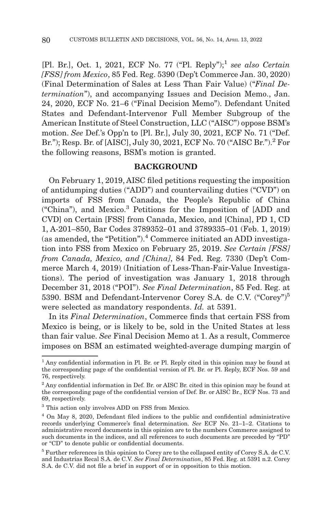[Pl. Br.], Oct. 1, 2021, ECF No. 77 ("Pl. Reply");<sup>1</sup> see also Certain *[FSS] from Mexico*, 85 Fed. Reg. 5390 (Dep't Commerce Jan. 30, 2020) (Final Determination of Sales at Less Than Fair Value) ("*Final Determination*"), and accompanying Issues and Decision Memo., Jan. 24, 2020, ECF No. 21–6 ("Final Decision Memo"). Defendant United States and Defendant-Intervenor Full Member Subgroup of the American Institute of Steel Construction, LLC ("AISC") oppose BSM's motion. *See* Def.'s Opp'n to [Pl. Br.], July 30, 2021, ECF No. 71 ("Def. Br."); Resp. Br. of [AISC], July 30, 2021, ECF No. 70 ("AISC Br.").2 For the following reasons, BSM's motion is granted.

#### **BACKGROUND**

On February 1, 2019, AISC filed petitions requesting the imposition of antidumping duties ("ADD") and countervailing duties ("CVD") on imports of FSS from Canada, the People's Republic of China ("China"), and Mexico.3 Petitions for the Imposition of [ADD and CVD] on Certain [FSS] from Canada, Mexico, and [China], PD 1, CD 1, A-201–850, Bar Codes 3789352–01 and 3789335–01 (Feb. 1, 2019) (as amended, the "Petition").<sup>4</sup> Commerce initiated an ADD investigation into FSS from Mexico on February 25, 2019. *See Certain [FSS] from Canada, Mexico, and [China]*, 84 Fed. Reg. 7330 (Dep't Commerce March 4, 2019) (Initiation of Less-Than-Fair-Value Investigations). The period of investigation was January 1, 2018 through December 31, 2018 ("POI"). *See Final Determination*, 85 Fed. Reg. at 5390. BSM and Defendant-Intervenor Corey S.A. de C.V. ("Corey")5 were selected as mandatory respondents. *Id.* at 5391.

In its *Final Determination*, Commerce finds that certain FSS from Mexico is being, or is likely to be, sold in the United States at less than fair value. *See* Final Decision Memo at 1. As a result, Commerce imposes on BSM an estimated weighted-average dumping margin of

<sup>&</sup>lt;sup>1</sup> Any confidential information in Pl. Br. or Pl. Reply cited in this opinion may be found at the corresponding page of the confidential version of Pl. Br. or Pl. Reply, ECF Nos. 59 and 76, respectively.

 $2$  Any confidential information in Def. Br. or AISC Br. cited in this opinion may be found at the corresponding page of the confidential version of Def. Br. or AISC Br., ECF Nos. 73 and 69, respectively.

<sup>3</sup> This action only involves ADD on FSS from Mexico.

<sup>4</sup> On May 8, 2020, Defendant filed indices to the public and confidential administrative records underlying Commerce's final determination. *See* ECF No. 21–1–2. Citations to administrative record documents in this opinion are to the numbers Commerce assigned to such documents in the indices, and all references to such documents are preceded by "PD" or "CD" to denote public or confidential documents.

<sup>5</sup> Further references in this opinion to Corey are to the collapsed entity of Corey S.A. de C.V. and Industrias Recal S.A. de C.V. *See Final Determination*, 85 Fed. Reg. at 5391 n.2. Corey S.A. de C.V. did not file a brief in support of or in opposition to this motion.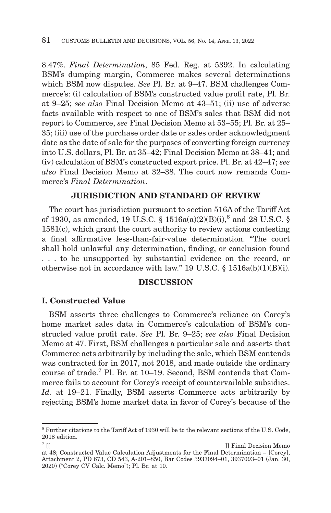8.47%. *Final Determination*, 85 Fed. Reg. at 5392. In calculating BSM's dumping margin, Commerce makes several determinations which BSM now disputes. *See* Pl. Br. at 9–47. BSM challenges Commerce's: (i) calculation of BSM's constructed value profit rate, Pl. Br. at 9–25; *see also* Final Decision Memo at 43–51; (ii) use of adverse facts available with respect to one of BSM's sales that BSM did not report to Commerce, *see* Final Decision Memo at 53–55; Pl. Br. at 25– 35; (iii) use of the purchase order date or sales order acknowledgment date as the date of sale for the purposes of converting foreign currency into U.S. dollars, Pl. Br. at 35–42; Final Decision Memo at 38–41; and (iv) calculation of BSM's constructed export price. Pl. Br. at 42–47; *see also* Final Decision Memo at 32–38. The court now remands Commerce's *Final Determination*.

# **JURISDICTION AND STANDARD OF REVIEW**

The court has jurisdiction pursuant to section 516A of the Tariff Act of 1930, as amended, 19 U.S.C. § 1516a(a)(2)(B)(i),<sup>6</sup> and 28 U.S.C. § 1581(c), which grant the court authority to review actions contesting a final affirmative less-than-fair-value determination. "The court shall hold unlawful any determination, finding, or conclusion found . . . to be unsupported by substantial evidence on the record, or otherwise not in accordance with law." 19 U.S.C.  $\S$  1516a(b)(1)(B)(i).

## **DISCUSSION**

### **I. Constructed Value**

BSM asserts three challenges to Commerce's reliance on Corey's home market sales data in Commerce's calculation of BSM's constructed value profit rate. *See* Pl. Br. 9–25; *see also* Final Decision Memo at 47. First, BSM challenges a particular sale and asserts that Commerce acts arbitrarily by including the sale, which BSM contends was contracted for in 2017, not 2018, and made outside the ordinary course of trade.7 Pl. Br. at 10–19. Second, BSM contends that Commerce fails to account for Corey's receipt of countervailable subsidies. *Id.* at 19–21. Finally, BSM asserts Commerce acts arbitrarily by rejecting BSM's home market data in favor of Corey's because of the

 $6$  Further citations to the Tariff Act of 1930 will be to the relevant sections of the U.S. Code, 2018 edition.

<sup>&</sup>lt;sup>7</sup> [[  $\qquad$  | Final Decision Memo

at 48; Constructed Value Calculation Adjustments for the Final Determination – [Corey], Attachment 2, PD 673, CD 543, A-201–850, Bar Codes 3937094–01, 3937093–01 (Jan. 30, 2020) ("Corey CV Calc. Memo"); Pl. Br. at 10.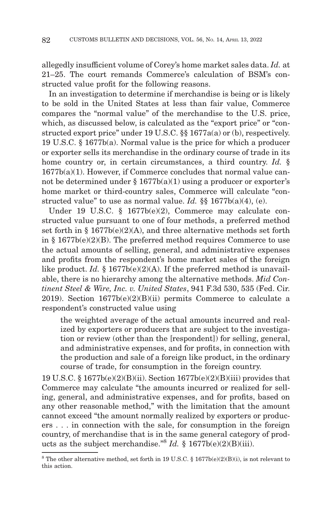allegedly insufficient volume of Corey's home market sales data. *Id.* at 21–25. The court remands Commerce's calculation of BSM's constructed value profit for the following reasons.

In an investigation to determine if merchandise is being or is likely to be sold in the United States at less than fair value, Commerce compares the "normal value" of the merchandise to the U.S. price, which, as discussed below, is calculated as the "export price" or "constructed export price" under 19 U.S.C. §§ 1677a(a) or (b), respectively. 19 U.S.C. § 1677b(a). Normal value is the price for which a producer or exporter sells its merchandise in the ordinary course of trade in its home country or, in certain circumstances, a third country. *Id.* § 1677b(a)(1). However, if Commerce concludes that normal value cannot be determined under  $\S 1677b(a)(1)$  using a producer or exporter's home market or third-country sales, Commerce will calculate "constructed value" to use as normal value. *Id.* §§ 1677b(a)(4), (e).

Under 19 U.S.C. § 1677b(e)(2), Commerce may calculate constructed value pursuant to one of four methods, a preferred method set forth in  $\S 1677b(e)(2)(A)$ , and three alternative methods set forth in  $\S$  1677b(e)(2)(B). The preferred method requires Commerce to use the actual amounts of selling, general, and administrative expenses and profits from the respondent's home market sales of the foreign like product. *Id.* § 1677b(e)(2)(A). If the preferred method is unavailable, there is no hierarchy among the alternative methods. *Mid Continent Steel & Wire, Inc. v. United States*, 941 F.3d 530, 535 (Fed. Cir. 2019). Section  $1677b(e)(2)(B)(ii)$  permits Commerce to calculate a respondent's constructed value using

the weighted average of the actual amounts incurred and realized by exporters or producers that are subject to the investigation or review (other than the [respondent]) for selling, general, and administrative expenses, and for profits, in connection with the production and sale of a foreign like product, in the ordinary course of trade, for consumption in the foreign country.

19 U.S.C. § 1677b(e)(2)(B)(ii). Section 1677b(e)(2)(B)(iii) provides that Commerce may calculate "the amounts incurred or realized for selling, general, and administrative expenses, and for profits, based on any other reasonable method," with the limitation that the amount cannot exceed "the amount normally realized by exporters or producers . . . in connection with the sale, for consumption in the foreign country, of merchandise that is in the same general category of products as the subject merchandise."8 *Id.* § 1677b(e)(2)(B)(iii).

 $^8$  The other alternative method, set forth in 19 U.S.C. § 1677b(e)(2)(B)(i), is not relevant to this action.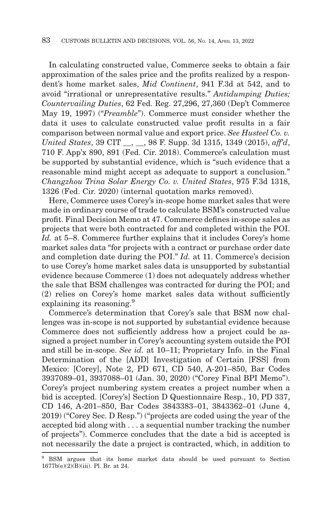In calculating constructed value, Commerce seeks to obtain a fair approximation of the sales price and the profits realized by a respondent's home market sales, *Mid Continent*, 941 F.3d at 542, and to avoid "irrational or unrepresentative results." *Antidumping Duties; Countervailing Duties*, 62 Fed. Reg. 27,296, 27,360 (Dep't Commerce May 19, 1997) ("*Preamble*"). Commerce must consider whether the data it uses to calculate constructed value profit results in a fair comparison between normal value and export price. *See Husteel Co. v. United States*, 39 CIT \_\_, \_\_, 98 F. Supp. 3d 1315, 1349 (2015), *aff'd*, 710 F. App'x 890, 891 (Fed. Cir. 2018). Commerce's calculation must be supported by substantial evidence, which is "such evidence that a reasonable mind might accept as adequate to support a conclusion." *Changzhou Trina Solar Energy Co. v. United States*, 975 F.3d 1318, 1326 (Fed. Cir. 2020) (internal quotation marks removed).

Here, Commerce uses Corey's in-scope home market sales that were made in ordinary course of trade to calculate BSM's constructed value profit. Final Decision Memo at 47. Commerce defines in-scope sales as projects that were both contracted for and completed within the POI. *Id.* at 5–8. Commerce further explains that it includes Corey's home market sales data "for projects with a contract or purchase order date and completion date during the POI." *Id.* at 11. Commerce's decision to use Corey's home market sales data is unsupported by substantial evidence because Commerce (1) does not adequately address whether the sale that BSM challenges was contracted for during the POI; and (2) relies on Corey's home market sales data without sufficiently explaining its reasoning.<sup>9</sup>

Commerce's determination that Corey's sale that BSM now challenges was in-scope is not supported by substantial evidence because Commerce does not sufficiently address how a project could be assigned a project number in Corey's accounting system outside the POI and still be in-scope. *See id.* at 10–11; Proprietary Info. in the Final Determination of the [ADD] Investigation of Certain [FSS] from Mexico: [Corey], Note 2, PD 671, CD 540, A-201–850, Bar Codes 3937089–01, 3937088–01 (Jan. 30, 2020) ("Corey Final BPI Memo"). Corey's project numbering system creates a project number when a bid is accepted. [Corey's] Section D Questionnaire Resp., 10, PD 337, CD 146, A-201–850, Bar Codes 3843383–01, 3843362–01 (June 4, 2019) ("Corey Sec. D Resp.") ("projects are coded using the year of the accepted bid along with . . . a sequential number tracking the number of projects"). Commerce concludes that the date a bid is accepted is not necessarily the date a project is contracted, which, in addition to

<sup>9</sup> BSM argues that its home market data should be used pursuant to Section 1677b(e)(2)(B)(iii). Pl. Br. at 24.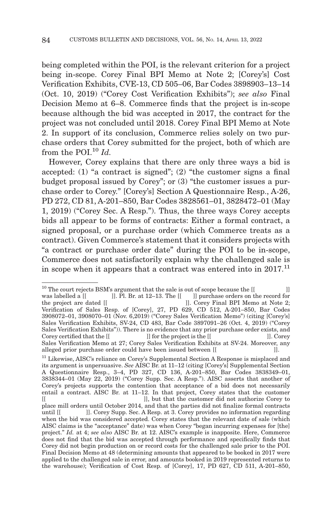being completed within the POI, is the relevant criterion for a project being in-scope. Corey Final BPI Memo at Note 2; [Corey's] Cost Verification Exhibits, CVE-13, CD 505–06, Bar Codes 3898903–13–14 (Oct. 10, 2019) ("Corey Cost Verification Exhibits"); *see also* Final Decision Memo at 6–8. Commerce finds that the project is in-scope because although the bid was accepted in 2017, the contract for the project was not concluded until 2018. Corey Final BPI Memo at Note 2. In support of its conclusion, Commerce relies solely on two purchase orders that Corey submitted for the project, both of which are from the POI.<sup>10</sup> *Id.* 

However, Corey explains that there are only three ways a bid is accepted: (1) "a contract is signed"; (2) "the customer signs a final budget proposal issued by Corey"; or (3) "the customer issues a purchase order to Corey." [Corey's] Section A Questionnaire Resp., A-26, PD 272, CD 81, A-201–850, Bar Codes 3828561–01, 3828472–01 (May 1, 2019) ("Corey Sec. A Resp."). Thus, the three ways Corey accepts bids all appear to be forms of contracts: Either a formal contract, a signed proposal, or a purchase order (which Commerce treats as a contract). Given Commerce's statement that it considers projects with "a contract or purchase order date" during the POI to be in-scope, Commerce does not satisfactorily explain why the challenged sale is in scope when it appears that a contract was entered into in  $2017$ .<sup>11</sup>

<sup>&</sup>lt;sup>10</sup> The court rejects BSM's argument that the sale is out of scope because the  $[[$  <br>was labelled a  $[[$   $]]$ . Pl. Br. at 12–13. The  $[[$   $]]$  purchase orders on the record for was labelled a [[ ]]. Pl. Br. at 12–13. The [[ ]] purchase orders on the record for the project are dated [[ ]]. Corey Final BPI Memo at Note 2: ]]. Corey Final BPI Memo at Note 2; Verification of Sales Resp. of [Corey], 27, PD 629, CD 512, A-201–850, Bar Codes 3908072–01, 3908070–01 (Nov. 6,2019) ("Corey Sales Verification Memo") (citing [Corey's] Sales Verification Exhibits, SV-24, CD 483, Bar Code 3897091–26 (Oct. 4, 2019) ("Corey Sales Verification Exhibits")). There is no evidence that any prior purchase order exists, and Corey certified that the  $[[$  ]] for the project is the  $[[$  ]]. Corey Sales Verification Memo at 27; Corey Sales Verification Exhibits at SV-24. Moreover, any alleged prior purchase order could have been issued between  $\parallel$ alleged prior purchase order could have been issued between [[]].

<sup>&</sup>lt;sup>11</sup> Likewise, AISC's reliance on Corey's Supplemental Section A Response is misplaced and its argument is unpersuasive. *See* AISC Br. at 11–12 (citing [Corey's] Supplemental Section A Questionnaire Resp., 3–4, PD 327, CD 136, A-201–850, Bar Codes 3838349–01, 3838344–01 (May 22, 2019) ("Corey Supp. Sec. A Resp."). AISC asserts that another of Corey's projects supports the contention that acceptance of a bid does not necessarily entail a contract. AISC Br. at 11–12. In that project, Corey states that the customer ]], but that the customer did not authorize Corey to

place mill orders until October 2014, and that the parties did not finalize formal contracts until  $\begin{bmatrix} \end{bmatrix}$ . Corey Supp. Sec. A Resp. at 3. Corey provides no information regarding ]]. Corey Supp. Sec. A Resp. at 3. Corey provides no information regarding when the bid was considered accepted. Corey states that the relevant date of sale (which AISC claims is the "acceptance" date) was when Corey "began incurring expenses for [the] project." *Id.* at 4; *see also* AISC Br. at 12. AISC's example is inapposite. Here, Commerce does not find that the bid was accepted through performance and specifically finds that Corey did not begin production on or record costs for the challenged sale prior to the POI. Final Decision Memo at 48 (determining amounts that appeared to be booked in 2017 were applied to the challenged sale in error, and amounts booked in 2019 represented returns to the warehouse); Verification of Cost Resp. of [Corey], 17, PD 627, CD 511, A-201–850,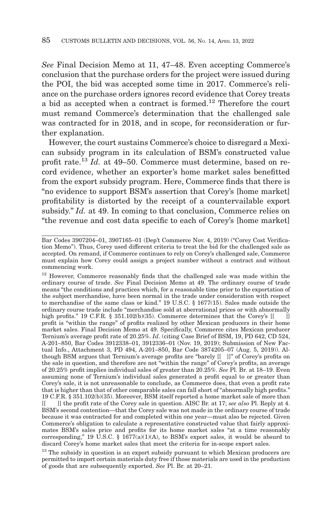*See* Final Decision Memo at 11, 47–48. Even accepting Commerce's conclusion that the purchase orders for the project were issued during the POI, the bid was accepted some time in 2017. Commerce's reliance on the purchase orders ignores record evidence that Corey treats a bid as accepted when a contract is formed.<sup>12</sup> Therefore the court must remand Commerce's determination that the challenged sale was contracted for in 2018, and in scope, for reconsideration or further explanation.

However, the court sustains Commerce's choice to disregard a Mexican subsidy program in its calculation of BSM's constructed value profit rate.<sup>13</sup> *Id.* at 49–50. Commerce must determine, based on record evidence, whether an exporter's home market sales benefitted from the export subsidy program. Here, Commerce finds that there is "no evidence to support BSM's assertion that Corey's [home market] profitability is distorted by the receipt of a countervailable export subsidy." *Id.* at 49. In coming to that conclusion, Commerce relies on "the revenue and cost data specific to each of Corey's [home market]

Bar Codes 3907204–01, 3907165–01 (Dep't Commerce Nov. 4, 2019) ("Corey Cost Verification Memo"). Thus, Corey used different criteria to treat the bid for the challenged sale as accepted. On remand, if Commerce continues to rely on Corey's challenged sale, Commerce must explain how Corey could assign a project number without a contract and without commencing work.

<sup>&</sup>lt;sup>12</sup> However, Commerce reasonably finds that the challenged sale was made within the ordinary course of trade. *See* Final Decision Memo at 49. The ordinary course of trade means "the conditions and practices which, for a reasonable time prior to the exportation of the subject merchandise, have been normal in the trade under consideration with respect to merchandise of the same class or kind." 19 U.S.C. § 1677(15). Sales made outside the ordinary course trade include "merchandise sold at aberrational prices or with abnormally high profits." 19 C.F.R. § 351.102(b)(35). Commerce determines that the Corey's  $[$ profit is "within the range" of profits realized by other Mexican producers in their home market sales. Final Decision Memo at 49. Specifically, Commerce cites Mexican producer Ternium's average profit rate of 20.25%. *Id.* (citing Case Brief of BSM, 19, PD 642, CD 524, A-201–850, Bar Codes 3912338–01, 3912336–01 (Nov. 19, 2019); Submission of New Factual Info., Attachment 3, PD 494, A-201–850, Bar Code 3874205–07 (Aug. 5, 2019)). Although BSM argues that Ternium's average profits are "barely [[ ]]" of Corey's profits on the sale in question, and therefore are not "within the range" of Corey's profits, an average of 20.25% profit implies individual sales of greater than 20.25%. *See* Pl. Br. at 18–19. Even assuming none of Ternium's individual sales generated a profit equal to or greater than Corey's sale, it is not unreasonable to conclude, as Commerce does, that even a profit rate that is higher than that of other comparable sales can fall short of "abnormally high profits." 19 C.F.R. § 351.102(b)(35). Moreover, BSM itself reported a home market sale of more than [[ ]] the profit rate of the Corey sale in question. AISC Br. at 17; *see also* Pl. Reply at 4. BSM's second contention—that the Corey sale was not made in the ordinary course of trade because it was contracted for and completed within one year—must also be rejected. Given Commerce's obligation to calculate a representative constructed value that fairly approximates BSM's sales price and profits for its home market sales "at a time reasonably corresponding," 19 U.S.C. § 1677(a)(1)(A), to BSM's export sales, it would be absurd to discard Corey's home market sales that meet the criteria for in-scope export sales.

<sup>&</sup>lt;sup>13</sup> The subsidy in question is an export subsidy pursuant to which Mexican producers are permitted to import certain materials duty free if those materials are used in the production of goods that are subsequently exported. *See* Pl. Br. at 20–21.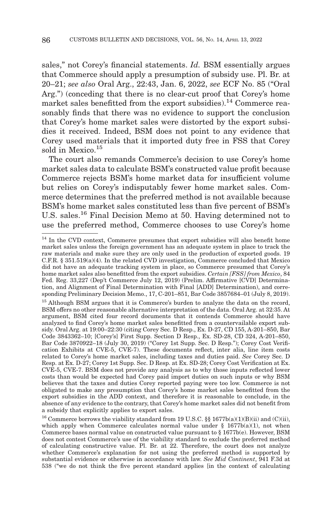sales," not Corey's financial statements. *Id.* BSM essentially argues that Commerce should apply a presumption of subsidy use. Pl. Br. at 20–21; *see also* Oral Arg., 22:43, Jan. 6, 2022, *see* ECF No. 85 ("Oral Arg.") (conceding that there is no clear-cut proof that Corey's home market sales benefitted from the export subsidies).<sup>14</sup> Commerce reasonably finds that there was no evidence to support the conclusion that Corey's home market sales were distorted by the export subsidies it received. Indeed, BSM does not point to any evidence that Corey used materials that it imported duty free in FSS that Corey sold in Mexico.<sup>15</sup>

The court also remands Commerce's decision to use Corey's home market sales data to calculate BSM's constructed value profit because Commerce rejects BSM's home market data for insufficient volume but relies on Corey's indisputably fewer home market sales. Commerce determines that the preferred method is not available because BSM's home market sales constituted less than five percent of BSM's U.S. sales.16 Final Decision Memo at 50. Having determined not to use the preferred method, Commerce chooses to use Corey's home

<sup>&</sup>lt;sup>14</sup> In the CVD context, Commerce presumes that export subsidies will also benefit home market sales unless the foreign government has an adequate system in place to track the raw materials and make sure they are only used in the production of exported goods. 19 C.F.R. § 351.519(a)(4). In the related CVD investigation, Commerce concluded that Mexico did not have an adequate tracking system in place, so Commerce presumed that Corey's home market sales also benefitted from the export subsidies. *Certain [FSS] from Mexico*, 84 Fed. Reg. 33,227 (Dep't Commerce July 12, 2019) (Prelim. Affirmative [CVD] Determination, and Alignment of Final Determination with Final [ADD] Determination), and corresponding Preliminary Decision Memo., 17, C-201–851, Bar Code 3857684–01 (July 8, 2019).

<sup>&</sup>lt;sup>15</sup> Although BSM argues that it is Commerce's burden to analyze the data on the record, BSM offers no other reasonable alternative interpretation of the data. Oral Arg. at 32:35. At argument, BSM cited four record documents that it contends Commerce should have analyzed to find Corey's home market sales benefitted from a countervailable export subsidy. Oral Arg. at 19:00–22:30 (citing Corey Sec. D Resp., Ex. D-27, CD 155, A-201–850, Bar Code 3843362–10; [Corey's] First Supp. Section D Resp., Ex. SD-28, CD 324, A-201–850, Bar Code 3870922–18 (July 30, 2019) ("Corey 1st Supp. Sec. D Resp."); Corey Cost Verification Exhibits at CVE-5, CVE-7). These documents reflect, inter alia, line item costs related to Corey's home market sales, including taxes and duties paid. *See* Corey Sec. D Resp. at Ex. D-27; Corey 1st Supp. Sec. D Resp. at Ex. SD-28; Corey Cost Verification at Ex. CVE-5, CVE-7. BSM does not provide any analysis as to why those inputs reflected lower costs than would be expected had Corey paid import duties on such inputs or why BSM believes that the taxes and duties Corey reported paying were too low. Commerce is not obligated to make any presumption that Corey's home market sales benefitted from the export subsidies in the ADD context, and therefore it is reasonable to conclude, in the absence of any evidence to the contrary, that Corey's home market sales did not benefit from a subsidy that explicitly applies to export sales.

<sup>&</sup>lt;sup>16</sup> Commerce borrows the viability standard from 19 U.S.C.  $\S$  1677b(a)(1)(B)(ii) and (C)(ii), which apply when Commerce calculates normal value under  $\S$  1677b(a)(1), not when Commerce bases normal value on constructed value pursuant to § 1677b(e). However, BSM does not contest Commerce's use of the viability standard to exclude the preferred method of calculating constructive value. Pl. Br. at 22. Therefore, the court does not analyze whether Commerce's explanation for not using the preferred method is supported by substantial evidence or otherwise in accordance with law. *See Mid Continent*, 941 F.3d at 538 ("we do not think the five percent standard applies [in the context of calculating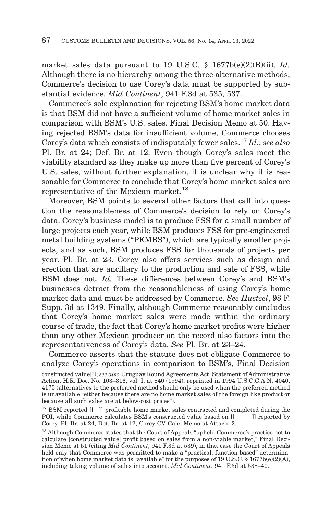market sales data pursuant to 19 U.S.C. § 1677b(e)(2)(B)(ii). *Id.* Although there is no hierarchy among the three alternative methods, Commerce's decision to use Corey's data must be supported by substantial evidence. *Mid Continent*, 941 F.3d at 535, 537.

Commerce's sole explanation for rejecting BSM's home market data is that BSM did not have a sufficient volume of home market sales in comparison with BSM's U.S. sales. Final Decision Memo at 50. Having rejected BSM's data for insufficient volume, Commerce chooses Corey's data which consists of indisputably fewer sales.17 *Id.*; *see also* Pl. Br. at 24; Def. Br. at 12. Even though Corey's sales meet the viability standard as they make up more than five percent of Corey's U.S. sales, without further explanation, it is unclear why it is reasonable for Commerce to conclude that Corey's home market sales are representative of the Mexican market.18

Moreover, BSM points to several other factors that call into question the reasonableness of Commerce's decision to rely on Corey's data. Corey's business model is to produce FSS for a small number of large projects each year, while BSM produces FSS for pre-engineered metal building systems ("PEMBS"), which are typically smaller projects, and as such, BSM produces FSS for thousands of projects per year. Pl. Br. at 23. Corey also offers services such as design and erection that are ancillary to the production and sale of FSS, while BSM does not. *Id.* These differences between Corey's and BSM's businesses detract from the reasonableness of using Corey's home market data and must be addressed by Commerce. *See Husteel*, 98 F. Supp. 3d at 1349. Finally, although Commerce reasonably concludes that Corey's home market sales were made within the ordinary course of trade, the fact that Corey's home market profits were higher than any other Mexican producer on the record also factors into the representativeness of Corey's data. *See* Pl. Br. at 23–24.

Commerce asserts that the statute does not obligate Commerce to analyze Corey's operations in comparison to BSM's, Final Decision

constructed value]"); *see also* Uruguay Round Agreements Act, Statement of Administrative Action, H.R. Doc. No. 103–316, vol. I, at 840 (1994), reprinted in 1994 U.S.C.C.A.N. 4040, 4175 (alternatives to the preferred method should only be used when the preferred method is unavailable "either because there are no home market sales of the foreign like product or because all such sales are at below-cost prices").

 $17$  BSM reported  $[[ \quad ]]$  profitable home market sales contracted and completed during the POI, while Commerce calculates BSM's constructed value based on [[ ]] reported by Corey. Pl. Br. at 24; Def. Br. at 12; Corey CV Calc. Memo at Attach. 2.

<sup>18</sup> Although Commerce states that the Court of Appeals "upheld Commerce's practice not to calculate [constructed value] profit based on sales from a non-viable market," Final Decision Memo at 51 (citing *Mid Continent*, 941 F.3d at 539), in that case the Court of Appeals held only that Commerce was permitted to make a "practical, function-based" determination of when home market data is "available" for the purposes of 19 U.S.C. § 1677b(e)(2)(A), including taking volume of sales into account. *Mid Continent*, 941 F.3d at 538–40.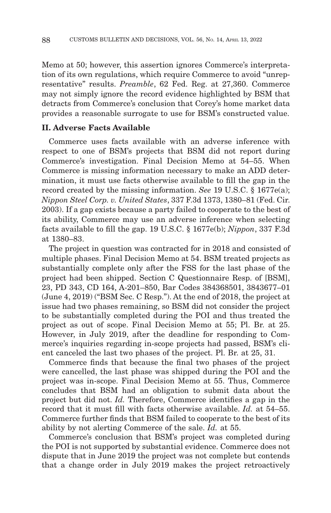Memo at 50; however, this assertion ignores Commerce's interpretation of its own regulations, which require Commerce to avoid "unrepresentative" results. *Preamble*, 62 Fed. Reg. at 27,360. Commerce may not simply ignore the record evidence highlighted by BSM that detracts from Commerce's conclusion that Corey's home market data provides a reasonable surrogate to use for BSM's constructed value.

## **II. Adverse Facts Available**

Commerce uses facts available with an adverse inference with respect to one of BSM's projects that BSM did not report during Commerce's investigation. Final Decision Memo at 54–55. When Commerce is missing information necessary to make an ADD determination, it must use facts otherwise available to fill the gap in the record created by the missing information. *See* 19 U.S.C. § 1677e(a); *Nippon Steel Corp. v. United States*, 337 F.3d 1373, 1380–81 (Fed. Cir. 2003). If a gap exists because a party failed to cooperate to the best of its ability, Commerce may use an adverse inference when selecting facts available to fill the gap. 19 U.S.C. § 1677e(b); *Nippon*, 337 F.3d at 1380–83.

The project in question was contracted for in 2018 and consisted of multiple phases. Final Decision Memo at 54. BSM treated projects as substantially complete only after the FSS for the last phase of the project had been shipped. Section C Questionnaire Resp. of [BSM], 23, PD 343, CD 164, A-201–850, Bar Codes 384368501, 3843677–01 (June 4, 2019) ("BSM Sec. C Resp."). At the end of 2018, the project at issue had two phases remaining, so BSM did not consider the project to be substantially completed during the POI and thus treated the project as out of scope. Final Decision Memo at 55; Pl. Br. at 25. However, in July 2019, after the deadline for responding to Commerce's inquiries regarding in-scope projects had passed, BSM's client canceled the last two phases of the project. Pl. Br. at 25, 31.

Commerce finds that because the final two phases of the project were cancelled, the last phase was shipped during the POI and the project was in-scope. Final Decision Memo at 55. Thus, Commerce concludes that BSM had an obligation to submit data about the project but did not. *Id.* Therefore, Commerce identifies a gap in the record that it must fill with facts otherwise available. *Id.* at 54–55. Commerce further finds that BSM failed to cooperate to the best of its ability by not alerting Commerce of the sale. *Id.* at 55.

Commerce's conclusion that BSM's project was completed during the POI is not supported by substantial evidence. Commerce does not dispute that in June 2019 the project was not complete but contends that a change order in July 2019 makes the project retroactively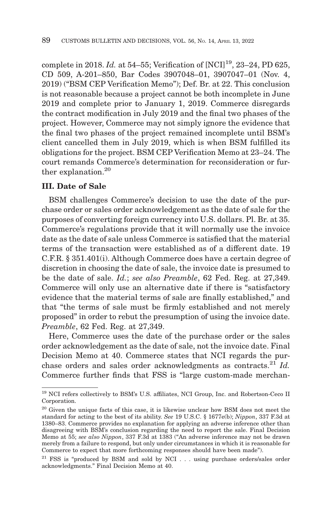complete in 2018. *Id.* at 54–55; Verification of [NCI]<sup>19</sup>, 23–24, PD 625, CD 509, A-201–850, Bar Codes 3907048–01, 3907047–01 (Nov. 4, 2019) ("BSM CEP Verification Memo"); Def. Br. at 22. This conclusion is not reasonable because a project cannot be both incomplete in June 2019 and complete prior to January 1, 2019. Commerce disregards the contract modification in July 2019 and the final two phases of the project. However, Commerce may not simply ignore the evidence that the final two phases of the project remained incomplete until BSM's client cancelled them in July 2019, which is when BSM fulfilled its obligations for the project. BSM CEP Verification Memo at 23–24. The court remands Commerce's determination for reconsideration or further explanation.<sup>20</sup>

# **III. Date of Sale**

BSM challenges Commerce's decision to use the date of the purchase order or sales order acknowledgement as the date of sale for the purposes of converting foreign currency into U.S. dollars. Pl. Br. at 35. Commerce's regulations provide that it will normally use the invoice date as the date of sale unless Commerce is satisfied that the material terms of the transaction were established as of a different date. 19 C.F.R. § 351.401(i). Although Commerce does have a certain degree of discretion in choosing the date of sale, the invoice date is presumed to be the date of sale. *Id.*; *see also Preamble*, 62 Fed. Reg. at 27,349. Commerce will only use an alternative date if there is "satisfactory evidence that the material terms of sale are finally established," and that "the terms of sale must be firmly established and not merely proposed" in order to rebut the presumption of using the invoice date. *Preamble*, 62 Fed. Reg. at 27,349.

Here, Commerce uses the date of the purchase order or the sales order acknowledgement as the date of sale, not the invoice date. Final Decision Memo at 40. Commerce states that NCI regards the purchase orders and sales order acknowledgments as contracts.<sup>21</sup> *Id.* Commerce further finds that FSS is "large custom-made merchan-

 $^{19}$  NCI refers collectively to BSM's U.S. affiliates, NCI Group, Inc. and Robertson-Ceco II Corporation.

<sup>&</sup>lt;sup>20</sup> Given the unique facts of this case, it is likewise unclear how BSM does not meet the standard for acting to the best of its ability. *See* 19 U.S.C. § 1677e(b); *Nippon*, 337 F.3d at 1380–83. Commerce provides no explanation for applying an adverse inference other than disagreeing with BSM's conclusion regarding the need to report the sale. Final Decision Memo at 55; *see also Nippon*, 337 F.3d at 1383 ("An adverse inference may not be drawn merely from a failure to respond, but only under circumstances in which it is reasonable for Commerce to expect that more forthcoming responses should have been made").

 $^{21}$  FSS is "produced by BSM and sold by NCI . . . using purchase orders/sales order acknowledgments." Final Decision Memo at 40.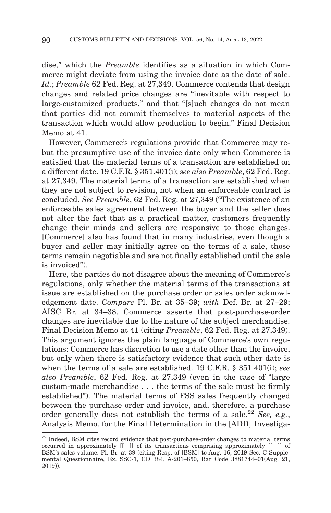dise," which the *Preamble* identifies as a situation in which Commerce might deviate from using the invoice date as the date of sale. *Id.*; *Preamble* 62 Fed. Reg. at 27,349. Commerce contends that design changes and related price changes are "inevitable with respect to large-customized products," and that "[s]uch changes do not mean that parties did not commit themselves to material aspects of the transaction which would allow production to begin." Final Decision Memo at 41.

However, Commerce's regulations provide that Commerce may rebut the presumptive use of the invoice date only when Commerce is satisfied that the material terms of a transaction are established on a different date. 19 C.F.R. § 351.401(i); *see also Preamble*, 62 Fed. Reg. at 27,349. The material terms of a transaction are established when they are not subject to revision, not when an enforceable contract is concluded. *See Preamble*, 62 Fed. Reg. at 27,349 ("The existence of an enforceable sales agreement between the buyer and the seller does not alter the fact that as a practical matter, customers frequently change their minds and sellers are responsive to those changes. [Commerce] also has found that in many industries, even though a buyer and seller may initially agree on the terms of a sale, those terms remain negotiable and are not finally established until the sale is invoiced").

Here, the parties do not disagree about the meaning of Commerce's regulations, only whether the material terms of the transactions at issue are established on the purchase order or sales order acknowledgement date. *Compare* Pl. Br. at 35–39; *with* Def. Br. at 27–29; AISC Br. at 34–38. Commerce asserts that post-purchase-order changes are inevitable due to the nature of the subject merchandise. Final Decision Memo at 41 (citing *Preamble*, 62 Fed. Reg. at 27,349). This argument ignores the plain language of Commerce's own regulations: Commerce has discretion to use a date other than the invoice, but only when there is satisfactory evidence that such other date is when the terms of a sale are established. 19 C.F.R. § 351.401(i); *see also Preamble*, 62 Fed. Reg. at 27,349 (even in the case of "large custom-made merchandise . . . the terms of the sale must be firmly established"). The material terms of FSS sales frequently changed between the purchase order and invoice, and, therefore, a purchase order generally does not establish the terms of a sale.<sup>22</sup> *See, e.g.*, Analysis Memo. for the Final Determination in the [ADD] Investiga-

 $22$  Indeed. BSM cites record evidence that post-purchase-order changes to material terms occurred in approximately [[ ]] of its transactions comprising approximately [[ ]] of BSM's sales volume. Pl. Br. at 39 (citing Resp. of [BSM] to Aug. 16, 2019 Sec. C Supplemental Questionnaire, Ex. SSC-1, CD 384, A-201–850, Bar Code 3881744–01(Aug. 21, 2019)).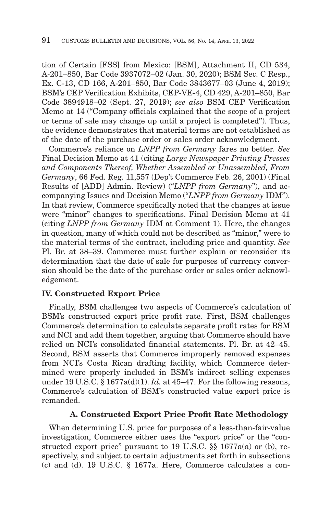tion of Certain [FSS] from Mexico: [BSM], Attachment II, CD 534, A-201–850, Bar Code 3937072–02 (Jan. 30, 2020); BSM Sec. C Resp., Ex. C-13, CD 166, A-201–850, Bar Code 3843677–03 (June 4, 2019); BSM's CEP Verification Exhibits, CEP-VE-4, CD 429, A-201–850, Bar Code 3894918–02 (Sept. 27, 2019); *see also* BSM CEP Verification Memo at 14 ("Company officials explained that the scope of a project or terms of sale may change up until a project is completed"). Thus, the evidence demonstrates that material terms are not established as of the date of the purchase order or sales order acknowledgment.

Commerce's reliance on *LNPP from Germany* fares no better. *See* Final Decision Memo at 41 (citing *Large Newspaper Printing Presses and Components Thereof, Whether Assembled or Unassembled, From Germany*, 66 Fed. Reg. 11,557 (Dep't Commerce Feb. 26, 2001) (Final Results of [ADD] Admin. Review) ("*LNPP from Germany*"), and accompanying Issues and Decision Memo ("*LNPP from Germany* IDM"). In that review, Commerce specifically noted that the changes at issue were "minor" changes to specifications. Final Decision Memo at 41 (citing *LNPP from Germany* IDM at Comment 1). Here, the changes in question, many of which could not be described as "minor," were to the material terms of the contract, including price and quantity. *See* Pl. Br. at 38–39. Commerce must further explain or reconsider its determination that the date of sale for purposes of currency conversion should be the date of the purchase order or sales order acknowledgement.

## **IV. Constructed Export Price**

Finally, BSM challenges two aspects of Commerce's calculation of BSM's constructed export price profit rate. First, BSM challenges Commerce's determination to calculate separate profit rates for BSM and NCI and add them together, arguing that Commerce should have relied on NCI's consolidated financial statements. Pl. Br. at 42–45. Second, BSM asserts that Commerce improperly removed expenses from NCI's Costa Rican drafting facility, which Commerce determined were properly included in BSM's indirect selling expenses under 19 U.S.C. § 1677a(d)(1). *Id.* at 45–47. For the following reasons, Commerce's calculation of BSM's constructed value export price is remanded.

#### **A. Constructed Export Price Profit Rate Methodology**

When determining U.S. price for purposes of a less-than-fair-value investigation, Commerce either uses the "export price" or the "constructed export price" pursuant to 19 U.S.C. §§ 1677a(a) or (b), respectively, and subject to certain adjustments set forth in subsections (c) and (d). 19 U.S.C. § 1677a. Here, Commerce calculates a con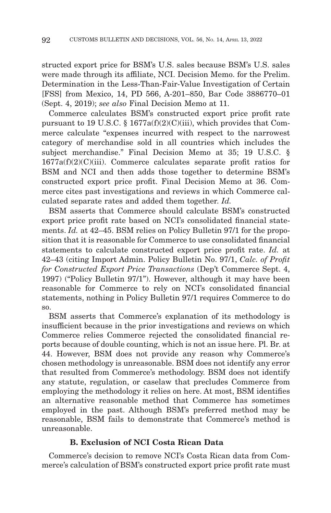structed export price for BSM's U.S. sales because BSM's U.S. sales were made through its affiliate, NCI. Decision Memo. for the Prelim. Determination in the Less-Than-Fair-Value Investigation of Certain [FSS] from Mexico, 14, PD 566, A-201–850, Bar Code 3886770–01 (Sept. 4, 2019); *see also* Final Decision Memo at 11.

Commerce calculates BSM's constructed export price profit rate pursuant to 19 U.S.C. § 1677a(f)(2)(C)(iii), which provides that Commerce calculate "expenses incurred with respect to the narrowest category of merchandise sold in all countries which includes the subject merchandise." Final Decision Memo at 35; 19 U.S.C. §  $1677a(f)(2)(C)(iii)$ . Commerce calculates separate profit ratios for BSM and NCI and then adds those together to determine BSM's constructed export price profit. Final Decision Memo at 36. Commerce cites past investigations and reviews in which Commerce calculated separate rates and added them together. *Id.*

BSM asserts that Commerce should calculate BSM's constructed export price profit rate based on NCI's consolidated financial statements. *Id.* at 42–45. BSM relies on Policy Bulletin 97/1 for the proposition that it is reasonable for Commerce to use consolidated financial statements to calculate constructed export price profit rate. *Id.* at 42–43 (citing Import Admin. Policy Bulletin No. 97/1, *Calc. of Profit for Constructed Export Price Transactions* (Dep't Commerce Sept. 4, 1997) ("Policy Bulletin 97/1"). However, although it may have been reasonable for Commerce to rely on NCI's consolidated financial statements, nothing in Policy Bulletin 97/1 requires Commerce to do so.

BSM asserts that Commerce's explanation of its methodology is insufficient because in the prior investigations and reviews on which Commerce relies Commerce rejected the consolidated financial reports because of double counting, which is not an issue here. Pl. Br. at 44. However, BSM does not provide any reason why Commerce's chosen methodology is unreasonable. BSM does not identify any error that resulted from Commerce's methodology. BSM does not identify any statute, regulation, or caselaw that precludes Commerce from employing the methodology it relies on here. At most, BSM identifies an alternative reasonable method that Commerce has sometimes employed in the past. Although BSM's preferred method may be reasonable, BSM fails to demonstrate that Commerce's method is unreasonable.

# **B. Exclusion of NCI Costa Rican Data**

Commerce's decision to remove NCI's Costa Rican data from Commerce's calculation of BSM's constructed export price profit rate must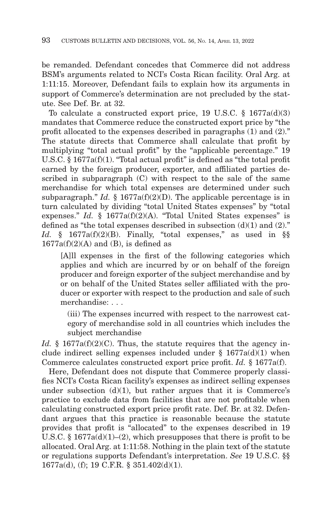be remanded. Defendant concedes that Commerce did not address BSM's arguments related to NCI's Costa Rican facility. Oral Arg. at 1:11:15. Moreover, Defendant fails to explain how its arguments in support of Commerce's determination are not precluded by the statute. See Def. Br. at 32.

To calculate a constructed export price, 19 U.S.C. § 1677a(d)(3) mandates that Commerce reduce the constructed export price by "the profit allocated to the expenses described in paragraphs (1) and (2)." The statute directs that Commerce shall calculate that profit by multiplying "total actual profit" by the "applicable percentage." 19 U.S.C. § 1677a(f)(1). "Total actual profit" is defined as "the total profit earned by the foreign producer, exporter, and affiliated parties described in subparagraph (C) with respect to the sale of the same merchandise for which total expenses are determined under such subparagraph." *Id.*  $\S$  1677a(f)(2)(D). The applicable percentage is in turn calculated by dividing "total United States expenses" by "total expenses." *Id.* § 1677a(f)(2)(A). "Total United States expenses" is defined as "the total expenses described in subsection  $(d)(1)$  and  $(2)$ ." *Id.* § 1677a(f)(2)(B). Finally, "total expenses," as used in §§  $1677a(f)(2)(A)$  and (B), is defined as

[A]ll expenses in the first of the following categories which applies and which are incurred by or on behalf of the foreign producer and foreign exporter of the subject merchandise and by or on behalf of the United States seller affiliated with the producer or exporter with respect to the production and sale of such merchandise: . . .

(iii) The expenses incurred with respect to the narrowest category of merchandise sold in all countries which includes the subject merchandise

*Id.* § 1677a(f)(2)(C). Thus, the statute requires that the agency include indirect selling expenses included under  $\S$  1677a(d)(1) when Commerce calculates constructed export price profit. *Id.* § 1677a(f).

Here, Defendant does not dispute that Commerce properly classifies NCI's Costa Rican facility's expenses as indirect selling expenses under subsection  $(d)(1)$ , but rather argues that it is Commerce's practice to exclude data from facilities that are not profitable when calculating constructed export price profit rate. Def. Br. at 32. Defendant argues that this practice is reasonable because the statute provides that profit is "allocated" to the expenses described in 19 U.S.C. §  $1677a(d)(1)–(2)$ , which presupposes that there is profit to be allocated. Oral Arg. at 1:11:58. Nothing in the plain text of the statute or regulations supports Defendant's interpretation. *See* 19 U.S.C. §§ 1677a(d), (f); 19 C.F.R. § 351.402(d)(1).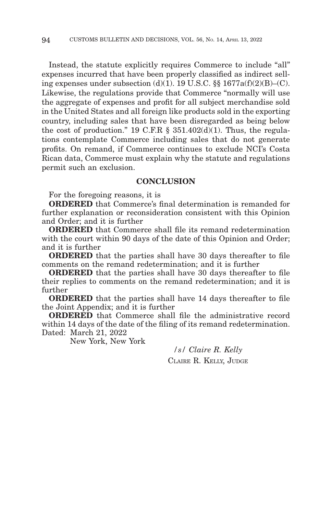Instead, the statute explicitly requires Commerce to include "all" expenses incurred that have been properly classified as indirect selling expenses under subsection  $(d)(1)$ . 19 U.S.C. §§ 1677 $a(f)(2)(B)$ – $(C)$ . Likewise, the regulations provide that Commerce "normally will use the aggregate of expenses and profit for all subject merchandise sold in the United States and all foreign like products sold in the exporting country, including sales that have been disregarded as being below the cost of production." 19 C.F.R  $\S$  351.402(d)(1). Thus, the regulations contemplate Commerce including sales that do not generate profits. On remand, if Commerce continues to exclude NCI's Costa Rican data, Commerce must explain why the statute and regulations permit such an exclusion.

## **CONCLUSION**

For the foregoing reasons, it is

**ORDERED** that Commerce's final determination is remanded for further explanation or reconsideration consistent with this Opinion and Order; and it is further

**ORDERED** that Commerce shall file its remand redetermination with the court within 90 days of the date of this Opinion and Order; and it is further

**ORDERED** that the parties shall have 30 days thereafter to file comments on the remand redetermination; and it is further

**ORDERED** that the parties shall have 30 days thereafter to file their replies to comments on the remand redetermination; and it is further

**ORDERED** that the parties shall have 14 days thereafter to file the Joint Appendix; and it is further

**ORDERED** that Commerce shall file the administrative record within 14 days of the date of the filing of its remand redetermination. Dated: March 21, 2022

New York, New York

*/s/ Claire R. Kelly* CLAIRE R. KELLY, JUDGE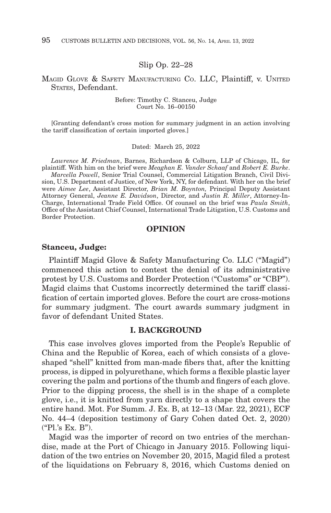#### Slip Op. 22–28

#### MAGID GLOVE & SAFETY MANUFACTURING CO. LLC, Plaintiff, v. UNITED STATES, Defendant.

Before: Timothy C. Stanceu, Judge Court No. 16–00150

[Granting defendant's cross motion for summary judgment in an action involving the tariff classification of certain imported gloves.]

#### Dated: March 25, 2022

*Lawrence M. Friedman*, Barnes, Richardson & Colburn, LLP of Chicago, IL, for plaintiff. With him on the brief were *Meaghan E. Vander Schaaf* and *Robert E. Burke*. *Marcella Powell*, Senior Trial Counsel, Commercial Litigation Branch, Civil Divi-

sion, U.S. Department of Justice, of New York, NY, for defendant. With her on the brief were *Aimee Lee*, Assistant Director, *Brian M. Boynton,* Principal Deputy Assistant Attorney General, *Jeanne E. Davidson*, Director, and *Justin R. Miller*, Attorney-In-Charge, International Trade Field Office. Of counsel on the brief was *Paula Smith*, Office of the Assistant Chief Counsel, International Trade Litigation, U.S. Customs and Border Protection.

#### **OPINION**

#### **Stanceu, Judge:**

Plaintiff Magid Glove & Safety Manufacturing Co. LLC ("Magid") commenced this action to contest the denial of its administrative protest by U.S. Customs and Border Protection ("Customs" or "CBP"). Magid claims that Customs incorrectly determined the tariff classification of certain imported gloves. Before the court are cross-motions for summary judgment. The court awards summary judgment in favor of defendant United States.

#### **I. BACKGROUND**

This case involves gloves imported from the People's Republic of China and the Republic of Korea, each of which consists of a gloveshaped "shell" knitted from man-made fibers that, after the knitting process, is dipped in polyurethane, which forms a flexible plastic layer covering the palm and portions of the thumb and fingers of each glove. Prior to the dipping process, the shell is in the shape of a complete glove, i.e., it is knitted from yarn directly to a shape that covers the entire hand. Mot. For Summ. J. Ex. B, at 12–13 (Mar. 22, 2021), ECF No. 44–4 (deposition testimony of Gary Cohen dated Oct. 2, 2020) ("Pl.'s Ex. B").

Magid was the importer of record on two entries of the merchandise, made at the Port of Chicago in January 2015. Following liquidation of the two entries on November 20, 2015, Magid filed a protest of the liquidations on February 8, 2016, which Customs denied on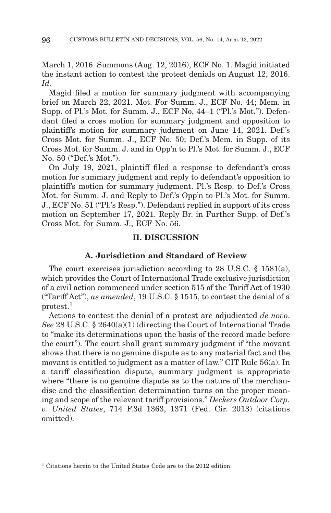March 1, 2016. Summons (Aug. 12, 2016), ECF No. 1. Magid initiated the instant action to contest the protest denials on August 12, 2016. *Id.*

Magid filed a motion for summary judgment with accompanying brief on March 22, 2021. Mot. For Summ. J., ECF No. 44; Mem. in Supp. of Pl.'s Mot. for Summ. J., ECF No, 44–1 ("Pl.'s Mot."). Defendant filed a cross motion for summary judgment and opposition to plaintiff's motion for summary judgment on June 14, 2021. Def.'s Cross Mot. for Summ. J., ECF No. 50; Def.'s Mem. in Supp. of its Cross Mot. for Summ. J. and in Opp'n to Pl.'s Mot. for Summ. J., ECF No. 50 ("Def.'s Mot.").

On July 19, 2021, plaintiff filed a response to defendant's cross motion for summary judgment and reply to defendant's opposition to plaintiff's motion for summary judgment. Pl.'s Resp. to Def.'s Cross Mot. for Summ. J. and Reply to Def.'s Opp'n to Pl.'s Mot. for Summ. J., ECF No. 51 ("Pl.'s Resp."). Defendant replied in support of its cross motion on September 17, 2021. Reply Br. in Further Supp. of Def.'s Cross Mot. for Summ. J., ECF No. 56.

#### **II. DISCUSSION**

#### **A. Jurisdiction and Standard of Review**

The court exercises jurisdiction according to 28 U.S.C. § 1581(a), which provides the Court of International Trade exclusive jurisdiction of a civil action commenced under section 515 of the Tariff Act of 1930 ("Tariff Act"), *as amended*, 19 U.S.C. § 1515, to contest the denial of a protest.1

Actions to contest the denial of a protest are adjudicated *de novo*. *See* 28 U.S.C. § 2640(a)(1) (directing the Court of International Trade to "make its determinations upon the basis of the record made before the court"). The court shall grant summary judgment if "the movant shows that there is no genuine dispute as to any material fact and the movant is entitled to judgment as a matter of law." CIT Rule 56(a). In a tariff classification dispute, summary judgment is appropriate where "there is no genuine dispute as to the nature of the merchandise and the classification determination turns on the proper meaning and scope of the relevant tariff provisions." *Deckers Outdoor Corp. v. United States*, 714 F.3d 1363, 1371 (Fed. Cir. 2013) (citations omitted).

<sup>&</sup>lt;sup>1</sup> Citations herein to the United States Code are to the 2012 edition.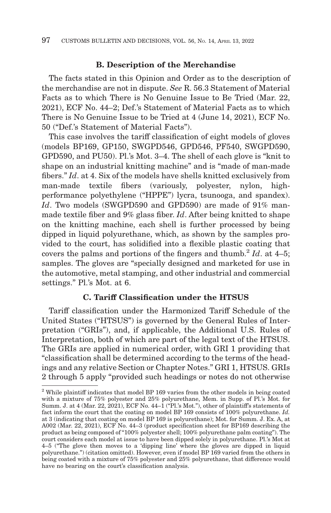## **B. Description of the Merchandise**

The facts stated in this Opinion and Order as to the description of the merchandise are not in dispute. *See* R. 56.3 Statement of Material Facts as to which There is No Genuine Issue to Be Tried (Mar. 22, 2021), ECF No. 44–2; Def.'s Statement of Material Facts as to which There is No Genuine Issue to be Tried at 4 (June 14, 2021), ECF No. 50 ("Def.'s Statement of Material Facts").

This case involves the tariff classification of eight models of gloves (models BP169, GP150, SWGPD546, GPD546, PF540, SWGPD590, GPD590, and PU50). Pl.'s Mot. 3–4. The shell of each glove is "knit to shape on an industrial knitting machine" and is "made of man-made fibers." *Id*. at 4. Six of the models have shells knitted exclusively from man-made textile fibers (variously, polyester, nylon, highperformance polyethylene ("HPPE") lycra, tsunooga, and spandex). *Id*. Two models (SWGPD590 and GPD590) are made of 91% manmade textile fiber and 9% glass fiber. *Id*. After being knitted to shape on the knitting machine, each shell is further processed by being dipped in liquid polyurethane, which, as shown by the samples provided to the court, has solidified into a flexible plastic coating that covers the palms and portions of the fingers and thumb.<sup>2</sup> *Id*. at  $4-5$ ; samples. The gloves are "specially designed and marketed for use in the automotive, metal stamping, and other industrial and commercial settings." Pl.'s Mot. at 6.

## **C. Tariff Classification under the HTSUS**

Tariff classification under the Harmonized Tariff Schedule of the United States ("HTSUS") is governed by the General Rules of Interpretation ("GRIs"), and, if applicable, the Additional U.S. Rules of Interpretation, both of which are part of the legal text of the HTSUS. The GRIs are applied in numerical order, with GRI 1 providing that "classification shall be determined according to the terms of the headings and any relative Section or Chapter Notes." GRI 1, HTSUS. GRIs 2 through 5 apply "provided such headings or notes do not otherwise

<sup>&</sup>lt;sup>2</sup> While plaintiff indicates that model BP 169 varies from the other models in being coated with a mixture of 75% polyester and 25% polyurethane, Mem. in Supp. of Pl.'s Mot. for Summ. J. at 4 (Mar. 22, 2021), ECF No. 44-1 ("Pl.'s Mot."), other of plaintiff's statements of fact inform the court that the coating on model BP 169 consists of 100% polyurethane. *Id.* at 3 (indicating that coating on model BP 169 is polyurethane); Mot. for Summ. J. Ex. A, at A002 (Mar. 22, 2021), ECF No. 44–3 (product specification sheet for BP169 describing the product as being composed of "100% polyester shell; 100% polyurethane palm coating"). The court considers each model at issue to have been dipped solely in polyurethane. Pl.'s Mot at 4–5 ("The glove then moves to a 'dipping line' where the gloves are dipped in liquid polyurethane.") (citation omitted). However, even if model BP 169 varied from the others in being coated with a mixture of 75% polyester and 25% polyurethane, that difference would have no bearing on the court's classification analysis.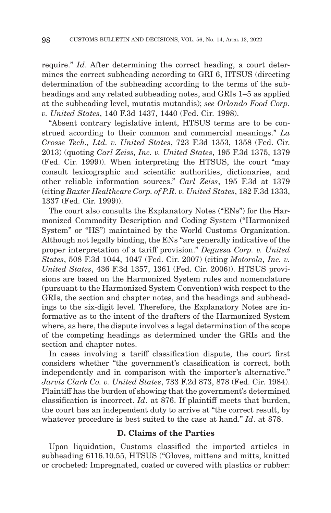require." *Id*. After determining the correct heading, a court determines the correct subheading according to GRI 6, HTSUS (directing determination of the subheading according to the terms of the subheadings and any related subheading notes, and GRIs 1–5 as applied at the subheading level, mutatis mutandis); *see Orlando Food Corp. v. United States*, 140 F.3d 1437, 1440 (Fed. Cir. 1998).

"Absent contrary legislative intent, HTSUS terms are to be construed according to their common and commercial meanings." *La Crosse Tech., Ltd. v. United States*, 723 F.3d 1353, 1358 (Fed. Cir. 2013) (quoting *Carl Zeiss, Inc. v. United States*, 195 F.3d 1375, 1379 (Fed. Cir. 1999)). When interpreting the HTSUS, the court "may consult lexicographic and scientific authorities, dictionaries, and other reliable information sources." *Carl Zeiss*, 195 F.3d at 1379 (citing *Baxter Healthcare Corp. of P.R. v. United States*, 182 F.3d 1333, 1337 (Fed. Cir. 1999)).

The court also consults the Explanatory Notes ("ENs") for the Harmonized Commodity Description and Coding System ("Harmonized System" or "HS") maintained by the World Customs Organization. Although not legally binding, the ENs "are generally indicative of the proper interpretation of a tariff provision." *Degussa Corp. v. United States*, 508 F.3d 1044, 1047 (Fed. Cir. 2007) (citing *Motorola, Inc. v. United States*, 436 F.3d 1357, 1361 (Fed. Cir. 2006)). HTSUS provisions are based on the Harmonized System rules and nomenclature (pursuant to the Harmonized System Convention) with respect to the GRIs, the section and chapter notes, and the headings and subheadings to the six-digit level. Therefore, the Explanatory Notes are informative as to the intent of the drafters of the Harmonized System where, as here, the dispute involves a legal determination of the scope of the competing headings as determined under the GRIs and the section and chapter notes.

In cases involving a tariff classification dispute, the court first considers whether "the government's classification is correct, both independently and in comparison with the importer's alternative." *Jarvis Clark Co. v. United States*, 733 F.2d 873, 878 (Fed. Cir. 1984). Plaintiff has the burden of showing that the government's determined classification is incorrect. *Id*. at 876. If plaintiff meets that burden, the court has an independent duty to arrive at "the correct result, by whatever procedure is best suited to the case at hand." *Id*. at 878.

#### **D. Claims of the Parties**

Upon liquidation, Customs classified the imported articles in subheading 6116.10.55, HTSUS ("Gloves, mittens and mitts, knitted or crocheted: Impregnated, coated or covered with plastics or rubber: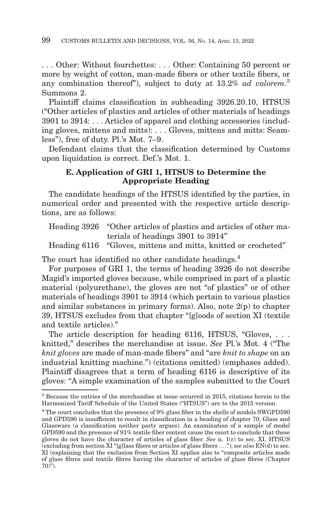. . . Other: Without fourchettes: . . . Other: Containing 50 percent or more by weight of cotton, man-made fibers or other textile fibers, or any combination thereof"), subject to duty at 13.2% *ad valorem*. 3 Summons 2.

Plaintiff claims classification in subheading 3926.20.10, HTSUS ("Other articles of plastics and articles of other materials of headings 3901 to 3914: . . . Articles of apparel and clothing accessories (including gloves, mittens and mitts): . . . Gloves, mittens and mitts: Seamless"), free of duty. Pl.'s Mot. 7–9.

Defendant claims that the classification determined by Customs upon liquidation is correct. Def.'s Mot. 1.

# **E. Application of GRI 1, HTSUS to Determine the Appropriate Heading**

The candidate headings of the HTSUS identified by the parties, in numerical order and presented with the respective article descriptions, are as follows:

Heading 3926 "Other articles of plastics and articles of other materials of headings 3901 to 3914" Heading 6116 "Gloves, mittens and mitts, knitted or crocheted"

The court has identified no other candidate headings.<sup>4</sup>

For purposes of GRI 1, the terms of heading 3926 do not describe Magid's imported gloves because, while comprised in part of a plastic material (polyurethane), the gloves are not "of plastics" or of other materials of headings 3901 to 3914 (which pertain to various plastics and similar substances in primary forms). Also, note 2(p) to chapter 39, HTSUS excludes from that chapter "[g]oods of section XI (textile and textile articles)."

The article description for heading 6116, HTSUS, "Gloves, ... knitted," describes the merchandise at issue. *See* Pl.'s Mot. 4 ("The *knit gloves* are made of man-made fibers" and "are *knit to shape* on an industrial knitting machine.") (citations omitted) (emphases added). Plaintiff disagrees that a term of heading 6116 is descriptive of its gloves: "A simple examination of the samples submitted to the Court

<sup>3</sup> Because the entries of the merchandise at issue occurred in 2015, citations herein to the Harmonized Tariff Schedule of the United States ("HTSUS") are to the 2015 version.

<sup>&</sup>lt;sup>4</sup> The court concludes that the presence of 9% glass fiber in the shells of models SWGPD590 and GPD590 is insufficient to result in classification in a heading of chapter 70, Glass and Glassware (a classification neither party argues). An examination of a sample of model GPD590 and the presence of 91% textile fiber content cause the court to conclude that these gloves do not have the character of articles of glass fiber. *See* n. 1(r) to sec. XI, HTSUS (excluding from section XI "[g]lass fibers or articles of glass fibers . . ."); *see also* EN(d) to sec. XI (explaining that the exclusion from Section XI applies also to "composite articles made of glass fibres and textile fibres having the character of articles of glass fibres (Chapter  $70)$ ").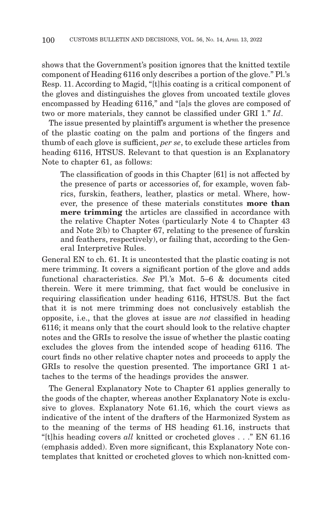shows that the Government's position ignores that the knitted textile component of Heading 6116 only describes a portion of the glove." Pl.'s Resp. 11. According to Magid, "[t]his coating is a critical component of the gloves and distinguishes the gloves from uncoated textile gloves encompassed by Heading 6116," and "[a]s the gloves are composed of two or more materials, they cannot be classified under GRI 1." *Id*.

The issue presented by plaintiff's argument is whether the presence of the plastic coating on the palm and portions of the fingers and thumb of each glove is sufficient, *per se*, to exclude these articles from heading 6116, HTSUS. Relevant to that question is an Explanatory Note to chapter 61, as follows:

The classification of goods in this Chapter [61] is not affected by the presence of parts or accessories of, for example, woven fabrics, furskin, feathers, leather, plastics or metal. Where, however, the presence of these materials constitutes **more than mere trimming** the articles are classified in accordance with the relative Chapter Notes (particularly Note 4 to Chapter 43 and Note 2(b) to Chapter 67, relating to the presence of furskin and feathers, respectively), or failing that, according to the General Interpretive Rules.

General EN to ch. 61. It is uncontested that the plastic coating is not mere trimming. It covers a significant portion of the glove and adds functional characteristics. *See* Pl.'s Mot. 5–6 & documents cited therein. Were it mere trimming, that fact would be conclusive in requiring classification under heading 6116, HTSUS. But the fact that it is not mere trimming does not conclusively establish the opposite, i.e., that the gloves at issue are *not* classified in heading 6116; it means only that the court should look to the relative chapter notes and the GRIs to resolve the issue of whether the plastic coating excludes the gloves from the intended scope of heading 6116. The court finds no other relative chapter notes and proceeds to apply the GRIs to resolve the question presented. The importance GRI 1 attaches to the terms of the headings provides the answer.

The General Explanatory Note to Chapter 61 applies generally to the goods of the chapter, whereas another Explanatory Note is exclusive to gloves. Explanatory Note 61.16, which the court views as indicative of the intent of the drafters of the Harmonized System as to the meaning of the terms of HS heading 61.16, instructs that "[t]his heading covers *all* knitted or crocheted gloves . . ." EN 61.16 (emphasis added). Even more significant, this Explanatory Note contemplates that knitted or crocheted gloves to which non-knitted com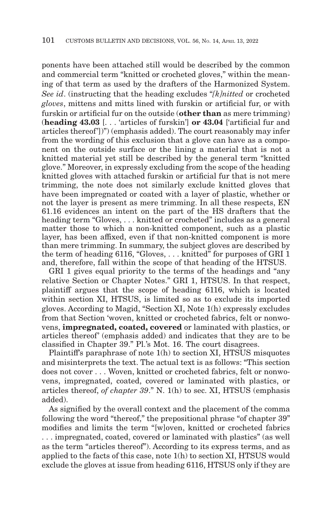ponents have been attached still would be described by the common and commercial term "knitted or crocheted gloves," within the meaning of that term as used by the drafters of the Harmonized System. *See id*. (instructing that the heading excludes "*[k]nitted* or crocheted *gloves*, mittens and mitts lined with furskin or artificial fur, or with furskin or artificial fur on the outside (**other than** as mere trimming) (**heading 43.03** [. . . 'articles of furskin'] **or 43.04** ['artificial fur and articles thereof'])") (emphasis added). The court reasonably may infer from the wording of this exclusion that a glove can have as a component on the outside surface or the lining a material that is not a knitted material yet still be described by the general term "knitted glove." Moreover, in expressly excluding from the scope of the heading knitted gloves with attached furskin or artificial fur that is not mere trimming, the note does not similarly exclude knitted gloves that have been impregnated or coated with a layer of plastic, whether or not the layer is present as mere trimming. In all these respects, EN 61.16 evidences an intent on the part of the HS drafters that the heading term "Gloves, ... knitted or crocheted" includes as a general matter those to which a non-knitted component, such as a plastic layer, has been affixed, even if that non-knitted component is more than mere trimming. In summary, the subject gloves are described by the term of heading 6116, "Gloves, . . . knitted" for purposes of GRI 1 and, therefore, fall within the scope of that heading of the HTSUS.

GRI 1 gives equal priority to the terms of the headings and "any relative Section or Chapter Notes." GRI 1, HTSUS. In that respect, plaintiff argues that the scope of heading 6116, which is located within section XI, HTSUS, is limited so as to exclude its imported gloves. According to Magid, "Section XI, Note 1(h) expressly excludes from that Section 'woven, knitted or crocheted fabrics, felt or nonwovens, **impregnated, coated, covered** or laminated with plastics, or articles thereof' (emphasis added) and indicates that they are to be classified in Chapter 39." Pl.'s Mot. 16. The court disagrees.

Plaintiff's paraphrase of note 1(h) to section XI, HTSUS misquotes and misinterprets the text. The actual text is as follows: "This section does not cover . . . Woven, knitted or crocheted fabrics, felt or nonwovens, impregnated, coated, covered or laminated with plastics, or articles thereof, *of chapter 39*." N. 1(h) to sec. XI, HTSUS (emphasis added).

As signified by the overall context and the placement of the comma following the word "thereof," the prepositional phrase "of chapter 39" modifies and limits the term "[w]oven, knitted or crocheted fabrics . . . impregnated, coated, covered or laminated with plastics" (as well as the term "articles thereof"). According to its express terms, and as applied to the facts of this case, note 1(h) to section XI, HTSUS would exclude the gloves at issue from heading 6116, HTSUS only if they are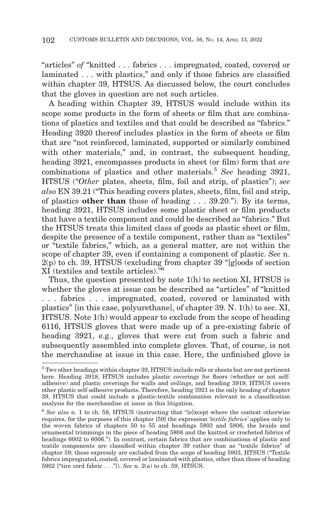"articles" *of* "knitted . . . fabrics . . . impregnated, coated, covered or laminated . . . with plastics," and only if those fabrics are classified within chapter 39, HTSUS. As discussed below, the court concludes that the gloves in question are not such articles.

A heading within Chapter 39, HTSUS would include within its scope some products in the form of sheets or film that are combinations of plastics and textiles and that could be described as "fabrics." Heading 3920 thereof includes plastics in the form of sheets or film that are "not reinforced, laminated, supported or similarly combined with other materials," and, in contrast, the subsequent heading, heading 3921, encompasses products in sheet (or film) form that *are* combinations of plastics and other materials.5 *See* heading 3921, HTSUS ("*Other* plates, sheets, film, foil and strip, of plastics"); *see also* EN 39.21 ("This heading covers plates, sheets, film, foil and strip, of plastics **other than** those of heading . . . 39.20."). By its terms, heading 3921, HTSUS includes some plastic sheet or film products that have a textile component and could be described as "fabrics." But the HTSUS treats this limited class of goods as plastic sheet or film, despite the presence of a textile component, rather than as "textiles" or "textile fabrics," which, as a general matter, are not within the scope of chapter 39, even if containing a component of plastic. *See* n.  $2(p)$  to ch. 39, HTSUS (excluding from chapter 39 "[g]oods of section XI (textiles and textile articles)."6

Thus, the question presented by note 1(h) to section XI, HTSUS is whether the gloves at issue can be described as "articles" of "knitted . . . fabrics . . . impregnated, coated, covered or laminated with plastics" [in this case, polyurethane], of chapter 39. N. 1(h) to sec. XI, HTSUS. Note 1(h) would appear to exclude from the scope of heading 6116, HTSUS gloves that were made up of a pre-existing fabric of heading 3921, e.g., gloves that were cut from such a fabric and subsequently assembled into complete gloves. That, of course, is not the merchandise at issue in this case. Here, the unfinished glove is

<sup>5</sup> Two other headings within chapter 39, HTSUS include rolls or sheets but are not pertinent here. Heading 3918, HTSUS includes plastic coverings for floors (whether or not selfadhesive) and plastic coverings for walls and ceilings, and heading 3919, HTSUS covers other plastic self-adhesive products. Therefore, heading 3921 is the only heading of chapter 39, HTSUS that could include a plastic-textile combination relevant to a classification analysis for the merchandise at issue in this litigation.

<sup>6</sup>*See also* n. 1 to ch. 59, HTSUS (instructing that "[e]xcept where the context otherwise requires, for the purposes of this chapter [59] the expression '*textile fabrics'* applies only to the woven fabrics of chapters 50 to 55 and headings 5803 and 5806, the braids and ornamental trimmings in the piece of heading 5808 and the knitted or crocheted fabrics of headings 6002 to 6006."). In contrast, certain fabrics that are combinations of plastic and textile components are classified within chapter 39 rather than as "textile fabrics" of chapter 59; these expressly are excluded from the scope of heading 5903, HTSUS ("Textile fabrics impregnated, coated, covered or laminated with plastics, other than those of heading 5902 ["tire cord fabric . . ."]). *See* n. 2(a) to ch. 59, HTSUS.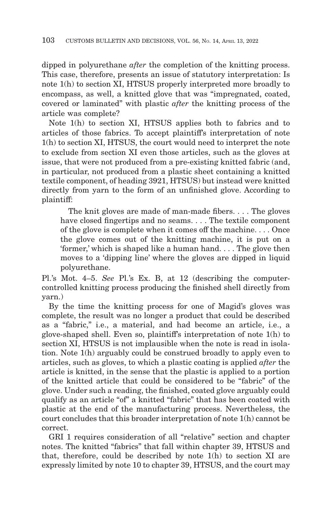dipped in polyurethane *after* the completion of the knitting process. This case, therefore, presents an issue of statutory interpretation: Is note 1(h) to section XI, HTSUS properly interpreted more broadly to encompass, as well, a knitted glove that was "impregnated, coated, covered or laminated" with plastic *after* the knitting process of the article was complete?

Note 1(h) to section XI, HTSUS applies both to fabrics and to articles of those fabrics. To accept plaintiff's interpretation of note 1(h) to section XI, HTSUS, the court would need to interpret the note to exclude from section XI even those articles, such as the gloves at issue, that were not produced from a pre-existing knitted fabric (and, in particular, not produced from a plastic sheet containing a knitted textile component, of heading 3921, HTSUS) but instead were knitted directly from yarn to the form of an unfinished glove. According to plaintiff:

 The knit gloves are made of man-made fibers. . . . The gloves have closed fingertips and no seams.... The textile component of the glove is complete when it comes off the machine. . . . Once the glove comes out of the knitting machine, it is put on a 'former,' which is shaped like a human hand. . . . The glove then moves to a 'dipping line' where the gloves are dipped in liquid polyurethane.

Pl.'s Mot. 4–5. *See* Pl.'s Ex. B, at 12 (describing the computercontrolled knitting process producing the finished shell directly from yarn.)

By the time the knitting process for one of Magid's gloves was complete, the result was no longer a product that could be described as a "fabric," i.e., a material, and had become an article, i.e., a glove-shaped shell. Even so, plaintiff's interpretation of note 1(h) to section XI, HTSUS is not implausible when the note is read in isolation. Note 1(h) arguably could be construed broadly to apply even to articles, such as gloves, to which a plastic coating is applied *after* the article is knitted, in the sense that the plastic is applied to a portion of the knitted article that could be considered to be "fabric" of the glove. Under such a reading, the finished, coated glove arguably could qualify as an article "of" a knitted "fabric" that has been coated with plastic at the end of the manufacturing process. Nevertheless, the court concludes that this broader interpretation of note 1(h) cannot be correct.

GRI 1 requires consideration of all "relative" section and chapter notes. The knitted "fabrics" that fall within chapter 39, HTSUS and that, therefore, could be described by note 1(h) to section XI are expressly limited by note 10 to chapter 39, HTSUS, and the court may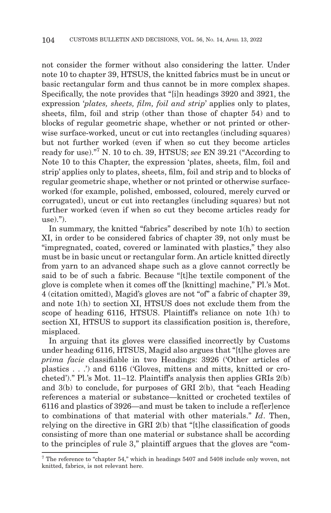not consider the former without also considering the latter. Under note 10 to chapter 39, HTSUS, the knitted fabrics must be in uncut or basic rectangular form and thus cannot be in more complex shapes. Specifically, the note provides that "[i]n headings 3920 and 3921, the expression '*plates, sheets, film, foil and strip*' applies only to plates, sheets, film, foil and strip (other than those of chapter 54) and to blocks of regular geometric shape, whether or not printed or otherwise surface-worked, uncut or cut into rectangles (including squares) but not further worked (even if when so cut they become articles ready for use)."7 N. 10 to ch. 39, HTSUS; *see* EN 39.21 ("According to Note 10 to this Chapter, the expression 'plates, sheets, film, foil and strip' applies only to plates, sheets, film, foil and strip and to blocks of regular geometric shape, whether or not printed or otherwise surfaceworked (for example, polished, embossed, coloured, merely curved or corrugated), uncut or cut into rectangles (including squares) but not further worked (even if when so cut they become articles ready for use).").

In summary, the knitted "fabrics" described by note 1(h) to section XI, in order to be considered fabrics of chapter 39, not only must be "impregnated, coated, covered or laminated with plastics," they also must be in basic uncut or rectangular form. An article knitted directly from yarn to an advanced shape such as a glove cannot correctly be said to be of such a fabric. Because "[t]he textile component of the glove is complete when it comes off the [knitting] machine," Pl.'s Mot. 4 (citation omitted), Magid's gloves are not "of" a fabric of chapter 39, and note 1(h) to section XI, HTSUS does not exclude them from the scope of heading 6116, HTSUS. Plaintiff's reliance on note 1(h) to section XI, HTSUS to support its classification position is, therefore, misplaced.

In arguing that its gloves were classified incorrectly by Customs under heading 6116, HTSUS, Magid also argues that "[t]he gloves are *prima facie* classifiable in two Headings: 3926 ('Other articles of plastics . . .') and 6116 ('Gloves, mittens and mitts, knitted or crocheted')." Pl.'s Mot. 11–12. Plaintiff's analysis then applies GRIs 2(b) and 3(b) to conclude, for purposes of GRI 2(b), that "each Heading references a material or substance—knitted or crocheted textiles of 6116 and plastics of 3926—and must be taken to include a ref[er]ence to combinations of that material with other materials." *Id*. Then, relying on the directive in GRI 2(b) that "[t]he classification of goods consisting of more than one material or substance shall be according to the principles of rule 3," plaintiff argues that the gloves are "com-

<sup>7</sup> The reference to "chapter 54," which in headings 5407 and 5408 include only woven, not knitted, fabrics, is not relevant here.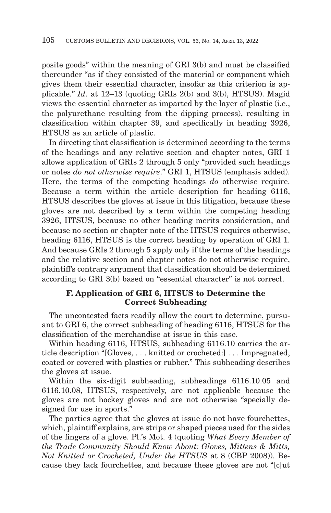posite goods" within the meaning of GRI 3(b) and must be classified thereunder "as if they consisted of the material or component which gives them their essential character, insofar as this criterion is applicable." *Id*. at 12–13 (quoting GRIs 2(b) and 3(b), HTSUS). Magid views the essential character as imparted by the layer of plastic (i.e., the polyurethane resulting from the dipping process), resulting in classification within chapter 39, and specifically in heading 3926, HTSUS as an article of plastic.

In directing that classification is determined according to the terms of the headings and any relative section and chapter notes, GRI 1 allows application of GRIs 2 through 5 only "provided such headings or notes *do not otherwise require*." GRI 1, HTSUS (emphasis added). Here, the terms of the competing headings *do* otherwise require. Because a term within the article description for heading 6116, HTSUS describes the gloves at issue in this litigation, because these gloves are not described by a term within the competing heading 3926, HTSUS, because no other heading merits consideration, and because no section or chapter note of the HTSUS requires otherwise, heading 6116, HTSUS is the correct heading by operation of GRI 1. And because GRIs 2 through 5 apply only if the terms of the headings and the relative section and chapter notes do not otherwise require, plaintiff's contrary argument that classification should be determined according to GRI 3(b) based on "essential character" is not correct.

## **F. Application of GRI 6, HTSUS to Determine the Correct Subheading**

The uncontested facts readily allow the court to determine, pursuant to GRI 6, the correct subheading of heading 6116, HTSUS for the classification of the merchandise at issue in this case.

Within heading 6116, HTSUS, subheading 6116.10 carries the article description "[Gloves, . . . knitted or crocheted:] . . . Impregnated, coated or covered with plastics or rubber." This subheading describes the gloves at issue.

Within the six-digit subheading, subheadings 6116.10.05 and 6116.10.08, HTSUS, respectively, are not applicable because the gloves are not hockey gloves and are not otherwise "specially designed for use in sports."

The parties agree that the gloves at issue do not have fourchettes, which, plaintiff explains, are strips or shaped pieces used for the sides of the fingers of a glove. Pl.'s Mot. 4 (quoting *What Every Member of the Trade Community Should Know About: Gloves, Mittens & Mitts, Not Knitted or Crocheted, Under the HTSUS* at 8 (CBP 2008)). Because they lack fourchettes, and because these gloves are not "[c]ut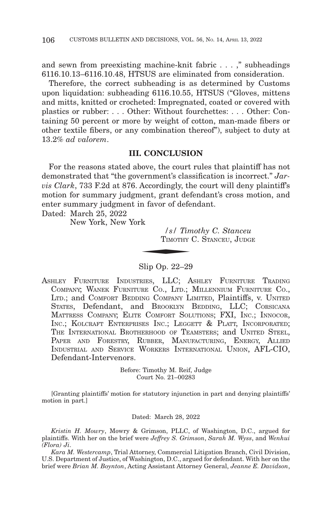and sewn from preexisting machine-knit fabric . . . ," subheadings 6116.10.13–6116.10.48, HTSUS are eliminated from consideration.

Therefore, the correct subheading is as determined by Customs upon liquidation: subheading 6116.10.55, HTSUS ("Gloves, mittens and mitts, knitted or crocheted: Impregnated, coated or covered with plastics or rubber: . . . Other: Without fourchettes: . . . Other: Containing 50 percent or more by weight of cotton, man-made fibers or other textile fibers, or any combination thereof"), subject to duty at 13.2% *ad valorem*.

## **III. CONCLUSION**

For the reasons stated above, the court rules that plaintiff has not demonstrated that "the government's classification is incorrect." *Jarvis Clark*, 733 F.2d at 876. Accordingly, the court will deny plaintiff's motion for summary judgment, grant defendant's cross motion, and enter summary judgment in favor of defendant.<br>
Dated: March 25, 2022<br>
New York, New York<br>
S/ Timothy C<br>
TIMOTHY C. STAN

Dated: March 25, 2022

New York, New York

*/s/ Timothy C. Stanceu* TIMOTHY C. STANCEU, JUDGE

#### Slip Op. 22–29

ASHLEY FURNITURE INDUSTRIES, LLC; ASHLEY FURNITURE TRADING COMPANY; WANEK FURNITURE CO., LTD.; MILLENNIUM FURNITURE CO., LTD.; and COMFORT BEDDING COMPANY LIMITED, Plaintiffs, v. UNITED STATES, Defendant, and BROOKLYN BEDDING, LLC; CORSICANA MATTRESS COMPANY; ELITE COMFORT SOLUTIONS; FXI, INC.; INNOCOR, INC.; KOLCRAFT ENTERPRISES INC.; LEGGETT & PLATT, INCORPORATED; THE INTERNATIONAL BROTHERHOOD OF TEAMSTERS; and UNITED STEEL, PAPER AND FORESTRY, RUBBER, MANUFACTURING, ENERGY, ALLIED INDUSTRIAL AND SERVICE WORKERS INTERNATIONAL UNION, AFL-CIO, Defendant-Intervenors.

> Before: Timothy M. Reif, Judge Court No. 21–00283

[Granting plaintiffs' motion for statutory injunction in part and denying plaintiffs' motion in part.]

#### Dated: March 28, 2022

*Kristin H. Mowry*, Mowry & Grimson, PLLC, of Washington, D.C., argued for plaintiffs. With her on the brief were *Jeffrey S. Grimson*, *Sarah M. Wyss*, and *Wenhui (Flora) Ji*.

*Kara M. Westercamp*, Trial Attorney, Commercial Litigation Branch, Civil Division, U.S. Department of Justice, of Washington, D.C., argued for defendant. With her on the brief were *Brian M. Boynton*, Acting Assistant Attorney General, *Jeanne E. Davidson*,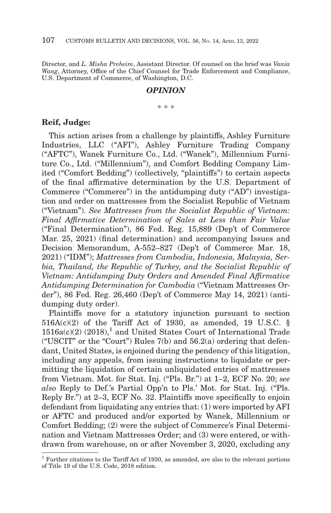Director, and *L. Misha Preheim*, Assistant Director. Of counsel on the brief was *Vania Wang*, Attorney, Office of the Chief Counsel for Trade Enforcement and Compliance, U.S. Department of Commerce, of Washington, D.C.

#### *OPINION*

\* \* \*

## **Reif, Judge:**

This action arises from a challenge by plaintiffs, Ashley Furniture Industries, LLC ("AFI"), Ashley Furniture Trading Company ("AFTC"), Wanek Furniture Co., Ltd. ("Wanek"), Millennium Furniture Co., Ltd. ("Millennium"), and Comfort Bedding Company Limited ("Comfort Bedding") (collectively, "plaintiffs") to certain aspects of the final affirmative determination by the U.S. Department of Commerce ("Commerce") in the antidumping duty ("AD") investigation and order on mattresses from the Socialist Republic of Vietnam ("Vietnam"). *See Mattresses from the Socialist Republic of Vietnam: Final Affirmative Determination of Sales at Less than Fair Value* ("Final Determination"), 86 Fed. Reg. 15,889 (Dep't of Commerce Mar. 25, 2021) (final determination) and accompanying Issues and Decision Memorandum, A-552–827 (Dep't of Commerce Mar. 18, 2021) ("IDM"); *Mattresses from Cambodia, Indonesia, Malaysia, Serbia, Thailand, the Republic of Turkey, and the Socialist Republic of Vietnam: Antidumping Duty Orders and Amended Final Affirmative Antidumping Determination for Cambodia* ("Vietnam Mattresses Order"), 86 Fed. Reg. 26,460 (Dep't of Commerce May 14, 2021) (antidumping duty order).

Plaintiffs move for a statutory injunction pursuant to section  $516A(c)(2)$  of the Tariff Act of 1930, as amended, 19 U.S.C. §  $1516a(c)(2)$  (2018),<sup>1</sup> and United States Court of International Trade ("USCIT" or the "Court") Rules  $7(b)$  and  $56.2(a)$  ordering that defendant, United States, is enjoined during the pendency of this litigation, including any appeals, from issuing instructions to liquidate or permitting the liquidation of certain unliquidated entries of mattresses from Vietnam. Mot. for Stat. Inj. ("Pls. Br.") at 1–2, ECF No. 20; *see also* Reply to Def.'s Partial Opp'n to Pls.' Mot. for Stat. Inj. ("Pls. Reply Br.") at 2–3, ECF No. 32. Plaintiffs move specifically to enjoin defendant from liquidating any entries that: (1) were imported by AFI or AFTC and produced and/or exported by Wanek, Millennium or Comfort Bedding; (2) were the subject of Commerce's Final Determination and Vietnam Mattresses Order; and (3) were entered, or withdrawn from warehouse, on or after November 3, 2020, excluding any

<sup>1</sup> Further citations to the Tariff Act of 1930, as amended, are also to the relevant portions of Title 19 of the U.S. Code, 2018 edition.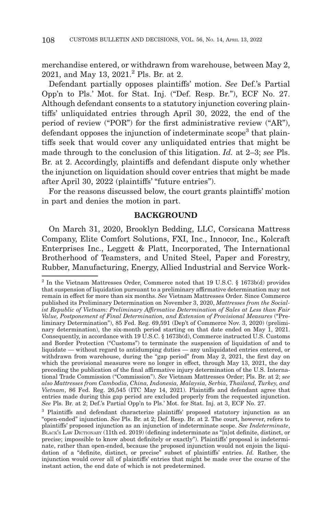merchandise entered, or withdrawn from warehouse, between May 2, 2021, and May 13, 2021.2 Pls. Br. at 2.

Defendant partially opposes plaintiffs' motion. *See* Def.'s Partial Opp'n to Pls.' Mot. for Stat. Inj. ("Def. Resp. Br."), ECF No. 27. Although defendant consents to a statutory injunction covering plaintiffs' unliquidated entries through April 30, 2022, the end of the period of review ("POR") for the first administrative review ("AR"), defendant opposes the injunction of indeterminate scope<sup>3</sup> that plaintiffs seek that would cover any unliquidated entries that might be made through to the conclusion of this litigation. *Id.* at 2–3; *see* Pls. Br. at 2. Accordingly, plaintiffs and defendant dispute only whether the injunction on liquidation should cover entries that might be made after April 30, 2022 (plaintiffs' "future entries").

For the reasons discussed below, the court grants plaintiffs' motion in part and denies the motion in part.

#### **BACKGROUND**

On March 31, 2020, Brooklyn Bedding, LLC, Corsicana Mattress Company, Elite Comfort Solutions, FXI, Inc., Innocor, Inc., Kolcraft Enterprises Inc., Leggett & Platt, Incorporated, The International Brotherhood of Teamsters, and United Steel, Paper and Forestry, Rubber, Manufacturing, Energy, Allied Industrial and Service Work-

<sup>2</sup> In the Vietnam Mattresses Order, Commerce noted that 19 U.S.C. § 1673b(d) provides that suspension of liquidation pursuant to a preliminary affirmative determination may not remain in effect for more than six months. *See* Vietnam Mattresses Order. Since Commerce published its Preliminary Determination on November 3, 2020, *Mattresses from the Socialist Republic of Vietnam: Preliminary Affirmative Determination of Sales at Less than Fair Value, Postponement of Final Determination, and Extension of Provisional Measures* ("Preliminary Determination"), 85 Fed. Reg. 69,591 (Dep't of Commerce Nov. 3, 2020) (preliminary determination), the six-month period starting on that date ended on May 1, 2021. Consequently, in accordance with 19 U.S.C. § 1673b(d), Commerce instructed U.S. Customs and Border Protection ("Customs") to terminate the suspension of liquidation of and to liquidate — without regard to antidumping duties — any unliquidated entries entered, or withdrawn from warehouse, during the "gap period" from May 2, 2021, the first day on which the provisional measures were no longer in effect, through May 13, 2021, the day preceding the publication of the final affirmative injury determination of the U.S. International Trade Commission ("Commission"). *See* Vietnam Mattresses Order; Pls. Br. at 2; *see also Mattresses from Cambodia, China, Indonesia, Malaysia, Serbia, Thailand, Turkey, and Vietnam*, 86 Fed. Reg. 26,545 (ITC May 14, 2021). Plaintiffs and defendant agree that entries made during this gap period are excluded properly from the requested injunction. *See* Pls. Br. at 2; Def.'s Partial Opp'n to Pls.' Mot. for Stat. Inj. at 3, ECF No. 27.

<sup>3</sup> Plaintiffs and defendant characterize plaintiffs' proposed statutory injunction as an "open-ended" injunction. *See* Pls. Br. at 2; Def. Resp. Br. at 2. The court, however, refers to plaintiffs' proposed injunction as an injunction of indeterminate scope. *See Indeterminate*, BLACK'S LAW DICTIONARY (11th ed. 2019) (defining indeterminate as "[n]ot definite, distinct, or precise; impossible to know about definitely or exactly"). Plaintiffs' proposal is indeterminate, rather than open-ended, because the proposed injunction would not enjoin the liquidation of a "definite, distinct, or precise" subset of plaintiffs' entries. *Id.* Rather, the injunction would cover all of plaintiffs' entries that might be made over the course of the instant action, the end date of which is not predetermined.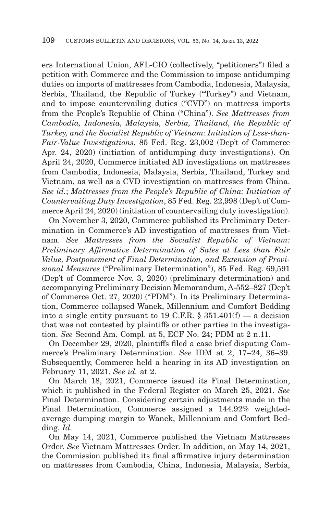ers International Union, AFL-CIO (collectively, "petitioners") filed a petition with Commerce and the Commission to impose antidumping duties on imports of mattresses from Cambodia, Indonesia, Malaysia, Serbia, Thailand, the Republic of Turkey ("Turkey") and Vietnam, and to impose countervailing duties ("CVD") on mattress imports from the People's Republic of China ("China"). *See Mattresses from Cambodia, Indonesia, Malaysia, Serbia, Thailand, the Republic of Turkey, and the Socialist Republic of Vietnam: Initiation of Less-than-Fair-Value Investigations*, 85 Fed. Reg. 23,002 (Dep't of Commerce Apr. 24, 2020) (initiation of antidumping duty investigations). On April 24, 2020, Commerce initiated AD investigations on mattresses from Cambodia, Indonesia, Malaysia, Serbia, Thailand, Turkey and Vietnam, as well as a CVD investigation on mattresses from China. *See id.*; *Mattresses from the People's Republic of China: Initiation of Countervailing Duty Investigation*, 85 Fed. Reg. 22,998 (Dep't of Commerce April 24, 2020) (initiation of countervailing duty investigation).

On November 3, 2020, Commerce published its Preliminary Determination in Commerce's AD investigation of mattresses from Vietnam. *See Mattresses from the Socialist Republic of Vietnam: Preliminary Affirmative Determination of Sales at Less than Fair Value, Postponement of Final Determination, and Extension of Provisional Measures* ("Preliminary Determination"), 85 Fed. Reg. 69,591 (Dep't of Commerce Nov. 3, 2020) (preliminary determination) and accompanying Preliminary Decision Memorandum, A-552–827 (Dep't of Commerce Oct. 27, 2020) ("PDM"). In its Preliminary Determination, Commerce collapsed Wanek, Millennium and Comfort Bedding into a single entity pursuant to 19 C.F.R.  $\S$  351.401(f) — a decision that was not contested by plaintiffs or other parties in the investigation. *See* Second Am. Compl. at 5, ECF No. 24; PDM at 2 n.11.

On December 29, 2020, plaintiffs filed a case brief disputing Commerce's Preliminary Determination. *See* IDM at 2, 17–24, 36–39. Subsequently, Commerce held a hearing in its AD investigation on February 11, 2021. *See id.* at 2.

On March 18, 2021, Commerce issued its Final Determination, which it published in the Federal Register on March 25, 2021. *See* Final Determination. Considering certain adjustments made in the Final Determination, Commerce assigned a 144.92% weightedaverage dumping margin to Wanek, Millennium and Comfort Bedding. *Id.*

On May 14, 2021, Commerce published the Vietnam Mattresses Order. *See* Vietnam Mattresses Order. In addition, on May 14, 2021, the Commission published its final affirmative injury determination on mattresses from Cambodia, China, Indonesia, Malaysia, Serbia,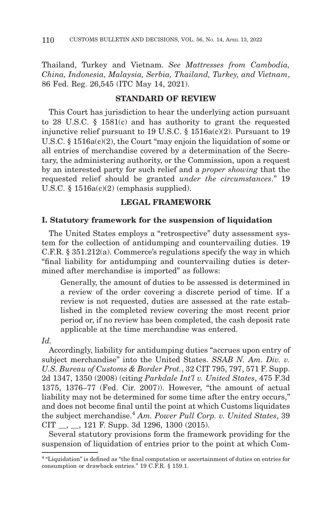Thailand, Turkey and Vietnam. *See Mattresses from Cambodia, China, Indonesia, Malaysia, Serbia, Thailand, Turkey, and Vietnam*, 86 Fed. Reg. 26,545 (ITC May 14, 2021).

## **STANDARD OF REVIEW**

This Court has jurisdiction to hear the underlying action pursuant to 28 U.S.C. § 1581(c) and has authority to grant the requested injunctive relief pursuant to 19 U.S.C. § 1516a(c)(2). Pursuant to 19 U.S.C. § 1516a(c)(2), the Court "may enjoin the liquidation of some or all entries of merchandise covered by a determination of the Secretary, the administering authority, or the Commission, upon a request by an interested party for such relief and a *proper showing* that the requested relief should be granted *under the circumstances*." 19 U.S.C. § 1516a(c)(2) (emphasis supplied).

## **LEGAL FRAMEWORK**

#### **I. Statutory framework for the suspension of liquidation**

The United States employs a "retrospective" duty assessment system for the collection of antidumping and countervailing duties. 19 C.F.R. § 351.212(a). Commerce's regulations specify the way in which "final liability for antidumping and countervailing duties is determined after merchandise is imported" as follows:

Generally, the amount of duties to be assessed is determined in a review of the order covering a discrete period of time. If a review is not requested, duties are assessed at the rate established in the completed review covering the most recent prior period or, if no review has been completed, the cash deposit rate applicable at the time merchandise was entered.

#### *Id.*

Accordingly, liability for antidumping duties "accrues upon entry of subject merchandise" into the United States. *SSAB N. Am. Div. v. U.S. Bureau of Customs & Border Prot.*, 32 CIT 795, 797, 571 F. Supp. 2d 1347, 1350 (2008) (citing *Parkdale Int'l v. United States*, 475 F.3d 1375, 1376–77 (Fed. Cir. 2007)). However, "the amount of actual liability may not be determined for some time after the entry occurs," and does not become final until the point at which Customs liquidates the subject merchandise.<sup>4</sup> *Am. Power Pull Corp. v. United States*, 39  $CIT \_\_$ ,  $\_\_$ 121 F. Supp. 3d 1296, 1300 (2015).

Several statutory provisions form the framework providing for the suspension of liquidation of entries prior to the point at which Com-

<sup>4 &</sup>quot;Liquidation" is defined as "the final computation or ascertainment of duties on entries for consumption or drawback entries." 19 C.F.R. § 159.1.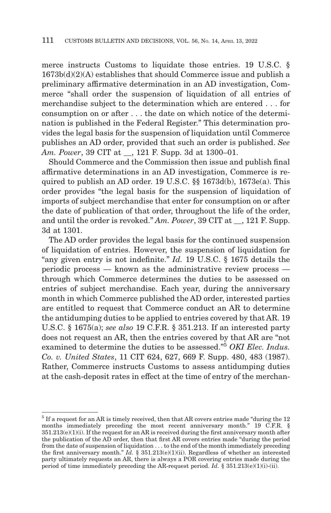merce instructs Customs to liquidate those entries. 19 U.S.C. § 1673b(d)(2)(A) establishes that should Commerce issue and publish a preliminary affirmative determination in an AD investigation, Commerce "shall order the suspension of liquidation of all entries of merchandise subject to the determination which are entered . . . for consumption on or after . . . the date on which notice of the determination is published in the Federal Register." This determination provides the legal basis for the suspension of liquidation until Commerce publishes an AD order, provided that such an order is published. *See Am. Power*, 39 CIT at \_\_, 121 F. Supp. 3d at 1300–01.

Should Commerce and the Commission then issue and publish final affirmative determinations in an AD investigation, Commerce is required to publish an AD order. 19 U.S.C. §§ 1673d(b), 1673e(a). This order provides "the legal basis for the suspension of liquidation of imports of subject merchandise that enter for consumption on or after the date of publication of that order, throughout the life of the order, and until the order is revoked." *Am. Power*, 39 CIT at  $\quad$ , 121 F. Supp. 3d at 1301.

The AD order provides the legal basis for the continued suspension of liquidation of entries. However, the suspension of liquidation for "any given entry is not indefinite." *Id.* 19 U.S.C. § 1675 details the periodic process — known as the administrative review process through which Commerce determines the duties to be assessed on entries of subject merchandise. Each year, during the anniversary month in which Commerce published the AD order, interested parties are entitled to request that Commerce conduct an AR to determine the antidumping duties to be applied to entries covered by that AR. 19 U.S.C. § 1675(a); *see also* 19 C.F.R. § 351.213. If an interested party does not request an AR, then the entries covered by that AR are "not examined to determine the duties to be assessed."5 *OKI Elec. Indus. Co. v. United States*, 11 CIT 624, 627, 669 F. Supp. 480, 483 (1987). Rather, Commerce instructs Customs to assess antidumping duties at the cash-deposit rates in effect at the time of entry of the merchan-

<sup>&</sup>lt;sup>5</sup> If a request for an AR is timely received, then that AR covers entries made "during the 12 months immediately preceding the most recent anniversary month." 19 C.F.R. §  $351.213(e)(1)(i)$ . If the request for an AR is received during the first anniversary month after the publication of the AD order, then that first AR covers entries made "during the period from the date of suspension of liquidation . . . to the end of the month immediately preceding the first anniversary month." *Id.* § 351.213(e)(1)(ii). Regardless of whether an interested party ultimately requests an AR, there is always a POR covering entries made during the period of time immediately preceding the AR-request period. *Id.*  $\S 351.213(e)(1)(i)$ -(ii).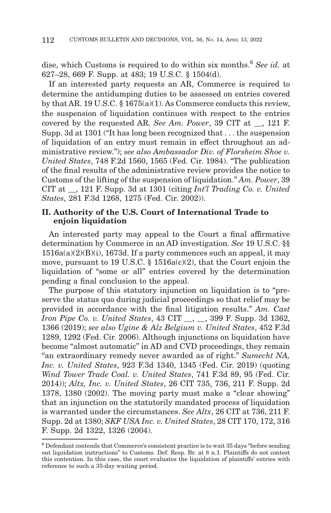dise, which Customs is required to do within six months.6 *See id.* at 627–28, 669 F. Supp. at 483; 19 U.S.C. § 1504(d).

If an interested party requests an AR, Commerce is required to determine the antidumping duties to be assessed on entries covered by that AR. 19 U.S.C. § 1675(a)(1). As Commerce conducts this review, the suspension of liquidation continues with respect to the entries covered by the requested AR. *See Am. Power*, 39 CIT at \_\_, 121 F. Supp. 3d at 1301 ("It has long been recognized that . . . the suspension of liquidation of an entry must remain in effect throughout an administrative review."); *see also Ambassador Div. of Florsheim Shoe v. United States*, 748 F.2d 1560, 1565 (Fed. Cir. 1984). "The publication of the final results of the administrative review provides the notice to Customs of the lifting of the suspension of liquidation." *Am. Power*, 39 CIT at \_\_, 121 F. Supp. 3d at 1301 (citing *Int'l Trading Co. v. United States*, 281 F.3d 1268, 1275 (Fed. Cir. 2002)).

## **II. Authority of the U.S. Court of International Trade to enjoin liquidation**

An interested party may appeal to the Court a final affirmative determination by Commerce in an AD investigation. *See* 19 U.S.C. §§ 1516a(a)(2)(B)(i), 1673d. If a party commences such an appeal, it may move, pursuant to 19 U.S.C. § 1516a(c)(2), that the Court enjoin the liquidation of "some or all" entries covered by the determination pending a final conclusion to the appeal.

The purpose of this statutory injunction on liquidation is to "preserve the status quo during judicial proceedings so that relief may be provided in accordance with the final litigation results." *Am. Cast Iron Pipe Co. v. United States, 43 CIT \_\_, \_\_, 399 F. Supp. 3d 1362,* 1366 (2019); *see also Ugine & Alz Belgium v. United States*, 452 F.3d 1289, 1292 (Fed. Cir. 2006). Although injunctions on liquidation have become "almost automatic" in AD and CVD proceedings, they remain "an extraordinary remedy never awarded as of right." *Sumecht NA, Inc. v. United States*, 923 F.3d 1340, 1345 (Fed. Cir. 2019) (quoting *Wind Tower Trade Coal. v. United States*, 741 F.3d 89, 95 (Fed. Cir. 2014)); *Altx, Inc. v. United States*, 26 CIT 735, 736, 211 F. Supp. 2d 1378, 1380 (2002). The moving party must make a "clear showing" that an injunction on the statutorily mandated process of liquidation is warranted under the circumstances. *See Altx*, 26 CIT at 736, 211 F. Supp. 2d at 1380; *SKF USA Inc. v. United States*, 28 CIT 170, 172, 316 F. Supp. 2d 1322, 1326 (2004).

<sup>6</sup> Defendant contends that Commerce's consistent practice is to wait 35 days "before sending out liquidation instructions" to Customs. Def. Resp. Br. at 8 n.1. Plaintiffs do not contest this contention. In this case, the court evaluates the liquidation of plaintiffs' entries with reference to such a 35-day waiting period.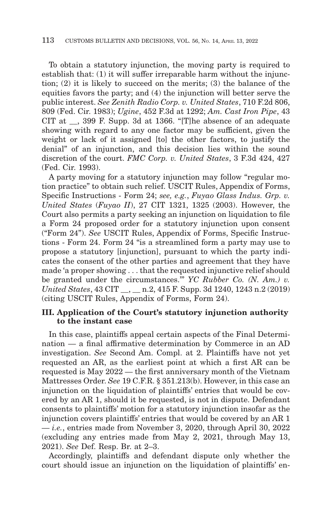To obtain a statutory injunction, the moving party is required to establish that: (1) it will suffer irreparable harm without the injunction; (2) it is likely to succeed on the merits; (3) the balance of the equities favors the party; and (4) the injunction will better serve the public interest. *See Zenith Radio Corp. v. United States*, 710 F.2d 806, 809 (Fed. Cir. 1983); *Ugine*, 452 F.3d at 1292; *Am. Cast Iron Pipe*, 43 CIT at \_\_, 399 F. Supp. 3d at 1366. "[T]he absence of an adequate showing with regard to any one factor may be sufficient, given the weight or lack of it assigned [to] the other factors, to justify the denial" of an injunction, and this decision lies within the sound discretion of the court. *FMC Corp. v. United States*, 3 F.3d 424, 427 (Fed. Cir. 1993).

A party moving for a statutory injunction may follow "regular motion practice" to obtain such relief. USCIT Rules, Appendix of Forms, Specific Instructions - Form 24; *see, e.g.*, *Fuyao Glass Indus. Grp. v. United States* (*Fuyao II*), 27 CIT 1321, 1325 (2003). However, the Court also permits a party seeking an injunction on liquidation to file a Form 24 proposed order for a statutory injunction upon consent ("Form 24"). *See* USCIT Rules, Appendix of Forms, Specific Instructions - Form 24. Form 24 "is a streamlined form a party may use to propose a statutory [injunction], pursuant to which the party indicates the consent of the other parties and agreement that they have made 'a proper showing . . . that the requested injunctive relief should be granted under the circumstances.'" *YC Rubber Co. (N. Am.) v. United States*, 43 CIT \_\_, \_\_ n.2, 415 F. Supp. 3d 1240, 1243 n.2 (2019) (citing USCIT Rules, Appendix of Forms, Form 24).

### **III. Application of the Court's statutory injunction authority to the instant case**

In this case, plaintiffs appeal certain aspects of the Final Determination — a final affirmative determination by Commerce in an AD investigation. *See* Second Am. Compl. at 2. Plaintiffs have not yet requested an AR, as the earliest point at which a first AR can be requested is May 2022 — the first anniversary month of the Vietnam Mattresses Order. *See* 19 C.F.R. § 351.213(b). However, in this case an injunction on the liquidation of plaintiffs' entries that would be covered by an AR 1, should it be requested, is not in dispute. Defendant consents to plaintiffs' motion for a statutory injunction insofar as the injunction covers plaintiffs' entries that would be covered by an AR 1 — *i.e.*, entries made from November 3, 2020, through April 30, 2022 (excluding any entries made from May 2, 2021, through May 13, 2021). *See* Def. Resp. Br. at 2–3.

Accordingly, plaintiffs and defendant dispute only whether the court should issue an injunction on the liquidation of plaintiffs' en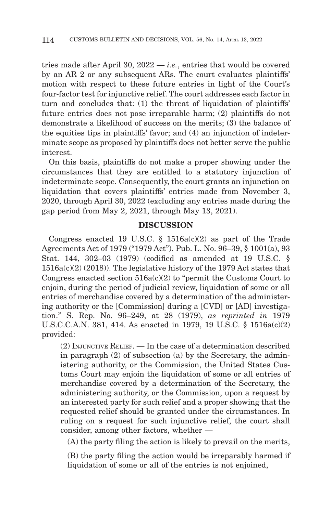tries made after April 30, 2022 — *i.e.*, entries that would be covered by an AR 2 or any subsequent ARs. The court evaluates plaintiffs' motion with respect to these future entries in light of the Court's four-factor test for injunctive relief. The court addresses each factor in turn and concludes that: (1) the threat of liquidation of plaintiffs' future entries does not pose irreparable harm; (2) plaintiffs do not demonstrate a likelihood of success on the merits; (3) the balance of the equities tips in plaintiffs' favor; and (4) an injunction of indeterminate scope as proposed by plaintiffs does not better serve the public interest.

On this basis, plaintiffs do not make a proper showing under the circumstances that they are entitled to a statutory injunction of indeterminate scope. Consequently, the court grants an injunction on liquidation that covers plaintiffs' entries made from November 3, 2020, through April 30, 2022 (excluding any entries made during the gap period from May 2, 2021, through May 13, 2021).

#### **DISCUSSION**

Congress enacted 19 U.S.C.  $\S$  1516a(c)(2) as part of the Trade Agreements Act of 1979 ("1979 Act"). Pub. L. No. 96–39, § 1001(a), 93 Stat. 144, 302–03 (1979) (codified as amended at 19 U.S.C. § 1516a(c)(2) (2018)). The legislative history of the 1979 Act states that Congress enacted section  $516a(c)(2)$  to "permit the Customs Court to enjoin, during the period of judicial review, liquidation of some or all entries of merchandise covered by a determination of the administering authority or the [Commission] during a [CVD] or [AD] investigation." S. Rep. No. 96–249, at 28 (1979), *as reprinted in* 1979 U.S.C.C.A.N. 381, 414. As enacted in 1979, 19 U.S.C. § 1516a(c)(2) provided:

(2) INJUNCTIVE RELIEF. — In the case of a determination described in paragraph (2) of subsection (a) by the Secretary, the administering authority, or the Commission, the United States Customs Court may enjoin the liquidation of some or all entries of merchandise covered by a determination of the Secretary, the administering authority, or the Commission, upon a request by an interested party for such relief and a proper showing that the requested relief should be granted under the circumstances. In ruling on a request for such injunctive relief, the court shall consider, among other factors, whether —

(A) the party filing the action is likely to prevail on the merits,

(B) the party filing the action would be irreparably harmed if liquidation of some or all of the entries is not enjoined,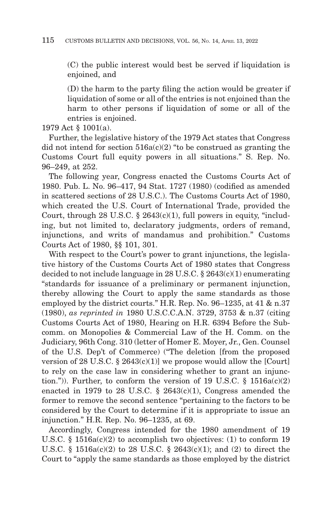(C) the public interest would best be served if liquidation is enjoined, and

(D) the harm to the party filing the action would be greater if liquidation of some or all of the entries is not enjoined than the harm to other persons if liquidation of some or all of the entries is enjoined.

1979 Act § 1001(a).

Further, the legislative history of the 1979 Act states that Congress did not intend for section  $516a(c)(2)$  "to be construed as granting the Customs Court full equity powers in all situations." S. Rep. No. 96–249, at 252.

The following year, Congress enacted the Customs Courts Act of 1980. Pub. L. No. 96–417, 94 Stat. 1727 (1980) (codified as amended in scattered sections of 28 U.S.C.). The Customs Courts Act of 1980, which created the U.S. Court of International Trade, provided the Court, through  $28$  U.S.C.  $\S$   $2643(c)(1)$ , full powers in equity, "including, but not limited to, declaratory judgments, orders of remand, injunctions, and writs of mandamus and prohibition." Customs Courts Act of 1980, §§ 101, 301.

With respect to the Court's power to grant injunctions, the legislative history of the Customs Courts Act of 1980 states that Congress decided to not include language in 28 U.S.C. § 2643(c)(1) enumerating "standards for issuance of a preliminary or permanent injunction, thereby allowing the Court to apply the same standards as those employed by the district courts." H.R. Rep. No. 96–1235, at 41 & n.37 (1980), *as reprinted in* 1980 U.S.C.C.A.N. 3729, 3753 & n.37 (citing Customs Courts Act of 1980, Hearing on H.R. 6394 Before the Subcomm. on Monopolies & Commercial Law of the H. Comm. on the Judiciary, 96th Cong. 310 (letter of Homer E. Moyer, Jr., Gen. Counsel of the U.S. Dep't of Commerce) ("The deletion [from the proposed version of 28 U.S.C.  $\S 2643(c)(1)$  we propose would allow the [Court] to rely on the case law in considering whether to grant an injunction.")). Further, to conform the version of 19 U.S.C.  $\S$  1516a(c)(2) enacted in 1979 to 28 U.S.C.  $\S$  2643(c)(1), Congress amended the former to remove the second sentence "pertaining to the factors to be considered by the Court to determine if it is appropriate to issue an injunction." H.R. Rep. No. 96–1235, at 69.

Accordingly, Congress intended for the 1980 amendment of 19 U.S.C. § 1516a(c)(2) to accomplish two objectives: (1) to conform 19 U.S.C. § 1516a(c)(2) to 28 U.S.C. § 2643(c)(1); and (2) to direct the Court to "apply the same standards as those employed by the district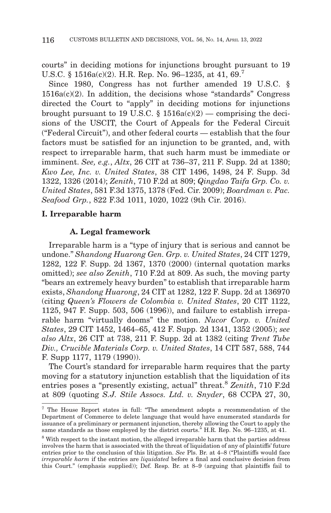courts" in deciding motions for injunctions brought pursuant to 19 U.S.C. § 1516a(c)(2). H.R. Rep. No. 96–1235, at 41, 69.7

Since 1980, Congress has not further amended 19 U.S.C. §  $1516a(c)(2)$ . In addition, the decisions whose "standards" Congress directed the Court to "apply" in deciding motions for injunctions brought pursuant to 19 U.S.C.  $\S$  1516a(c)(2) — comprising the decisions of the USCIT, the Court of Appeals for the Federal Circuit ("Federal Circuit"), and other federal courts — establish that the four factors must be satisfied for an injunction to be granted, and, with respect to irreparable harm, that such harm must be immediate or imminent. *See, e.g.*, *Altx*, 26 CIT at 736–37, 211 F. Supp. 2d at 1380; *Kwo Lee, Inc. v. United States*, 38 CIT 1496, 1498, 24 F. Supp. 3d 1322, 1326 (2014); *Zenith*, 710 F.2d at 809; *Qingdao Taifa Grp. Co. v. United States*, 581 F.3d 1375, 1378 (Fed. Cir. 2009); *Boardman v. Pac. Seafood Grp.*, 822 F.3d 1011, 1020, 1022 (9th Cir. 2016).

#### **I. Irreparable harm**

#### **A. Legal framework**

Irreparable harm is a "type of injury that is serious and cannot be undone." *Shandong Huarong Gen. Grp. v. United States*, 24 CIT 1279, 1282, 122 F. Supp. 2d 1367, 1370 (2000) (internal quotation marks omitted); *see also Zenith*, 710 F.2d at 809. As such, the moving party "bears an extremely heavy burden" to establish that irreparable harm exists, *Shandong Huarong*, 24 CIT at 1282, 122 F. Supp. 2d at 136970 (citing *Queen's Flowers de Colombia v. United States*, 20 CIT 1122, 1125, 947 F. Supp. 503, 506 (1996)), and failure to establish irreparable harm "virtually dooms" the motion. *Nucor Corp. v. United States*, 29 CIT 1452, 1464–65, 412 F. Supp. 2d 1341, 1352 (2005); *see also Altx*, 26 CIT at 738, 211 F. Supp. 2d at 1382 (citing *Trent Tube Div., Crucible Materials Corp. v. United States*, 14 CIT 587, 588, 744 F. Supp 1177, 1179 (1990)).

The Court's standard for irreparable harm requires that the party moving for a statutory injunction establish that the liquidation of its entries poses a "presently existing, actual" threat.8 *Zenith*, 710 F.2d at 809 (quoting *S.J. Stile Assocs. Ltd. v. Snyder*, 68 CCPA 27, 30,

<sup>7</sup> The House Report states in full: "The amendment adopts a recommendation of the Department of Commerce to delete language that would have enumerated standards for issuance of a preliminary or permanent injunction, thereby allowing the Court to apply the same standards as those employed by the district courts." H.R. Rep. No. 96–1235, at 41.

<sup>8</sup> With respect to the instant motion, the alleged irreparable harm that the parties address involves the harm that is associated with the threat of liquidation of any of plaintiffs' future entries prior to the conclusion of this litigation. *See* Pls. Br. at 4–8 ("Plaintiffs would face *irreparable harm* if the entries are *liquidated* before a final and conclusive decision from this Court." (emphasis supplied)); Def. Resp. Br. at 8–9 (arguing that plaintiffs fail to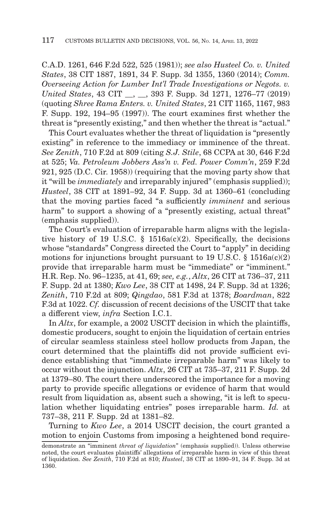C.A.D. 1261, 646 F.2d 522, 525 (1981)); *see also Husteel Co. v. United States*, 38 CIT 1887, 1891, 34 F. Supp. 3d 1355, 1360 (2014); *Comm. Overseeing Action for Lumber Int'l Trade Investigations or Negots. v. United States*, 43 CIT \_\_, \_\_, 393 F. Supp. 3d 1271, 1276–77 (2019) (quoting *Shree Rama Enters. v. United States*, 21 CIT 1165, 1167, 983 F. Supp. 192, 194–95 (1997)). The court examines first whether the threat is "presently existing," and then whether the threat is "actual."

This Court evaluates whether the threat of liquidation is "presently existing" in reference to the immediacy or imminence of the threat. *See Zenith*, 710 F.2d at 809 (citing *S.J. Stile*, 68 CCPA at 30, 646 F.2d at 525; *Va. Petroleum Jobbers Ass'n v. Fed. Power Comm'n*, 259 F.2d 921, 925 (D.C. Cir. 1958)) (requiring that the moving party show that it "will be *immediately* and irreparably injured" (emphasis supplied)); *Husteel*, 38 CIT at 1891–92, 34 F. Supp. 3d at 1360–61 (concluding that the moving parties faced "a sufficiently *imminent* and serious harm" to support a showing of a "presently existing, actual threat" (emphasis supplied)).

The Court's evaluation of irreparable harm aligns with the legislative history of 19 U.S.C. § 1516a(c)(2). Specifically, the decisions whose "standards" Congress directed the Court to "apply" in deciding motions for injunctions brought pursuant to 19 U.S.C.  $\S$  1516a(c)(2) provide that irreparable harm must be "immediate" or "imminent." H.R. Rep. No. 96–1235, at 41, 69; *see, e.g.*, *Altx*, 26 CIT at 736–37, 211 F. Supp. 2d at 1380; *Kwo Lee*, 38 CIT at 1498, 24 F. Supp. 3d at 1326; *Zenith*, 710 F.2d at 809; *Qingdao*, 581 F.3d at 1378; *Boardman*, 822 F.3d at 1022. *Cf.* discussion of recent decisions of the USCIT that take a different view, *infra* Section I.C.1.

In *Altx*, for example, a 2002 USCIT decision in which the plaintiffs, domestic producers, sought to enjoin the liquidation of certain entries of circular seamless stainless steel hollow products from Japan, the court determined that the plaintiffs did not provide sufficient evidence establishing that "immediate irreparable harm" was likely to occur without the injunction. *Altx*, 26 CIT at 735–37, 211 F. Supp. 2d at 1379–80. The court there underscored the importance for a moving party to provide specific allegations or evidence of harm that would result from liquidation as, absent such a showing, "it is left to speculation whether liquidating entries" poses irreparable harm. *Id.* at 737–38, 211 F. Supp. 2d at 1381–82.

Turning to *Kwo Lee*, a 2014 USCIT decision, the court granted a motion to enjoin Customs from imposing a heightened bond require-

demonstrate an "imminent *threat of liquidation*" (emphasis supplied)). Unless otherwise noted, the court evaluates plaintiffs' allegations of irreparable harm in view of this threat of liquidation. *See Zenith*, 710 F.2d at 810; *Husteel*, 38 CIT at 1890–91, 34 F. Supp. 3d at 1360.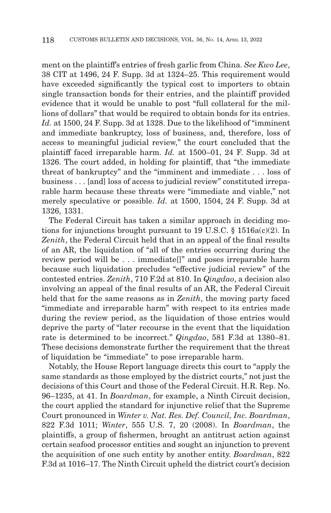ment on the plaintiff's entries of fresh garlic from China. *See Kwo Lee*, 38 CIT at 1496, 24 F. Supp. 3d at 1324–25. This requirement would have exceeded significantly the typical cost to importers to obtain single transaction bonds for their entries, and the plaintiff provided evidence that it would be unable to post "full collateral for the millions of dollars" that would be required to obtain bonds for its entries. *Id.* at 1500, 24 F. Supp. 3d at 1328. Due to the likelihood of "imminent and immediate bankruptcy, loss of business, and, therefore, loss of access to meaningful judicial review," the court concluded that the plaintiff faced irreparable harm. *Id.* at 1500–01, 24 F. Supp. 3d at 1326. The court added, in holding for plaintiff, that "the immediate threat of bankruptcy" and the "imminent and immediate . . . loss of business . . . [and] loss of access to judicial review" constituted irreparable harm because these threats were "immediate and viable," not merely speculative or possible. *Id.* at 1500, 1504, 24 F. Supp. 3d at 1326, 1331.

The Federal Circuit has taken a similar approach in deciding motions for injunctions brought pursuant to 19 U.S.C. § 1516a(c)(2). In *Zenith*, the Federal Circuit held that in an appeal of the final results of an AR, the liquidation of "all of the entries occurring during the review period will be . . . immediate[]" and poses irreparable harm because such liquidation precludes "effective judicial review" of the contested entries. *Zenith*, 710 F.2d at 810. In *Qingdao*, a decision also involving an appeal of the final results of an AR, the Federal Circuit held that for the same reasons as in *Zenith*, the moving party faced "immediate and irreparable harm" with respect to its entries made during the review period, as the liquidation of those entries would deprive the party of "later recourse in the event that the liquidation rate is determined to be incorrect." *Qingdao*, 581 F.3d at 1380–81. These decisions demonstrate further the requirement that the threat of liquidation be "immediate" to pose irreparable harm.

Notably, the House Report language directs this court to "apply the same standards as those employed by the district courts," not just the decisions of this Court and those of the Federal Circuit. H.R. Rep. No. 96–1235, at 41. In *Boardman*, for example, a Ninth Circuit decision, the court applied the standard for injunctive relief that the Supreme Court pronounced in *Winter v. Nat. Res. Def. Council, Inc. Boardman*, 822 F.3d 1011; *Winter*, 555 U.S. 7, 20 (2008). In *Boardman*, the plaintiffs, a group of fishermen, brought an antitrust action against certain seafood processor entities and sought an injunction to prevent the acquisition of one such entity by another entity. *Boardman*, 822 F.3d at 1016–17. The Ninth Circuit upheld the district court's decision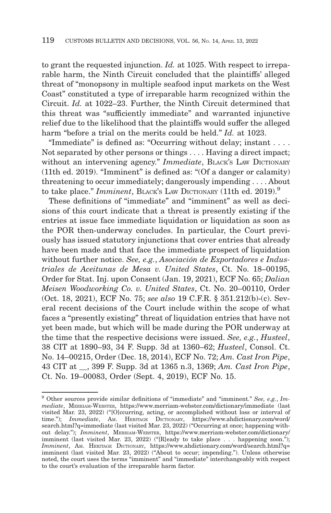to grant the requested injunction. *Id.* at 1025. With respect to irreparable harm, the Ninth Circuit concluded that the plaintiffs' alleged threat of "monopsony in multiple seafood input markets on the West Coast" constituted a type of irreparable harm recognized within the Circuit. *Id.* at 1022–23. Further, the Ninth Circuit determined that this threat was "sufficiently immediate" and warranted injunctive relief due to the likelihood that the plaintiffs would suffer the alleged harm "before a trial on the merits could be held." *Id.* at 1023.

"Immediate" is defined as: "Occurring without delay; instant . . . . Not separated by other persons or things . . . . Having a direct impact; without an intervening agency." *Immediate*, BLACK'S LAW DICTIONARY (11th ed. 2019). "Imminent" is defined as: "(Of a danger or calamity) threatening to occur immediately; dangerously impending . . . . About to take place." *Imminent*, BLACK'S LAW DICTIONARY (11th ed. 2019).9

These definitions of "immediate" and "imminent" as well as decisions of this court indicate that a threat is presently existing if the entries at issue face immediate liquidation or liquidation as soon as the POR then-underway concludes. In particular, the Court previously has issued statutory injunctions that cover entries that already have been made and that face the immediate prospect of liquidation without further notice. *See, e.g.*, *Asociación de Exportadores e Industriales de Aceitunas de Mesa v. United States*, Ct. No. 18–00195, Order for Stat. Inj. upon Consent (Jan. 19, 2021), ECF No. 65; *Dalian Meisen Woodworking Co. v. United States*, Ct. No. 20–00110, Order (Oct. 18, 2021), ECF No. 75; *see also* 19 C.F.R. § 351.212(b)-(c). Several recent decisions of the Court include within the scope of what faces a "presently existing" threat of liquidation entries that have not yet been made, but which will be made during the POR underway at the time that the respective decisions were issued. *See, e.g.*, *Husteel*, 38 CIT at 1890–93, 34 F. Supp. 3d at 1360–62; *Husteel*, Consol. Ct. No. 14–00215, Order (Dec. 18, 2014), ECF No. 72; *Am. Cast Iron Pipe*, 43 CIT at \_\_, 399 F. Supp. 3d at 1365 n.3, 1369; *Am. Cast Iron Pipe*, Ct. No. 19–00083, Order (Sept. 4, 2019), ECF No. 15.

<sup>9</sup> Other sources provide similar definitions of "immediate" and "imminent." *See, e.g.*, *Immediate*, MERRIAM-WEBSTER, https://www.merriam-webster.com/dictionary/immediate (last visited Mar. 23, 2022) ("[O]ccurring, acting, or accomplished without loss or interval of time."); *Immediate*, AM. HERITAGE DICTIONARY, https://www.ahdictionary.com/word/ search.html?q=immediate (last visited Mar. 23, 2022) ("Occurring at once; happening without delay."); *Imminent*, MERRIAM-WEBSTER, https://www.merriam-webster.com/dictionary/ imminent (last visited Mar. 23, 2022) ("[R]eady to take place . . . happening soon."); *Imminent*, AM. HERITAGE DICTIONARY, https://www.ahdictionary.com/word/search.html?q= imminent (last visited Mar. 23, 2022) ("About to occur; impending."). Unless otherwise noted, the court uses the terms "imminent" and "immediate" interchangeably with respect to the court's evaluation of the irreparable harm factor.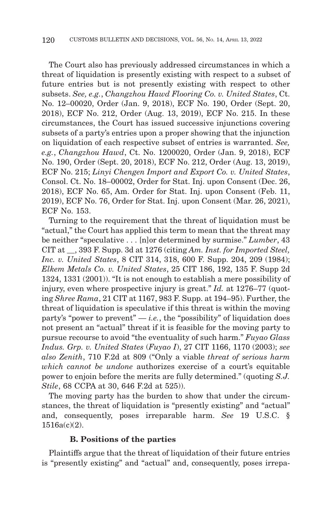The Court also has previously addressed circumstances in which a threat of liquidation is presently existing with respect to a subset of future entries but is not presently existing with respect to other subsets. *See, e.g.*, *Changzhou Hawd Flooring Co. v. United States*, Ct. No. 12–00020, Order (Jan. 9, 2018), ECF No. 190, Order (Sept. 20, 2018), ECF No. 212, Order (Aug. 13, 2019), ECF No. 215. In these circumstances, the Court has issued successive injunctions covering subsets of a party's entries upon a proper showing that the injunction on liquidation of each respective subset of entries is warranted. *See, e.g.*, *Changzhou Hawd*, Ct. No. 1200020, Order (Jan. 9, 2018), ECF No. 190, Order (Sept. 20, 2018), ECF No. 212, Order (Aug. 13, 2019), ECF No. 215; *Linyi Chengen Import and Export Co. v. United States*, Consol. Ct. No. 18–00002, Order for Stat. Inj. upon Consent (Dec. 26, 2018), ECF No. 65, Am. Order for Stat. Inj. upon Consent (Feb. 11, 2019), ECF No. 76, Order for Stat. Inj. upon Consent (Mar. 26, 2021), ECF No. 153.

Turning to the requirement that the threat of liquidation must be "actual," the Court has applied this term to mean that the threat may be neither "speculative . . . [n]or determined by surmise." *Lumber*, 43 CIT at \_\_, 393 F. Supp. 3d at 1276 (citing *Am. Inst. for Imported Steel, Inc. v. United States*, 8 CIT 314, 318, 600 F. Supp. 204, 209 (1984); *Elkem Metals Co. v. United States*, 25 CIT 186, 192, 135 F. Supp 2d 1324, 1331 (2001)). "It is not enough to establish a mere possibility of injury, even where prospective injury is great." *Id.* at 1276–77 (quoting *Shree Rama*, 21 CIT at 1167, 983 F. Supp. at 194–95). Further, the threat of liquidation is speculative if this threat is within the moving party's "power to prevent"  $-i.e.,$  the "possibility" of liquidation does not present an "actual" threat if it is feasible for the moving party to pursue recourse to avoid "the eventuality of such harm." *Fuyao Glass Indus. Grp. v. United States* (*Fuyao I*), 27 CIT 1166, 1170 (2003); *see also Zenith*, 710 F.2d at 809 ("Only a viable *threat of serious harm which cannot be undone* authorizes exercise of a court's equitable power to enjoin before the merits are fully determined." (quoting *S.J. Stile*, 68 CCPA at 30, 646 F.2d at 525).

The moving party has the burden to show that under the circumstances, the threat of liquidation is "presently existing" and "actual" and, consequently, poses irreparable harm. *See* 19 U.S.C. § 1516a(c)(2).

### **B. Positions of the parties**

Plaintiffs argue that the threat of liquidation of their future entries is "presently existing" and "actual" and, consequently, poses irrepa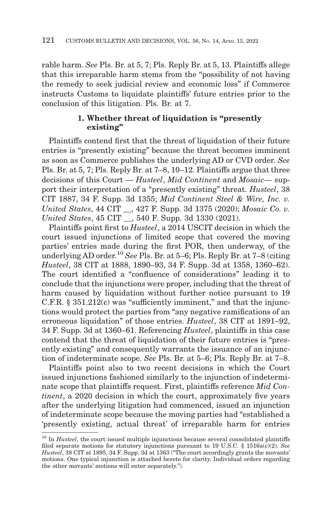rable harm. *See* Pls. Br. at 5, 7; Pls. Reply Br. at 5, 13. Plaintiffs allege that this irreparable harm stems from the "possibility of not having the remedy to seek judicial review and economic loss" if Commerce instructs Customs to liquidate plaintiffs' future entries prior to the conclusion of this litigation. Pls. Br. at 7.

## **1. Whether threat of liquidation is "presently existing"**

Plaintiffs contend first that the threat of liquidation of their future entries is "presently existing" because the threat becomes imminent as soon as Commerce publishes the underlying AD or CVD order. *See* Pls. Br. at 5, 7; Pls. Reply Br. at 7–8, 10–12. Plaintiffs argue that three decisions of this Court — *Husteel*, *Mid Continent* and *Mosaic*— support their interpretation of a "presently existing" threat. *Husteel*, 38 CIT 1887, 34 F. Supp. 3d 1355; *Mid Continent Steel & Wire, Inc. v. United States*, 44 CIT \_\_, 427 F. Supp. 3d 1375 (2020); *Mosaic Co. v. United States*, 45 CIT \_\_, 540 F. Supp. 3d 1330 (2021).

Plaintiffs point first to *Husteel*, a 2014 USCIT decision in which the court issued injunctions of limited scope that covered the moving parties' entries made during the first POR, then underway, of the underlying AD order.10 *See* Pls. Br. at 5–6; Pls. Reply Br. at 7–8 (citing *Husteel*, 38 CIT at 1888, 1890–93, 34 F. Supp. 3d at 1358, 1360–62). The court identified a "confluence of considerations" leading it to conclude that the injunctions were proper, including that the threat of harm caused by liquidation without further notice pursuant to 19  $C.F.R. \S 351.212(c)$  was "sufficiently imminent," and that the injunctions would protect the parties from "any negative ramifications of an erroneous liquidation" of those entries. *Husteel*, 38 CIT at 1891–92, 34 F. Supp. 3d at 1360–61. Referencing *Husteel*, plaintiffs in this case contend that the threat of liquidation of their future entries is "presently existing" and consequently warrants the issuance of an injunction of indeterminate scope. *See* Pls. Br. at 5–6; Pls. Reply Br. at 7–8.

Plaintiffs point also to two recent decisions in which the Court issued injunctions fashioned similarly to the injunction of indeterminate scope that plaintiffs request. First, plaintiffs reference *Mid Continent*, a 2020 decision in which the court, approximately five years after the underlying litigation had commenced, issued an injunction of indeterminate scope because the moving parties had "established a 'presently existing, actual threat' of irreparable harm for entries

<sup>&</sup>lt;sup>10</sup> In *Husteel*, the court issued multiple injunctions because several consolidated plaintiffs filed separate motions for statutory injunctions pursuant to 19 U.S.C. § 1516a(c)(2). *See Husteel*, 38 CIT at 1895, 34 F. Supp. 3d at 1363 ("The court accordingly grants the movants' motions. One typical injunction is attached hereto for clarity. Individual orders regarding the other movants' motions will enter separately.").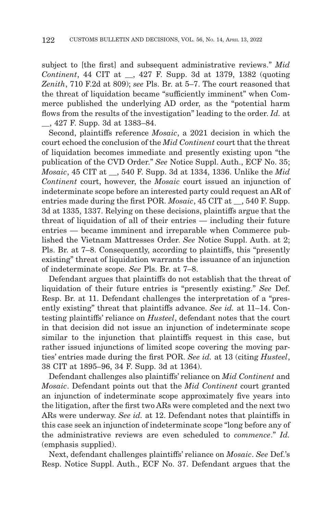subject to [the first] and subsequent administrative reviews." *Mid Continent*, 44 CIT at \_\_, 427 F. Supp. 3d at 1379, 1382 (quoting *Zenith*, 710 F.2d at 809); *see* Pls. Br. at 5–7. The court reasoned that the threat of liquidation became "sufficiently imminent" when Commerce published the underlying AD order, as the "potential harm flows from the results of the investigation" leading to the order. *Id.* at \_\_, 427 F. Supp. 3d at 1383–84.

Second, plaintiffs reference *Mosaic*, a 2021 decision in which the court echoed the conclusion of the *Mid Continent* court that the threat of liquidation becomes immediate and presently existing upon "the publication of the CVD Order." *See* Notice Suppl. Auth., ECF No. 35; *Mosaic*, 45 CIT at \_\_, 540 F. Supp. 3d at 1334, 1336. Unlike the *Mid Continent* court, however, the *Mosaic* court issued an injunction of indeterminate scope before an interested party could request an AR of entries made during the first POR. *Mosaic*, 45 CIT at \_\_, 540 F. Supp. 3d at 1335, 1337. Relying on these decisions, plaintiffs argue that the threat of liquidation of all of their entries — including their future entries — became imminent and irreparable when Commerce published the Vietnam Mattresses Order. *See* Notice Suppl. Auth. at 2; Pls. Br. at 7–8. Consequently, according to plaintiffs, this "presently existing" threat of liquidation warrants the issuance of an injunction of indeterminate scope. *See* Pls. Br. at 7–8.

Defendant argues that plaintiffs do not establish that the threat of liquidation of their future entries is "presently existing." *See* Def. Resp. Br. at 11. Defendant challenges the interpretation of a "presently existing" threat that plaintiffs advance. *See id.* at 11–14. Contesting plaintiffs' reliance on *Husteel*, defendant notes that the court in that decision did not issue an injunction of indeterminate scope similar to the injunction that plaintiffs request in this case, but rather issued injunctions of limited scope covering the moving parties' entries made during the first POR. *See id.* at 13 (citing *Husteel*, 38 CIT at 1895–96, 34 F. Supp. 3d at 1364).

Defendant challenges also plaintiffs' reliance on *Mid Continent* and *Mosaic*. Defendant points out that the *Mid Continent* court granted an injunction of indeterminate scope approximately five years into the litigation, after the first two ARs were completed and the next two ARs were underway. *See id.* at 12. Defendant notes that plaintiffs in this case seek an injunction of indeterminate scope "long before any of the administrative reviews are even scheduled to *commence*." *Id.* (emphasis supplied).

Next, defendant challenges plaintiffs' reliance on *Mosaic*. *See* Def.'s Resp. Notice Suppl. Auth., ECF No. 37. Defendant argues that the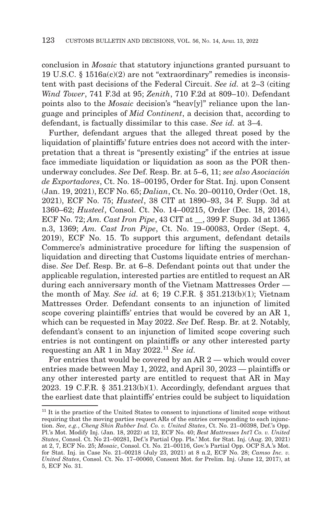conclusion in *Mosaic* that statutory injunctions granted pursuant to 19 U.S.C. § 1516a(c)(2) are not "extraordinary" remedies is inconsistent with past decisions of the Federal Circuit. *See id.* at 2–3 (citing *Wind Tower*, 741 F.3d at 95; *Zenith*, 710 F.2d at 809–10). Defendant points also to the *Mosaic* decision's "heav[y]" reliance upon the language and principles of *Mid Continent*, a decision that, according to defendant, is factually dissimilar to this case. *See id.* at 3–4.

Further, defendant argues that the alleged threat posed by the liquidation of plaintiffs' future entries does not accord with the interpretation that a threat is "presently existing" if the entries at issue face immediate liquidation or liquidation as soon as the POR thenunderway concludes. *See* Def. Resp. Br. at 5–6, 11; *see also Asociación de Exportadores*, Ct. No. 18–00195, Order for Stat. Inj. upon Consent (Jan. 19, 2021), ECF No. 65; *Dalian*, Ct. No. 20–00110, Order (Oct. 18, 2021), ECF No. 75; *Husteel*, 38 CIT at 1890–93, 34 F. Supp. 3d at 1360–62; *Husteel*, Consol. Ct. No. 14–00215, Order (Dec. 18, 2014), ECF No. 72; *Am. Cast Iron Pipe*, 43 CIT at \_\_, 399 F. Supp. 3d at 1365 n.3, 1369; *Am. Cast Iron Pipe*, Ct. No. 19–00083, Order (Sept. 4, 2019), ECF No. 15. To support this argument, defendant details Commerce's administrative procedure for lifting the suspension of liquidation and directing that Customs liquidate entries of merchandise. *See* Def. Resp. Br. at 6–8. Defendant points out that under the applicable regulation, interested parties are entitled to request an AR during each anniversary month of the Vietnam Mattresses Order the month of May. *See id.* at 6; 19 C.F.R. § 351.213(b)(1); Vietnam Mattresses Order. Defendant consents to an injunction of limited scope covering plaintiffs' entries that would be covered by an AR 1, which can be requested in May 2022. *See* Def. Resp. Br. at 2. Notably, defendant's consent to an injunction of limited scope covering such entries is not contingent on plaintiffs or any other interested party requesting an AR 1 in May  $2022<sup>11</sup>$  *See id.* 

For entries that would be covered by an AR 2 — which would cover entries made between May 1, 2022, and April 30, 2023 — plaintiffs or any other interested party are entitled to request that AR in May 2023. 19 C.F.R. §  $351.213(b)(1)$ . Accordingly, defendant argues that the earliest date that plaintiffs' entries could be subject to liquidation

 $11$  It is the practice of the United States to consent to injunctions of limited scope without requiring that the moving parties request ARs of the entries corresponding to each injunction. *See, e.g.*, *Cheng Shin Rubber Ind. Co. v. United States*, Ct. No. 21–00398, Def.'s Opp. Pl.'s Mot. Modify Inj. (Jan. 18, 2022) at 12, ECF No. 40; *Best Mattresses Int'l Co. v. United States*, Consol. Ct. No 21–00281, Def.'s Partial Opp. Pls.' Mot. for Stat. Inj. (Aug. 20, 2021) at 2, 7, ECF No. 25; *Mosaic*, Consol. Ct. No. 21–00116, Gov.'s Partial Opp. OCP S.A.'s Mot. for Stat. Inj. in Case No. 21–00218 (July 23, 2021) at 8 n.2, ECF No. 28; *Camso Inc. v. United States*, Consol. Ct. No. 17–00060, Consent Mot. for Prelim. Inj. (June 12, 2017), at 5, ECF No. 31.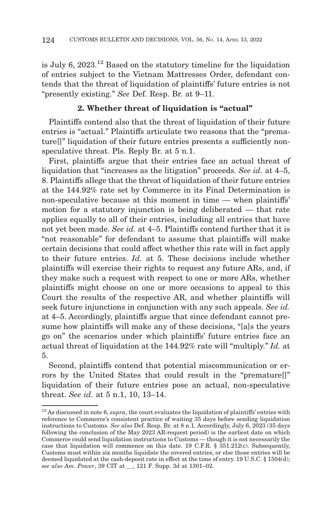is July 6, 2023.<sup>12</sup> Based on the statutory timeline for the liquidation of entries subject to the Vietnam Mattresses Order, defendant contends that the threat of liquidation of plaintiffs' future entries is not "presently existing." *See* Def. Resp. Br. at 9–11.

## **2. Whether threat of liquidation is "actual"**

Plaintiffs contend also that the threat of liquidation of their future entries is "actual." Plaintiffs articulate two reasons that the "premature[]" liquidation of their future entries presents a sufficiently nonspeculative threat. Pls. Reply Br. at 5 n.1.

First, plaintiffs argue that their entries face an actual threat of liquidation that "increases as the litigation" proceeds. *See id.* at 4–5, 8. Plaintiffs allege that the threat of liquidation of their future entries at the 144.92% rate set by Commerce in its Final Determination is non-speculative because at this moment in time — when plaintiffs' motion for a statutory injunction is being deliberated — that rate applies equally to all of their entries, including all entries that have not yet been made. *See id.* at 4–5. Plaintiffs contend further that it is "not reasonable" for defendant to assume that plaintiffs will make certain decisions that could affect whether this rate will in fact apply to their future entries. *Id.* at 5. These decisions include whether plaintiffs will exercise their rights to request any future ARs, and, if they make such a request with respect to one or more ARs, whether plaintiffs might choose on one or more occasions to appeal to this Court the results of the respective AR, and whether plaintiffs will seek future injunctions in conjunction with any such appeals. *See id.* at 4–5. Accordingly, plaintiffs argue that since defendant cannot presume how plaintiffs will make any of these decisions, "[a]s the years go on" the scenarios under which plaintiffs' future entries face an actual threat of liquidation at the 144.92% rate will "multiply." *Id.* at 5.

Second, plaintiffs contend that potential miscommunication or errors by the United States that could result in the "premature[]" liquidation of their future entries pose an actual, non-speculative threat. *See id.* at 5 n.1, 10, 13–14.

<sup>12</sup> As discussed in note 6, *supra*, the court evaluates the liquidation of plaintiffs' entries with reference to Commerce's consistent practice of waiting 35 days before sending liquidation instructions to Customs. *See also* Def. Resp. Br. at 8 n.1. Accordingly, July 6, 2023 (35 days following the conclusion of the May 2023 AR-request period) is the earliest date on which Commerce could send liquidation instructions to Customs — though it is not necessarily the case that liquidation will commence on this date. 19 C.F.R. § 351.212(c). Subsequently, Customs must within six months liquidate the covered entries, or else those entries will be deemed liquidated at the cash-deposit rate in effect at the time of entry. 19 U.S.C. § 1504(d); *see also Am. Power*, 39 CIT at \_\_, 121 F. Supp. 3d at 1301–02.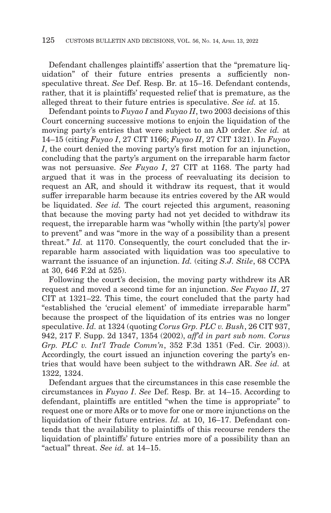Defendant challenges plaintiffs' assertion that the "premature liquidation" of their future entries presents a sufficiently nonspeculative threat. *See* Def. Resp. Br. at 15–16. Defendant contends, rather, that it is plaintiffs' requested relief that is premature, as the alleged threat to their future entries is speculative. *See id.* at 15.

Defendant points to *Fuyao I* and *Fuyao II*, two 2003 decisions of this Court concerning successive motions to enjoin the liquidation of the moving party's entries that were subject to an AD order. *See id.* at 14–15 (citing *Fuyao I*, 27 CIT 1166; *Fuyao II*, 27 CIT 1321). In *Fuyao I*, the court denied the moving party's first motion for an injunction, concluding that the party's argument on the irreparable harm factor was not persuasive. *See Fuyao I*, 27 CIT at 1168. The party had argued that it was in the process of reevaluating its decision to request an AR, and should it withdraw its request, that it would suffer irreparable harm because its entries covered by the AR would be liquidated. *See id.* The court rejected this argument, reasoning that because the moving party had not yet decided to withdraw its request, the irreparable harm was "wholly within [the party's] power to prevent" and was "more in the way of a possibility than a present threat." *Id.* at 1170. Consequently, the court concluded that the irreparable harm associated with liquidation was too speculative to warrant the issuance of an injunction. *Id.* (citing *S.J. Stile*, 68 CCPA at 30, 646 F.2d at 525).

Following the court's decision, the moving party withdrew its AR request and moved a second time for an injunction. *See Fuyao II*, 27 CIT at 1321–22. This time, the court concluded that the party had "established the 'crucial element' of immediate irreparable harm" because the prospect of the liquidation of its entries was no longer speculative. *Id.* at 1324 (quoting *Corus Grp. PLC v. Bush*, 26 CIT 937, 942, 217 F. Supp. 2d 1347, 1354 (2002), *aff'd in part sub nom. Corus Grp. PLC v. Int'l Trade Comm'n*, 352 F.3d 1351 (Fed. Cir. 2003)). Accordingly, the court issued an injunction covering the party's entries that would have been subject to the withdrawn AR. *See id.* at 1322, 1324.

Defendant argues that the circumstances in this case resemble the circumstances in *Fuyao I*. *See* Def. Resp. Br. at 14–15. According to defendant, plaintiffs are entitled "when the time is appropriate" to request one or more ARs or to move for one or more injunctions on the liquidation of their future entries. *Id.* at 10, 16–17. Defendant contends that the availability to plaintiffs of this recourse renders the liquidation of plaintiffs' future entries more of a possibility than an "actual" threat. *See id.* at 14–15.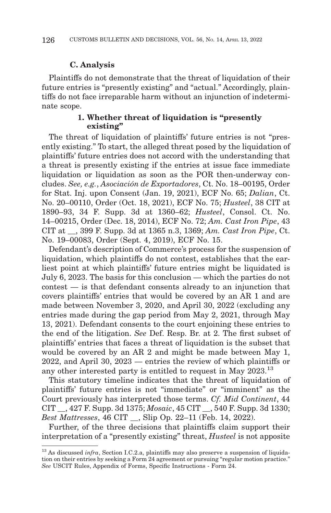### **C. Analysis**

Plaintiffs do not demonstrate that the threat of liquidation of their future entries is "presently existing" and "actual." Accordingly, plaintiffs do not face irreparable harm without an injunction of indeterminate scope.

## **1. Whether threat of liquidation is "presently existing"**

The threat of liquidation of plaintiffs' future entries is not "presently existing." To start, the alleged threat posed by the liquidation of plaintiffs' future entries does not accord with the understanding that a threat is presently existing if the entries at issue face immediate liquidation or liquidation as soon as the POR then-underway concludes. *See, e.g.*, *Asociación de Exportadores*, Ct. No. 18–00195, Order for Stat. Inj. upon Consent (Jan. 19, 2021), ECF No. 65; *Dalian*, Ct. No. 20–00110, Order (Oct. 18, 2021), ECF No. 75; *Husteel*, 38 CIT at 1890–93, 34 F. Supp. 3d at 1360–62; *Husteel*, Consol. Ct. No. 14–00215, Order (Dec. 18, 2014), ECF No. 72; *Am. Cast Iron Pipe*, 43 CIT at \_\_, 399 F. Supp. 3d at 1365 n.3, 1369; *Am. Cast Iron Pipe*, Ct. No. 19–00083, Order (Sept. 4, 2019), ECF No. 15.

Defendant's description of Commerce's process for the suspension of liquidation, which plaintiffs do not contest, establishes that the earliest point at which plaintiffs' future entries might be liquidated is July 6, 2023. The basis for this conclusion — which the parties do not contest — is that defendant consents already to an injunction that covers plaintiffs' entries that would be covered by an AR 1 and are made between November 3, 2020, and April 30, 2022 (excluding any entries made during the gap period from May 2, 2021, through May 13, 2021). Defendant consents to the court enjoining these entries to the end of the litigation. *See* Def. Resp. Br. at 2. The first subset of plaintiffs' entries that faces a threat of liquidation is the subset that would be covered by an AR 2 and might be made between May 1, 2022, and April 30, 2023 — entries the review of which plaintiffs or any other interested party is entitled to request in May 2023.<sup>13</sup>

This statutory timeline indicates that the threat of liquidation of plaintiffs' future entries is not "immediate" or "imminent" as the Court previously has interpreted those terms. *Cf. Mid Continent*, 44 CIT \_\_, 427 F. Supp. 3d 1375; *Mosaic*, 45 CIT \_\_, 540 F. Supp. 3d 1330; *Best Mattresses*, 46 CIT \_\_, Slip Op. 22–11 (Feb. 14, 2022).

Further, of the three decisions that plaintiffs claim support their interpretation of a "presently existing" threat, *Husteel* is not apposite

<sup>&</sup>lt;sup>13</sup> As discussed *infra*, Section I.C.2.a, plaintiffs may also preserve a suspension of liquidation on their entries by seeking a Form 24 agreement or pursuing "regular motion practice." *See* USCIT Rules, Appendix of Forms, Specific Instructions - Form 24.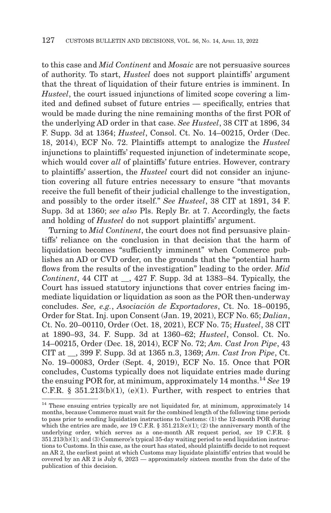to this case and *Mid Continent* and *Mosaic* are not persuasive sources of authority. To start, *Husteel* does not support plaintiffs' argument that the threat of liquidation of their future entries is imminent. In *Husteel*, the court issued injunctions of limited scope covering a limited and defined subset of future entries — specifically, entries that would be made during the nine remaining months of the first POR of the underlying AD order in that case. *See Husteel*, 38 CIT at 1896, 34 F. Supp. 3d at 1364; *Husteel*, Consol. Ct. No. 14–00215, Order (Dec. 18, 2014), ECF No. 72. Plaintiffs attempt to analogize the *Husteel* injunctions to plaintiffs' requested injunction of indeterminate scope, which would cover *all* of plaintiffs' future entries. However, contrary to plaintiffs' assertion, the *Husteel* court did not consider an injunction covering all future entries necessary to ensure "that movants receive the full benefit of their judicial challenge to the investigation, and possibly to the order itself." *See Husteel*, 38 CIT at 1891, 34 F. Supp. 3d at 1360; *see also* Pls. Reply Br. at 7. Accordingly, the facts and holding of *Husteel* do not support plaintiffs' argument.

Turning to *Mid Continent*, the court does not find persuasive plaintiffs' reliance on the conclusion in that decision that the harm of liquidation becomes "sufficiently imminent" when Commerce publishes an AD or CVD order, on the grounds that the "potential harm flows from the results of the investigation" leading to the order. *Mid Continent*, 44 CIT at \_\_, 427 F. Supp. 3d at 1383–84. Typically, the Court has issued statutory injunctions that cover entries facing immediate liquidation or liquidation as soon as the POR then-underway concludes. *See, e.g.*, *Asociación de Exportadores*, Ct. No. 18–00195, Order for Stat. Inj. upon Consent (Jan. 19, 2021), ECF No. 65; *Dalian*, Ct. No. 20–00110, Order (Oct. 18, 2021), ECF No. 75; *Husteel*, 38 CIT at 1890–93, 34. F. Supp. 3d at 1360–62; *Husteel*, Consol. Ct. No. 14–00215, Order (Dec. 18, 2014), ECF No. 72; *Am. Cast Iron Pipe*, 43 CIT at \_\_, 399 F. Supp. 3d at 1365 n.3, 1369; *Am. Cast Iron Pipe*, Ct. No. 19–00083, Order (Sept. 4, 2019), ECF No. 15. Once that POR concludes, Customs typically does not liquidate entries made during the ensuing POR for, at minimum, approximately 14 months.14 *See* 19 C.F.R.  $\S$  351.213(b)(1), (e)(1). Further, with respect to entries that

<sup>&</sup>lt;sup>14</sup> These ensuing entries typically are not liquidated for, at minimum, approximately 14 months, because Commerce must wait for the combined length of the following time periods to pass prior to sending liquidation instructions to Customs: (1) the 12-month POR during which the entries are made, *see* 19 C.F.R. § 351.213(e)(1); (2) the anniversary month of the underlying order, which serves as a one-month AR request period, *see* 19 C.F.R. § 351.213(b)(1); and (3) Commerce's typical 35-day waiting period to send liquidation instructions to Customs. In this case, as the court has stated, should plaintiffs decide to not request an AR 2, the earliest point at which Customs may liquidate plaintiffs' entries that would be covered by an AR 2 is July 6, 2023 — approximately sixteen months from the date of the publication of this decision.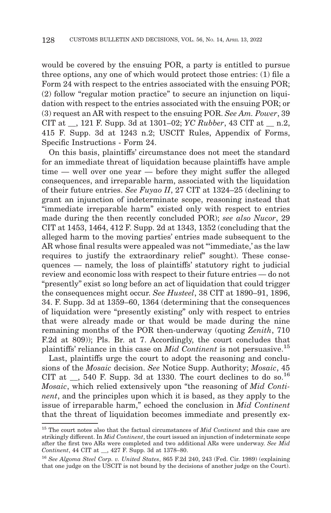would be covered by the ensuing POR, a party is entitled to pursue three options, any one of which would protect those entries: (1) file a Form 24 with respect to the entries associated with the ensuing POR; (2) follow "regular motion practice" to secure an injunction on liquidation with respect to the entries associated with the ensuing POR; or (3) request an AR with respect to the ensuing POR. *See Am. Power*, 39 CIT at \_\_, 121 F. Supp. 3d at 1301–02; *YC Rubber*, 43 CIT at \_\_ n.2, 415 F. Supp. 3d at 1243 n.2; USCIT Rules, Appendix of Forms, Specific Instructions - Form 24.

On this basis, plaintiffs' circumstance does not meet the standard for an immediate threat of liquidation because plaintiffs have ample time — well over one year — before they might suffer the alleged consequences, and irreparable harm, associated with the liquidation of their future entries. *See Fuyao II*, 27 CIT at 1324–25 (declining to grant an injunction of indeterminate scope, reasoning instead that "immediate irreparable harm" existed only with respect to entries made during the then recently concluded POR); *see also Nucor*, 29 CIT at 1453, 1464, 412 F. Supp. 2d at 1343, 1352 (concluding that the alleged harm to the moving parties' entries made subsequent to the AR whose final results were appealed was not "'immediate,' as the law requires to justify the extraordinary relief" sought). These consequences — namely, the loss of plaintiffs' statutory right to judicial review and economic loss with respect to their future entries — do not "presently" exist so long before an act of liquidation that could trigger the consequences might occur. *See Husteel*, 38 CIT at 1890–91, 1896, 34. F. Supp. 3d at 1359–60, 1364 (determining that the consequences of liquidation were "presently existing" only with respect to entries that were already made or that would be made during the nine remaining months of the POR then-underway (quoting *Zenith*, 710 F.2d at 809)); Pls. Br. at 7. Accordingly, the court concludes that plaintiffs' reliance in this case on *Mid Continent* is not persuasive.15

Last, plaintiffs urge the court to adopt the reasoning and conclusions of the *Mosaic* decision. *See* Notice Supp. Authority; *Mosaic*, 45 CIT at  $\,$ , 540 F. Supp. 3d at 1330. The court declines to do so.<sup>16</sup> *Mosaic*, which relied extensively upon "the reasoning of *Mid Continent*, and the principles upon which it is based, as they apply to the issue of irreparable harm," echoed the conclusion in *Mid Continent* that the threat of liquidation becomes immediate and presently ex-

<sup>15</sup> The court notes also that the factual circumstances of *Mid Continent* and this case are strikingly different. In *Mid Continent*, the court issued an injunction of indeterminate scope after the first two ARs were completed and two additional ARs were underway. *See Mid Continent*, 44 CIT at \_\_, 427 F. Supp. 3d at 1378–80.

<sup>16</sup>*See Algoma Steel Corp. v. United States*, 865 F.2d 240, 243 (Fed. Cir. 1989) (explaining that one judge on the USCIT is not bound by the decisions of another judge on the Court).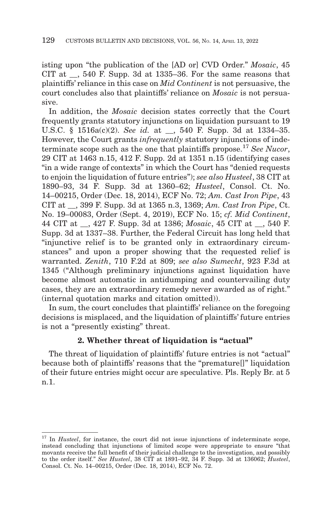isting upon "the publication of the [AD or] CVD Order." *Mosaic*, 45 CIT at  $\,$ , 540 F. Supp. 3d at 1335–36. For the same reasons that plaintiffs' reliance in this case on *Mid Continent* is not persuasive, the court concludes also that plaintiffs' reliance on *Mosaic* is not persuasive.

In addition, the *Mosaic* decision states correctly that the Court frequently grants statutory injunctions on liquidation pursuant to 19 U.S.C. § 1516a(c)(2). *See id.* at \_\_, 540 F. Supp. 3d at 1334–35. However, the Court grants *infrequently* statutory injunctions of indeterminate scope such as the one that plaintiffs propose.17 *See Nucor*, 29 CIT at 1463 n.15, 412 F. Supp. 2d at 1351 n.15 (identifying cases "in a wide range of contexts" in which the Court has "denied requests to enjoin the liquidation of future entries"); *see also Husteel*, 38 CIT at 1890–93, 34 F. Supp. 3d at 1360–62; *Husteel*, Consol. Ct. No. 14–00215, Order (Dec. 18, 2014), ECF No. 72; *Am. Cast Iron Pipe*, 43 CIT at \_\_, 399 F. Supp. 3d at 1365 n.3, 1369; *Am. Cast Iron Pipe*, Ct. No. 19–00083, Order (Sept. 4, 2019), ECF No. 15; *cf. Mid Continent*, 44 CIT at \_\_, 427 F. Supp. 3d at 1386; *Mosaic*, 45 CIT at \_\_, 540 F. Supp. 3d at 1337–38. Further, the Federal Circuit has long held that "injunctive relief is to be granted only in extraordinary circumstances" and upon a proper showing that the requested relief is warranted. *Zenith*, 710 F.2d at 809; *see also Sumecht*, 923 F.3d at 1345 ("Although preliminary injunctions against liquidation have become almost automatic in antidumping and countervailing duty cases, they are an extraordinary remedy never awarded as of right." (internal quotation marks and citation omitted)).

In sum, the court concludes that plaintiffs' reliance on the foregoing decisions is misplaced, and the liquidation of plaintiffs' future entries is not a "presently existing" threat.

## **2. Whether threat of liquidation is "actual"**

The threat of liquidation of plaintiffs' future entries is not "actual" because both of plaintiffs' reasons that the "premature[]" liquidation of their future entries might occur are speculative. Pls. Reply Br. at 5 n.1.

<sup>&</sup>lt;sup>17</sup> In *Husteel*, for instance, the court did not issue injunctions of indeterminate scope, instead concluding that injunctions of limited scope were appropriate to ensure "that movants receive the full benefit of their judicial challenge to the investigation, and possibly to the order itself." *See Husteel*, 38 CIT at 1891–92, 34 F. Supp. 3d at 136062; *Husteel*, Consol. Ct. No. 14–00215, Order (Dec. 18, 2014), ECF No. 72.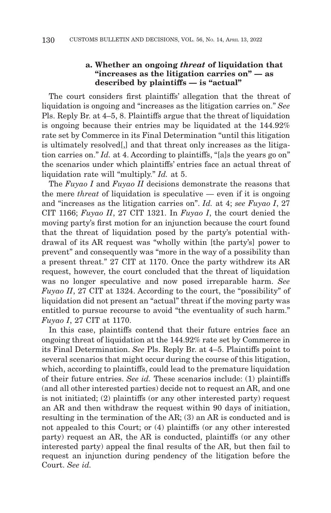### **a. Whether an ongoing** *threat* **of liquidation that "increases as the litigation carries on" — as described by plaintiffs — is "actual"**

The court considers first plaintiffs' allegation that the threat of liquidation is ongoing and "increases as the litigation carries on." *See* Pls. Reply Br. at 4–5, 8. Plaintiffs argue that the threat of liquidation is ongoing because their entries may be liquidated at the 144.92% rate set by Commerce in its Final Determination "until this litigation is ultimately resolved[,] and that threat only increases as the litigation carries on." *Id.* at 4. According to plaintiffs, "[a]s the years go on" the scenarios under which plaintiffs' entries face an actual threat of liquidation rate will "multiply." *Id.* at 5.

The *Fuyao I* and *Fuyao II* decisions demonstrate the reasons that the mere *threat* of liquidation is speculative — even if it is ongoing and "increases as the litigation carries on". *Id.* at 4; *see Fuyao I*, 27 CIT 1166; *Fuyao II*, 27 CIT 1321. In *Fuyao I*, the court denied the moving party's first motion for an injunction because the court found that the threat of liquidation posed by the party's potential withdrawal of its AR request was "wholly within [the party's] power to prevent" and consequently was "more in the way of a possibility than a present threat." 27 CIT at 1170. Once the party withdrew its AR request, however, the court concluded that the threat of liquidation was no longer speculative and now posed irreparable harm. *See Fuyao II*, 27 CIT at 1324. According to the court, the "possibility" of liquidation did not present an "actual" threat if the moving party was entitled to pursue recourse to avoid "the eventuality of such harm." *Fuyao I*, 27 CIT at 1170.

In this case, plaintiffs contend that their future entries face an ongoing threat of liquidation at the 144.92% rate set by Commerce in its Final Determination. *See* Pls. Reply Br. at 4–5. Plaintiffs point to several scenarios that might occur during the course of this litigation, which, according to plaintiffs, could lead to the premature liquidation of their future entries. *See id.* These scenarios include: (1) plaintiffs (and all other interested parties) decide not to request an AR, and one is not initiated; (2) plaintiffs (or any other interested party) request an AR and then withdraw the request within 90 days of initiation, resulting in the termination of the AR; (3) an AR is conducted and is not appealed to this Court; or (4) plaintiffs (or any other interested party) request an AR, the AR is conducted, plaintiffs (or any other interested party) appeal the final results of the AR, but then fail to request an injunction during pendency of the litigation before the Court. *See id.*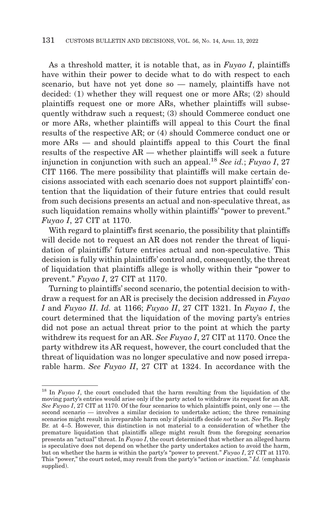As a threshold matter, it is notable that, as in *Fuyao I*, plaintiffs have within their power to decide what to do with respect to each scenario, but have not yet done so — namely, plaintiffs have not decided: (1) whether they will request one or more ARs; (2) should plaintiffs request one or more ARs, whether plaintiffs will subsequently withdraw such a request; (3) should Commerce conduct one or more ARs, whether plaintiffs will appeal to this Court the final results of the respective AR; or (4) should Commerce conduct one or more ARs — and should plaintiffs appeal to this Court the final results of the respective AR — whether plaintiffs will seek a future injunction in conjunction with such an appeal.18 *See id.*; *Fuyao I*, 27 CIT 1166. The mere possibility that plaintiffs will make certain decisions associated with each scenario does not support plaintiffs' contention that the liquidation of their future entries that could result from such decisions presents an actual and non-speculative threat, as such liquidation remains wholly within plaintiffs' "power to prevent." *Fuyao I*, 27 CIT at 1170.

With regard to plaintiff's first scenario, the possibility that plaintiffs will decide not to request an AR does not render the threat of liquidation of plaintiffs' future entries actual and non-speculative. This decision is fully within plaintiffs' control and, consequently, the threat of liquidation that plaintiffs allege is wholly within their "power to prevent." *Fuyao I*, 27 CIT at 1170.

Turning to plaintiffs' second scenario, the potential decision to withdraw a request for an AR is precisely the decision addressed in *Fuyao I* and *Fuyao II*. *Id.* at 1166; *Fuyao II*, 27 CIT 1321. In *Fuyao I*, the court determined that the liquidation of the moving party's entries did not pose an actual threat prior to the point at which the party withdrew its request for an AR. *See Fuyao I*, 27 CIT at 1170. Once the party withdrew its AR request, however, the court concluded that the threat of liquidation was no longer speculative and now posed irreparable harm. *See Fuyao II*, 27 CIT at 1324. In accordance with the

<sup>&</sup>lt;sup>18</sup> In *Fuyao I*, the court concluded that the harm resulting from the liquidation of the moving party's entries would arise only if the party acted to withdraw its request for an AR. *See Fuyao I*, 27 CIT at 1170. Of the four scenarios to which plaintiffs point, only one — the second scenario — involves a similar decision to undertake action; the three remaining scenarios might result in irreparable harm only if plaintiffs decide *not* to act. *See* Pls. Reply Br. at 4–5. However, this distinction is not material to a consideration of whether the premature liquidation that plaintiffs allege might result from the foregoing scenarios presents an "actual" threat. In *Fuyao I*, the court determined that whether an alleged harm is speculative does not depend on whether the party undertakes action to avoid the harm, but on whether the harm is within the party's "power to prevent." *Fuyao I*, 27 CIT at 1170. This "power," the court noted, may result from the party's "action *or* inaction." *Id.* (emphasis supplied).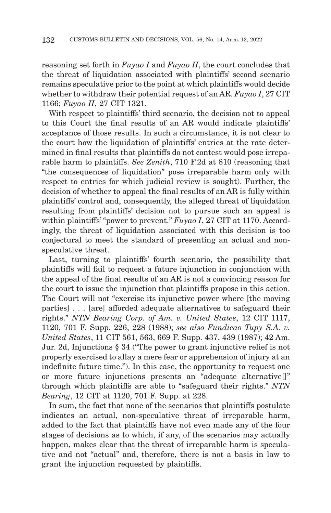reasoning set forth in *Fuyao I* and *Fuyao II*, the court concludes that the threat of liquidation associated with plaintiffs' second scenario remains speculative prior to the point at which plaintiffs would decide whether to withdraw their potential request of an AR. *Fuyao I*, 27 CIT 1166; *Fuyao II*, 27 CIT 1321.

With respect to plaintiffs' third scenario, the decision not to appeal to this Court the final results of an AR would indicate plaintiffs' acceptance of those results. In such a circumstance, it is not clear to the court how the liquidation of plaintiffs' entries at the rate determined in final results that plaintiffs do not contest would pose irreparable harm to plaintiffs. *See Zenith*, 710 F.2d at 810 (reasoning that "the consequences of liquidation" pose irreparable harm only with respect to entries for which judicial review is sought). Further, the decision of whether to appeal the final results of an AR is fully within plaintiffs' control and, consequently, the alleged threat of liquidation resulting from plaintiffs' decision not to pursue such an appeal is within plaintiffs' "power to prevent." *Fuyao I*, 27 CIT at 1170. Accordingly, the threat of liquidation associated with this decision is too conjectural to meet the standard of presenting an actual and nonspeculative threat.

Last, turning to plaintiffs' fourth scenario, the possibility that plaintiffs will fail to request a future injunction in conjunction with the appeal of the final results of an AR is not a convincing reason for the court to issue the injunction that plaintiffs propose in this action. The Court will not "exercise its injunctive power where [the moving parties] . . . [are] afforded adequate alternatives to safeguard their rights." *NTN Bearing Corp. of Am. v. United States*, 12 CIT 1117, 1120, 701 F. Supp. 226, 228 (1988); *see also Fundicao Tupy S.A. v. United States*, 11 CIT 561, 563, 669 F. Supp. 437, 439 (1987); 42 Am. Jur. 2d, Injunctions § 34 ("The power to grant injunctive relief is not properly exercised to allay a mere fear or apprehension of injury at an indefinite future time."). In this case, the opportunity to request one or more future injunctions presents an "adequate alternative[]" through which plaintiffs are able to "safeguard their rights." *NTN Bearing*, 12 CIT at 1120, 701 F. Supp. at 228.

In sum, the fact that none of the scenarios that plaintiffs postulate indicates an actual, non-speculative threat of irreparable harm, added to the fact that plaintiffs have not even made any of the four stages of decisions as to which, if any, of the scenarios may actually happen, makes clear that the threat of irreparable harm is speculative and not "actual" and, therefore, there is not a basis in law to grant the injunction requested by plaintiffs.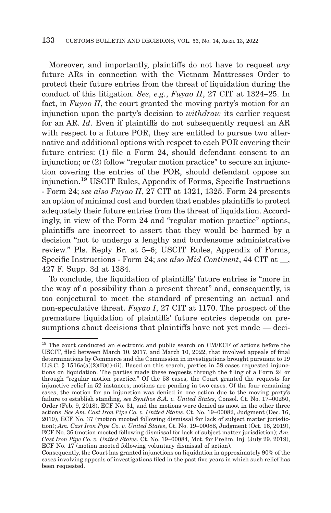Moreover, and importantly, plaintiffs do not have to request *any* future ARs in connection with the Vietnam Mattresses Order to protect their future entries from the threat of liquidation during the conduct of this litigation. *See, e.g.*, *Fuyao II*, 27 CIT at 1324–25. In fact, in *Fuyao II*, the court granted the moving party's motion for an injunction upon the party's decision to *withdraw* its earlier request for an AR. *Id*. Even if plaintiffs do not subsequently request an AR with respect to a future POR, they are entitled to pursue two alternative and additional options with respect to each POR covering their future entries: (1) file a Form 24, should defendant consent to an injunction; or (2) follow "regular motion practice" to secure an injunction covering the entries of the POR, should defendant oppose an injunction.19 USCIT Rules, Appendix of Forms, Specific Instructions - Form 24; *see also Fuyao II*, 27 CIT at 1321, 1325. Form 24 presents an option of minimal cost and burden that enables plaintiffs to protect adequately their future entries from the threat of liquidation. Accordingly, in view of the Form 24 and "regular motion practice" options, plaintiffs are incorrect to assert that they would be harmed by a decision "not to undergo a lengthy and burdensome administrative review." Pls. Reply Br. at 5–6; USCIT Rules, Appendix of Forms, Specific Instructions - Form 24; *see also Mid Continent*, 44 CIT at \_\_, 427 F. Supp. 3d at 1384.

To conclude, the liquidation of plaintiffs' future entries is "more in the way of a possibility than a present threat" and, consequently, is too conjectural to meet the standard of presenting an actual and non-speculative threat. *Fuyao I*, 27 CIT at 1170. The prospect of the premature liquidation of plaintiffs' future entries depends on presumptions about decisions that plaintiffs have not yet made — deci-

<sup>&</sup>lt;sup>19</sup> The court conducted an electronic and public search on CM/ECF of actions before the USCIT, filed between March 10, 2017, and March 10, 2022, that involved appeals of final determinations by Commerce and the Commission in investigations brought pursuant to 19 U.S.C. § 1516a(a)(2)(B)(i)-(ii). Based on this search, parties in 58 cases requested injunctions on liquidation. The parties made these requests through the filing of a Form 24 or through "regular motion practice." Of the 58 cases, the Court granted the requests for injunctive relief in 52 instances; motions are pending in two cases. Of the four remaining cases, the motion for an injunction was denied in one action due to the moving party's failure to establish standing, *see Synthos S.A. v. United States*, Consol. Ct. No. 17–00250, Order (Feb. 9, 2018), ECF No. 31, and the motions were denied as moot in the other three actions. *See Am. Cast Iron Pipe Co. v. United States*, Ct. No. 19–00082, Judgment (Dec. 16, 2019), ECF No. 37 (motion mooted following dismissal for lack of subject matter jurisdiction); *Am. Cast Iron Pipe Co. v. United States*, Ct. No. 19–00088, Judgment (Oct. 16, 2019), ECF No. 36 (motion mooted following dismissal for lack of subject matter jurisdiction); *Am. Cast Iron Pipe Co. v. United States*, Ct. No. 19–00084, Mot. for Prelim. Inj. (July 29, 2019), ECF No. 17 (motion mooted following voluntary dismissal of action).

Consequently, the Court has granted injunctions on liquidation in approximately 90% of the cases involving appeals of investigations filed in the past five years in which such relief has been requested.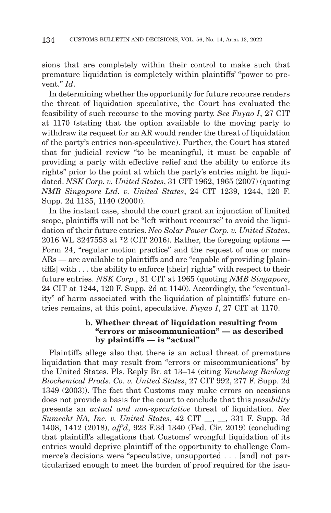sions that are completely within their control to make such that premature liquidation is completely within plaintiffs' "power to prevent." *Id*.

In determining whether the opportunity for future recourse renders the threat of liquidation speculative, the Court has evaluated the feasibility of such recourse to the moving party. *See Fuyao I*, 27 CIT at 1170 (stating that the option available to the moving party to withdraw its request for an AR would render the threat of liquidation of the party's entries non-speculative). Further, the Court has stated that for judicial review "to be meaningful, it must be capable of providing a party with effective relief and the ability to enforce its rights" prior to the point at which the party's entries might be liquidated. *NSK Corp. v. United States*, 31 CIT 1962, 1965 (2007) (quoting *NMB Singapore Ltd. v. United States*, 24 CIT 1239, 1244, 120 F. Supp. 2d 1135, 1140 (2000)).

In the instant case, should the court grant an injunction of limited scope, plaintiffs will not be "left without recourse" to avoid the liquidation of their future entries. *Neo Solar Power Corp. v. United States*, 2016 WL 3247553 at \*2 (CIT 2016). Rather, the foregoing options — Form 24, "regular motion practice" and the request of one or more ARs — are available to plaintiffs and are "capable of providing [plaintiffs] with . . . the ability to enforce [their] rights" with respect to their future entries. *NSK Corp.*, 31 CIT at 1965 (quoting *NMB Singapore*, 24 CIT at 1244, 120 F. Supp. 2d at 1140). Accordingly, the "eventuality" of harm associated with the liquidation of plaintiffs' future entries remains, at this point, speculative. *Fuyao I*, 27 CIT at 1170.

### **b. Whether threat of liquidation resulting from "errors or miscommunication" — as described by plaintiffs — is "actual"**

Plaintiffs allege also that there is an actual threat of premature liquidation that may result from "errors or miscommunications" by the United States. Pls. Reply Br. at 13–14 (citing *Yancheng Baolong Biochemical Prods. Co. v. United States*, 27 CIT 992, 277 F. Supp. 2d 1349 (2003)). The fact that Customs may make errors on occasions does not provide a basis for the court to conclude that this *possibility* presents an *actual and non-speculative* threat of liquidation. *See Sumecht NA, Inc. v. United States*, 42 CIT \_\_, \_\_, 331 F. Supp. 3d 1408, 1412 (2018), *aff'd*, 923 F.3d 1340 (Fed. Cir. 2019) (concluding that plaintiff's allegations that Customs' wrongful liquidation of its entries would deprive plaintiff of the opportunity to challenge Commerce's decisions were "speculative, unsupported . . . [and] not particularized enough to meet the burden of proof required for the issu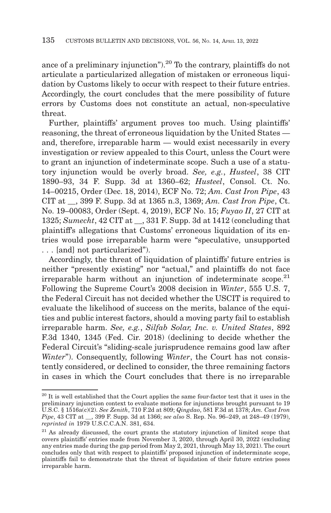ance of a preliminary injunction").<sup>20</sup> To the contrary, plaintiffs do not articulate a particularized allegation of mistaken or erroneous liquidation by Customs likely to occur with respect to their future entries. Accordingly, the court concludes that the mere possibility of future errors by Customs does not constitute an actual, non-speculative threat.

Further, plaintiffs' argument proves too much. Using plaintiffs' reasoning, the threat of erroneous liquidation by the United States and, therefore, irreparable harm — would exist necessarily in every investigation or review appealed to this Court, unless the Court were to grant an injunction of indeterminate scope. Such a use of a statutory injunction would be overly broad. *See, e.g.*, *Husteel*, 38 CIT 1890–93, 34 F. Supp. 3d at 1360–62; *Husteel*, Consol. Ct. No. 14–00215, Order (Dec. 18, 2014), ECF No. 72; *Am. Cast Iron Pipe*, 43 CIT at \_\_, 399 F. Supp. 3d at 1365 n.3, 1369; *Am. Cast Iron Pipe*, Ct. No. 19–00083, Order (Sept. 4, 2019), ECF No. 15; *Fuyao II*, 27 CIT at 1325; *Sumecht*, 42 CIT at \_\_, 331 F. Supp. 3d at 1412 (concluding that plaintiff's allegations that Customs' erroneous liquidation of its entries would pose irreparable harm were "speculative, unsupported . . . [and] not particularized").

Accordingly, the threat of liquidation of plaintiffs' future entries is neither "presently existing" nor "actual," and plaintiffs do not face irreparable harm without an injunction of indeterminate scope.<sup>21</sup> Following the Supreme Court's 2008 decision in *Winter*, 555 U.S. 7, the Federal Circuit has not decided whether the USCIT is required to evaluate the likelihood of success on the merits, balance of the equities and public interest factors, should a moving party fail to establish irreparable harm. *See, e.g.*, *Silfab Solar, Inc. v. United States*, 892 F.3d 1340, 1345 (Fed. Cir. 2018) (declining to decide whether the Federal Circuit's "sliding-scale jurisprudence remains good law after *Winter*"). Consequently, following *Winter*, the Court has not consistently considered, or declined to consider, the three remaining factors in cases in which the Court concludes that there is no irreparable

 $^{\rm 20}$  It is well established that the Court applies the same four-factor test that it uses in the preliminary injunction context to evaluate motions for injunctions brought pursuant to 19 U.S.C. § 1516a(c)(2). *See Zenith*, 710 F.2d at 809; *Qingdao*, 581 F.3d at 1378; *Am. Cast Iron Pipe*, 43 CIT at \_\_, 399 F. Supp. 3d at 1366; *see also* S. Rep. No. 96–249, at 248–49 (1979), *reprinted in* 1979 U.S.C.C.A.N. 381, 634.

 $21$  As already discussed, the court grants the statutory injunction of limited scope that covers plaintiffs' entries made from November 3, 2020, through April 30, 2022 (excluding any entries made during the gap period from May 2, 2021, through May 13, 2021). The court concludes only that with respect to plaintiffs' proposed injunction of indeterminate scope, plaintiffs fail to demonstrate that the threat of liquidation of their future entries poses irreparable harm.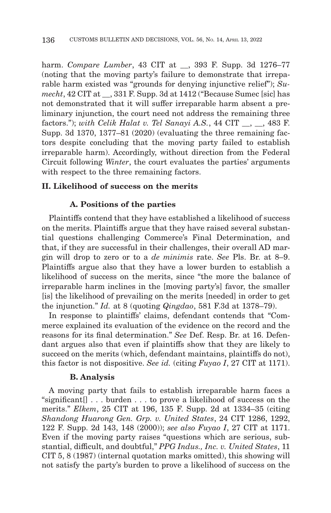harm. *Compare Lumber*, 43 CIT at \_\_, 393 F. Supp. 3d 1276–77 (noting that the moving party's failure to demonstrate that irreparable harm existed was "grounds for denying injunctive relief"); *Sumecht*, 42 CIT at \_\_, 331 F. Supp. 3d at 1412 ("Because Sumec [sic] has not demonstrated that it will suffer irreparable harm absent a preliminary injunction, the court need not address the remaining three factors."); *with Celik Halat v. Tel Sanayi A.S.*, 44 CIT \_\_, \_\_, 483 F. Supp. 3d 1370, 1377–81 (2020) (evaluating the three remaining factors despite concluding that the moving party failed to establish irreparable harm). Accordingly, without direction from the Federal Circuit following *Winter*, the court evaluates the parties' arguments with respect to the three remaining factors.

## **II. Likelihood of success on the merits**

#### **A. Positions of the parties**

Plaintiffs contend that they have established a likelihood of success on the merits. Plaintiffs argue that they have raised several substantial questions challenging Commerce's Final Determination, and that, if they are successful in their challenges, their overall AD margin will drop to zero or to a *de minimis* rate. *See* Pls. Br. at 8–9. Plaintiffs argue also that they have a lower burden to establish a likelihood of success on the merits, since "the more the balance of irreparable harm inclines in the [moving party's] favor, the smaller [is] the likelihood of prevailing on the merits [needed] in order to get the injunction." *Id.* at 8 (quoting *Qingdao*, 581 F.3d at 1378–79).

In response to plaintiffs' claims, defendant contends that "Commerce explained its evaluation of the evidence on the record and the reasons for its final determination." *See* Def. Resp. Br. at 16. Defendant argues also that even if plaintiffs show that they are likely to succeed on the merits (which, defendant maintains, plaintiffs do not), this factor is not dispositive. *See id.* (citing *Fuyao I*, 27 CIT at 1171).

#### **B. Analysis**

A moving party that fails to establish irreparable harm faces a "significant[] . . . burden . . . to prove a likelihood of success on the merits." *Elkem*, 25 CIT at 196, 135 F. Supp. 2d at 1334–35 (citing *Shandong Huarong Gen. Grp. v. United States*, 24 CIT 1286, 1292, 122 F. Supp. 2d 143, 148 (2000)); *see also Fuyao I*, 27 CIT at 1171. Even if the moving party raises "questions which are serious, substantial, difficult, and doubtful," *PPG Indus., Inc. v. United States*, 11 CIT 5, 8 (1987) (internal quotation marks omitted), this showing will not satisfy the party's burden to prove a likelihood of success on the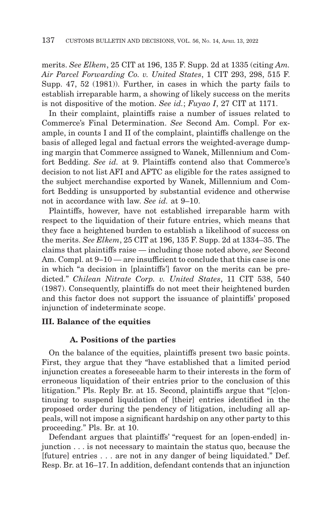merits. *See Elkem*, 25 CIT at 196, 135 F. Supp. 2d at 1335 (citing *Am. Air Parcel Forwarding Co. v. United States*, 1 CIT 293, 298, 515 F. Supp. 47, 52 (1981)). Further, in cases in which the party fails to establish irreparable harm, a showing of likely success on the merits is not dispositive of the motion. *See id.*; *Fuyao I*, 27 CIT at 1171.

In their complaint, plaintiffs raise a number of issues related to Commerce's Final Determination. *See* Second Am. Compl. For example, in counts I and II of the complaint, plaintiffs challenge on the basis of alleged legal and factual errors the weighted-average dumping margin that Commerce assigned to Wanek, Millennium and Comfort Bedding. *See id.* at 9. Plaintiffs contend also that Commerce's decision to not list AFI and AFTC as eligible for the rates assigned to the subject merchandise exported by Wanek, Millennium and Comfort Bedding is unsupported by substantial evidence and otherwise not in accordance with law. *See id.* at 9–10.

Plaintiffs, however, have not established irreparable harm with respect to the liquidation of their future entries, which means that they face a heightened burden to establish a likelihood of success on the merits. *See Elkem*, 25 CIT at 196, 135 F. Supp. 2d at 1334–35. The claims that plaintiffs raise — including those noted above, *see* Second Am. Compl. at 9–10 — are insufficient to conclude that this case is one in which "a decision in [plaintiffs'] favor on the merits can be predicted." *Chilean Nitrate Corp. v. United States*, 11 CIT 538, 540 (1987). Consequently, plaintiffs do not meet their heightened burden and this factor does not support the issuance of plaintiffs' proposed injunction of indeterminate scope.

## **III. Balance of the equities**

# **A. Positions of the parties**

On the balance of the equities, plaintiffs present two basic points. First, they argue that they "have established that a limited period injunction creates a foreseeable harm to their interests in the form of erroneous liquidation of their entries prior to the conclusion of this litigation." Pls. Reply Br. at 15. Second, plaintiffs argue that "[c]ontinuing to suspend liquidation of [their] entries identified in the proposed order during the pendency of litigation, including all appeals, will not impose a significant hardship on any other party to this proceeding." Pls. Br. at 10.

Defendant argues that plaintiffs' "request for an [open-ended] injunction . . . is not necessary to maintain the status quo, because the [future] entries . . . are not in any danger of being liquidated." Def. Resp. Br. at 16–17. In addition, defendant contends that an injunction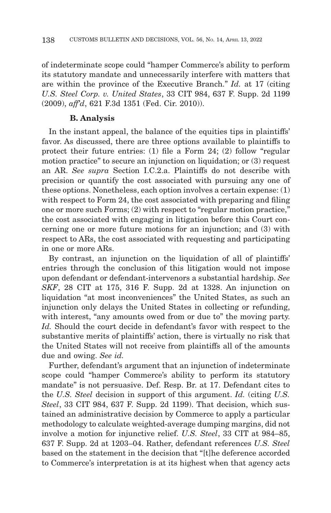of indeterminate scope could "hamper Commerce's ability to perform its statutory mandate and unnecessarily interfere with matters that are within the province of the Executive Branch." *Id.* at 17 (citing *U.S. Steel Corp. v. United States*, 33 CIT 984, 637 F. Supp. 2d 1199 (2009), *aff'd*, 621 F.3d 1351 (Fed. Cir. 2010)).

## **B. Analysis**

In the instant appeal, the balance of the equities tips in plaintiffs' favor. As discussed, there are three options available to plaintiffs to protect their future entries: (1) file a Form 24; (2) follow "regular motion practice" to secure an injunction on liquidation; or (3) request an AR. *See supra* Section I.C.2.a. Plaintiffs do not describe with precision or quantify the cost associated with pursuing any one of these options. Nonetheless, each option involves a certain expense: (1) with respect to Form 24, the cost associated with preparing and filing one or more such Forms; (2) with respect to "regular motion practice," the cost associated with engaging in litigation before this Court concerning one or more future motions for an injunction; and (3) with respect to ARs, the cost associated with requesting and participating in one or more ARs.

By contrast, an injunction on the liquidation of all of plaintiffs' entries through the conclusion of this litigation would not impose upon defendant or defendant-intervenors a substantial hardship. *See SKF*, 28 CIT at 175, 316 F. Supp. 2d at 1328. An injunction on liquidation "at most inconveniences" the United States, as such an injunction only delays the United States in collecting or refunding, with interest, "any amounts owed from or due to" the moving party. *Id.* Should the court decide in defendant's favor with respect to the substantive merits of plaintiffs' action, there is virtually no risk that the United States will not receive from plaintiffs all of the amounts due and owing. *See id.*

Further, defendant's argument that an injunction of indeterminate scope could "hamper Commerce's ability to perform its statutory mandate" is not persuasive. Def. Resp. Br. at 17. Defendant cites to the *U.S. Steel* decision in support of this argument. *Id.* (citing *U.S. Steel*, 33 CIT 984, 637 F. Supp. 2d 1199). That decision, which sustained an administrative decision by Commerce to apply a particular methodology to calculate weighted-average dumping margins, did not involve a motion for injunctive relief. *U.S. Steel*, 33 CIT at 984–85, 637 F. Supp. 2d at 1203–04. Rather, defendant references *U.S. Steel* based on the statement in the decision that "[t]he deference accorded to Commerce's interpretation is at its highest when that agency acts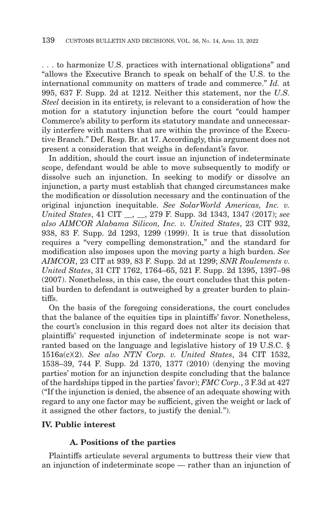. . . to harmonize U.S. practices with international obligations" and "allows the Executive Branch to speak on behalf of the U.S. to the international community on matters of trade and commerce." *Id.* at 995, 637 F. Supp. 2d at 1212. Neither this statement, nor the *U.S. Steel* decision in its entirety, is relevant to a consideration of how the motion for a statutory injunction before the court "could hamper Commerce's ability to perform its statutory mandate and unnecessarily interfere with matters that are within the province of the Executive Branch." Def. Resp. Br. at 17. Accordingly, this argument does not present a consideration that weighs in defendant's favor.

In addition, should the court issue an injunction of indeterminate scope, defendant would be able to move subsequently to modify or dissolve such an injunction. In seeking to modify or dissolve an injunction, a party must establish that changed circumstances make the modification or dissolution necessary and the continuation of the original injunction inequitable. *See SolarWorld Americas, Inc. v. United States*, 41 CIT \_\_, \_\_, 279 F. Supp. 3d 1343, 1347 (2017); *see also AIMCOR Alabama Silicon, Inc. v. United States*, 23 CIT 932, 938, 83 F. Supp. 2d 1293, 1299 (1999). It is true that dissolution requires a "very compelling demonstration," and the standard for modification also imposes upon the moving party a high burden. *See AIMCOR*, 23 CIT at 939, 83 F. Supp. 2d at 1299; *SNR Roulements v. United States*, 31 CIT 1762, 1764–65, 521 F. Supp. 2d 1395, 1397–98 (2007). Nonetheless, in this case, the court concludes that this potential burden to defendant is outweighed by a greater burden to plaintiffs.

On the basis of the foregoing considerations, the court concludes that the balance of the equities tips in plaintiffs' favor. Nonetheless, the court's conclusion in this regard does not alter its decision that plaintiffs' requested injunction of indeterminate scope is not warranted based on the language and legislative history of 19 U.S.C. § 1516a(c)(2). *See also NTN Corp. v. United States*, 34 CIT 1532, 1538–39, 744 F. Supp. 2d 1370, 1377 (2010) (denying the moving parties' motion for an injunction despite concluding that the balance of the hardships tipped in the parties' favor); *FMC Corp.*, 3 F.3d at 427 ("If the injunction is denied, the absence of an adequate showing with regard to any one factor may be sufficient, given the weight or lack of it assigned the other factors, to justify the denial.").

## **IV. Public interest**

# **A. Positions of the parties**

Plaintiffs articulate several arguments to buttress their view that an injunction of indeterminate scope — rather than an injunction of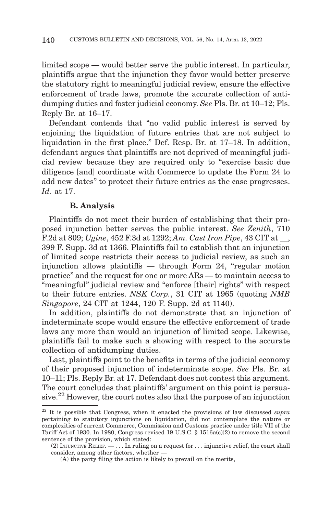limited scope — would better serve the public interest. In particular, plaintiffs argue that the injunction they favor would better preserve the statutory right to meaningful judicial review, ensure the effective enforcement of trade laws, promote the accurate collection of antidumping duties and foster judicial economy. *See* Pls. Br. at 10–12; Pls. Reply Br. at 16–17.

Defendant contends that "no valid public interest is served by enjoining the liquidation of future entries that are not subject to liquidation in the first place." Def. Resp. Br. at 17–18. In addition, defendant argues that plaintiffs are not deprived of meaningful judicial review because they are required only to "exercise basic due diligence [and] coordinate with Commerce to update the Form 24 to add new dates" to protect their future entries as the case progresses. *Id.* at 17.

#### **B. Analysis**

Plaintiffs do not meet their burden of establishing that their proposed injunction better serves the public interest. *See Zenith*, 710 F.2d at 809; *Ugine*, 452 F.3d at 1292; *Am. Cast Iron Pipe*, 43 CIT at \_\_, 399 F. Supp. 3d at 1366. Plaintiffs fail to establish that an injunction of limited scope restricts their access to judicial review, as such an injunction allows plaintiffs — through Form 24, "regular motion practice" and the request for one or more ARs — to maintain access to "meaningful" judicial review and "enforce [their] rights" with respect to their future entries. *NSK Corp.*, 31 CIT at 1965 (quoting *NMB Singapore*, 24 CIT at 1244, 120 F. Supp. 2d at 1140).

In addition, plaintiffs do not demonstrate that an injunction of indeterminate scope would ensure the effective enforcement of trade laws any more than would an injunction of limited scope. Likewise, plaintiffs fail to make such a showing with respect to the accurate collection of antidumping duties.

Last, plaintiffs point to the benefits in terms of the judicial economy of their proposed injunction of indeterminate scope. *See* Pls. Br. at 10–11; Pls. Reply Br. at 17. Defendant does not contest this argument. The court concludes that plaintiffs' argument on this point is persuasive.22 However, the court notes also that the purpose of an injunction

<sup>22</sup> It is possible that Congress, when it enacted the provisions of law discussed *supra* pertaining to statutory injunctions on liquidation, did not contemplate the nature or complexities of current Commerce, Commission and Customs practice under title VII of the Tariff Act of 1930. In 1980, Congress revised 19 U.S.C. §  $1516a(c)(2)$  to remove the second sentence of the provision, which stated:

<sup>(2)</sup> INJUNCTIVE RELIEF.  $- \ldots$  In ruling on a request for  $\ldots$  injunctive relief, the court shall consider, among other factors, whether —

<sup>(</sup>A) the party filing the action is likely to prevail on the merits,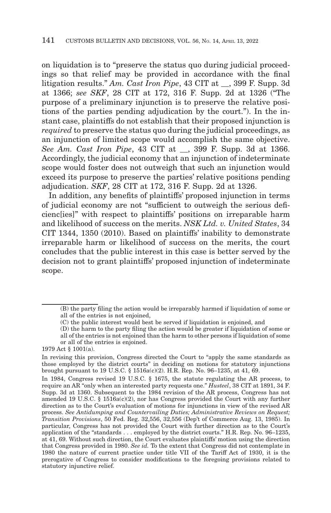on liquidation is to "preserve the status quo during judicial proceedings so that relief may be provided in accordance with the final litigation results." *Am. Cast Iron Pipe*, 43 CIT at \_\_, 399 F. Supp. 3d at 1366; *see SKF*, 28 CIT at 172, 316 F. Supp. 2d at 1326 ("The purpose of a preliminary injunction is to preserve the relative positions of the parties pending adjudication by the court."). In the instant case, plaintiffs do not establish that their proposed injunction is *required* to preserve the status quo during the judicial proceedings, as an injunction of limited scope would accomplish the same objective. *See Am. Cast Iron Pipe*, 43 CIT at \_\_, 399 F. Supp. 3d at 1366. Accordingly, the judicial economy that an injunction of indeterminate scope would foster does not outweigh that such an injunction would exceed its purpose to preserve the parties' relative positions pending adjudication. *SKF*, 28 CIT at 172, 316 F. Supp. 2d at 1326.

In addition, any benefits of plaintiffs' proposed injunction in terms of judicial economy are not "sufficient to outweigh the serious deficienc[ies]" with respect to plaintiffs' positions on irreparable harm and likelihood of success on the merits. *NSK Ltd. v. United States*, 34 CIT 1344, 1350 (2010). Based on plaintiffs' inability to demonstrate irreparable harm or likelihood of success on the merits, the court concludes that the public interest in this case is better served by the decision not to grant plaintiffs' proposed injunction of indeterminate scope.

<sup>(</sup>B) the party filing the action would be irreparably harmed if liquidation of some or all of the entries is not enjoined,

<sup>(</sup>C) the public interest would best be served if liquidation is enjoined, and

<sup>(</sup>D) the harm to the party filing the action would be greater if liquidation of some or all of the entries is not enjoined than the harm to other persons if liquidation of some

or all of the entries is enjoined.

<sup>1979</sup> Act § 1001(a).

In revising this provision, Congress directed the Court to "apply the same standards as those employed by the district courts" in deciding on motions for statutory injunctions brought pursuant to 19 U.S.C. § 1516a(c)(2). H.R. Rep. No. 96–1235, at 41, 69.

In 1984, Congress revised 19 U.S.C. § 1675, the statute regulating the AR process, to require an AR "only when an interested party requests one." *Husteel*, 38 CIT at 1891, 34 F. Supp. 3d at 1360. Subsequent to the 1984 revision of the AR process, Congress has not amended 19 U.S.C. § 1516a(c)(2), nor has Congress provided the Court with any further direction as to the Court's evaluation of motions for injunctions in view of the revised AR process. *See Antidumping and Countervailing Duties; Administrative Reviews on Request; Transition Provisions*, 50 Fed. Reg. 32,556, 32,556 (Dep't of Commerce Aug. 13, 1985). In particular, Congress has not provided the Court with further direction as to the Court's application of the "standards . . . employed by the district courts." H.R. Rep. No. 96–1235, at 41, 69. Without such direction, the Court evaluates plaintiffs' motion using the direction that Congress provided in 1980. *See id.* To the extent that Congress did not contemplate in 1980 the nature of current practice under title VII of the Tariff Act of 1930, it is the prerogative of Congress to consider modifications to the foregoing provisions related to statutory injunctive relief.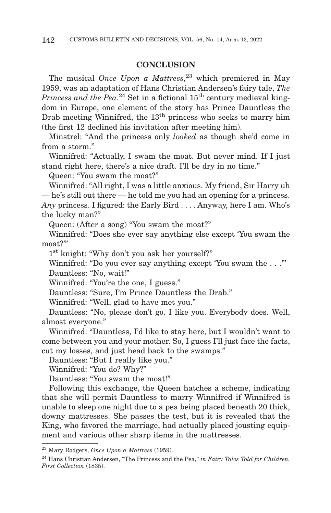#### **CONCLUSION**

The musical *Once Upon a Mattress*, 23 which premiered in May 1959, was an adaptation of Hans Christian Andersen's fairy tale, *The Princess and the Pea*.<sup>24</sup> Set in a fictional  $15<sup>th</sup>$  century medieval kingdom in Europe, one element of the story has Prince Dauntless the Drab meeting Winnifred, the  $13<sup>th</sup>$  princess who seeks to marry him (the first 12 declined his invitation after meeting him).

Minstrel: "And the princess only *looked* as though she'd come in from a storm."

Winnifred: "Actually, I swam the moat. But never mind. If I just stand right here, there's a nice draft. I'll be dry in no time."

Queen: "You swam the moat?"

Winnifred: "All right, I was a little anxious. My friend, Sir Harry uh — he's still out there — he told me you had an opening for a princess. *Any* princess. I figured: the Early Bird . . . . Anyway, here I am. Who's the lucky man?"

Queen: (After a song) "You swam the moat?"

Winnifred: "Does she ever say anything else except 'You swam the moat?"

1st knight: "Why don't you ask her yourself?"

Winnifred: "Do you ever say anything except 'You swam the . . .'" Dauntless: "No, wait!"

Winnifred: "You're the one, I guess."

Dauntless: "Sure, I'm Prince Dauntless the Drab."

Winnifred: "Well, glad to have met you."

Dauntless: "No, please don't go. I like you. Everybody does. Well, almost everyone."

Winnifred: "Dauntless, I'd like to stay here, but I wouldn't want to come between you and your mother. So, I guess I'll just face the facts, cut my losses, and just head back to the swamps."

Dauntless: "But I really like you."

Winnifred: "You do? Why?"

Dauntless: "You swam the moat!"

Following this exchange, the Queen hatches a scheme, indicating that she will permit Dauntless to marry Winnifred if Winnifred is unable to sleep one night due to a pea being placed beneath 20 thick, downy mattresses. She passes the test, but it is revealed that the King, who favored the marriage, had actually placed jousting equipment and various other sharp items in the mattresses.

<sup>23</sup> Mary Rodgers, *Once Upon a Mattress* (1959).

<sup>24</sup> Hans Christian Andersen, "The Princess and the Pea," *in Fairy Tales Told for Children. First Collection* (1835).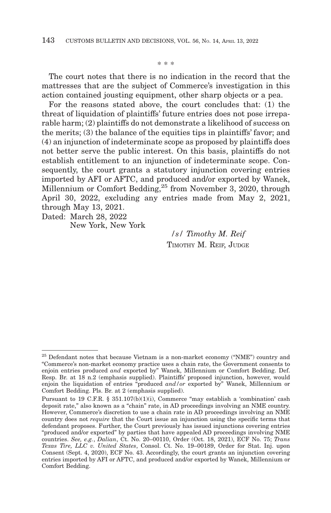\* \* \*

The court notes that there is no indication in the record that the mattresses that are the subject of Commerce's investigation in this action contained jousting equipment, other sharp objects or a pea.

For the reasons stated above, the court concludes that: (1) the threat of liquidation of plaintiffs' future entries does not pose irreparable harm; (2) plaintiffs do not demonstrate a likelihood of success on the merits; (3) the balance of the equities tips in plaintiffs' favor; and (4) an injunction of indeterminate scope as proposed by plaintiffs does not better serve the public interest. On this basis, plaintiffs do not establish entitlement to an injunction of indeterminate scope. Consequently, the court grants a statutory injunction covering entries imported by AFI or AFTC, and produced and/or exported by Wanek, Millennium or Comfort Bedding,<sup>25</sup> from November 3, 2020, through April 30, 2022, excluding any entries made from May 2, 2021, through May 13, 2021.

Dated: March 28, 2022 New York, New York

> */s/ Timothy M. Reif* TIMOTHY M. REIF, JUDGE

<sup>25</sup> Defendant notes that because Vietnam is a non-market economy ("NME") country and "Commerce's non-market economy practice uses a chain rate, the Government consents to enjoin entries produced *and* exported by" Wanek, Millennium or Comfort Bedding. Def. Resp. Br. at 18 n.2 (emphasis supplied). Plaintiffs' proposed injunction, however, would enjoin the liquidation of entries "produced *and/or* exported by" Wanek, Millennium or Comfort Bedding. Pls. Br. at 2 (emphasis supplied).

Pursuant to 19 C.F.R. § 351.107(b)(1)(i), Commerce "may establish a 'combination' cash deposit rate," also known as a "chain" rate, in AD proceedings involving an NME country. However, Commerce's discretion to use a chain rate in AD proceedings involving an NME country does not *require* that the Court issue an injunction using the specific terms that defendant proposes. Further, the Court previously has issued injunctions covering entries "produced and/or exported" by parties that have appealed AD proceedings involving NME countries. *See, e.g.*, *Dalian*, Ct. No. 20–00110, Order (Oct. 18, 2021), ECF No. 75; *Trans Texas Tire, LLC v. United States*, Consol. Ct. No. 19–00189, Order for Stat. Inj. upon Consent (Sept. 4, 2020), ECF No. 43. Accordingly, the court grants an injunction covering entries imported by AFI or AFTC, and produced and/or exported by Wanek, Millennium or Comfort Bedding.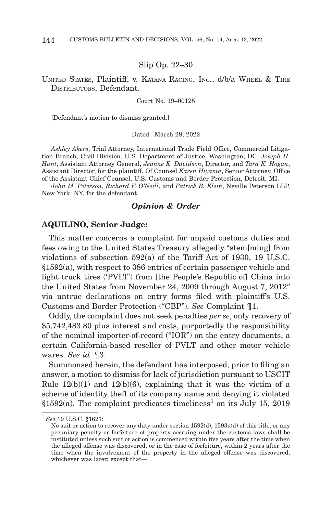#### Slip Op. 22–30

#### UNITED STATES, Plaintiff, v. KATANA RACING, INC., d/b/a WHEEL & TIRE DISTRIBUTORS, Defendant.

Court No. 19–00125

[Defendant's motion to dismiss granted.]

Dated: March 28, 2022

*Ashley Akers*, Trial Attorney, International Trade Field Office, Commercial Litigation Branch, Civil Division, U.S. Department of Justice, Washington, DC, *Joseph H. Hunt*, Assistant Attorney General, *Jeanne E. Davidson*, Director, and *Tara K. Hogan*, Assistant Director, for the plaintiff. Of Counsel *Karen Hiyama*, Senior Attorney, Office of the Assistant Chief Counsel, U.S. Customs and Border Protection, Detroit, MI.

*John M. Peterson*, *Richard F. O'Neill*, and *Patrick B. Klein*, Neville Peterson LLP, New York, NY, for the defendant.

#### *Opinion & Order*

#### **AQUILINO, Senior Judge:**

This matter concerns a complaint for unpaid customs duties and fees owing to the United States Treasury allegedly "stem[ming] from violations of subsection 592(a) of the Tariff Act of 1930, 19 U.S.C. §1592(a), with respect to 386 entries of certain passenger vehicle and light truck tires ('PVLT') from [the People's Republic of] China into the United States from November 24, 2009 through August 7, 2012" via untrue declarations on entry forms filed with plaintiff's U.S. Customs and Border Protection ("CBP"). *See* Complaint ¶1.

Oddly, the complaint does not seek penalties *per se*, only recovery of \$5,742,483.80 plus interest and costs, purportedly the responsibility of the nominal importer-of-record ("IOR") on the entry documents, a certain California-based reseller of PVLT and other motor vehicle wares. *See id*. ¶3.

Summonsed herein, the defendant has interposed, prior to filing an answer, a motion to dismiss for lack of jurisdiction pursuant to USCIT Rule  $12(b)(1)$  and  $12(b)(6)$ , explaining that it was the victim of a scheme of identity theft of its company name and denying it violated §1592(a). The complaint predicates timeliness<sup>1</sup> on its July 15, 2019

<sup>1</sup>*See* 19 U.S.C. §1621:

No suit or action to recover any duty under section 1592(d), 1593a(d) of this title, or any pecuniary penalty or forfeiture of property accruing under the customs laws shall be instituted unless such suit or action is commenced within five years after the time when the alleged offense was discovered, or in the case of forfeiture, within 2 years after the time when the involvement of the property in the alleged offense was discovered, whichever was later; except that—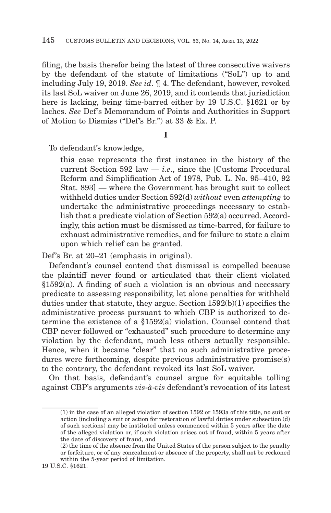filing, the basis therefor being the latest of three consecutive waivers by the defendant of the statute of limitations ("SoL") up to and including July 19, 2019. *See id*. ¶ 4. The defendant, however, revoked its last SoL waiver on June 26, 2019, and it contends that jurisdiction here is lacking, being time-barred either by 19 U.S.C. §1621 or by laches. *See* Def's Memorandum of Points and Authorities in Support of Motion to Dismiss ("Def's Br.") at 33 & Ex. P.

**I**

To defendant's knowledge,

this case represents the first instance in the history of the current Section 592 law  $-i.e.,$  since the [Customs Procedural] Reform and Simplification Act of 1978, Pub. L. No. 95–410, 92 Stat. 893] — where the Government has brought suit to collect withheld duties under Section 592(d) *without* even *attempting* to undertake the administrative proceedings necessary to establish that a predicate violation of Section 592(a) occurred. Accordingly, this action must be dismissed as time-barred, for failure to exhaust administrative remedies, and for failure to state a claim upon which relief can be granted.

Def's Br. at 20–21 (emphasis in original).

Defendant's counsel contend that dismissal is compelled because the plaintiff never found or articulated that their client violated §1592(a). A finding of such a violation is an obvious and necessary predicate to assessing responsibility, let alone penalties for withheld duties under that statute, they argue. Section 1592(b)(1) specifies the administrative process pursuant to which CBP is authorized to determine the existence of a §1592(a) violation. Counsel contend that CBP never followed or "exhausted" such procedure to determine any violation by the defendant, much less others actually responsible. Hence, when it became "clear" that no such administrative procedures were forthcoming, despite previous administrative promise(s) to the contrary, the defendant revoked its last SoL waiver.

On that basis, defendant's counsel argue for equitable tolling against CBP's arguments *vis*-*à*-*vis* defendant's revocation of its latest

<sup>(1)</sup> in the case of an alleged violation of section 1592 or 1593a of this title, no suit or action (including a suit or action for restoration of lawful duties under subsection (d) of such sections) may be instituted unless commenced within 5 years after the date of the alleged violation or, if such violation arises out of fraud, within 5 years after the date of discovery of fraud, and

<sup>(2)</sup> the time of the absence from the United States of the person subject to the penalty or forfeiture, or of any concealment or absence of the property, shall not be reckoned within the 5-year period of limitation.

<sup>19</sup> U.S.C. §1621.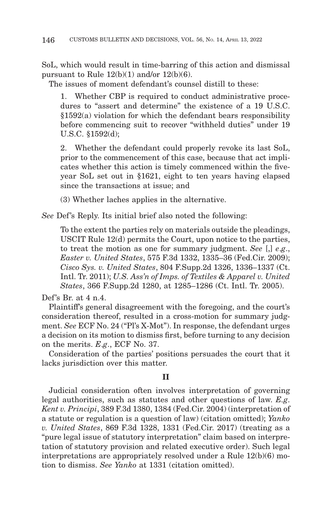SoL, which would result in time-barring of this action and dismissal pursuant to Rule  $12(b)(1)$  and/or  $12(b)(6)$ .

The issues of moment defendant's counsel distill to these:

1. Whether CBP is required to conduct administrative procedures to "assert and determine" the existence of a 19 U.S.C. §1592(a) violation for which the defendant bears responsibility before commencing suit to recover "withheld duties" under 19 U.S.C. §1592(d);

2. Whether the defendant could properly revoke its last SoL, prior to the commencement of this case, because that act implicates whether this action is timely commenced within the fiveyear SoL set out in §1621, eight to ten years having elapsed since the transactions at issue; and

(3) Whether laches applies in the alternative.

*See* Def's Reply. Its initial brief also noted the following:

To the extent the parties rely on materials outside the pleadings, USCIT Rule 12(d) permits the Court, upon notice to the parties, to treat the motion as one for summary judgment. *See* [,] *e*.*g*., *Easter v. United States*, 575 F.3d 1332, 1335–36 (Fed.Cir. 2009); *Cisco Sys. v. United States*, 804 F.Supp.2d 1326, 1336–1337 (Ct. Intl. Tr. 2011); *U.S. Ass'n of Imps. of Textiles & Apparel v. United States*, 366 F.Supp.2d 1280, at 1285–1286 (Ct. Intl. Tr. 2005).

Def's Br. at 4 n.4.

Plaintiff's general disagreement with the foregoing, and the court's consideration thereof, resulted in a cross-motion for summary judgment. *See* ECF No. 24 ("Pl's X-Mot"). In response, the defendant urges a decision on its motion to dismiss first, before turning to any decision on the merits. *E*.*g*., ECF No. 37.

Consideration of the parties' positions persuades the court that it lacks jurisdiction over this matter.

#### **II**

Judicial consideration often involves interpretation of governing legal authorities, such as statutes and other questions of law. *E.g*. *Kent v. Principi*, 389 F.3d 1380, 1384 (Fed.Cir. 2004) (interpretation of a statute or regulation is a question of law) (citation omitted); *Yanko v. United States*, 869 F.3d 1328, 1331 (Fed.Cir. 2017) (treating as a "pure legal issue of statutory interpretation" claim based on interpretation of statutory provision and related executive order). Such legal interpretations are appropriately resolved under a Rule 12(b)(6) motion to dismiss. *See Yanko* at 1331 (citation omitted).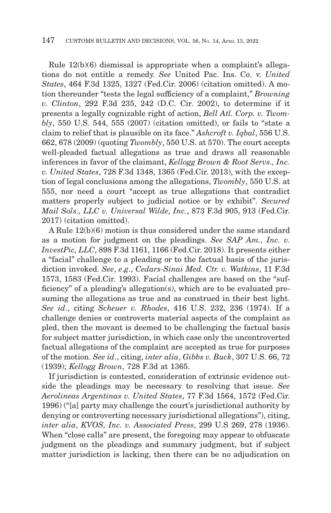Rule 12(b)(6) dismissal is appropriate when a complaint's allegations do not entitle a remedy. *See* United Pac. Ins. Co. v. *United States*, 464 F.3d 1325, 1327 (Fed.Cir. 2006) (citation omitted). A motion thereunder "tests the legal sufficiency of a complaint," *Browning v. Clinton*, 292 F.3d 235, 242 (D.C. Cir. 2002), to determine if it presents a legally cognizable right of action, *Bell Atl. Corp. v. Twombly*, 550 U.S. 544, 555 (2007) (citation omitted), or fails to "state a claim to relief that is plausible on its face." *Ashcroft v. Iqbal*, 556 U.S. 662, 678 (2009) (quoting *Twombly*, 550 U.S. at 570). The court accepts well-pleaded factual allegations as true and draws all reasonable inferences in favor of the claimant, *Kellogg Brown & Root Servs., Inc. v. United States*, 728 F.3d 1348, 1365 (Fed.Cir. 2013), with the exception of legal conclusions among the allegations, *Twombly*, 550 U.S. at 555, nor need a court "accept as true allegations that contradict matters properly subject to judicial notice or by exhibit". *Secured Mail Sols., LLC v. Universal Wilde, Inc.*, 873 F.3d 905, 913 (Fed.Cir. 2017) (citation omitted).

A Rule 12(b)(6) motion is thus considered under the same standard as a motion for judgment on the pleadings. *See SAP Am., Inc. v. InvestPic, LLC*, 898 F.3d 1161, 1166 (Fed.Cir. 2018). It presents either a "facial" challenge to a pleading or to the factual basis of the jurisdiction invoked. *See*, *e*.*g*., *Cedars-Sinai Med. Ctr. v. Watkins*, 11 F.3d 1573, 1583 (Fed.Cir. 1993). Facial challenges are based on the "sufficiency" of a pleading's allegation(s), which are to be evaluated presuming the allegations as true and as construed in their best light. *See id*., citing *Scheuer v. Rhodes*, 416 U.S. 232, 236 (1974). If a challenge denies or controverts material aspects of the complaint as pled, then the movant is deemed to be challenging the factual basis for subject matter jurisdiction, in which case only the uncontroverted factual allegations of the complaint are accepted as true for purposes of the motion. *See id*., citing, *inter alia*, *Gibbs v. Buck*, 307 U.S. 66, 72 (1939); *Kellogg Brown*, 728 F.3d at 1365.

If jurisdiction is contested, consideration of extrinsic evidence outside the pleadings may be necessary to resolving that issue. *See Aerolineas Argentinas v. United States*, 77 F.3d 1564, 1572 (Fed.Cir. 1996) ("[a] party may challenge the court's jurisdictional authority by denying or controverting necessary jurisdictional allegations"), citing, *inter alia*, *KVOS, Inc. v. Associated Press*, 299 U.S 269, 278 (1936). When "close calls" are present, the foregoing may appear to obfuscate judgment on the pleadings and summary judgment, but if subject matter jurisdiction is lacking, then there can be no adjudication on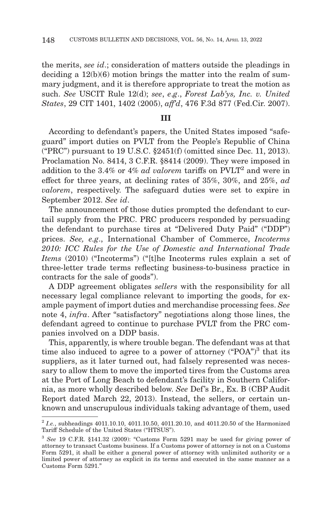the merits, *see id*.; consideration of matters outside the pleadings in deciding a 12(b)(6) motion brings the matter into the realm of summary judgment, and it is therefore appropriate to treat the motion as such. *See* USCIT Rule 12(d); *see*, *e*.*g*., *Forest Lab'ys, Inc. v. United States*, 29 CIT 1401, 1402 (2005), *aff'd*, 476 F.3d 877 (Fed.Cir. 2007).

#### **III**

According to defendant's papers, the United States imposed "safeguard" import duties on PVLT from the People's Republic of China ("PRC") pursuant to 19 U.S.C. §2451(f) (omitted since Dec. 11, 2013). Proclamation No. 8414, 3 C.F.R. §8414 (2009). They were imposed in addition to the 3.4% or 4% *ad valorem* tariffs on PVLT2 and were in effect for three years, at declining rates of 35%, 30%, and 25%, *ad valorem*, respectively. The safeguard duties were set to expire in September 2012. *See id*.

The announcement of those duties prompted the defendant to curtail supply from the PRC. PRC producers responded by persuading the defendant to purchase tires at "Delivered Duty Paid" ("DDP") prices. *See, e.g*., International Chamber of Commerce, *Incoterms 2010: ICC Rules for the Use of Domestic and International Trade Items* (2010) ("Incoterms") ("[t]he Incoterms rules explain a set of three-letter trade terms reflecting business-to-business practice in contracts for the sale of goods").

A DDP agreement obligates *sellers* with the responsibility for all necessary legal compliance relevant to importing the goods, for example payment of import duties and merchandise processing fees. *See* note 4, *infra*. After "satisfactory" negotiations along those lines, the defendant agreed to continue to purchase PVLT from the PRC companies involved on a DDP basis.

This, apparently, is where trouble began. The defendant was at that time also induced to agree to a power of attorney  $({}^{\alpha}POA)^3$  that its suppliers, as it later turned out, had falsely represented was necessary to allow them to move the imported tires from the Customs area at the Port of Long Beach to defendant's facility in Southern California, as more wholly described below. *See* Def's Br., Ex. B (CBP Audit Report dated March 22, 2013). Instead, the sellers, or certain unknown and unscrupulous individuals taking advantage of them, used

<sup>2</sup>*I.e.*, subheadings 4011.10.10, 4011.10.50, 4011.20.10, and 4011.20.50 of the Harmonized Tariff Schedule of the United States ("HTSUS").

<sup>3</sup>*See* 19 C.F.R. §141.32 (2009): "Customs Form 5291 may be used for giving power of attorney to transact Customs business. If a Customs power of attorney is not on a Customs Form 5291, it shall be either a general power of attorney with unlimited authority or a limited power of attorney as explicit in its terms and executed in the same manner as a Customs Form 5291."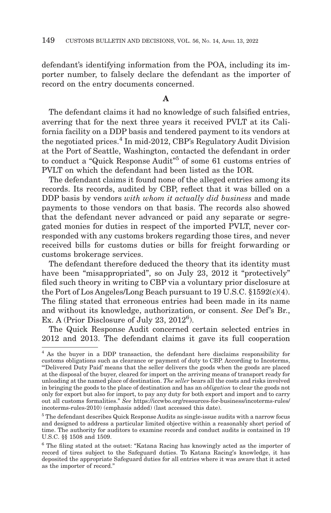defendant's identifying information from the POA, including its importer number, to falsely declare the defendant as the importer of record on the entry documents concerned.

## **A**

The defendant claims it had no knowledge of such falsified entries, averring that for the next three years it received PVLT at its California facility on a DDP basis and tendered payment to its vendors at the negotiated prices.4 In mid-2012, CBP's Regulatory Audit Division at the Port of Seattle, Washington, contacted the defendant in order to conduct a "Quick Response Audit"5 of some 61 customs entries of PVLT on which the defendant had been listed as the IOR.

The defendant claims it found none of the alleged entries among its records. Its records, audited by CBP, reflect that it was billed on a DDP basis by vendors *with whom it actually did business* and made payments to those vendors on that basis. The records also showed that the defendant never advanced or paid any separate or segregated monies for duties in respect of the imported PVLT, never corresponded with any customs brokers regarding those tires, and never received bills for customs duties or bills for freight forwarding or customs brokerage services.

The defendant therefore deduced the theory that its identity must have been "misappropriated", so on July 23, 2012 it "protectively" filed such theory in writing to CBP via a voluntary prior disclosure at the Port of Los Angeles/Long Beach pursuant to 19 U.S.C. §1592(c)(4). The filing stated that erroneous entries had been made in its name and without its knowledge, authorization, or consent. *See* Def's Br., Ex. A (Prior Disclosure of July 23, 2012<sup>6</sup>).

The Quick Response Audit concerned certain selected entries in 2012 and 2013. The defendant claims it gave its full cooperation

<sup>4</sup> As the buyer in a DDP transaction, the defendant here disclaims responsibility for customs obligations such as clearance or payment of duty to CBP. According to Incoterms, "'Delivered Duty Paid' means that the seller delivers the goods when the goods are placed at the disposal of the buyer, cleared for import on the arriving means of transport ready for unloading at the named place of destination. *The seller* bears all the costs and risks involved in bringing the goods to the place of destination and has an *obligation* to clear the goods not only for export but also for import, to pay any duty for both export and import and to carry out all customs formalities." *See* https://iccwbo.org/resources-for-business/incoterms-rules/ incoterms-rules-2010) (emphasis added) (last accessed this date).

<sup>5</sup> The defendant describes Quick Response Audits as single-issue audits with a narrow focus and designed to address a particular limited objective within a reasonably short period of time. The authority for auditors to examine records and conduct audits is contained in 19 U.S.C. §§ 1508 and 1509.

<sup>6</sup> The filing stated at the outset: "Katana Racing has knowingly acted as the importer of record of tires subject to the Safeguard duties. To Katana Racing's knowledge, it has deposited the appropriate Safeguard duties for all entries where it was aware that it acted as the importer of record."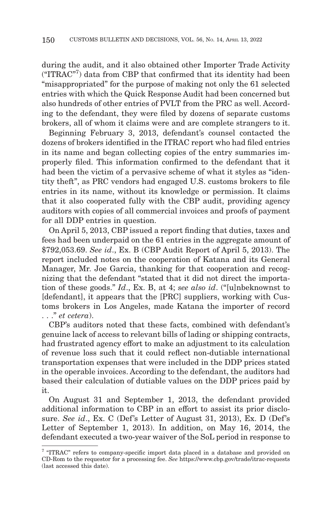during the audit, and it also obtained other Importer Trade Activity ("ITRAC"7 ) data from CBP that confirmed that its identity had been "misappropriated" for the purpose of making not only the 61 selected entries with which the Quick Response Audit had been concerned but also hundreds of other entries of PVLT from the PRC as well. According to the defendant, they were filed by dozens of separate customs brokers, all of whom it claims were and are complete strangers to it.

Beginning February 3, 2013, defendant's counsel contacted the dozens of brokers identified in the ITRAC report who had filed entries in its name and began collecting copies of the entry summaries improperly filed. This information confirmed to the defendant that it had been the victim of a pervasive scheme of what it styles as "identity theft", as PRC vendors had engaged U.S. customs brokers to file entries in its name, without its knowledge or permission. It claims that it also cooperated fully with the CBP audit, providing agency auditors with copies of all commercial invoices and proofs of payment for all DDP entries in question.

On April 5, 2013, CBP issued a report finding that duties, taxes and fees had been underpaid on the 61 entries in the aggregate amount of \$792,053.69. *See id*., Ex. B (CBP Audit Report of April 5, 2013). The report included notes on the cooperation of Katana and its General Manager, Mr. Joe Garcia, thanking for that cooperation and recognizing that the defendant "stated that it did not direct the importation of these goods." *Id*., Ex. B, at 4; *see also id*. ("[u]nbeknownst to [defendant], it appears that the [PRC] suppliers, working with Customs brokers in Los Angeles, made Katana the importer of record . . ." *et cetera*).

CBP's auditors noted that these facts, combined with defendant's genuine lack of access to relevant bills of lading or shipping contracts, had frustrated agency effort to make an adjustment to its calculation of revenue loss such that it could reflect non-dutiable international transportation expenses that were included in the DDP prices stated in the operable invoices. According to the defendant, the auditors had based their calculation of dutiable values on the DDP prices paid by it.

On August 31 and September 1, 2013, the defendant provided additional information to CBP in an effort to assist its prior disclosure. *See id*., Ex. C (Def's Letter of August 31, 2013), Ex. D (Def's Letter of September 1, 2013). In addition, on May 16, 2014, the defendant executed a two-year waiver of the SoL period in response to

<sup>7 &</sup>quot;ITRAC" refers to company-specific import data placed in a database and provided on CD-Rom to the requestor for a processing fee. *See* https://www.cbp.gov/trade/itrac-requests (last accessed this date).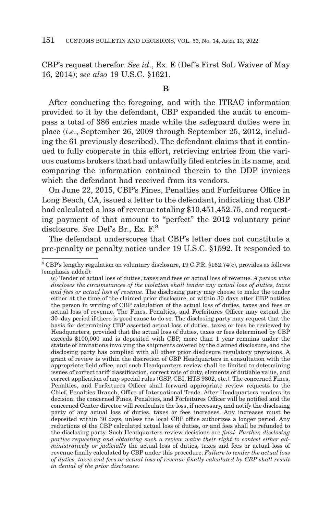CBP's request therefor. *See id*., Ex. E (Def's First SoL Waiver of May 16, 2014); *see also* 19 U.S.C. §1621.

#### **B**

After conducting the foregoing, and with the ITRAC information provided to it by the defendant, CBP expanded the audit to encompass a total of 386 entries made while the safeguard duties were in place (*i*.*e*., September 26, 2009 through September 25, 2012, including the 61 previously described). The defendant claims that it continued to fully cooperate in this effort, retrieving entries from the various customs brokers that had unlawfully filed entries in its name, and comparing the information contained therein to the DDP invoices which the defendant had received from its vendors.

On June 22, 2015, CBP's Fines, Penalties and Forfeitures Office in Long Beach, CA, issued a letter to the defendant, indicating that CBP had calculated a loss of revenue totaling \$10,451,452.75, and requesting payment of that amount to "perfect" the 2012 voluntary prior disclosure. *See* Def's Br., Ex. F.8

The defendant underscores that CBP's letter does not constitute a pre-penalty or penalty notice under 19 U.S.C. §1592. It responded to

<sup>8</sup> CBP's lengthy regulation on voluntary disclosure, 19 C.F.R. §162.74(c), provides as follows (emphasis added):

<sup>(</sup>c) Tender of actual loss of duties, taxes and fees or actual loss of revenue. *A person who discloses the circumstances of the violation shall tender any actual loss of duties, taxes and fees or actual loss of revenue*. The disclosing party may choose to make the tender either at the time of the claimed prior disclosure, or within 30 days after CBP notifies the person in writing of CBP calculation of the actual loss of duties, taxes and fees or actual loss of revenue. The Fines, Penalties, and Forfeitures Officer may extend the 30–day period if there is good cause to do so. The disclosing party may request that the basis for determining CBP asserted actual loss of duties, taxes or fees be reviewed by Headquarters, provided that the actual loss of duties, taxes or fees determined by CBP exceeds \$100,000 and is deposited with CBP, more than 1 year remains under the statute of limitations involving the shipments covered by the claimed disclosure, and the disclosing party has complied with all other prior disclosure regulatory provisions. A grant of review is within the discretion of CBP Headquarters in consultation with the appropriate field office, and such Headquarters review shall be limited to determining issues of correct tariff classification, correct rate of duty, elements of dutiable value, and correct application of any special rules (GSP, CBI, HTS 9802, etc.). The concerned Fines, Penalties, and Forfeitures Officer shall forward appropriate review requests to the Chief, Penalties Branch, Office of International Trade. After Headquarters renders its decision, the concerned Fines, Penalties, and Forfeitures Officer will be notified and the concerned Center director will recalculate the loss, if necessary, and notify the disclosing party of any actual loss of duties, taxes or fees increases. Any increases must be deposited within 30 days, unless the local CBP office authorizes a longer period. Any reductions of the CBP calculated actual loss of duties, or and fees shall be refunded to the disclosing party. Such Headquarters review decisions are *final*. *Further, disclosing parties requesting and obtaining such a review waive their right to contest either administratively or judicially* the actual loss of duties, taxes and fees or actual loss of revenue finally calculated by CBP under this procedure. *Failure to tender the actual loss of duties, taxes and fees or actual loss of revenue finally calculated by CBP shall result in denial of the prior disclosure*.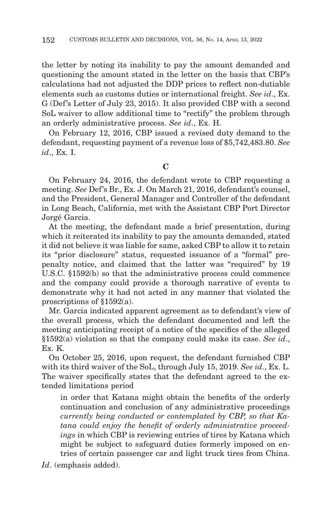the letter by noting its inability to pay the amount demanded and questioning the amount stated in the letter on the basis that CBP's calculations had not adjusted the DDP prices to reflect non-dutiable elements such as customs duties or international freight. *See id*., Ex. G (Def's Letter of July 23, 2015). It also provided CBP with a second SoL waiver to allow additional time to "rectify" the problem through an orderly administrative process. *See id*., Ex. H.

On February 12, 2016, CBP issued a revised duty demand to the defendant, requesting payment of a revenue loss of \$5,742,483.80. *See id*., Ex. I.

**C**

On February 24, 2016, the defendant wrote to CBP requesting a meeting. *See* Def's Br., Ex. J. On March 21, 2016, defendant's counsel, and the President, General Manager and Controller of the defendant in Long Beach, California, met with the Assistant CBP Port Director Jorgé Garcia.

At the meeting, the defendant made a brief presentation, during which it reiterated its inability to pay the amounts demanded, stated it did not believe it was liable for same, asked CBP to allow it to retain its "prior disclosure" status, requested issuance of a "formal" prepenalty notice, and claimed that the latter was "required" by 19 U.S.C. §1592(b) so that the administrative process could commence and the company could provide a thorough narrative of events to demonstrate why it had not acted in any manner that violated the proscriptions of §1592(a).

Mr. Garcia indicated apparent agreement as to defendant's view of the overall process, which the defendant documented and left the meeting anticipating receipt of a notice of the specifics of the alleged §1592(a) violation so that the company could make its case. *See id*., Ex. K.

On October 25, 2016, upon request, the defendant furnished CBP with its third waiver of the SoL, through July 15, 2019. *See id*., Ex. L. The waiver specifically states that the defendant agreed to the extended limitations period

in order that Katana might obtain the benefits of the orderly continuation and conclusion of any administrative proceedings *currently being conducted or contemplated by CBP, so that Katana could enjoy the benefit of orderly administrative proceedings* in which CBP is reviewing entries of tires by Katana which might be subject to safeguard duties formerly imposed on entries of certain passenger car and light truck tires from China.

*Id*. (emphasis added).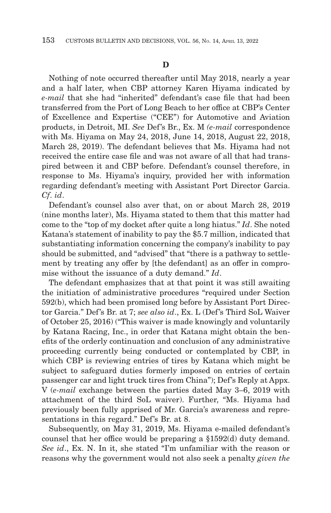Nothing of note occurred thereafter until May 2018, nearly a year and a half later, when CBP attorney Karen Hiyama indicated by *e-mail* that she had "inherited" defendant's case file that had been transferred from the Port of Long Beach to her office at CBP's Center of Excellence and Expertise ("CEE") for Automotive and Aviation products, in Detroit, MI. *See* Def's Br., Ex. M *(e-mail* correspondence with Ms. Hiyama on May 24, 2018, June 14, 2018, August 22, 2018, March 28, 2019). The defendant believes that Ms. Hiyama had not received the entire case file and was not aware of all that had transpired between it and CBP before. Defendant's counsel therefore, in response to Ms. Hiyama's inquiry, provided her with information regarding defendant's meeting with Assistant Port Director Garcia. *Cf*. *id*.

Defendant's counsel also aver that, on or about March 28, 2019 (nine months later), Ms. Hiyama stated to them that this matter had come to the "top of my docket after quite a long hiatus." *Id*. She noted Katana's statement of inability to pay the \$5.7 million, indicated that substantiating information concerning the company's inability to pay should be submitted, and "advised" that "there is a pathway to settlement by treating any offer by [the defendant] as an offer in compromise without the issuance of a duty demand." *Id*.

The defendant emphasizes that at that point it was still awaiting the initiation of administrative procedures "required under Section 592(b), which had been promised long before by Assistant Port Director Garcia." Def's Br. at 7; *see also id*., Ex. L (Def's Third SoL Waiver of October 25, 2016) ("This waiver is made knowingly and voluntarily by Katana Racing, Inc., in order that Katana might obtain the benefits of the orderly continuation and conclusion of any administrative proceeding currently being conducted or contemplated by CBP, in which CBP is reviewing entries of tires by Katana which might be subject to safeguard duties formerly imposed on entries of certain passenger car and light truck tires from China"); Def's Reply at Appx. V (*e-mail* exchange between the parties dated May 3–6, 2019 with attachment of the third SoL waiver). Further, "Ms. Hiyama had previously been fully apprised of Mr. Garcia's awareness and representations in this regard." Def's Br. at 8.

Subsequently, on May 31, 2019, Ms. Hiyama e-mailed defendant's counsel that her office would be preparing a §1592(d) duty demand. *See id*., Ex. N. In it, she stated "I'm unfamiliar with the reason or reasons why the government would not also seek a penalty *given the*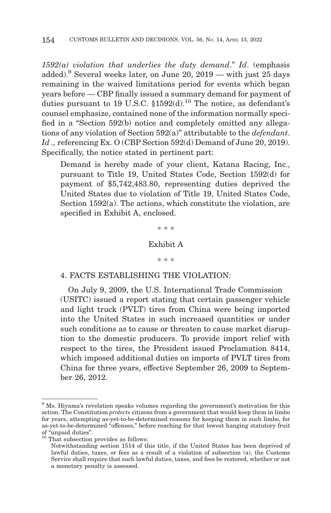*1592(a) violation that underlies the duty demand*." *Id*. (emphasis added).<sup>9</sup> Several weeks later, on June 20, 2019 — with just 25 days remaining in the waived limitations period for events which began years before — CBP finally issued a summary demand for payment of duties pursuant to 19 U.S.C.  $$1592(d).$ <sup>10</sup> The notice, as defendant's counsel emphasize, contained none of the information normally specified in a "Section 592(b) notice and completely omitted any allegations of any violation of Section 592(a)" attributable to the *defendant*. Id., referencing Ex. O (CBP Section 592(d) Demand of June 20, 2019). Specifically, the notice stated in pertinent part:

Demand is hereby made of your client, Katana Racing, Inc., pursuant to Title 19, United States Code, Section 1592(d) for payment of \$5,742,483.80, representing duties deprived the United States due to violation of Title 19, United States Code, Section 1592(a). The actions, which constitute the violation, are specified in Exhibit A, enclosed.

\* \* \*

# Exhibit A

#### \* \* \*

### 4. FACTS ESTABLISHING THE VIOLATION:

On July 9, 2009, the U.S. International Trade Commission (USITC) issued a report stating that certain passenger vehicle and light truck (PVLT) tires from China were being imported into the United States in such increased quantities or under such conditions as to cause or threaten to cause market disruption to the domestic producers. To provide import relief with respect to the tires, the President issued Proclamation 8414, which imposed additional duties on imports of PVLT tires from China for three years, effective September 26, 2009 to September 26, 2012.

<sup>9</sup> Ms. Hiyama's revelation speaks volumes regarding the government's motivation for this action. The Constitution *protects* citizens from a government that would keep them in limbo for years, attempting as-yet-to-be-determined reasons for keeping them in such limbo, for as-yet-to-be-determined "offenses," before reaching for that lowest hanging statutory fruit of "unpaid duties".

 $10$  That subsection provides as follows:

Notwithstanding section 1514 of this title, if the United States has been deprived of lawful duties, taxes, or fees as a result of a violation of subsection (a), the Customs Service shall require that such lawful duties, taxes, and fees be restored, whether or not a monetary penalty is assessed.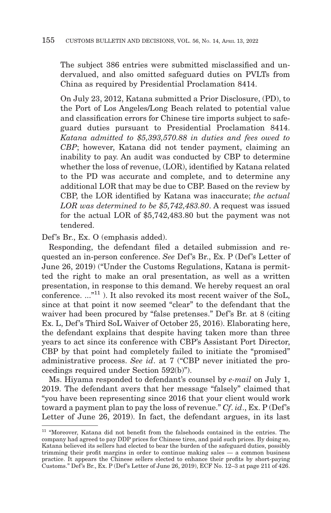The subject 386 entries were submitted misclassified and undervalued, and also omitted safeguard duties on PVLTs from China as required by Presidential Proclamation 8414.

On July 23, 2012, Katana submitted a Prior Disclosure, (PD), to the Port of Los Angeles/Long Beach related to potential value and classification errors for Chinese tire imports subject to safeguard duties pursuant to Presidential Proclamation 8414. *Katana admitted to \$5,393,570.88 in duties and fees owed to CBP*; however, Katana did not tender payment, claiming an inability to pay. An audit was conducted by CBP to determine whether the loss of revenue, (LOR), identified by Katana related to the PD was accurate and complete, and to determine any additional LOR that may be due to CBP. Based on the review by CBP, the LOR identified by Katana was inaccurate; *the actual LOR was determined to be \$5,742,483.80*. A request was issued for the actual LOR of \$5,742,483.80 but the payment was not tendered.

Def's Br., Ex. O (emphasis added).

Responding, the defendant filed a detailed submission and requested an in-person conference. *See* Def's Br., Ex. P (Def's Letter of June 26, 2019) ("Under the Customs Regulations, Katana is permitted the right to make an oral presentation, as well as a written presentation, in response to this demand. We hereby request an oral conference.  $\ldots$ <sup>n1</sup>). It also revoked its most recent waiver of the SoL. since at that point it now seemed "clear" to the defendant that the waiver had been procured by "false pretenses." Def's Br. at 8 (citing Ex. L, Def's Third SoL Waiver of October 25, 2016). Elaborating here, the defendant explains that despite having taken more than three years to act since its conference with CBP's Assistant Port Director, CBP by that point had completely failed to initiate the "promised" administrative process. *See id*. at 7 ("CBP never initiated the proceedings required under Section 592(b)").

Ms. Hiyama responded to defendant's counsel by *e-mail* on July 1, 2019. The defendant avers that her message "falsely" claimed that "you have been representing since 2016 that your client would work toward a payment plan to pay the loss of revenue." *Cf*. *id*., Ex. P (Def's Letter of June 26, 2019). In fact, the defendant argues, in its last

<sup>&</sup>lt;sup>11</sup> "Moreover, Katana did not benefit from the falsehoods contained in the entries. The company had agreed to pay DDP prices for Chinese tires, and paid such prices. By doing so, Katana believed its sellers had elected to bear the burden of the safeguard duties, possibly trimming their profit margins in order to continue making sales — a common business practice. It appears the Chinese sellers elected to enhance their profits by short-paying Customs." Def's Br., Ex. P (Def's Letter of June 26, 2019), ECF No. 12–3 at page 211 of 426.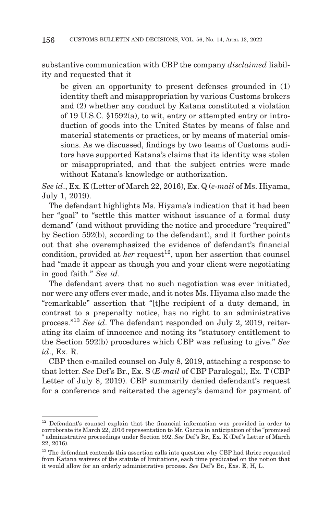substantive communication with CBP the company *disclaimed* liability and requested that it

be given an opportunity to present defenses grounded in (1) identity theft and misappropriation by various Customs brokers and (2) whether any conduct by Katana constituted a violation of 19 U.S.C. §1592(a), to wit, entry or attempted entry or introduction of goods into the United States by means of false and material statements or practices, or by means of material omissions. As we discussed, findings by two teams of Customs auditors have supported Katana's claims that its identity was stolen or misappropriated, and that the subject entries were made without Katana's knowledge or authorization.

*See id*., Ex. K (Letter of March 22, 2016), Ex. Q (*e-mail* of Ms. Hiyama, July 1, 2019).

The defendant highlights Ms. Hiyama's indication that it had been her "goal" to "settle this matter without issuance of a formal duty demand" (and without providing the notice and procedure "required" by Section 592(b), according to the defendant), and it further points out that she overemphasized the evidence of defendant's financial condition, provided at *her* request<sup>12</sup>, upon her assertion that counsel had "made it appear as though you and your client were negotiating in good faith." *See id*.

The defendant avers that no such negotiation was ever initiated, nor were any offers ever made, and it notes Ms. Hiyama also made the "remarkable" assertion that "[t]he recipient of a duty demand, in contrast to a prepenalty notice, has no right to an administrative process."13 *See id*. The defendant responded on July 2, 2019, reiterating its claim of innocence and noting its "statutory entitlement to the Section 592(b) procedures which CBP was refusing to give." *See id*., Ex. R.

CBP then e-mailed counsel on July 8, 2019, attaching a response to that letter. *See* Def's Br., Ex. S (*E-mail* of CBP Paralegal), Ex. T (CBP Letter of July 8, 2019). CBP summarily denied defendant's request for a conference and reiterated the agency's demand for payment of

<sup>12</sup> Defendant's counsel explain that the financial information was provided in order to corroborate its March 22, 2016 representation to Mr. Garcia in anticipation of the "promised " administrative proceedings under Section 592. *See* Def's Br., Ex. K (Def's Letter of March 22, 2016).

<sup>&</sup>lt;sup>13</sup> The defendant contends this assertion calls into question why CBP had thrice requested from Katana waivers of the statute of limitations, each time predicated on the notion that it would allow for an orderly administrative process. *See* Def's Br., Exs. E, H, L.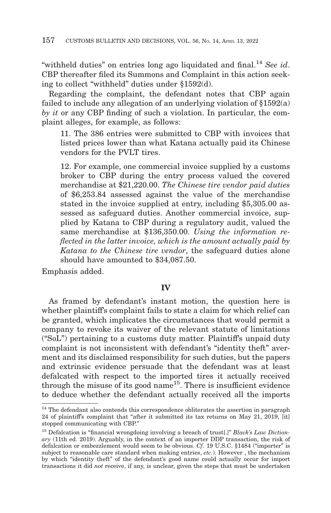"withheld duties" on entries long ago liquidated and final.14 *See id*. CBP thereafter filed its Summons and Complaint in this action seeking to collect "withheld" duties under §1592(d).

Regarding the complaint, the defendant notes that CBP again failed to include any allegation of an underlying violation of §1592(a) *by it* or any CBP finding of such a violation. In particular, the complaint alleges, for example, as follows:

11. The 386 entries were submitted to CBP with invoices that listed prices lower than what Katana actually paid its Chinese vendors for the PVLT tires.

12. For example, one commercial invoice supplied by a customs broker to CBP during the entry process valued the covered merchandise at \$21,220.00. *The Chinese tire vendor paid duties* of \$6,253.84 assessed against the value of the merchandise stated in the invoice supplied at entry, including \$5,305.00 assessed as safeguard duties. Another commercial invoice, supplied by Katana to CBP during a regulatory audit, valued the same merchandise at \$136,350.00. *Using the information reflected in the latter invoice, which is the amount actually paid by Katana to the Chinese tire vendor*, the safeguard duties alone should have amounted to \$34,087.50.

Emphasis added.

## **IV**

As framed by defendant's instant motion, the question here is whether plaintiff's complaint fails to state a claim for which relief can be granted, which implicates the circumstances that would permit a company to revoke its waiver of the relevant statute of limitations ("SoL") pertaining to a customs duty matter. Plaintiff's unpaid duty complaint is not inconsistent with defendant's "identity theft" averment and its disclaimed responsibility for such duties, but the papers and extrinsic evidence persuade that the defendant was at least defalcated with respect to the imported tires it actually received through the misuse of its good name<sup>15</sup>. There is insufficient evidence to deduce whether the defendant actually received all the imports

<sup>&</sup>lt;sup>14</sup> The defendant also contends this correspondence obliterates the assertion in paragraph 24 of plaintiff's complaint that "after it submitted its tax returns on May 21, 2019, [it] stopped communicating with CBP."

<sup>15</sup> Defalcation is "financial wrongdoing involving a breach of trust[.]" *Black's Law Dictionary* (11th ed. 2019). Arguably, in the context of an importer DDP transaction, the risk of defalcation or embezzlement would seem to be obvious. *Cf*. 19 U.S.C. §1484 ("importer" is subject to reasonable care standard when making entries, *etc*.). However , the mechanism by which "identity theft" of the defendant's good name could actually occur for import transactions it did *not* receive, if any, is unclear, given the steps that must be undertaken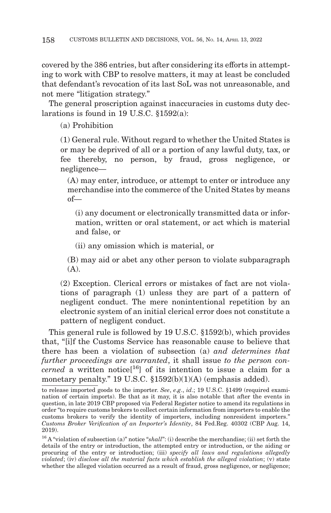covered by the 386 entries, but after considering its efforts in attempting to work with CBP to resolve matters, it may at least be concluded that defendant's revocation of its last SoL was not unreasonable, and not mere "litigation strategy."

The general proscription against inaccuracies in customs duty declarations is found in 19 U.S.C.  $$1592(a)$ .

(a) Prohibition

(1) General rule. Without regard to whether the United States is or may be deprived of all or a portion of any lawful duty, tax, or fee thereby, no person, by fraud, gross negligence, or negligence—

(A) may enter, introduce, or attempt to enter or introduce any merchandise into the commerce of the United States by means of—

(i) any document or electronically transmitted data or information, written or oral statement, or act which is material and false, or

(ii) any omission which is material, or

(B) may aid or abet any other person to violate subparagraph (A).

(2) Exception. Clerical errors or mistakes of fact are not violations of paragraph (1) unless they are part of a pattern of negligent conduct. The mere nonintentional repetition by an electronic system of an initial clerical error does not constitute a pattern of negligent conduct.

This general rule is followed by 19 U.S.C. §1592(b), which provides that, "[i]f the Customs Service has reasonable cause to believe that there has been a violation of subsection (a) *and determines that further proceedings are warranted*, it shall issue *to the person concerned* a written notice<sup>[16</sup>] of its intention to issue a claim for a monetary penalty." 19 U.S.C. §1592(b)(1)(A) (emphasis added).

to release imported goods to the importer. *See*, *e*.*g*., *id*.; 19 U.S.C. §1499 (required examination of certain imports). Be that as it may, it is also notable that after the events in question, in late 2019 CBP proposed via Federal Register notice to amend its regulations in order "to require customs brokers to collect certain information from importers to enable the customs brokers to verify the identity of importers, including nonresident importers." *Customs Broker Verification of an Importer's Identity*, 84 Fed.Reg. 40302 (CBP Aug. 14, 2019).

<sup>16</sup> A "violation of subsection (a)" notice "*shall*": (i) describe the merchandise; (ii) set forth the details of the entry or introduction, the attempted entry or introduction, or the aiding or procuring of the entry or introduction; (iii) *specify all laws and regulations allegedly violated*; (iv) *disclose all the material facts which establish the alleged violation*; (v) state whether the alleged violation occurred as a result of fraud, gross negligence, or negligence;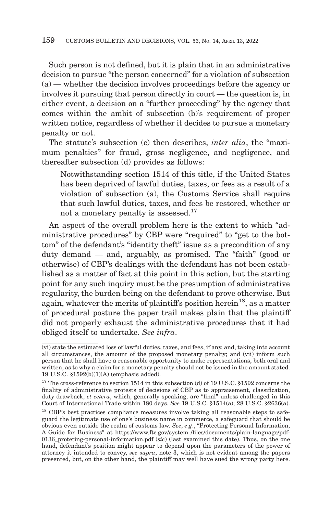Such person is not defined, but it is plain that in an administrative decision to pursue "the person concerned" for a violation of subsection (a) — whether the decision involves proceedings before the agency or involves it pursuing that person directly in court — the question is, in either event, a decision on a "further proceeding" by the agency that comes within the ambit of subsection (b)'s requirement of proper written notice, regardless of whether it decides to pursue a monetary penalty or not.

The statute's subsection (c) then describes, *inter alia*, the "maximum penalties" for fraud, gross negligence, and negligence, and thereafter subsection (d) provides as follows:

Notwithstanding section 1514 of this title, if the United States has been deprived of lawful duties, taxes, or fees as a result of a violation of subsection (a), the Customs Service shall require that such lawful duties, taxes, and fees be restored, whether or not a monetary penalty is assessed.17

An aspect of the overall problem here is the extent to which "administrative procedures" by CBP were "required" to "get to the bottom" of the defendant's "identity theft" issue as a precondition of any duty demand — and, arguably, as promised. The "faith" (good or otherwise) of CBP's dealings with the defendant has not been established as a matter of fact at this point in this action, but the starting point for any such inquiry must be the presumption of administrative regularity, the burden being on the defendant to prove otherwise. But again, whatever the merits of plaintiff's position herein<sup>18</sup>, as a matter of procedural posture the paper trail makes plain that the plaintiff did not properly exhaust the administrative procedures that it had obliged itself to undertake. *See infra*.

<sup>(</sup>vi) state the estimated loss of lawful duties, taxes, and fees, if any, and, taking into account all circumstances, the amount of the proposed monetary penalty; and (vii) inform such person that he shall have a reasonable opportunity to make representations, both oral and written, as to why a claim for a monetary penalty should not be issued in the amount stated. 19 U.S.C. §1592(b)(1)(A) (emphasis added).

 $^{17}$  The cross-reference to section 1514 in this subsection (d) of 19 U.S.C.  $\S 1592$  concerns the finality of administrative protests of decisions of CBP as to appraisement, classification, duty drawback, *et cetera*, which, generally speaking, are "final" unless challenged in this Court of International Trade within 180 days. *See* 19 U.S.C. §1514(a); 28 U.S.C. §2636(a).

<sup>&</sup>lt;sup>18</sup> CBP's best practices compliance measures involve taking all reasonable steps to safeguard the legitimate use of one's business name in commerce, a safeguard that should be obvious even outside the realm of customs law. *See*, *e*.*g*., "Protecting Personal Information, A Guide for Business" at https://www.ftc.gov/system /files/documents/plain-language/pdf-0136\_proteting-personal-information.pdf (*sic*) (last examined this date). Thus, on the one hand, defendant's position might appear to depend upon the parameters of the power of attorney it intended to convey, *see supra*, note 3, which is not evident among the papers presented, but, on the other hand, the plaintiff may well have sued the wrong party here.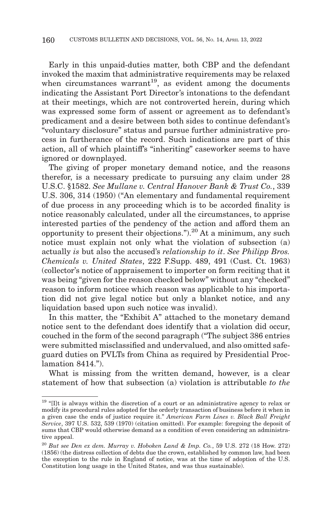Early in this unpaid-duties matter, both CBP and the defendant invoked the maxim that administrative requirements may be relaxed when circumstances warrant<sup>19</sup>, as evident among the documents indicating the Assistant Port Director's intonations to the defendant at their meetings, which are not controverted herein, during which was expressed some form of assent or agreement as to defendant's predicament and a desire between both sides to continue defendant's "voluntary disclosure" status and pursue further administrative process in furtherance of the record. Such indications are part of this action, all of which plaintiff's "inheriting" caseworker seems to have ignored or downplayed.

The giving of proper monetary demand notice, and the reasons therefor, is a necessary predicate to pursuing any claim under 28 U.S.C. §1582. *See Mullane v. Central Hanover Bank & Trust Co.*, 339 U.S. 306, 314 (1950) ("An elementary and fundamental requirement of due process in any proceeding which is to be accorded finality is notice reasonably calculated, under all the circumstances, to apprise interested parties of the pendency of the action and afford them an opportunity to present their objections.").20 At a minimum, any such notice must explain not only what the violation of subsection (a) actually *is* but also the accused's *relationship to it*. *See Philipp Bros. Chemicals v. United States*, 222 F.Supp. 489, 491 (Cust. Ct. 1963) (collector's notice of appraisement to importer on form reciting that it was being "given for the reason checked below" without any "checked" reason to inform noticee which reason was applicable to his importation did not give legal notice but only a blanket notice, and any liquidation based upon such notice was invalid).

In this matter, the "Exhibit A" attached to the monetary demand notice sent to the defendant does identify that a violation did occur, couched in the form of the second paragraph ("The subject 386 entries were submitted misclassified and undervalued, and also omitted safeguard duties on PVLTs from China as required by Presidential Proclamation 8414.").

What is missing from the written demand, however, is a clear statement of how that subsection (a) violation is attributable *to the*

<sup>&</sup>lt;sup>19</sup> "Ilt is always within the discretion of a court or an administrative agency to relax or modify its procedural rules adopted for the orderly transaction of business before it when in a given case the ends of justice require it." *American Farm Lines v. Black Ball Freight Service*, 397 U.S. 532, 539 (1970) (citation omitted). For example: foregoing the deposit of sums that CBP would otherwise demand as a condition of even considering an administrative appeal.

<sup>20</sup>*But see Den ex dem. Murray v. Hoboken Land & Imp. Co.*, 59 U.S. 272 (18 How. 272) (1856) (the distress collection of debts due the crown, established by common law, had been the exception to the rule in England of notice, was at the time of adoption of the U.S. Constitution long usage in the United States, and was thus sustainable).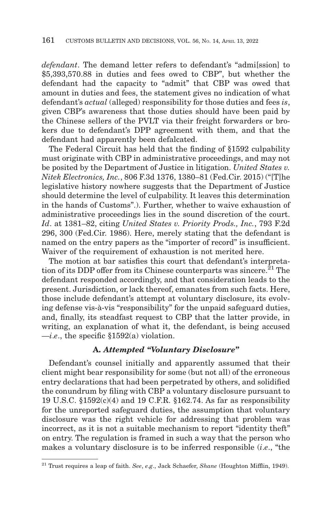*defendant*. The demand letter refers to defendant's "admi[ssion] to \$5,393,570.88 in duties and fees owed to CBP", but whether the defendant had the capacity to "admit" that CBP was owed that amount in duties and fees, the statement gives no indication of what defendant's *actual* (alleged) responsibility for those duties and fees *is*, given CBP's awareness that those duties should have been paid by the Chinese sellers of the PVLT via their freight forwarders or brokers due to defendant's DPP agreement with them, and that the defendant had apparently been defalcated.

The Federal Circuit has held that the finding of §1592 culpability must originate with CBP in administrative proceedings, and may not be posited by the Department of Justice in litigation. *United States v. Nitek Electronics, Inc.*, 806 F.3d 1376, 1380–81 (Fed.Cir. 2015) ("[T]he legislative history nowhere suggests that the Department of Justice should determine the level of culpability. It leaves this determination in the hands of Customs".). Further, whether to waive exhaustion of administrative proceedings lies in the sound discretion of the court. *Id*. at 1381–82, citing *United States v. Priority Prods., Inc.*, 793 F.2d 296, 300 (Fed.Cir. 1986). Here, merely stating that the defendant is named on the entry papers as the "importer of record" is insufficient. Waiver of the requirement of exhaustion is not merited here.

The motion at bar satisfies this court that defendant's interpretation of its DDP offer from its Chinese counterparts was sincere.<sup>21</sup> The defendant responded accordingly, and that consideration leads to the present. Jurisdiction, or lack thereof, emanates from such facts. Here, those include defendant's attempt at voluntary disclosure, its evolving defense vis-à-vis "responsibility" for the unpaid safeguard duties, and, finally, its steadfast request to CBP that the latter provide, in writing, an explanation of what it, the defendant, is being accused  $\rightarrow$ *i.e.*, the specific §1592(a) violation.

### **A.** *Attempted "Voluntary Disclosure"*

Defendant's counsel initially and apparently assumed that their client might bear responsibility for some (but not all) of the erroneous entry declarations that had been perpetrated by others, and solidified the conundrum by filing with CBP a voluntary disclosure pursuant to 19 U.S.C. §1592(c)(4) and 19 C.F.R. §162.74. As far as responsibility for the unreported safeguard duties, the assumption that voluntary disclosure was the right vehicle for addressing that problem was incorrect, as it is not a suitable mechanism to report "identity theft" on entry. The regulation is framed in such a way that the person who makes a voluntary disclosure is to be inferred responsible (*i*.*e*., "the

<sup>21</sup> Trust requires a leap of faith. *See*, *e*.*g*., Jack Schaefer, *Shane* (Houghton Mifflin, 1949).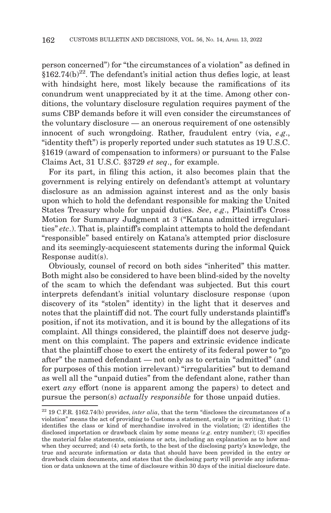person concerned") for "the circumstances of a violation" as defined in  $$162.74(b)<sup>22</sup>$ . The defendant's initial action thus defies logic, at least with hindsight here, most likely because the ramifications of its conundrum went unappreciated by it at the time. Among other conditions, the voluntary disclosure regulation requires payment of the sums CBP demands before it will even consider the circumstances of the voluntary disclosure — an onerous requirement of one ostensibly innocent of such wrongdoing. Rather, fraudulent entry (via, *e*.*g*., "identity theft") is properly reported under such statutes as 19 U.S.C. §1619 (award of compensation to informers) or pursuant to the False Claims Act, 31 U.S.C. §3729 *et seq*., for example.

For its part, in filing this action, it also becomes plain that the government is relying entirely on defendant's attempt at voluntary disclosure as an admission against interest and as the only basis upon which to hold the defendant responsible for making the United States Treasury whole for unpaid duties. *See*, *e*.*g*., Plaintiff's Cross Motion for Summary Judgment at 3 ("Katana admitted irregularities" *etc*.). That is, plaintiff's complaint attempts to hold the defendant "responsible" based entirely on Katana's attempted prior disclosure and its seemingly-acquiescent statements during the informal Quick Response audit(s).

Obviously, counsel of record on both sides "inherited" this matter. Both might also be considered to have been blind-sided by the novelty of the scam to which the defendant was subjected. But this court interprets defendant's initial voluntary disclosure response (upon discovery of its "stolen" identity) in the light that it deserves and notes that the plaintiff did not. The court fully understands plaintiff's position, if not its motivation, and it is bound by the allegations of its complaint. All things considered, the plaintiff does not deserve judgment on this complaint. The papers and extrinsic evidence indicate that the plaintiff chose to exert the entirety of its federal power to "go after" the named defendant — not only as to certain "admitted" (and for purposes of this motion irrelevant) "irregularities" but to demand as well all the "unpaid duties" from the defendant alone, rather than exert *any* effort (none is apparent among the papers) to detect and pursue the person(s) *actually responsible* for those unpaid duties.

<sup>&</sup>lt;sup>22</sup> 19 C.F.R. §162.74(b) provides, *inter alia*, that the term "discloses the circumstances of a violation" means the act of providing to Customs a statement, orally or in writing, that: (1) identifies the class or kind of merchandise involved in the violation; (2) identifies the disclosed importation or drawback claim by some means (*e*.*g*. entry number); (3) specifies the material false statements, omissions or acts, including an explanation as to how and when they occurred; and (4) sets forth, to the best of the disclosing party's knowledge, the true and accurate information or data that should have been provided in the entry or drawback claim documents, and states that the disclosing party will provide any information or data unknown at the time of disclosure within 30 days of the initial disclosure date.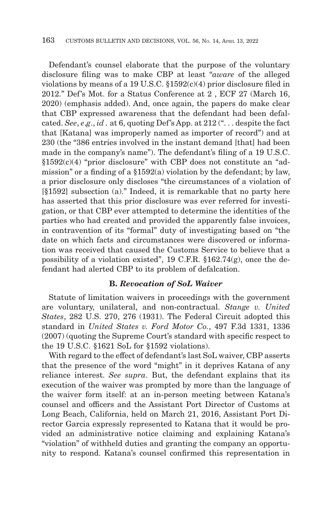Defendant's counsel elaborate that the purpose of the voluntary disclosure filing was to make CBP at least "*aware* of the alleged violations by means of a 19 U.S.C. §1592(c)(4) prior disclosure filed in 2012." Def's Mot. for a Status Conference at 2 , ECF 27 (March 16, 2020) (emphasis added). And, once again, the papers do make clear that CBP expressed awareness that the defendant had been defalcated. *See*, *e*.*g*., *id .* at 6, quoting Def's App. at 212 (". . . despite the fact that [Katana] was improperly named as importer of record") and at 230 (the "386 entries involved in the instant demand [that] had been made in the company's name"). The defendant's filing of a 19 U.S.C.  $§1592(c)(4)$  "prior disclosure" with CBP does not constitute an "admission" or a finding of a §1592(a) violation by the defendant; by law, a prior disclosure only discloses "the circumstances of a violation of [§1592] subsection (a)." Indeed, it is remarkable that no party here has asserted that this prior disclosure was ever referred for investigation, or that CBP ever attempted to determine the identities of the parties who had created and provided the apparently false invoices, in contravention of its "formal" duty of investigating based on "the date on which facts and circumstances were discovered or information was received that caused the Customs Service to believe that a possibility of a violation existed", 19 C.F.R. §162.74(g), once the defendant had alerted CBP to its problem of defalcation.

### **B.** *Revocation of SoL Waiver*

Statute of limitation waivers in proceedings with the government are voluntary, unilateral, and non-contractual. *Stange v. United States*, 282 U.S. 270, 276 (1931). The Federal Circuit adopted this standard in *United States v. Ford Motor Co.*, 497 F.3d 1331, 1336 (2007) (quoting the Supreme Court's standard with specific respect to the 19 U.S.C. §1621 SoL for §1592 violations).

With regard to the effect of defendant's last SoL waiver, CBP asserts that the presence of the word "might" in it deprives Katana of any reliance interest. *See supra*. But, the defendant explains that its execution of the waiver was prompted by more than the language of the waiver form itself: at an in-person meeting between Katana's counsel and officers and the Assistant Port Director of Customs at Long Beach, California, held on March 21, 2016, Assistant Port Director Garcia expressly represented to Katana that it would be provided an administrative notice claiming and explaining Katana's "violation" of withheld duties and granting the company an opportunity to respond. Katana's counsel confirmed this representation in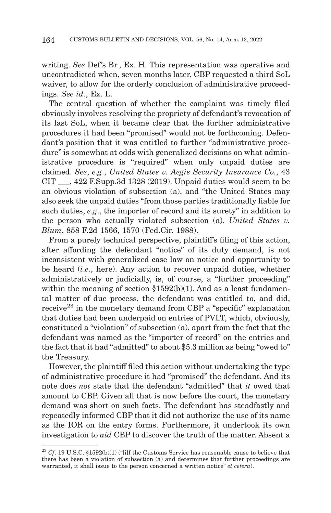writing. *See* Def's Br., Ex. H. This representation was operative and uncontradicted when, seven months later, CBP requested a third SoL waiver, to allow for the orderly conclusion of administrative proceedings. *See id*., Ex. L.

The central question of whether the complaint was timely filed obviously involves resolving the propriety of defendant's revocation of its last SoL, when it became clear that the further administrative procedures it had been "promised" would not be forthcoming. Defendant's position that it was entitled to further "administrative procedure" is somewhat at odds with generalized decisions on what administrative procedure is "required" when only unpaid duties are claimed. *See*, *e*.*g*., *United States v. Aegis Security Insurance Co.*, 43 CIT \_\_\_, 422 F.Supp.3d 1328 (2019). Unpaid duties would seem to be an obvious violation of subsection (a), and "the United States may also seek the unpaid duties "from those parties traditionally liable for such duties, *e*.*g*., the importer of record and its surety" in addition to the person who actually violated subsection (a). *United States v. Blum*, 858 F.2d 1566, 1570 (Fed.Cir. 1988).

From a purely technical perspective, plaintiff's filing of this action, after affording the defendant "notice" of its duty demand, is not inconsistent with generalized case law on notice and opportunity to be heard (*i*.*e*., here). Any action to recover unpaid duties, whether administratively or judicially, is, of course, a "further proceeding" within the meaning of section  $$1592(b)(1)$ . And as a least fundamental matter of due process, the defendant was entitled to, and did, receive<sup>23</sup> in the monetary demand from CBP a "specific" explanation that duties had been underpaid on entries of PVLT, which, obviously, constituted a "violation" of subsection (a), apart from the fact that the defendant was named as the "importer of record" on the entries and the fact that it had "admitted" to about \$5.3 million as being "owed to" the Treasury.

However, the plaintiff filed this action without undertaking the type of administrative procedure it had "promised" the defendant. And its note does *not* state that the defendant "admitted" that *it* owed that amount to CBP. Given all that is now before the court, the monetary demand was short on such facts. The defendant has steadfastly and repeatedly informed CBP that it did not authorize the use of its name as the IOR on the entry forms. Furthermore, it undertook its own investigation to *aid* CBP to discover the truth of the matter. Absent a

<sup>&</sup>lt;sup>23</sup> Cf. 19 U.S.C. §1592(b)(1) ("[i]f the Customs Service has reasonable cause to believe that there has been a violation of subsection (a) and determines that further proceedings are warranted, it shall issue to the person concerned a written notice" *et cetera*).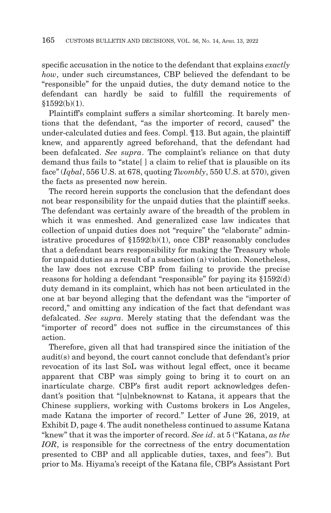specific accusation in the notice to the defendant that explains *exactly how*, under such circumstances, CBP believed the defendant to be "responsible" for the unpaid duties, the duty demand notice to the defendant can hardly be said to fulfill the requirements of §1592(b)(1).

Plaintiff's complaint suffers a similar shortcoming. It barely mentions that the defendant, "as the importer of record, caused" the under-calculated duties and fees. Compl. ¶13. But again, the plaintiff knew, and apparently agreed beforehand, that the defendant had been defalcated. *See supra*. The complaint's reliance on that duty demand thus fails to "state[ ] a claim to relief that is plausible on its face" (*Iqbal*, 556 U.S. at 678, quoting *Twombly*, 550 U.S. at 570), given the facts as presented now herein.

The record herein supports the conclusion that the defendant does not bear responsibility for the unpaid duties that the plaintiff seeks. The defendant was certainly aware of the breadth of the problem in which it was enmeshed. And generalized case law indicates that collection of unpaid duties does not "require" the "elaborate" administrative procedures of §1592(b)(1), once CBP reasonably concludes that a defendant bears responsibility for making the Treasury whole for unpaid duties as a result of a subsection (a) violation. Nonetheless, the law does not excuse CBP from failing to provide the precise reasons for holding a defendant "responsible" for paying its §1592(d) duty demand in its complaint, which has not been articulated in the one at bar beyond alleging that the defendant was the "importer of record," and omitting any indication of the fact that defendant was defalcated. *See supra*. Merely stating that the defendant was the "importer of record" does not suffice in the circumstances of this action.

Therefore, given all that had transpired since the initiation of the audit(s) and beyond, the court cannot conclude that defendant's prior revocation of its last SoL was without legal effect, once it became apparent that CBP was simply going to bring it to court on an inarticulate charge. CBP's first audit report acknowledges defendant's position that "[u]nbeknownst to Katana, it appears that the Chinese suppliers, working with Customs brokers in Los Angeles, made Katana the importer of record." Letter of June 26, 2019, at Exhibit D, page 4. The audit nonetheless continued to assume Katana "knew" that it was the importer of record. *See id*. at 5 ("Katana, *as the IOR*, is responsible for the correctness of the entry documentation presented to CBP and all applicable duties, taxes, and fees"). But prior to Ms. Hiyama's receipt of the Katana file, CBP's Assistant Port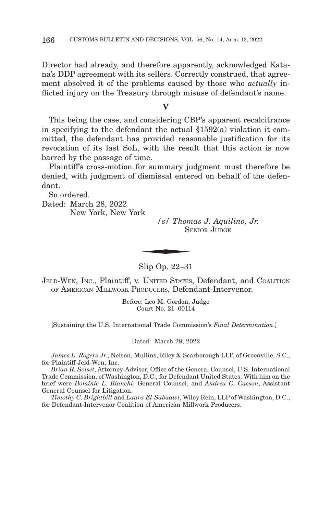Director had already, and therefore apparently, acknowledged Katana's DDP agreement with its sellers. Correctly construed, that agreement absolved it of the problems caused by those who *actually* inflicted injury on the Treasury through misuse of defendant's name.

#### **V**

This being the case, and considering CBP's apparent recalcitrance in specifying to the defendant the actual §1592(a) violation it committed, the defendant has provided reasonable justification for its revocation of its last SoL, with the result that this action is now barred by the passage of time.

Plaintiff's cross-motion for summary judgment must therefore be denied, with judgment of dismissal entered on behalf of the defendant.

So ordered.

Dated: March 28, 2022 New York, New York

*/s/ Thomas J. Aquilino, Jr.* SENIOR JUDGE  $\frac{1}{s}$  /s/ Thom SF

Slip Op. 22–31

JELD-WEN, INC., Plaintiff, v. UNITED STATES, Defendant, and COALITION OF AMERICAN MILLWORK PRODUCERS, Defendant-Intervenor.

> Before: Leo M. Gordon, Judge Court No. 21–00114

[Sustaining the U.S. International Trade Commission's *Final Determination*.]

Dated: March 28, 2022

*James L. Rogers Jr.*, Nelson, Mullins, Riley & Scarborough LLP, of Greenville, S.C., for Plaintiff Jeld-Wen, Inc.

*Brian R. Soiset*, Attorney-Advisor, Office of the General Counsel, U.S. International Trade Commission, of Washington, D.C., for Defendant United States. With him on the brief were *Dominic L. Bianchi*, General Counsel, and *Andrea C. Casson*, Assistant General Counsel for Litigation.

*Timothy C. Brightbill* and *Laura El-Sabaawi*, Wiley Rein, LLP of Washington, D.C., for Defendant-Intervenor Coalition of American Millwork Producers.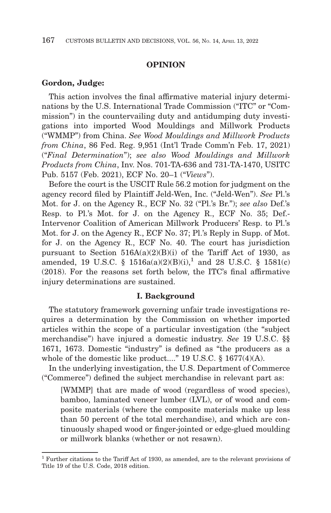### **OPINION**

#### **Gordon, Judge:**

This action involves the final affirmative material injury determinations by the U.S. International Trade Commission ("ITC" or "Commission") in the countervailing duty and antidumping duty investigations into imported Wood Mouldings and Millwork Products ("WMMP") from China. *See Wood Mouldings and Millwork Products from China*, 86 Fed. Reg. 9,951 (Int'l Trade Comm'n Feb. 17, 2021) ("*Final Determination*"); *see also Wood Mouldings and Millwork Products from China*, Inv. Nos. 701-TA-636 and 731-TA-1470, USITC Pub. 5157 (Feb. 2021), ECF No. 20–1 ("*Views*").

Before the court is the USCIT Rule 56.2 motion for judgment on the agency record filed by Plaintiff Jeld-Wen, Inc. ("Jeld-Wen"). *See* Pl.'s Mot. for J. on the Agency R., ECF No. 32 ("Pl.'s Br."); *see also* Def.'s Resp. to Pl.'s Mot. for J. on the Agency R., ECF No. 35; Def.- Intervenor Coalition of American Millwork Producers' Resp. to Pl.'s Mot. for J. on the Agency R., ECF No. 37; Pl.'s Reply in Supp. of Mot. for J. on the Agency R., ECF No. 40. The court has jurisdiction pursuant to Section  $516A(a)(2)(B)(i)$  of the Tariff Act of 1930, as amended, 19 U.S.C. §  $1516a(a)(2)(B)(i)$ ,<sup>1</sup> and 28 U.S.C. §  $1581(c)$ (2018). For the reasons set forth below, the ITC's final affirmative injury determinations are sustained.

#### **I. Background**

The statutory framework governing unfair trade investigations requires a determination by the Commission on whether imported articles within the scope of a particular investigation (the "subject merchandise") have injured a domestic industry. *See* 19 U.S.C. §§ 1671, 1673. Domestic "industry" is defined as "the producers as a whole of the domestic like product...." 19 U.S.C. § 1677(4)(A).

In the underlying investigation, the U.S. Department of Commerce ("Commerce") defined the subject merchandise in relevant part as:

[WMMP] that are made of wood (regardless of wood species), bamboo, laminated veneer lumber (LVL), or of wood and composite materials (where the composite materials make up less than 50 percent of the total merchandise), and which are continuously shaped wood or finger-jointed or edge-glued moulding or millwork blanks (whether or not resawn).

<sup>1</sup> Further citations to the Tariff Act of 1930, as amended, are to the relevant provisions of Title 19 of the U.S. Code, 2018 edition.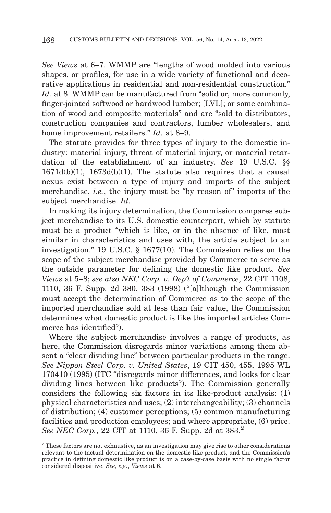*See Views* at 6–7. WMMP are "lengths of wood molded into various shapes, or profiles, for use in a wide variety of functional and decorative applications in residential and non-residential construction." *Id.* at 8. WMMP can be manufactured from "solid or, more commonly, finger-jointed softwood or hardwood lumber; [LVL]; or some combination of wood and composite materials" and are "sold to distributors, construction companies and contractors, lumber wholesalers, and home improvement retailers." *Id.* at 8–9.

The statute provides for three types of injury to the domestic industry: material injury, threat of material injury, or material retardation of the establishment of an industry. *See* 19 U.S.C. §§  $1671d(b)(1)$ ,  $1673d(b)(1)$ . The statute also requires that a causal nexus exist between a type of injury and imports of the subject merchandise, *i.e.*, the injury must be "by reason of" imports of the subject merchandise. *Id.*

In making its injury determination, the Commission compares subject merchandise to its U.S. domestic counterpart, which by statute must be a product "which is like, or in the absence of like, most similar in characteristics and uses with, the article subject to an investigation." 19 U.S.C. § 1677(10). The Commission relies on the scope of the subject merchandise provided by Commerce to serve as the outside parameter for defining the domestic like product. *See Views* at 5–8; *see also NEC Corp. v. Dep't of Commerce*, 22 CIT 1108, 1110, 36 F. Supp. 2d 380, 383 (1998) ("[a]lthough the Commission must accept the determination of Commerce as to the scope of the imported merchandise sold at less than fair value, the Commission determines what domestic product is like the imported articles Commerce has identified").

Where the subject merchandise involves a range of products, as here, the Commission disregards minor variations among them absent a "clear dividing line" between particular products in the range. *See Nippon Steel Corp. v. United States*, 19 CIT 450, 455, 1995 WL 170410 (1995) (ITC "disregards minor differences, and looks for clear dividing lines between like products"). The Commission generally considers the following six factors in its like-product analysis: (1) physical characteristics and uses; (2) interchangeability; (3) channels of distribution; (4) customer perceptions; (5) common manufacturing facilities and production employees; and where appropriate, (6) price. *See NEC Corp.*, 22 CIT at 1110, 36 F. Supp. 2d at 383.<sup>2</sup>

<sup>&</sup>lt;sup>2</sup> These factors are not exhaustive, as an investigation may give rise to other considerations relevant to the factual determination on the domestic like product, and the Commission's practice in defining domestic like product is on a case-by-case basis with no single factor considered dispositive. *See, e.g.*, *Views* at 6.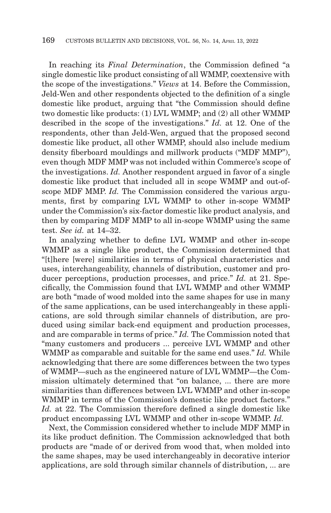In reaching its *Final Determination*, the Commission defined "a single domestic like product consisting of all WMMP, coextensive with the scope of the investigations." *Views* at 14. Before the Commission, Jeld-Wen and other respondents objected to the definition of a single domestic like product, arguing that "the Commission should define two domestic like products: (1) LVL WMMP; and (2) all other WMMP described in the scope of the investigations." *Id.* at 12. One of the respondents, other than Jeld-Wen, argued that the proposed second domestic like product, all other WMMP, should also include medium density fiberboard mouldings and millwork products ("MDF MMP"), even though MDF MMP was not included within Commerce's scope of the investigations. *Id.* Another respondent argued in favor of a single domestic like product that included all in scope WMMP and out-ofscope MDF MMP. *Id.* The Commission considered the various arguments, first by comparing LVL WMMP to other in-scope WMMP under the Commission's six-factor domestic like product analysis, and then by comparing MDF MMP to all in-scope WMMP using the same test. *See id.* at 14–32.

In analyzing whether to define LVL WMMP and other in-scope WMMP as a single like product, the Commission determined that "[t]here [were] similarities in terms of physical characteristics and uses, interchangeability, channels of distribution, customer and producer perceptions, production processes, and price." *Id.* at 21. Specifically, the Commission found that LVL WMMP and other WMMP are both "made of wood molded into the same shapes for use in many of the same applications, can be used interchangeably in these applications, are sold through similar channels of distribution, are produced using similar back-end equipment and production processes, and are comparable in terms of price." *Id.* The Commission noted that "many customers and producers ... perceive LVL WMMP and other WMMP as comparable and suitable for the same end uses." *Id.* While acknowledging that there are some differences between the two types of WMMP—such as the engineered nature of LVL WMMP—the Commission ultimately determined that "on balance, ... there are more similarities than differences between LVL WMMP and other in-scope WMMP in terms of the Commission's domestic like product factors." *Id.* at 22. The Commission therefore defined a single domestic like product encompassing LVL WMMP and other in-scope WMMP. *Id.*

Next, the Commission considered whether to include MDF MMP in its like product definition. The Commission acknowledged that both products are "made of or derived from wood that, when molded into the same shapes, may be used interchangeably in decorative interior applications, are sold through similar channels of distribution, ... are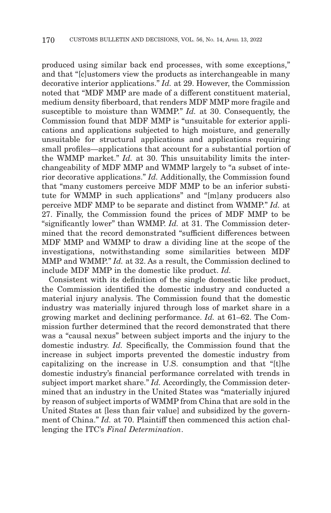produced using similar back end processes, with some exceptions," and that "[c]ustomers view the products as interchangeable in many decorative interior applications." *Id.* at 29. However, the Commission noted that "MDF MMP are made of a different constituent material, medium density fiberboard, that renders MDF MMP more fragile and susceptible to moisture than WMMP." *Id.* at 30. Consequently, the Commission found that MDF MMP is "unsuitable for exterior applications and applications subjected to high moisture, and generally unsuitable for structural applications and applications requiring small profiles—applications that account for a substantial portion of the WMMP market." *Id.* at 30. This unsuitability limits the interchangeability of MDF MMP and WMMP largely to "a subset of interior decorative applications." *Id.* Additionally, the Commission found that "many customers perceive MDF MMP to be an inferior substitute for WMMP in such applications" and "[m]any producers also perceive MDF MMP to be separate and distinct from WMMP." *Id.* at 27. Finally, the Commission found the prices of MDF MMP to be "significantly lower" than WMMP. *Id.* at 31. The Commission determined that the record demonstrated "sufficient differences between MDF MMP and WMMP to draw a dividing line at the scope of the investigations, notwithstanding some similarities between MDF MMP and WMMP." *Id.* at 32. As a result, the Commission declined to include MDF MMP in the domestic like product. *Id.*

Consistent with its definition of the single domestic like product, the Commission identified the domestic industry and conducted a material injury analysis. The Commission found that the domestic industry was materially injured through loss of market share in a growing market and declining performance. *Id.* at 61–62. The Commission further determined that the record demonstrated that there was a "causal nexus" between subject imports and the injury to the domestic industry. *Id.* Specifically, the Commission found that the increase in subject imports prevented the domestic industry from capitalizing on the increase in U.S. consumption and that "[t]he domestic industry's financial performance correlated with trends in subject import market share." *Id.* Accordingly, the Commission determined that an industry in the United States was "materially injured by reason of subject imports of WMMP from China that are sold in the United States at [less than fair value] and subsidized by the government of China." *Id.* at 70. Plaintiff then commenced this action challenging the ITC's *Final Determination*.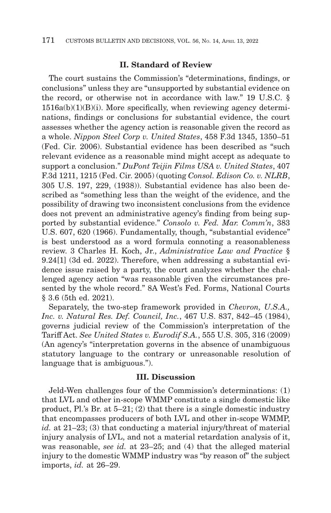## **II. Standard of Review**

The court sustains the Commission's "determinations, findings, or conclusions" unless they are "unsupported by substantial evidence on the record, or otherwise not in accordance with law." 19 U.S.C. §  $1516a(b)(1)(B)(i)$ . More specifically, when reviewing agency determinations, findings or conclusions for substantial evidence, the court assesses whether the agency action is reasonable given the record as a whole. *Nippon Steel Corp v. United States*, 458 F.3d 1345, 1350–51 (Fed. Cir. 2006). Substantial evidence has been described as "such relevant evidence as a reasonable mind might accept as adequate to support a conclusion." *DuPont Teijin Films USA v. United States*, 407 F.3d 1211, 1215 (Fed. Cir. 2005) (quoting *Consol. Edison Co. v. NLRB*, 305 U.S. 197, 229, (1938)). Substantial evidence has also been described as "something less than the weight of the evidence, and the possibility of drawing two inconsistent conclusions from the evidence does not prevent an administrative agency's finding from being supported by substantial evidence." *Consolo v. Fed. Mar. Comm'n*, 383 U.S. 607, 620 (1966). Fundamentally, though, "substantial evidence" is best understood as a word formula connoting a reasonableness review. 3 Charles H. Koch, Jr., *Administrative Law and Practice* § 9.24[1] (3d ed. 2022). Therefore, when addressing a substantial evidence issue raised by a party, the court analyzes whether the challenged agency action "was reasonable given the circumstances presented by the whole record." 8A West's Fed. Forms, National Courts § 3.6 (5th ed. 2021).

Separately, the two-step framework provided in *Chevron, U.S.A., Inc. v. Natural Res. Def. Council, Inc.*, 467 U.S. 837, 842–45 (1984), governs judicial review of the Commission's interpretation of the Tariff Act. *See United States v. Eurodif S.A.*, 555 U.S. 305, 316 (2009) (An agency's "interpretation governs in the absence of unambiguous statutory language to the contrary or unreasonable resolution of language that is ambiguous.").

#### **III. Discussion**

Jeld-Wen challenges four of the Commission's determinations: (1) that LVL and other in-scope WMMP constitute a single domestic like product, Pl.'s Br. at 5–21; (2) that there is a single domestic industry that encompasses producers of both LVL and other in-scope WMMP, *id.* at 21–23; (3) that conducting a material injury/threat of material injury analysis of LVL, and not a material retardation analysis of it, was reasonable, *see id.* at 23–25; and (4) that the alleged material injury to the domestic WMMP industry was "by reason of" the subject imports, *id.* at 26–29.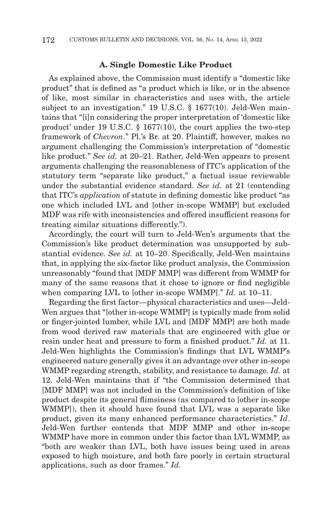#### **A. Single Domestic Like Product**

As explained above, the Commission must identify a "domestic like product" that is defined as "a product which is like, or in the absence of like, most similar in characteristics and uses with, the article subject to an investigation." 19 U.S.C. § 1677(10). Jeld-Wen maintains that "[i]n considering the proper interpretation of 'domestic like product' under 19 U.S.C. § 1677(10), the court applies the two-step framework of *Chevron*." Pl.'s Br. at 20. Plaintiff, however, makes no argument challenging the Commission's interpretation of "domestic like product." *See id.* at 20–21. Rather, Jeld-Wen appears to present arguments challenging the reasonableness of ITC's application of the statutory term "separate like product," a factual issue reviewable under the substantial evidence standard. *See id.* at 21 (contending that ITC's *application* of statute in defining domestic like product "as one which included LVL and [other in-scope WMMP] but excluded MDF was rife with inconsistencies and offered insufficient reasons for treating similar situations differently.").

Accordingly, the court will turn to Jeld-Wen's arguments that the Commission's like product determination was unsupported by substantial evidence. *See id.* at 10–20. Specifically, Jeld-Wen maintains that, in applying the six-factor like product analysis, the Commission unreasonably "found that [MDF MMP] was different from WMMP for many of the same reasons that it chose to ignore or find negligible when comparing LVL to [other in-scope WMMP]." *Id.* at 10–11.

Regarding the first factor—physical characteristics and uses—Jeld-Wen argues that "[other in-scope WMMP] is typically made from solid or finger-jointed lumber, while LVL and [MDF MMP] are both made from wood derived raw materials that are engineered with glue or resin under heat and pressure to form a finished product." *Id.* at 11. Jeld-Wen highlights the Commission's findings that LVL WMMP's engineered nature generally gives it an advantage over other in-scope WMMP regarding strength, stability, and resistance to damage. *Id.* at 12. Jeld-Wen maintains that if "the Commission determined that [MDF MMP] was not included in the Commission's definition of like product despite its general flimsiness (as compared to [other in-scope WMMP]), then it should have found that LVL was a separate like product, given its many enhanced performance characteristics." *Id*. Jeld-Wen further contends that MDF MMP and other in-scope WMMP have more in common under this factor than LVL WMMP, as "both are weaker than LVL, both have issues being used in areas exposed to high moisture, and both fare poorly in certain structural applications, such as door frames." *Id.*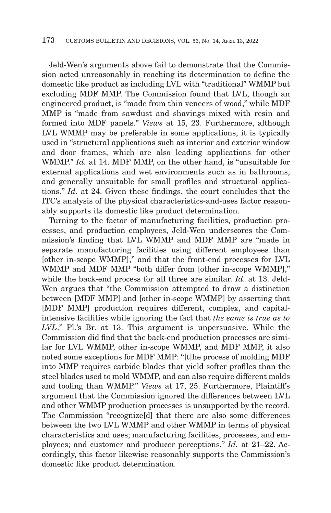Jeld-Wen's arguments above fail to demonstrate that the Commission acted unreasonably in reaching its determination to define the domestic like product as including LVL with "traditional" WMMP but excluding MDF MMP. The Commission found that LVL, though an engineered product, is "made from thin veneers of wood," while MDF MMP is "made from sawdust and shavings mixed with resin and formed into MDF panels." *Views* at 15, 23. Furthermore, although LVL WMMP may be preferable in some applications, it is typically used in "structural applications such as interior and exterior window and door frames, which are also leading applications for other WMMP." *Id.* at 14. MDF MMP, on the other hand, is "unsuitable for external applications and wet environments such as in bathrooms, and generally unsuitable for small profiles and structural applications." *Id.* at 24. Given these findings, the court concludes that the ITC's analysis of the physical characteristics-and-uses factor reasonably supports its domestic like product determination.

Turning to the factor of manufacturing facilities, production processes, and production employees, Jeld-Wen underscores the Commission's finding that LVL WMMP and MDF MMP are "made in separate manufacturing facilities using different employees than [other in-scope WMMP]," and that the front-end processes for LVL WMMP and MDF MMP "both differ from [other in-scope WMMP]," while the back-end process for all three are similar. *Id.* at 13. Jeld-Wen argues that "the Commission attempted to draw a distinction between [MDF MMP] and [other in-scope WMMP] by asserting that [MDF MMP] production requires different, complex, and capitalintensive facilities while ignoring the fact that *the same is true as to LVL*." Pl.'s Br. at 13. This argument is unpersuasive. While the Commission did find that the back-end production processes are similar for LVL WMMP, other in-scope WMMP, and MDF MMP, it also noted some exceptions for MDF MMP: "[t]he process of molding MDF into MMP requires carbide blades that yield softer profiles than the steel blades used to mold WMMP, and can also require different molds and tooling than WMMP." *Views* at 17, 25. Furthermore, Plaintiff's argument that the Commission ignored the differences between LVL and other WMMP production processes is unsupported by the record. The Commission "recognize[d] that there are also some differences between the two LVL WMMP and other WMMP in terms of physical characteristics and uses; manufacturing facilities, processes, and employees; and customer and producer perceptions." *Id.* at 21–22. Accordingly, this factor likewise reasonably supports the Commission's domestic like product determination.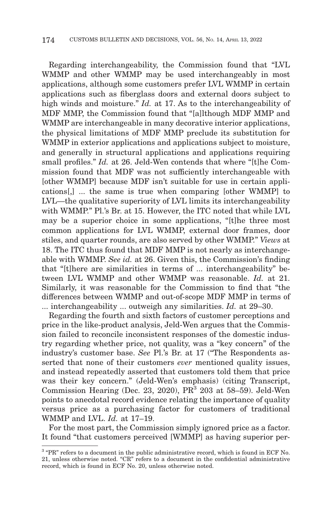Regarding interchangeability, the Commission found that "LVL WMMP and other WMMP may be used interchangeably in most applications, although some customers prefer LVL WMMP in certain applications such as fiberglass doors and external doors subject to high winds and moisture." *Id.* at 17. As to the interchangeability of MDF MMP, the Commission found that "[a]lthough MDF MMP and WMMP are interchangeable in many decorative interior applications, the physical limitations of MDF MMP preclude its substitution for WMMP in exterior applications and applications subject to moisture, and generally in structural applications and applications requiring small profiles." *Id.* at 26. Jeld-Wen contends that where "[t]he Commission found that MDF was not sufficiently interchangeable with [other WMMP] because MDF isn't suitable for use in certain applications[,] ... the same is true when comparing [other WMMP] to LVL—the qualitative superiority of LVL limits its interchangeability with WMMP." Pl.'s Br. at 15. However, the ITC noted that while LVL may be a superior choice in some applications, "[t]he three most common applications for LVL WMMP, external door frames, door stiles, and quarter rounds, are also served by other WMMP." *Views* at 18. The ITC thus found that MDF MMP is not nearly as interchangeable with WMMP. *See id.* at 26. Given this, the Commission's finding that "[t]here are similarities in terms of ... interchangeability" between LVL WMMP and other WMMP was reasonable. *Id.* at 21. Similarly, it was reasonable for the Commission to find that "the differences between WMMP and out-of-scope MDF MMP in terms of ... interchangeability ... outweigh any similarities. *Id.* at 29–30.

Regarding the fourth and sixth factors of customer perceptions and price in the like-product analysis, Jeld-Wen argues that the Commission failed to reconcile inconsistent responses of the domestic industry regarding whether price, not quality, was a "key concern" of the industry's customer base. *See* Pl.'s Br. at 17 ("The Respondents asserted that none of their customers *ever* mentioned quality issues, and instead repeatedly asserted that customers told them that price was their key concern." (Jeld-Wen's emphasis) (citing Transcript, Commission Hearing (Dec. 23, 2020),  $PR<sup>3</sup>$  203 at 58–59). Jeld-Wen points to anecdotal record evidence relating the importance of quality versus price as a purchasing factor for customers of traditional WMMP and LVL. *Id.* at 17–19.

For the most part, the Commission simply ignored price as a factor. It found "that customers perceived [WMMP] as having superior per-

<sup>3 &</sup>quot;PR" refers to a document in the public administrative record, which is found in ECF No. 21, unless otherwise noted. "CR" refers to a document in the confidential administrative record, which is found in ECF No. 20, unless otherwise noted.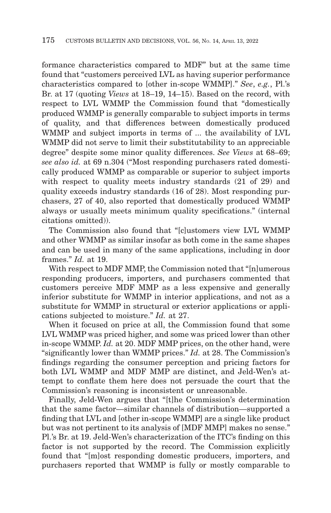formance characteristics compared to MDF" but at the same time found that "customers perceived LVL as having superior performance characteristics compared to [other in-scope WMMP]." *See*, *e.g.*, Pl.'s Br. at 17 (quoting *Views* at 18–19, 14–15). Based on the record, with respect to LVL WMMP the Commission found that "domestically produced WMMP is generally comparable to subject imports in terms of quality, and that differences between domestically produced WMMP and subject imports in terms of ... the availability of LVL WMMP did not serve to limit their substitutability to an appreciable degree" despite some minor quality differences. *See Views* at 68–69; *see also id.* at 69 n.304 ("Most responding purchasers rated domestically produced WMMP as comparable or superior to subject imports with respect to quality meets industry standards  $(21 \text{ of } 29)$  and quality exceeds industry standards (16 of 28). Most responding purchasers, 27 of 40, also reported that domestically produced WMMP always or usually meets minimum quality specifications." (internal citations omitted)).

The Commission also found that "[c]ustomers view LVL WMMP and other WMMP as similar insofar as both come in the same shapes and can be used in many of the same applications, including in door frames." *Id.* at 19.

With respect to MDF MMP, the Commission noted that "[n]umerous responding producers, importers, and purchasers commented that customers perceive MDF MMP as a less expensive and generally inferior substitute for WMMP in interior applications, and not as a substitute for WMMP in structural or exterior applications or applications subjected to moisture." *Id.* at 27.

When it focused on price at all, the Commission found that some LVL WMMP was priced higher, and some was priced lower than other in-scope WMMP. *Id.* at 20. MDF MMP prices, on the other hand, were "significantly lower than WMMP prices." *Id.* at 28. The Commission's findings regarding the consumer perception and pricing factors for both LVL WMMP and MDF MMP are distinct, and Jeld-Wen's attempt to conflate them here does not persuade the court that the Commission's reasoning is inconsistent or unreasonable.

Finally, Jeld-Wen argues that "[t]he Commission's determination that the same factor—similar channels of distribution—supported a finding that LVL and [other in-scope WMMP] are a single like product but was not pertinent to its analysis of [MDF MMP] makes no sense." Pl.'s Br. at 19. Jeld-Wen's characterization of the ITC's finding on this factor is not supported by the record. The Commission explicitly found that "[m]ost responding domestic producers, importers, and purchasers reported that WMMP is fully or mostly comparable to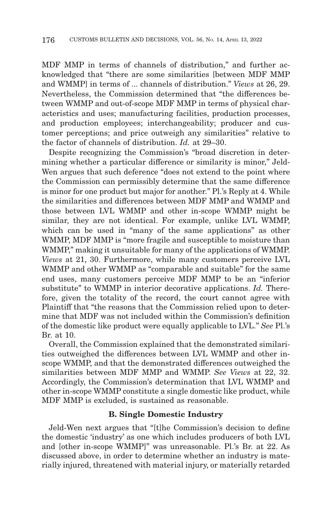MDF MMP in terms of channels of distribution," and further acknowledged that "there are some similarities [between MDF MMP and WMMP] in terms of ... channels of distribution." *Views* at 26, 29. Nevertheless, the Commission determined that "the differences between WMMP and out-of-scope MDF MMP in terms of physical characteristics and uses; manufacturing facilities, production processes, and production employees; interchangeability; producer and customer perceptions; and price outweigh any similarities" relative to the factor of channels of distribution. *Id.* at 29–30.

Despite recognizing the Commission's "broad discretion in determining whether a particular difference or similarity is minor," Jeld-Wen argues that such deference "does not extend to the point where the Commission can permissibly determine that the same difference is minor for one product but major for another." Pl.'s Reply at 4. While the similarities and differences between MDF MMP and WMMP and those between LVL WMMP and other in-scope WMMP might be similar, they are not identical. For example, unlike LVL WMMP, which can be used in "many of the same applications" as other WMMP, MDF MMP is "more fragile and susceptible to moisture than WMMP," making it unsuitable for many of the applications of WMMP. *Views* at 21, 30. Furthermore, while many customers perceive LVL WMMP and other WMMP as "comparable and suitable" for the same end uses, many customers perceive MDF MMP to be an "inferior substitute" to WMMP in interior decorative applications. *Id.* Therefore, given the totality of the record, the court cannot agree with Plaintiff that "the reasons that the Commission relied upon to determine that MDF was not included within the Commission's definition of the domestic like product were equally applicable to LVL." *See* Pl.'s Br. at 10.

Overall, the Commission explained that the demonstrated similarities outweighed the differences between LVL WMMP and other inscope WMMP, and that the demonstrated differences outweighed the similarities between MDF MMP and WMMP. *See Views* at 22, 32. Accordingly, the Commission's determination that LVL WMMP and other in-scope WMMP constitute a single domestic like product, while MDF MMP is excluded, is sustained as reasonable.

## **B. Single Domestic Industry**

Jeld-Wen next argues that "[t]he Commission's decision to define the domestic 'industry' as one which includes producers of both LVL and [other in-scope WMMP]" was unreasonable. Pl.'s Br. at 22. As discussed above, in order to determine whether an industry is materially injured, threatened with material injury, or materially retarded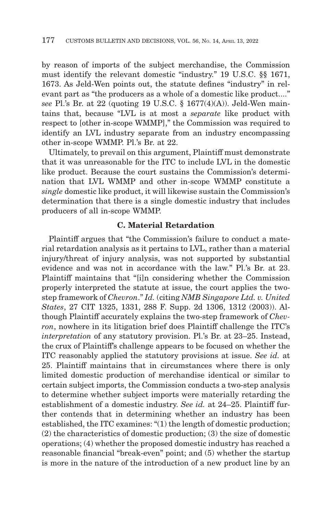by reason of imports of the subject merchandise, the Commission must identify the relevant domestic "industry." 19 U.S.C. §§ 1671, 1673. As Jeld-Wen points out, the statute defines "industry" in relevant part as "the producers as a whole of a domestic like product...." *see* Pl.'s Br. at 22 (quoting 19 U.S.C. § 1677(4)(A)). Jeld-Wen maintains that, because "LVL is at most a *separate* like product with respect to [other in-scope WMMP]," the Commission was required to identify an LVL industry separate from an industry encompassing other in-scope WMMP. Pl.'s Br. at 22.

Ultimately, to prevail on this argument, Plaintiff must demonstrate that it was unreasonable for the ITC to include LVL in the domestic like product. Because the court sustains the Commission's determination that LVL WMMP and other in-scope WMMP constitute a *single* domestic like product, it will likewise sustain the Commission's determination that there is a single domestic industry that includes producers of all in-scope WMMP.

# **C. Material Retardation**

Plaintiff argues that "the Commission's failure to conduct a material retardation analysis as it pertains to LVL, rather than a material injury/threat of injury analysis, was not supported by substantial evidence and was not in accordance with the law." Pl.'s Br. at 23. Plaintiff maintains that "[i]n considering whether the Commission properly interpreted the statute at issue, the court applies the twostep framework of *Chevron*." *Id.* (citing *NMB Singapore Ltd. v. United States*, 27 CIT 1325, 1331, 288 F. Supp. 2d 1306, 1312 (2003)). Although Plaintiff accurately explains the two-step framework of *Chevron*, nowhere in its litigation brief does Plaintiff challenge the ITC's *interpretation* of any statutory provision. Pl.'s Br. at 23–25. Instead, the crux of Plaintiff's challenge appears to be focused on whether the ITC reasonably applied the statutory provisions at issue. *See id.* at 25. Plaintiff maintains that in circumstances where there is only limited domestic production of merchandise identical or similar to certain subject imports, the Commission conducts a two-step analysis to determine whether subject imports were materially retarding the establishment of a domestic industry. *See id.* at 24–25. Plaintiff further contends that in determining whether an industry has been established, the ITC examines: "(1) the length of domestic production; (2) the characteristics of domestic production; (3) the size of domestic operations; (4) whether the proposed domestic industry has reached a reasonable financial "break-even" point; and (5) whether the startup is more in the nature of the introduction of a new product line by an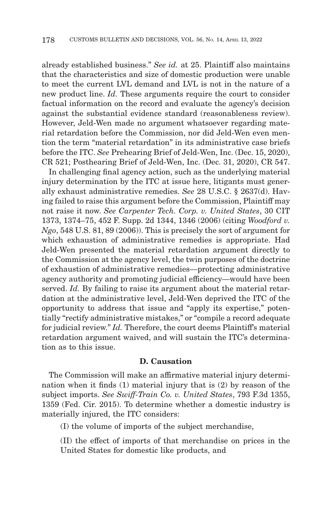already established business." *See id.* at 25. Plaintiff also maintains that the characteristics and size of domestic production were unable to meet the current LVL demand and LVL is not in the nature of a new product line. *Id.* These arguments require the court to consider factual information on the record and evaluate the agency's decision against the substantial evidence standard (reasonableness review). However, Jeld-Wen made no argument whatsoever regarding material retardation before the Commission, nor did Jeld-Wen even mention the term "material retardation" in its administrative case briefs before the ITC. *See* Prehearing Brief of Jeld-Wen, Inc. (Dec. 15, 2020), CR 521; Posthearing Brief of Jeld-Wen, Inc. (Dec. 31, 2020), CR 547.

In challenging final agency action, such as the underlying material injury determination by the ITC at issue here, litigants must generally exhaust administrative remedies. *See* 28 U.S.C. § 2637(d). Having failed to raise this argument before the Commission, Plaintiff may not raise it now. *See Carpenter Tech. Corp. v. United States*, 30 CIT 1373, 1374–75, 452 F. Supp. 2d 1344, 1346 (2006) (citing *Woodford v. Ngo*, 548 U.S. 81, 89 (2006)). This is precisely the sort of argument for which exhaustion of administrative remedies is appropriate. Had Jeld-Wen presented the material retardation argument directly to the Commission at the agency level, the twin purposes of the doctrine of exhaustion of administrative remedies—protecting administrative agency authority and promoting judicial efficiency—would have been served. *Id.* By failing to raise its argument about the material retardation at the administrative level, Jeld-Wen deprived the ITC of the opportunity to address that issue and "apply its expertise," potentially "rectify administrative mistakes," or "compile a record adequate for judicial review." *Id.* Therefore, the court deems Plaintiff's material retardation argument waived, and will sustain the ITC's determination as to this issue.

## **D. Causation**

The Commission will make an affirmative material injury determination when it finds (1) material injury that is (2) by reason of the subject imports. *See Swiff-Train Co. v. United States*, 793 F.3d 1355, 1359 (Fed. Cir. 2015). To determine whether a domestic industry is materially injured, the ITC considers:

(I) the volume of imports of the subject merchandise,

(II) the effect of imports of that merchandise on prices in the United States for domestic like products, and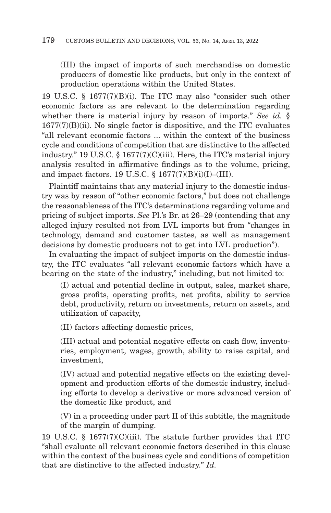(III) the impact of imports of such merchandise on domestic producers of domestic like products, but only in the context of production operations within the United States.

19 U.S.C. § 1677(7)(B)(i). The ITC may also "consider such other economic factors as are relevant to the determination regarding whether there is material injury by reason of imports." *See id.* §  $1677(7)(B)(ii)$ . No single factor is dispositive, and the ITC evaluates "all relevant economic factors ... within the context of the business cycle and conditions of competition that are distinctive to the affected industry." 19 U.S.C. § 1677(7)(C)(iii). Here, the ITC's material injury analysis resulted in affirmative findings as to the volume, pricing, and impact factors. 19 U.S.C.  $\S$  1677(7)(B)(i)(I)–(III).

Plaintiff maintains that any material injury to the domestic industry was by reason of "other economic factors," but does not challenge the reasonableness of the ITC's determinations regarding volume and pricing of subject imports. *See* Pl.'s Br. at 26–29 (contending that any alleged injury resulted not from LVL imports but from "changes in technology, demand and customer tastes, as well as management decisions by domestic producers not to get into LVL production").

In evaluating the impact of subject imports on the domestic industry, the ITC evaluates "all relevant economic factors which have a bearing on the state of the industry," including, but not limited to:

(I) actual and potential decline in output, sales, market share, gross profits, operating profits, net profits, ability to service debt, productivity, return on investments, return on assets, and utilization of capacity,

(II) factors affecting domestic prices,

(III) actual and potential negative effects on cash flow, inventories, employment, wages, growth, ability to raise capital, and investment,

(IV) actual and potential negative effects on the existing development and production efforts of the domestic industry, including efforts to develop a derivative or more advanced version of the domestic like product, and

(V) in a proceeding under part II of this subtitle, the magnitude of the margin of dumping.

19 U.S.C. § 1677(7)(C)(iii). The statute further provides that ITC "shall evaluate all relevant economic factors described in this clause within the context of the business cycle and conditions of competition that are distinctive to the affected industry." *Id.*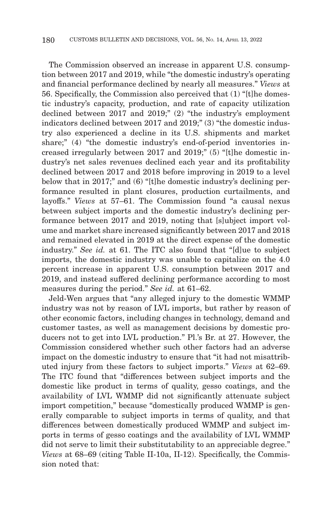The Commission observed an increase in apparent U.S. consumption between 2017 and 2019, while "the domestic industry's operating and financial performance declined by nearly all measures." *Views* at 56. Specifically, the Commission also perceived that (1) "[t]he domestic industry's capacity, production, and rate of capacity utilization declined between 2017 and 2019;" (2) "the industry's employment indicators declined between 2017 and 2019;" (3) "the domestic industry also experienced a decline in its U.S. shipments and market share;" (4) "the domestic industry's end-of-period inventories increased irregularly between 2017 and 2019;" (5) "[t]he domestic industry's net sales revenues declined each year and its profitability declined between 2017 and 2018 before improving in 2019 to a level below that in 2017;" and (6) "[t]he domestic industry's declining performance resulted in plant closures, production curtailments, and layoffs." *Views* at 57–61. The Commission found "a causal nexus between subject imports and the domestic industry's declining performance between 2017 and 2019, noting that [s]ubject import volume and market share increased significantly between 2017 and 2018 and remained elevated in 2019 at the direct expense of the domestic industry." *See id.* at 61. The ITC also found that "[d]ue to subject imports, the domestic industry was unable to capitalize on the 4.0 percent increase in apparent U.S. consumption between 2017 and 2019, and instead suffered declining performance according to most measures during the period." *See id.* at 61–62.

Jeld-Wen argues that "any alleged injury to the domestic WMMP industry was not by reason of LVL imports, but rather by reason of other economic factors, including changes in technology, demand and customer tastes, as well as management decisions by domestic producers not to get into LVL production." Pl.'s Br. at 27. However, the Commission considered whether such other factors had an adverse impact on the domestic industry to ensure that "it had not misattributed injury from these factors to subject imports." *Views* at 62–69. The ITC found that "differences between subject imports and the domestic like product in terms of quality, gesso coatings, and the availability of LVL WMMP did not significantly attenuate subject import competition," because "domestically produced WMMP is generally comparable to subject imports in terms of quality, and that differences between domestically produced WMMP and subject imports in terms of gesso coatings and the availability of LVL WMMP did not serve to limit their substitutability to an appreciable degree." *Views* at 68–69 (citing Table II-10a, II-12). Specifically, the Commission noted that: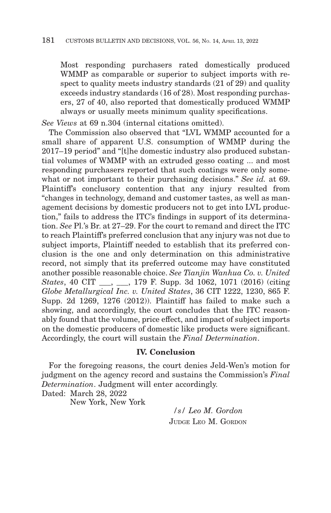Most responding purchasers rated domestically produced WMMP as comparable or superior to subject imports with respect to quality meets industry standards (21 of 29) and quality exceeds industry standards (16 of 28). Most responding purchasers, 27 of 40, also reported that domestically produced WMMP always or usually meets minimum quality specifications.

*See Views* at 69 n.304 (internal citations omitted).

The Commission also observed that "LVL WMMP accounted for a small share of apparent U.S. consumption of WMMP during the 2017–19 period" and "[t]he domestic industry also produced substantial volumes of WMMP with an extruded gesso coating ... and most responding purchasers reported that such coatings were only somewhat or not important to their purchasing decisions." *See id.* at 69. Plaintiff's conclusory contention that any injury resulted from "changes in technology, demand and customer tastes, as well as management decisions by domestic producers not to get into LVL production," fails to address the ITC's findings in support of its determination. *See* Pl.'s Br. at 27–29. For the court to remand and direct the ITC to reach Plaintiff's preferred conclusion that any injury was not due to subject imports, Plaintiff needed to establish that its preferred conclusion is the one and only determination on this administrative record, not simply that its preferred outcome may have constituted another possible reasonable choice. *See Tianjin Wanhua Co. v. United States*, 40 CIT \_\_\_, \_\_\_, 179 F. Supp. 3d 1062, 1071 (2016) (citing *Globe Metallurgical Inc. v. United States*, 36 CIT 1222, 1230, 865 F. Supp. 2d 1269, 1276 (2012)). Plaintiff has failed to make such a showing, and accordingly, the court concludes that the ITC reasonably found that the volume, price effect, and impact of subject imports on the domestic producers of domestic like products were significant. Accordingly, the court will sustain the *Final Determination*.

# **IV. Conclusion**

For the foregoing reasons, the court denies Jeld-Wen's motion for judgment on the agency record and sustains the Commission's *Final Determination*. Judgment will enter accordingly.

Dated: March 28, 2022

New York, New York

*/s/ Leo M. Gordon* JUDGE LEO M. GORDON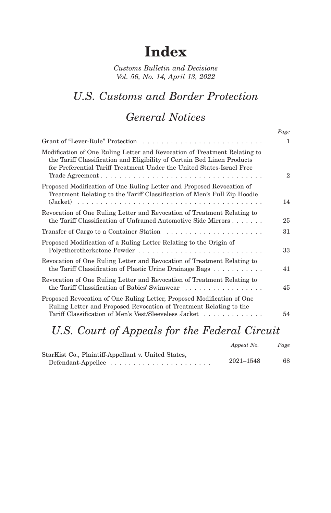# **Index**

*Customs Bulletin and Decisions Vol. 56, No. 14, April 13, 2022*

## *U.S. Customs and Border Protection*

### *General Notices*

|                                                                                                                                                                                                                               | Page           |
|-------------------------------------------------------------------------------------------------------------------------------------------------------------------------------------------------------------------------------|----------------|
|                                                                                                                                                                                                                               | 1              |
| Modification of One Ruling Letter and Revocation of Treatment Relating to<br>the Tariff Classification and Eligibility of Certain Bed Linen Products<br>for Preferential Tariff Treatment Under the United States-Israel Free | $\overline{2}$ |
| Proposed Modification of One Ruling Letter and Proposed Revocation of<br>Treatment Relating to the Tariff Classification of Men's Full Zip Hoodie                                                                             | 14             |
| Revocation of One Ruling Letter and Revocation of Treatment Relating to<br>the Tariff Classification of Unframed Automotive Side Mirrors                                                                                      | 25             |
| Transfer of Cargo to a Container Station $\ldots \ldots \ldots \ldots \ldots \ldots \ldots$                                                                                                                                   | 31             |
| Proposed Modification of a Ruling Letter Relating to the Origin of                                                                                                                                                            | 33             |
| Revocation of One Ruling Letter and Revocation of Treatment Relating to<br>the Tariff Classification of Plastic Urine Drainage Bags $\dots \dots \dots$                                                                       | 41             |
| Revocation of One Ruling Letter and Revocation of Treatment Relating to<br>the Tariff Classification of Babies' Swimwear $\dots \dots \dots \dots \dots \dots$                                                                | 45             |
| Proposed Revocation of One Ruling Letter, Proposed Modification of One<br>Ruling Letter and Proposed Revocation of Treatment Relating to the<br>Tariff Classification of Men's Vest/Sleeveless Jacket                         | 54             |
|                                                                                                                                                                                                                               |                |

## *U.S. Court of Appeals for the Federal Circuit*

|                                                     | Appeal No. | Page |
|-----------------------------------------------------|------------|------|
| StarKist Co., Plaintiff-Appellant v. United States, |            |      |
|                                                     | 2021-1548  | 68   |